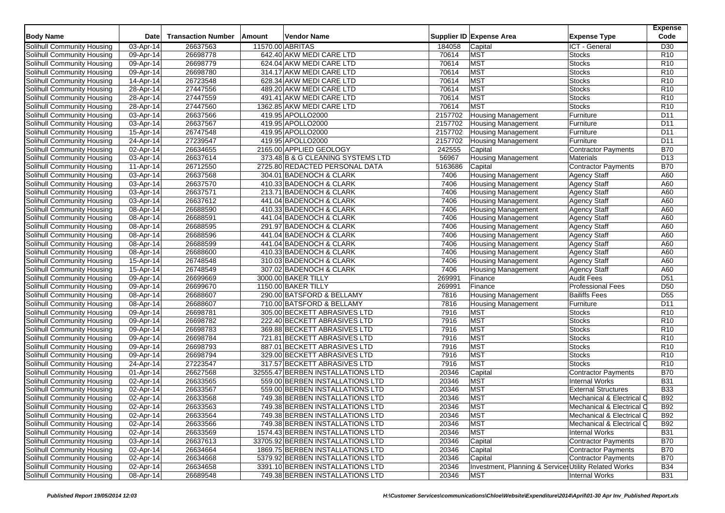| Supplier ID Expense Area<br><b>Expense Type</b><br>Code<br><b>Transaction Number</b><br>Vendor Name<br><b>Date</b><br>Amount<br>11570.00 ABRITAS<br>D <sub>30</sub><br>03-Apr-14<br>26637563<br>184058<br>ICT - General<br>Capital<br><b>MST</b><br>26698778<br>642.40 AKW MEDI CARE LTD<br>70614<br><b>Stocks</b><br>R <sub>10</sub><br>09-Apr-14<br>26698779<br><b>MST</b><br>Solihull Community Housing<br>09-Apr-14<br>624.04 AKW MEDI CARE LTD<br>70614<br>Stocks<br>R <sub>10</sub><br>26698780<br>70614<br><b>MST</b><br>Solihull Community Housing<br>09-Apr-14<br>314.17 AKW MEDI CARE LTD<br><b>Stocks</b><br>R <sub>10</sub><br>26723548<br><b>MST</b><br>628.34 AKW MEDI CARE LTD<br>70614<br><b>Stocks</b><br>R <sub>10</sub><br>Solihull Community Housing<br>14-Apr-14<br>27447556<br>70614<br><b>MST</b><br>Solihull Community Housing<br>28-Apr-14<br>489.20 AKW MEDI CARE LTD<br><b>Stocks</b><br>R <sub>10</sub><br><b>MST</b><br>27447559<br>70614<br>R <sub>10</sub><br>Solihull Community Housing<br>28-Apr-14<br>491.41 AKW MEDI CARE LTD<br><b>Stocks</b><br>27447560<br><b>MST</b><br>1362.85 AKW MEDI CARE LTD<br>70614<br><b>Stocks</b><br>R <sub>10</sub><br>Solihull Community Housing<br>28-Apr-14<br>26637566<br>Solihull Community Housing<br>419.95 APOLLO2000<br>2157702<br><b>Housing Management</b><br>D <sub>11</sub><br>03-Apr-14<br>Furniture<br>$\overline{03}$ -Apr-14<br>26637567<br>419.95 APOLLO2000<br>2157702<br>D <sub>11</sub><br>Solihull Community Housing<br><b>Housing Management</b><br>Furniture<br>26747548<br>15-Apr-14<br>419.95 APOLLO2000<br>2157702<br><b>Housing Management</b><br>D11<br>Solihull Community Housing<br>Furniture<br>27239547<br>419.95 APOLLO2000<br>2157702<br>Solihull Community Housing<br>$24$ -Apr-14<br>D <sub>11</sub><br><b>Housing Management</b><br>Furniture<br>2165.00 APPLIED GEOLOGY<br><b>B70</b><br>Solihull Community Housing<br>02-Apr-14<br>26634655<br>242555<br>Capital<br><b>Contractor Payments</b><br>26637614<br>56967<br>373.48 B & G CLEANING SYSTEMS LTD<br>D <sub>13</sub><br>Solihull Community Housing<br>03-Apr-14<br><b>Housing Management</b><br><b>Materials</b><br>26712550<br><b>B70</b><br><b>Solihull Community Housing</b><br>2725.80 REDACTED PERSONAL DATA<br>5163686<br>11-Apr-14<br>Capital<br><b>Contractor Payments</b><br>26637568<br>304.01 BADENOCH & CLARK<br>7406<br><b>Housing Management</b><br>A60<br>Solihull Community Housing<br>03-Apr-14<br><b>Agency Staff</b><br>26637570<br>Solihull Community Housing<br>410.33 BADENOCH & CLARK<br>7406<br><b>Housing Management</b><br><b>Agency Staff</b><br>A60<br>03-Apr-14<br>26637571<br>7406<br>Solihull Community Housing<br>03-Apr-14<br>213.71 BADENOCH & CLARK<br><b>Agency Staff</b><br>A60<br><b>Housing Management</b><br>441.04 BADENOCH & CLARK<br>7406<br>Solihull Community Housing<br>03-Apr-14<br>26637612<br><b>Housing Management</b><br><b>Agency Staff</b><br>A60<br>26688590<br>410.33 BADENOCH & CLARK<br>7406<br><b>Agency Staff</b><br>A60<br>Solihull Community Housing<br>08-Apr-14<br><b>Housing Management</b><br>7406<br>Solihull Community Housing<br>08-Apr-14<br>26688591<br>441.04 BADENOCH & CLARK<br><b>Housing Management</b><br>Agency Staff<br>A60<br>26688595<br>291.97 BADENOCH & CLARK<br>7406<br>A60<br>Solihull Community Housing<br>08-Apr-14<br>Housing Management<br><b>Agency Staff</b><br>26688596<br>Solihull Community Housing<br>441.04 BADENOCH & CLARK<br>7406<br>Agency Staff<br>A60<br>08-Apr-14<br><b>Housing Management</b><br>26688599<br>7406<br>Solihull Community Housing<br>08-Apr-14<br>441.04 BADENOCH & CLARK<br><b>Housing Management</b><br><b>Agency Staff</b><br>A60<br>26688600<br>410.33 BADENOCH & CLARK<br>7406<br>A60<br>Solihull Community Housing<br>08-Apr-14<br><b>Housing Management</b><br><b>Agency Staff</b><br>26748548<br>310.03 BADENOCH & CLARK<br>7406<br><b>Agency Staff</b><br>A60<br>Solihull Community Housing<br>15-Apr-14<br><b>Housing Management</b><br>15-Apr-14<br>26748549<br>307.02 BADENOCH & CLARK<br>7406<br><b>Housing Management</b><br>Agency Staff<br>A60<br>Solihull Community Housing<br>26699669<br>269991<br>D <sub>51</sub><br>09-Apr-14<br>3000.00 BAKER TILLY<br>Finance<br><b>Audit Fees</b><br>Solihull Community Housing<br>26699670<br>269991<br>1150.00 BAKER TILLY<br>Finance<br><b>Professional Fees</b><br>D <sub>50</sub><br>Solihull Community Housing<br>09-Apr-14<br>Solihull Community Housing<br>08-Apr-14<br>26688607<br>290.00 BATSFORD & BELLAMY<br>7816<br><b>Bailiffs Fees</b><br>D <sub>55</sub><br><b>Housing Management</b><br>Solihull Community Housing<br>26688607<br>710.00 BATSFORD & BELLAMY<br>7816<br>D11<br>08-Apr-14<br><b>Housing Management</b><br>Furniture<br>7916<br><b>MST</b><br>26698781<br>305.00 BECKETT ABRASIVES LTD<br><b>Stocks</b><br>R <sub>10</sub><br>Solihull Community Housing<br>09-Apr-14<br><b>MST</b><br>26698782<br>222.40 BECKETT ABRASIVES LTD<br>7916<br><b>Stocks</b><br>R <sub>10</sub><br>Solihull Community Housing<br>09-Apr-14<br><b>MST</b><br>26698783<br>369.88 BECKETT ABRASIVES LTD<br>7916<br>R <sub>10</sub><br>09-Apr-14<br><b>Stocks</b><br>26698784<br>7916<br><b>MST</b><br>721.81 BECKETT ABRASIVES LTD<br>Stocks<br>R <sub>10</sub><br>09-Apr-14<br><b>MST</b><br>26698793<br>887.01 BECKETT ABRASIVES LTD<br>7916<br><b>Stocks</b><br>R <sub>10</sub><br><b>Solihull Community Housing</b><br>09-Apr-14<br><b>MST</b><br>26698794<br>329.00 BECKETT ABRASIVES LTD<br>7916<br><b>Stocks</b><br>R <sub>10</sub><br>09-Apr-14<br>27223547<br>7916<br><b>MST</b><br>24-Apr-14<br>317.57 BECKETT ABRASIVES LTD<br><b>Stocks</b><br>R <sub>10</sub><br>26627568<br>$\overline{01}$ -Apr-14<br>32555.47 BERBEN INSTALLATIONS LTD<br>20346<br>Capital<br><b>Contractor Payments</b><br><b>B70</b><br><b>MST</b><br>26633565<br>559.00 BERBEN INSTALLATIONS LTD<br>20346<br><b>Internal Works</b><br><b>B31</b><br>02-Apr-14<br>26633567<br><b>MST</b><br>559.00 BERBEN INSTALLATIONS LTD<br>20346<br><b>External Structures</b><br><b>B33</b><br>02-Apr-14<br>26633568<br>20346<br><b>MST</b><br>749.38 BERBEN INSTALLATIONS LTD<br>Mechanical & Electrical C<br><b>B92</b><br>02-Apr-14<br><b>MST</b><br>26633563<br>749.38 BERBEN INSTALLATIONS LTD<br>20346<br><b>B92</b><br>02-Apr-14<br>Mechanical & Electrical O<br>749.38 BERBEN INSTALLATIONS LTD<br><b>MST</b><br>02-Apr-14<br>26633564<br>Mechanical & Electrical C<br><b>B92</b><br>20346<br>02-Apr-14<br>26633566<br>749.38 BERBEN INSTALLATIONS LTD<br>20346<br><b>MST</b><br>Mechanical & Electrical C<br><b>B92</b><br>02-Apr-14<br>26633569<br>1574.43 BERBEN INSTALLATIONS LTD<br><b>MST</b><br>20346<br><b>Internal Works</b><br><b>B31</b><br>03-Apr-14<br>33705.92 BERBEN INSTALLATIONS LTD<br>Capital<br>Contractor Payments<br>26637613<br>20346<br><b>B70</b><br>Solihull Community Housing<br>$02-Apr-14$<br>26634664<br>1869.75 BERBEN INSTALLATIONS LTD<br><b>B70</b><br>20346<br>Capital<br>Contractor Payments<br>Solihull Community Housing<br>02-Apr-14<br>26634668<br>5379.92 BERBEN INSTALLATIONS LTD<br><b>Contractor Payments</b><br><b>B70</b><br>20346<br>Capital |                            |  |  |  | <b>Expense</b> |
|----------------------------------------------------------------------------------------------------------------------------------------------------------------------------------------------------------------------------------------------------------------------------------------------------------------------------------------------------------------------------------------------------------------------------------------------------------------------------------------------------------------------------------------------------------------------------------------------------------------------------------------------------------------------------------------------------------------------------------------------------------------------------------------------------------------------------------------------------------------------------------------------------------------------------------------------------------------------------------------------------------------------------------------------------------------------------------------------------------------------------------------------------------------------------------------------------------------------------------------------------------------------------------------------------------------------------------------------------------------------------------------------------------------------------------------------------------------------------------------------------------------------------------------------------------------------------------------------------------------------------------------------------------------------------------------------------------------------------------------------------------------------------------------------------------------------------------------------------------------------------------------------------------------------------------------------------------------------------------------------------------------------------------------------------------------------------------------------------------------------------------------------------------------------------------------------------------------------------------------------------------------------------------------------------------------------------------------------------------------------------------------------------------------------------------------------------------------------------------------------------------------------------------------------------------------------------------------------------------------------------------------------------------------------------------------------------------------------------------------------------------------------------------------------------------------------------------------------------------------------------------------------------------------------------------------------------------------------------------------------------------------------------------------------------------------------------------------------------------------------------------------------------------------------------------------------------------------------------------------------------------------------------------------------------------------------------------------------------------------------------------------------------------------------------------------------------------------------------------------------------------------------------------------------------------------------------------------------------------------------------------------------------------------------------------------------------------------------------------------------------------------------------------------------------------------------------------------------------------------------------------------------------------------------------------------------------------------------------------------------------------------------------------------------------------------------------------------------------------------------------------------------------------------------------------------------------------------------------------------------------------------------------------------------------------------------------------------------------------------------------------------------------------------------------------------------------------------------------------------------------------------------------------------------------------------------------------------------------------------------------------------------------------------------------------------------------------------------------------------------------------------------------------------------------------------------------------------------------------------------------------------------------------------------------------------------------------------------------------------------------------------------------------------------------------------------------------------------------------------------------------------------------------------------------------------------------------------------------------------------------------------------------------------------------------------------------------------------------------------------------------------------------------------------------------------------------------------------------------------------------------------------------------------------------------------------------------------------------------------------------------------------------------------------------------------------------------------------------------------------------------------------------------------------------------------------------------------------------------------------------------------------------------------------------------------------------------------------------------------------------------------------------------------------------------------------------------------------------------------------------------------------------------------------------------------------------------------------------------------------------------------------------------------------------------------------------------------------------------------------------------------------------------------------------------------------------------------------------------------------------------------------------------------------------------------------------------------------------------------------------------------------------------------------------------------------------------------------------------------------------------------------------------------------------------------------------------------------------------------------------------------------------------------------------------------------------------------------------------------------------------------------------------------------------------------------------------------------------------------------------------------------------------------------------------------------------------------------------------|----------------------------|--|--|--|----------------|
|                                                                                                                                                                                                                                                                                                                                                                                                                                                                                                                                                                                                                                                                                                                                                                                                                                                                                                                                                                                                                                                                                                                                                                                                                                                                                                                                                                                                                                                                                                                                                                                                                                                                                                                                                                                                                                                                                                                                                                                                                                                                                                                                                                                                                                                                                                                                                                                                                                                                                                                                                                                                                                                                                                                                                                                                                                                                                                                                                                                                                                                                                                                                                                                                                                                                                                                                                                                                                                                                                                                                                                                                                                                                                                                                                                                                                                                                                                                                                                                                                                                                                                                                                                                                                                                                                                                                                                                                                                                                                                                                                                                                                                                                                                                                                                                                                                                                                                                                                                                                                                                                                                                                                                                                                                                                                                                                                                                                                                                                                                                                                                                                                                                                                                                                                                                                                                                                                                                                                                                                                                                                                                                                                                                                                                                                                                                                                                                                                                                                                                                                                                                                                                                                                                                                                                                                                                                                                                                                                                                                                                                                                                                                                                                                                                  | <b>Body Name</b>           |  |  |  |                |
|                                                                                                                                                                                                                                                                                                                                                                                                                                                                                                                                                                                                                                                                                                                                                                                                                                                                                                                                                                                                                                                                                                                                                                                                                                                                                                                                                                                                                                                                                                                                                                                                                                                                                                                                                                                                                                                                                                                                                                                                                                                                                                                                                                                                                                                                                                                                                                                                                                                                                                                                                                                                                                                                                                                                                                                                                                                                                                                                                                                                                                                                                                                                                                                                                                                                                                                                                                                                                                                                                                                                                                                                                                                                                                                                                                                                                                                                                                                                                                                                                                                                                                                                                                                                                                                                                                                                                                                                                                                                                                                                                                                                                                                                                                                                                                                                                                                                                                                                                                                                                                                                                                                                                                                                                                                                                                                                                                                                                                                                                                                                                                                                                                                                                                                                                                                                                                                                                                                                                                                                                                                                                                                                                                                                                                                                                                                                                                                                                                                                                                                                                                                                                                                                                                                                                                                                                                                                                                                                                                                                                                                                                                                                                                                                                                  | Solihull Community Housing |  |  |  |                |
|                                                                                                                                                                                                                                                                                                                                                                                                                                                                                                                                                                                                                                                                                                                                                                                                                                                                                                                                                                                                                                                                                                                                                                                                                                                                                                                                                                                                                                                                                                                                                                                                                                                                                                                                                                                                                                                                                                                                                                                                                                                                                                                                                                                                                                                                                                                                                                                                                                                                                                                                                                                                                                                                                                                                                                                                                                                                                                                                                                                                                                                                                                                                                                                                                                                                                                                                                                                                                                                                                                                                                                                                                                                                                                                                                                                                                                                                                                                                                                                                                                                                                                                                                                                                                                                                                                                                                                                                                                                                                                                                                                                                                                                                                                                                                                                                                                                                                                                                                                                                                                                                                                                                                                                                                                                                                                                                                                                                                                                                                                                                                                                                                                                                                                                                                                                                                                                                                                                                                                                                                                                                                                                                                                                                                                                                                                                                                                                                                                                                                                                                                                                                                                                                                                                                                                                                                                                                                                                                                                                                                                                                                                                                                                                                                                  | Solihull Community Housing |  |  |  |                |
|                                                                                                                                                                                                                                                                                                                                                                                                                                                                                                                                                                                                                                                                                                                                                                                                                                                                                                                                                                                                                                                                                                                                                                                                                                                                                                                                                                                                                                                                                                                                                                                                                                                                                                                                                                                                                                                                                                                                                                                                                                                                                                                                                                                                                                                                                                                                                                                                                                                                                                                                                                                                                                                                                                                                                                                                                                                                                                                                                                                                                                                                                                                                                                                                                                                                                                                                                                                                                                                                                                                                                                                                                                                                                                                                                                                                                                                                                                                                                                                                                                                                                                                                                                                                                                                                                                                                                                                                                                                                                                                                                                                                                                                                                                                                                                                                                                                                                                                                                                                                                                                                                                                                                                                                                                                                                                                                                                                                                                                                                                                                                                                                                                                                                                                                                                                                                                                                                                                                                                                                                                                                                                                                                                                                                                                                                                                                                                                                                                                                                                                                                                                                                                                                                                                                                                                                                                                                                                                                                                                                                                                                                                                                                                                                                                  |                            |  |  |  |                |
|                                                                                                                                                                                                                                                                                                                                                                                                                                                                                                                                                                                                                                                                                                                                                                                                                                                                                                                                                                                                                                                                                                                                                                                                                                                                                                                                                                                                                                                                                                                                                                                                                                                                                                                                                                                                                                                                                                                                                                                                                                                                                                                                                                                                                                                                                                                                                                                                                                                                                                                                                                                                                                                                                                                                                                                                                                                                                                                                                                                                                                                                                                                                                                                                                                                                                                                                                                                                                                                                                                                                                                                                                                                                                                                                                                                                                                                                                                                                                                                                                                                                                                                                                                                                                                                                                                                                                                                                                                                                                                                                                                                                                                                                                                                                                                                                                                                                                                                                                                                                                                                                                                                                                                                                                                                                                                                                                                                                                                                                                                                                                                                                                                                                                                                                                                                                                                                                                                                                                                                                                                                                                                                                                                                                                                                                                                                                                                                                                                                                                                                                                                                                                                                                                                                                                                                                                                                                                                                                                                                                                                                                                                                                                                                                                                  |                            |  |  |  |                |
|                                                                                                                                                                                                                                                                                                                                                                                                                                                                                                                                                                                                                                                                                                                                                                                                                                                                                                                                                                                                                                                                                                                                                                                                                                                                                                                                                                                                                                                                                                                                                                                                                                                                                                                                                                                                                                                                                                                                                                                                                                                                                                                                                                                                                                                                                                                                                                                                                                                                                                                                                                                                                                                                                                                                                                                                                                                                                                                                                                                                                                                                                                                                                                                                                                                                                                                                                                                                                                                                                                                                                                                                                                                                                                                                                                                                                                                                                                                                                                                                                                                                                                                                                                                                                                                                                                                                                                                                                                                                                                                                                                                                                                                                                                                                                                                                                                                                                                                                                                                                                                                                                                                                                                                                                                                                                                                                                                                                                                                                                                                                                                                                                                                                                                                                                                                                                                                                                                                                                                                                                                                                                                                                                                                                                                                                                                                                                                                                                                                                                                                                                                                                                                                                                                                                                                                                                                                                                                                                                                                                                                                                                                                                                                                                                                  |                            |  |  |  |                |
|                                                                                                                                                                                                                                                                                                                                                                                                                                                                                                                                                                                                                                                                                                                                                                                                                                                                                                                                                                                                                                                                                                                                                                                                                                                                                                                                                                                                                                                                                                                                                                                                                                                                                                                                                                                                                                                                                                                                                                                                                                                                                                                                                                                                                                                                                                                                                                                                                                                                                                                                                                                                                                                                                                                                                                                                                                                                                                                                                                                                                                                                                                                                                                                                                                                                                                                                                                                                                                                                                                                                                                                                                                                                                                                                                                                                                                                                                                                                                                                                                                                                                                                                                                                                                                                                                                                                                                                                                                                                                                                                                                                                                                                                                                                                                                                                                                                                                                                                                                                                                                                                                                                                                                                                                                                                                                                                                                                                                                                                                                                                                                                                                                                                                                                                                                                                                                                                                                                                                                                                                                                                                                                                                                                                                                                                                                                                                                                                                                                                                                                                                                                                                                                                                                                                                                                                                                                                                                                                                                                                                                                                                                                                                                                                                                  |                            |  |  |  |                |
|                                                                                                                                                                                                                                                                                                                                                                                                                                                                                                                                                                                                                                                                                                                                                                                                                                                                                                                                                                                                                                                                                                                                                                                                                                                                                                                                                                                                                                                                                                                                                                                                                                                                                                                                                                                                                                                                                                                                                                                                                                                                                                                                                                                                                                                                                                                                                                                                                                                                                                                                                                                                                                                                                                                                                                                                                                                                                                                                                                                                                                                                                                                                                                                                                                                                                                                                                                                                                                                                                                                                                                                                                                                                                                                                                                                                                                                                                                                                                                                                                                                                                                                                                                                                                                                                                                                                                                                                                                                                                                                                                                                                                                                                                                                                                                                                                                                                                                                                                                                                                                                                                                                                                                                                                                                                                                                                                                                                                                                                                                                                                                                                                                                                                                                                                                                                                                                                                                                                                                                                                                                                                                                                                                                                                                                                                                                                                                                                                                                                                                                                                                                                                                                                                                                                                                                                                                                                                                                                                                                                                                                                                                                                                                                                                                  |                            |  |  |  |                |
|                                                                                                                                                                                                                                                                                                                                                                                                                                                                                                                                                                                                                                                                                                                                                                                                                                                                                                                                                                                                                                                                                                                                                                                                                                                                                                                                                                                                                                                                                                                                                                                                                                                                                                                                                                                                                                                                                                                                                                                                                                                                                                                                                                                                                                                                                                                                                                                                                                                                                                                                                                                                                                                                                                                                                                                                                                                                                                                                                                                                                                                                                                                                                                                                                                                                                                                                                                                                                                                                                                                                                                                                                                                                                                                                                                                                                                                                                                                                                                                                                                                                                                                                                                                                                                                                                                                                                                                                                                                                                                                                                                                                                                                                                                                                                                                                                                                                                                                                                                                                                                                                                                                                                                                                                                                                                                                                                                                                                                                                                                                                                                                                                                                                                                                                                                                                                                                                                                                                                                                                                                                                                                                                                                                                                                                                                                                                                                                                                                                                                                                                                                                                                                                                                                                                                                                                                                                                                                                                                                                                                                                                                                                                                                                                                                  |                            |  |  |  |                |
|                                                                                                                                                                                                                                                                                                                                                                                                                                                                                                                                                                                                                                                                                                                                                                                                                                                                                                                                                                                                                                                                                                                                                                                                                                                                                                                                                                                                                                                                                                                                                                                                                                                                                                                                                                                                                                                                                                                                                                                                                                                                                                                                                                                                                                                                                                                                                                                                                                                                                                                                                                                                                                                                                                                                                                                                                                                                                                                                                                                                                                                                                                                                                                                                                                                                                                                                                                                                                                                                                                                                                                                                                                                                                                                                                                                                                                                                                                                                                                                                                                                                                                                                                                                                                                                                                                                                                                                                                                                                                                                                                                                                                                                                                                                                                                                                                                                                                                                                                                                                                                                                                                                                                                                                                                                                                                                                                                                                                                                                                                                                                                                                                                                                                                                                                                                                                                                                                                                                                                                                                                                                                                                                                                                                                                                                                                                                                                                                                                                                                                                                                                                                                                                                                                                                                                                                                                                                                                                                                                                                                                                                                                                                                                                                                                  |                            |  |  |  |                |
|                                                                                                                                                                                                                                                                                                                                                                                                                                                                                                                                                                                                                                                                                                                                                                                                                                                                                                                                                                                                                                                                                                                                                                                                                                                                                                                                                                                                                                                                                                                                                                                                                                                                                                                                                                                                                                                                                                                                                                                                                                                                                                                                                                                                                                                                                                                                                                                                                                                                                                                                                                                                                                                                                                                                                                                                                                                                                                                                                                                                                                                                                                                                                                                                                                                                                                                                                                                                                                                                                                                                                                                                                                                                                                                                                                                                                                                                                                                                                                                                                                                                                                                                                                                                                                                                                                                                                                                                                                                                                                                                                                                                                                                                                                                                                                                                                                                                                                                                                                                                                                                                                                                                                                                                                                                                                                                                                                                                                                                                                                                                                                                                                                                                                                                                                                                                                                                                                                                                                                                                                                                                                                                                                                                                                                                                                                                                                                                                                                                                                                                                                                                                                                                                                                                                                                                                                                                                                                                                                                                                                                                                                                                                                                                                                                  |                            |  |  |  |                |
|                                                                                                                                                                                                                                                                                                                                                                                                                                                                                                                                                                                                                                                                                                                                                                                                                                                                                                                                                                                                                                                                                                                                                                                                                                                                                                                                                                                                                                                                                                                                                                                                                                                                                                                                                                                                                                                                                                                                                                                                                                                                                                                                                                                                                                                                                                                                                                                                                                                                                                                                                                                                                                                                                                                                                                                                                                                                                                                                                                                                                                                                                                                                                                                                                                                                                                                                                                                                                                                                                                                                                                                                                                                                                                                                                                                                                                                                                                                                                                                                                                                                                                                                                                                                                                                                                                                                                                                                                                                                                                                                                                                                                                                                                                                                                                                                                                                                                                                                                                                                                                                                                                                                                                                                                                                                                                                                                                                                                                                                                                                                                                                                                                                                                                                                                                                                                                                                                                                                                                                                                                                                                                                                                                                                                                                                                                                                                                                                                                                                                                                                                                                                                                                                                                                                                                                                                                                                                                                                                                                                                                                                                                                                                                                                                                  |                            |  |  |  |                |
|                                                                                                                                                                                                                                                                                                                                                                                                                                                                                                                                                                                                                                                                                                                                                                                                                                                                                                                                                                                                                                                                                                                                                                                                                                                                                                                                                                                                                                                                                                                                                                                                                                                                                                                                                                                                                                                                                                                                                                                                                                                                                                                                                                                                                                                                                                                                                                                                                                                                                                                                                                                                                                                                                                                                                                                                                                                                                                                                                                                                                                                                                                                                                                                                                                                                                                                                                                                                                                                                                                                                                                                                                                                                                                                                                                                                                                                                                                                                                                                                                                                                                                                                                                                                                                                                                                                                                                                                                                                                                                                                                                                                                                                                                                                                                                                                                                                                                                                                                                                                                                                                                                                                                                                                                                                                                                                                                                                                                                                                                                                                                                                                                                                                                                                                                                                                                                                                                                                                                                                                                                                                                                                                                                                                                                                                                                                                                                                                                                                                                                                                                                                                                                                                                                                                                                                                                                                                                                                                                                                                                                                                                                                                                                                                                                  |                            |  |  |  |                |
|                                                                                                                                                                                                                                                                                                                                                                                                                                                                                                                                                                                                                                                                                                                                                                                                                                                                                                                                                                                                                                                                                                                                                                                                                                                                                                                                                                                                                                                                                                                                                                                                                                                                                                                                                                                                                                                                                                                                                                                                                                                                                                                                                                                                                                                                                                                                                                                                                                                                                                                                                                                                                                                                                                                                                                                                                                                                                                                                                                                                                                                                                                                                                                                                                                                                                                                                                                                                                                                                                                                                                                                                                                                                                                                                                                                                                                                                                                                                                                                                                                                                                                                                                                                                                                                                                                                                                                                                                                                                                                                                                                                                                                                                                                                                                                                                                                                                                                                                                                                                                                                                                                                                                                                                                                                                                                                                                                                                                                                                                                                                                                                                                                                                                                                                                                                                                                                                                                                                                                                                                                                                                                                                                                                                                                                                                                                                                                                                                                                                                                                                                                                                                                                                                                                                                                                                                                                                                                                                                                                                                                                                                                                                                                                                                                  |                            |  |  |  |                |
|                                                                                                                                                                                                                                                                                                                                                                                                                                                                                                                                                                                                                                                                                                                                                                                                                                                                                                                                                                                                                                                                                                                                                                                                                                                                                                                                                                                                                                                                                                                                                                                                                                                                                                                                                                                                                                                                                                                                                                                                                                                                                                                                                                                                                                                                                                                                                                                                                                                                                                                                                                                                                                                                                                                                                                                                                                                                                                                                                                                                                                                                                                                                                                                                                                                                                                                                                                                                                                                                                                                                                                                                                                                                                                                                                                                                                                                                                                                                                                                                                                                                                                                                                                                                                                                                                                                                                                                                                                                                                                                                                                                                                                                                                                                                                                                                                                                                                                                                                                                                                                                                                                                                                                                                                                                                                                                                                                                                                                                                                                                                                                                                                                                                                                                                                                                                                                                                                                                                                                                                                                                                                                                                                                                                                                                                                                                                                                                                                                                                                                                                                                                                                                                                                                                                                                                                                                                                                                                                                                                                                                                                                                                                                                                                                                  |                            |  |  |  |                |
|                                                                                                                                                                                                                                                                                                                                                                                                                                                                                                                                                                                                                                                                                                                                                                                                                                                                                                                                                                                                                                                                                                                                                                                                                                                                                                                                                                                                                                                                                                                                                                                                                                                                                                                                                                                                                                                                                                                                                                                                                                                                                                                                                                                                                                                                                                                                                                                                                                                                                                                                                                                                                                                                                                                                                                                                                                                                                                                                                                                                                                                                                                                                                                                                                                                                                                                                                                                                                                                                                                                                                                                                                                                                                                                                                                                                                                                                                                                                                                                                                                                                                                                                                                                                                                                                                                                                                                                                                                                                                                                                                                                                                                                                                                                                                                                                                                                                                                                                                                                                                                                                                                                                                                                                                                                                                                                                                                                                                                                                                                                                                                                                                                                                                                                                                                                                                                                                                                                                                                                                                                                                                                                                                                                                                                                                                                                                                                                                                                                                                                                                                                                                                                                                                                                                                                                                                                                                                                                                                                                                                                                                                                                                                                                                                                  |                            |  |  |  |                |
|                                                                                                                                                                                                                                                                                                                                                                                                                                                                                                                                                                                                                                                                                                                                                                                                                                                                                                                                                                                                                                                                                                                                                                                                                                                                                                                                                                                                                                                                                                                                                                                                                                                                                                                                                                                                                                                                                                                                                                                                                                                                                                                                                                                                                                                                                                                                                                                                                                                                                                                                                                                                                                                                                                                                                                                                                                                                                                                                                                                                                                                                                                                                                                                                                                                                                                                                                                                                                                                                                                                                                                                                                                                                                                                                                                                                                                                                                                                                                                                                                                                                                                                                                                                                                                                                                                                                                                                                                                                                                                                                                                                                                                                                                                                                                                                                                                                                                                                                                                                                                                                                                                                                                                                                                                                                                                                                                                                                                                                                                                                                                                                                                                                                                                                                                                                                                                                                                                                                                                                                                                                                                                                                                                                                                                                                                                                                                                                                                                                                                                                                                                                                                                                                                                                                                                                                                                                                                                                                                                                                                                                                                                                                                                                                                                  |                            |  |  |  |                |
|                                                                                                                                                                                                                                                                                                                                                                                                                                                                                                                                                                                                                                                                                                                                                                                                                                                                                                                                                                                                                                                                                                                                                                                                                                                                                                                                                                                                                                                                                                                                                                                                                                                                                                                                                                                                                                                                                                                                                                                                                                                                                                                                                                                                                                                                                                                                                                                                                                                                                                                                                                                                                                                                                                                                                                                                                                                                                                                                                                                                                                                                                                                                                                                                                                                                                                                                                                                                                                                                                                                                                                                                                                                                                                                                                                                                                                                                                                                                                                                                                                                                                                                                                                                                                                                                                                                                                                                                                                                                                                                                                                                                                                                                                                                                                                                                                                                                                                                                                                                                                                                                                                                                                                                                                                                                                                                                                                                                                                                                                                                                                                                                                                                                                                                                                                                                                                                                                                                                                                                                                                                                                                                                                                                                                                                                                                                                                                                                                                                                                                                                                                                                                                                                                                                                                                                                                                                                                                                                                                                                                                                                                                                                                                                                                                  |                            |  |  |  |                |
|                                                                                                                                                                                                                                                                                                                                                                                                                                                                                                                                                                                                                                                                                                                                                                                                                                                                                                                                                                                                                                                                                                                                                                                                                                                                                                                                                                                                                                                                                                                                                                                                                                                                                                                                                                                                                                                                                                                                                                                                                                                                                                                                                                                                                                                                                                                                                                                                                                                                                                                                                                                                                                                                                                                                                                                                                                                                                                                                                                                                                                                                                                                                                                                                                                                                                                                                                                                                                                                                                                                                                                                                                                                                                                                                                                                                                                                                                                                                                                                                                                                                                                                                                                                                                                                                                                                                                                                                                                                                                                                                                                                                                                                                                                                                                                                                                                                                                                                                                                                                                                                                                                                                                                                                                                                                                                                                                                                                                                                                                                                                                                                                                                                                                                                                                                                                                                                                                                                                                                                                                                                                                                                                                                                                                                                                                                                                                                                                                                                                                                                                                                                                                                                                                                                                                                                                                                                                                                                                                                                                                                                                                                                                                                                                                                  |                            |  |  |  |                |
|                                                                                                                                                                                                                                                                                                                                                                                                                                                                                                                                                                                                                                                                                                                                                                                                                                                                                                                                                                                                                                                                                                                                                                                                                                                                                                                                                                                                                                                                                                                                                                                                                                                                                                                                                                                                                                                                                                                                                                                                                                                                                                                                                                                                                                                                                                                                                                                                                                                                                                                                                                                                                                                                                                                                                                                                                                                                                                                                                                                                                                                                                                                                                                                                                                                                                                                                                                                                                                                                                                                                                                                                                                                                                                                                                                                                                                                                                                                                                                                                                                                                                                                                                                                                                                                                                                                                                                                                                                                                                                                                                                                                                                                                                                                                                                                                                                                                                                                                                                                                                                                                                                                                                                                                                                                                                                                                                                                                                                                                                                                                                                                                                                                                                                                                                                                                                                                                                                                                                                                                                                                                                                                                                                                                                                                                                                                                                                                                                                                                                                                                                                                                                                                                                                                                                                                                                                                                                                                                                                                                                                                                                                                                                                                                                                  |                            |  |  |  |                |
|                                                                                                                                                                                                                                                                                                                                                                                                                                                                                                                                                                                                                                                                                                                                                                                                                                                                                                                                                                                                                                                                                                                                                                                                                                                                                                                                                                                                                                                                                                                                                                                                                                                                                                                                                                                                                                                                                                                                                                                                                                                                                                                                                                                                                                                                                                                                                                                                                                                                                                                                                                                                                                                                                                                                                                                                                                                                                                                                                                                                                                                                                                                                                                                                                                                                                                                                                                                                                                                                                                                                                                                                                                                                                                                                                                                                                                                                                                                                                                                                                                                                                                                                                                                                                                                                                                                                                                                                                                                                                                                                                                                                                                                                                                                                                                                                                                                                                                                                                                                                                                                                                                                                                                                                                                                                                                                                                                                                                                                                                                                                                                                                                                                                                                                                                                                                                                                                                                                                                                                                                                                                                                                                                                                                                                                                                                                                                                                                                                                                                                                                                                                                                                                                                                                                                                                                                                                                                                                                                                                                                                                                                                                                                                                                                                  |                            |  |  |  |                |
|                                                                                                                                                                                                                                                                                                                                                                                                                                                                                                                                                                                                                                                                                                                                                                                                                                                                                                                                                                                                                                                                                                                                                                                                                                                                                                                                                                                                                                                                                                                                                                                                                                                                                                                                                                                                                                                                                                                                                                                                                                                                                                                                                                                                                                                                                                                                                                                                                                                                                                                                                                                                                                                                                                                                                                                                                                                                                                                                                                                                                                                                                                                                                                                                                                                                                                                                                                                                                                                                                                                                                                                                                                                                                                                                                                                                                                                                                                                                                                                                                                                                                                                                                                                                                                                                                                                                                                                                                                                                                                                                                                                                                                                                                                                                                                                                                                                                                                                                                                                                                                                                                                                                                                                                                                                                                                                                                                                                                                                                                                                                                                                                                                                                                                                                                                                                                                                                                                                                                                                                                                                                                                                                                                                                                                                                                                                                                                                                                                                                                                                                                                                                                                                                                                                                                                                                                                                                                                                                                                                                                                                                                                                                                                                                                                  |                            |  |  |  |                |
|                                                                                                                                                                                                                                                                                                                                                                                                                                                                                                                                                                                                                                                                                                                                                                                                                                                                                                                                                                                                                                                                                                                                                                                                                                                                                                                                                                                                                                                                                                                                                                                                                                                                                                                                                                                                                                                                                                                                                                                                                                                                                                                                                                                                                                                                                                                                                                                                                                                                                                                                                                                                                                                                                                                                                                                                                                                                                                                                                                                                                                                                                                                                                                                                                                                                                                                                                                                                                                                                                                                                                                                                                                                                                                                                                                                                                                                                                                                                                                                                                                                                                                                                                                                                                                                                                                                                                                                                                                                                                                                                                                                                                                                                                                                                                                                                                                                                                                                                                                                                                                                                                                                                                                                                                                                                                                                                                                                                                                                                                                                                                                                                                                                                                                                                                                                                                                                                                                                                                                                                                                                                                                                                                                                                                                                                                                                                                                                                                                                                                                                                                                                                                                                                                                                                                                                                                                                                                                                                                                                                                                                                                                                                                                                                                                  |                            |  |  |  |                |
|                                                                                                                                                                                                                                                                                                                                                                                                                                                                                                                                                                                                                                                                                                                                                                                                                                                                                                                                                                                                                                                                                                                                                                                                                                                                                                                                                                                                                                                                                                                                                                                                                                                                                                                                                                                                                                                                                                                                                                                                                                                                                                                                                                                                                                                                                                                                                                                                                                                                                                                                                                                                                                                                                                                                                                                                                                                                                                                                                                                                                                                                                                                                                                                                                                                                                                                                                                                                                                                                                                                                                                                                                                                                                                                                                                                                                                                                                                                                                                                                                                                                                                                                                                                                                                                                                                                                                                                                                                                                                                                                                                                                                                                                                                                                                                                                                                                                                                                                                                                                                                                                                                                                                                                                                                                                                                                                                                                                                                                                                                                                                                                                                                                                                                                                                                                                                                                                                                                                                                                                                                                                                                                                                                                                                                                                                                                                                                                                                                                                                                                                                                                                                                                                                                                                                                                                                                                                                                                                                                                                                                                                                                                                                                                                                                  |                            |  |  |  |                |
|                                                                                                                                                                                                                                                                                                                                                                                                                                                                                                                                                                                                                                                                                                                                                                                                                                                                                                                                                                                                                                                                                                                                                                                                                                                                                                                                                                                                                                                                                                                                                                                                                                                                                                                                                                                                                                                                                                                                                                                                                                                                                                                                                                                                                                                                                                                                                                                                                                                                                                                                                                                                                                                                                                                                                                                                                                                                                                                                                                                                                                                                                                                                                                                                                                                                                                                                                                                                                                                                                                                                                                                                                                                                                                                                                                                                                                                                                                                                                                                                                                                                                                                                                                                                                                                                                                                                                                                                                                                                                                                                                                                                                                                                                                                                                                                                                                                                                                                                                                                                                                                                                                                                                                                                                                                                                                                                                                                                                                                                                                                                                                                                                                                                                                                                                                                                                                                                                                                                                                                                                                                                                                                                                                                                                                                                                                                                                                                                                                                                                                                                                                                                                                                                                                                                                                                                                                                                                                                                                                                                                                                                                                                                                                                                                                  |                            |  |  |  |                |
|                                                                                                                                                                                                                                                                                                                                                                                                                                                                                                                                                                                                                                                                                                                                                                                                                                                                                                                                                                                                                                                                                                                                                                                                                                                                                                                                                                                                                                                                                                                                                                                                                                                                                                                                                                                                                                                                                                                                                                                                                                                                                                                                                                                                                                                                                                                                                                                                                                                                                                                                                                                                                                                                                                                                                                                                                                                                                                                                                                                                                                                                                                                                                                                                                                                                                                                                                                                                                                                                                                                                                                                                                                                                                                                                                                                                                                                                                                                                                                                                                                                                                                                                                                                                                                                                                                                                                                                                                                                                                                                                                                                                                                                                                                                                                                                                                                                                                                                                                                                                                                                                                                                                                                                                                                                                                                                                                                                                                                                                                                                                                                                                                                                                                                                                                                                                                                                                                                                                                                                                                                                                                                                                                                                                                                                                                                                                                                                                                                                                                                                                                                                                                                                                                                                                                                                                                                                                                                                                                                                                                                                                                                                                                                                                                                  |                            |  |  |  |                |
|                                                                                                                                                                                                                                                                                                                                                                                                                                                                                                                                                                                                                                                                                                                                                                                                                                                                                                                                                                                                                                                                                                                                                                                                                                                                                                                                                                                                                                                                                                                                                                                                                                                                                                                                                                                                                                                                                                                                                                                                                                                                                                                                                                                                                                                                                                                                                                                                                                                                                                                                                                                                                                                                                                                                                                                                                                                                                                                                                                                                                                                                                                                                                                                                                                                                                                                                                                                                                                                                                                                                                                                                                                                                                                                                                                                                                                                                                                                                                                                                                                                                                                                                                                                                                                                                                                                                                                                                                                                                                                                                                                                                                                                                                                                                                                                                                                                                                                                                                                                                                                                                                                                                                                                                                                                                                                                                                                                                                                                                                                                                                                                                                                                                                                                                                                                                                                                                                                                                                                                                                                                                                                                                                                                                                                                                                                                                                                                                                                                                                                                                                                                                                                                                                                                                                                                                                                                                                                                                                                                                                                                                                                                                                                                                                                  |                            |  |  |  |                |
|                                                                                                                                                                                                                                                                                                                                                                                                                                                                                                                                                                                                                                                                                                                                                                                                                                                                                                                                                                                                                                                                                                                                                                                                                                                                                                                                                                                                                                                                                                                                                                                                                                                                                                                                                                                                                                                                                                                                                                                                                                                                                                                                                                                                                                                                                                                                                                                                                                                                                                                                                                                                                                                                                                                                                                                                                                                                                                                                                                                                                                                                                                                                                                                                                                                                                                                                                                                                                                                                                                                                                                                                                                                                                                                                                                                                                                                                                                                                                                                                                                                                                                                                                                                                                                                                                                                                                                                                                                                                                                                                                                                                                                                                                                                                                                                                                                                                                                                                                                                                                                                                                                                                                                                                                                                                                                                                                                                                                                                                                                                                                                                                                                                                                                                                                                                                                                                                                                                                                                                                                                                                                                                                                                                                                                                                                                                                                                                                                                                                                                                                                                                                                                                                                                                                                                                                                                                                                                                                                                                                                                                                                                                                                                                                                                  |                            |  |  |  |                |
|                                                                                                                                                                                                                                                                                                                                                                                                                                                                                                                                                                                                                                                                                                                                                                                                                                                                                                                                                                                                                                                                                                                                                                                                                                                                                                                                                                                                                                                                                                                                                                                                                                                                                                                                                                                                                                                                                                                                                                                                                                                                                                                                                                                                                                                                                                                                                                                                                                                                                                                                                                                                                                                                                                                                                                                                                                                                                                                                                                                                                                                                                                                                                                                                                                                                                                                                                                                                                                                                                                                                                                                                                                                                                                                                                                                                                                                                                                                                                                                                                                                                                                                                                                                                                                                                                                                                                                                                                                                                                                                                                                                                                                                                                                                                                                                                                                                                                                                                                                                                                                                                                                                                                                                                                                                                                                                                                                                                                                                                                                                                                                                                                                                                                                                                                                                                                                                                                                                                                                                                                                                                                                                                                                                                                                                                                                                                                                                                                                                                                                                                                                                                                                                                                                                                                                                                                                                                                                                                                                                                                                                                                                                                                                                                                                  |                            |  |  |  |                |
|                                                                                                                                                                                                                                                                                                                                                                                                                                                                                                                                                                                                                                                                                                                                                                                                                                                                                                                                                                                                                                                                                                                                                                                                                                                                                                                                                                                                                                                                                                                                                                                                                                                                                                                                                                                                                                                                                                                                                                                                                                                                                                                                                                                                                                                                                                                                                                                                                                                                                                                                                                                                                                                                                                                                                                                                                                                                                                                                                                                                                                                                                                                                                                                                                                                                                                                                                                                                                                                                                                                                                                                                                                                                                                                                                                                                                                                                                                                                                                                                                                                                                                                                                                                                                                                                                                                                                                                                                                                                                                                                                                                                                                                                                                                                                                                                                                                                                                                                                                                                                                                                                                                                                                                                                                                                                                                                                                                                                                                                                                                                                                                                                                                                                                                                                                                                                                                                                                                                                                                                                                                                                                                                                                                                                                                                                                                                                                                                                                                                                                                                                                                                                                                                                                                                                                                                                                                                                                                                                                                                                                                                                                                                                                                                                                  |                            |  |  |  |                |
|                                                                                                                                                                                                                                                                                                                                                                                                                                                                                                                                                                                                                                                                                                                                                                                                                                                                                                                                                                                                                                                                                                                                                                                                                                                                                                                                                                                                                                                                                                                                                                                                                                                                                                                                                                                                                                                                                                                                                                                                                                                                                                                                                                                                                                                                                                                                                                                                                                                                                                                                                                                                                                                                                                                                                                                                                                                                                                                                                                                                                                                                                                                                                                                                                                                                                                                                                                                                                                                                                                                                                                                                                                                                                                                                                                                                                                                                                                                                                                                                                                                                                                                                                                                                                                                                                                                                                                                                                                                                                                                                                                                                                                                                                                                                                                                                                                                                                                                                                                                                                                                                                                                                                                                                                                                                                                                                                                                                                                                                                                                                                                                                                                                                                                                                                                                                                                                                                                                                                                                                                                                                                                                                                                                                                                                                                                                                                                                                                                                                                                                                                                                                                                                                                                                                                                                                                                                                                                                                                                                                                                                                                                                                                                                                                                  |                            |  |  |  |                |
|                                                                                                                                                                                                                                                                                                                                                                                                                                                                                                                                                                                                                                                                                                                                                                                                                                                                                                                                                                                                                                                                                                                                                                                                                                                                                                                                                                                                                                                                                                                                                                                                                                                                                                                                                                                                                                                                                                                                                                                                                                                                                                                                                                                                                                                                                                                                                                                                                                                                                                                                                                                                                                                                                                                                                                                                                                                                                                                                                                                                                                                                                                                                                                                                                                                                                                                                                                                                                                                                                                                                                                                                                                                                                                                                                                                                                                                                                                                                                                                                                                                                                                                                                                                                                                                                                                                                                                                                                                                                                                                                                                                                                                                                                                                                                                                                                                                                                                                                                                                                                                                                                                                                                                                                                                                                                                                                                                                                                                                                                                                                                                                                                                                                                                                                                                                                                                                                                                                                                                                                                                                                                                                                                                                                                                                                                                                                                                                                                                                                                                                                                                                                                                                                                                                                                                                                                                                                                                                                                                                                                                                                                                                                                                                                                                  |                            |  |  |  |                |
|                                                                                                                                                                                                                                                                                                                                                                                                                                                                                                                                                                                                                                                                                                                                                                                                                                                                                                                                                                                                                                                                                                                                                                                                                                                                                                                                                                                                                                                                                                                                                                                                                                                                                                                                                                                                                                                                                                                                                                                                                                                                                                                                                                                                                                                                                                                                                                                                                                                                                                                                                                                                                                                                                                                                                                                                                                                                                                                                                                                                                                                                                                                                                                                                                                                                                                                                                                                                                                                                                                                                                                                                                                                                                                                                                                                                                                                                                                                                                                                                                                                                                                                                                                                                                                                                                                                                                                                                                                                                                                                                                                                                                                                                                                                                                                                                                                                                                                                                                                                                                                                                                                                                                                                                                                                                                                                                                                                                                                                                                                                                                                                                                                                                                                                                                                                                                                                                                                                                                                                                                                                                                                                                                                                                                                                                                                                                                                                                                                                                                                                                                                                                                                                                                                                                                                                                                                                                                                                                                                                                                                                                                                                                                                                                                                  |                            |  |  |  |                |
|                                                                                                                                                                                                                                                                                                                                                                                                                                                                                                                                                                                                                                                                                                                                                                                                                                                                                                                                                                                                                                                                                                                                                                                                                                                                                                                                                                                                                                                                                                                                                                                                                                                                                                                                                                                                                                                                                                                                                                                                                                                                                                                                                                                                                                                                                                                                                                                                                                                                                                                                                                                                                                                                                                                                                                                                                                                                                                                                                                                                                                                                                                                                                                                                                                                                                                                                                                                                                                                                                                                                                                                                                                                                                                                                                                                                                                                                                                                                                                                                                                                                                                                                                                                                                                                                                                                                                                                                                                                                                                                                                                                                                                                                                                                                                                                                                                                                                                                                                                                                                                                                                                                                                                                                                                                                                                                                                                                                                                                                                                                                                                                                                                                                                                                                                                                                                                                                                                                                                                                                                                                                                                                                                                                                                                                                                                                                                                                                                                                                                                                                                                                                                                                                                                                                                                                                                                                                                                                                                                                                                                                                                                                                                                                                                                  |                            |  |  |  |                |
|                                                                                                                                                                                                                                                                                                                                                                                                                                                                                                                                                                                                                                                                                                                                                                                                                                                                                                                                                                                                                                                                                                                                                                                                                                                                                                                                                                                                                                                                                                                                                                                                                                                                                                                                                                                                                                                                                                                                                                                                                                                                                                                                                                                                                                                                                                                                                                                                                                                                                                                                                                                                                                                                                                                                                                                                                                                                                                                                                                                                                                                                                                                                                                                                                                                                                                                                                                                                                                                                                                                                                                                                                                                                                                                                                                                                                                                                                                                                                                                                                                                                                                                                                                                                                                                                                                                                                                                                                                                                                                                                                                                                                                                                                                                                                                                                                                                                                                                                                                                                                                                                                                                                                                                                                                                                                                                                                                                                                                                                                                                                                                                                                                                                                                                                                                                                                                                                                                                                                                                                                                                                                                                                                                                                                                                                                                                                                                                                                                                                                                                                                                                                                                                                                                                                                                                                                                                                                                                                                                                                                                                                                                                                                                                                                                  |                            |  |  |  |                |
|                                                                                                                                                                                                                                                                                                                                                                                                                                                                                                                                                                                                                                                                                                                                                                                                                                                                                                                                                                                                                                                                                                                                                                                                                                                                                                                                                                                                                                                                                                                                                                                                                                                                                                                                                                                                                                                                                                                                                                                                                                                                                                                                                                                                                                                                                                                                                                                                                                                                                                                                                                                                                                                                                                                                                                                                                                                                                                                                                                                                                                                                                                                                                                                                                                                                                                                                                                                                                                                                                                                                                                                                                                                                                                                                                                                                                                                                                                                                                                                                                                                                                                                                                                                                                                                                                                                                                                                                                                                                                                                                                                                                                                                                                                                                                                                                                                                                                                                                                                                                                                                                                                                                                                                                                                                                                                                                                                                                                                                                                                                                                                                                                                                                                                                                                                                                                                                                                                                                                                                                                                                                                                                                                                                                                                                                                                                                                                                                                                                                                                                                                                                                                                                                                                                                                                                                                                                                                                                                                                                                                                                                                                                                                                                                                                  | Solihull Community Housing |  |  |  |                |
|                                                                                                                                                                                                                                                                                                                                                                                                                                                                                                                                                                                                                                                                                                                                                                                                                                                                                                                                                                                                                                                                                                                                                                                                                                                                                                                                                                                                                                                                                                                                                                                                                                                                                                                                                                                                                                                                                                                                                                                                                                                                                                                                                                                                                                                                                                                                                                                                                                                                                                                                                                                                                                                                                                                                                                                                                                                                                                                                                                                                                                                                                                                                                                                                                                                                                                                                                                                                                                                                                                                                                                                                                                                                                                                                                                                                                                                                                                                                                                                                                                                                                                                                                                                                                                                                                                                                                                                                                                                                                                                                                                                                                                                                                                                                                                                                                                                                                                                                                                                                                                                                                                                                                                                                                                                                                                                                                                                                                                                                                                                                                                                                                                                                                                                                                                                                                                                                                                                                                                                                                                                                                                                                                                                                                                                                                                                                                                                                                                                                                                                                                                                                                                                                                                                                                                                                                                                                                                                                                                                                                                                                                                                                                                                                                                  | Solihull Community Housing |  |  |  |                |
|                                                                                                                                                                                                                                                                                                                                                                                                                                                                                                                                                                                                                                                                                                                                                                                                                                                                                                                                                                                                                                                                                                                                                                                                                                                                                                                                                                                                                                                                                                                                                                                                                                                                                                                                                                                                                                                                                                                                                                                                                                                                                                                                                                                                                                                                                                                                                                                                                                                                                                                                                                                                                                                                                                                                                                                                                                                                                                                                                                                                                                                                                                                                                                                                                                                                                                                                                                                                                                                                                                                                                                                                                                                                                                                                                                                                                                                                                                                                                                                                                                                                                                                                                                                                                                                                                                                                                                                                                                                                                                                                                                                                                                                                                                                                                                                                                                                                                                                                                                                                                                                                                                                                                                                                                                                                                                                                                                                                                                                                                                                                                                                                                                                                                                                                                                                                                                                                                                                                                                                                                                                                                                                                                                                                                                                                                                                                                                                                                                                                                                                                                                                                                                                                                                                                                                                                                                                                                                                                                                                                                                                                                                                                                                                                                                  |                            |  |  |  |                |
|                                                                                                                                                                                                                                                                                                                                                                                                                                                                                                                                                                                                                                                                                                                                                                                                                                                                                                                                                                                                                                                                                                                                                                                                                                                                                                                                                                                                                                                                                                                                                                                                                                                                                                                                                                                                                                                                                                                                                                                                                                                                                                                                                                                                                                                                                                                                                                                                                                                                                                                                                                                                                                                                                                                                                                                                                                                                                                                                                                                                                                                                                                                                                                                                                                                                                                                                                                                                                                                                                                                                                                                                                                                                                                                                                                                                                                                                                                                                                                                                                                                                                                                                                                                                                                                                                                                                                                                                                                                                                                                                                                                                                                                                                                                                                                                                                                                                                                                                                                                                                                                                                                                                                                                                                                                                                                                                                                                                                                                                                                                                                                                                                                                                                                                                                                                                                                                                                                                                                                                                                                                                                                                                                                                                                                                                                                                                                                                                                                                                                                                                                                                                                                                                                                                                                                                                                                                                                                                                                                                                                                                                                                                                                                                                                                  | Solihull Community Housing |  |  |  |                |
|                                                                                                                                                                                                                                                                                                                                                                                                                                                                                                                                                                                                                                                                                                                                                                                                                                                                                                                                                                                                                                                                                                                                                                                                                                                                                                                                                                                                                                                                                                                                                                                                                                                                                                                                                                                                                                                                                                                                                                                                                                                                                                                                                                                                                                                                                                                                                                                                                                                                                                                                                                                                                                                                                                                                                                                                                                                                                                                                                                                                                                                                                                                                                                                                                                                                                                                                                                                                                                                                                                                                                                                                                                                                                                                                                                                                                                                                                                                                                                                                                                                                                                                                                                                                                                                                                                                                                                                                                                                                                                                                                                                                                                                                                                                                                                                                                                                                                                                                                                                                                                                                                                                                                                                                                                                                                                                                                                                                                                                                                                                                                                                                                                                                                                                                                                                                                                                                                                                                                                                                                                                                                                                                                                                                                                                                                                                                                                                                                                                                                                                                                                                                                                                                                                                                                                                                                                                                                                                                                                                                                                                                                                                                                                                                                                  | Solihull Community Housing |  |  |  |                |
|                                                                                                                                                                                                                                                                                                                                                                                                                                                                                                                                                                                                                                                                                                                                                                                                                                                                                                                                                                                                                                                                                                                                                                                                                                                                                                                                                                                                                                                                                                                                                                                                                                                                                                                                                                                                                                                                                                                                                                                                                                                                                                                                                                                                                                                                                                                                                                                                                                                                                                                                                                                                                                                                                                                                                                                                                                                                                                                                                                                                                                                                                                                                                                                                                                                                                                                                                                                                                                                                                                                                                                                                                                                                                                                                                                                                                                                                                                                                                                                                                                                                                                                                                                                                                                                                                                                                                                                                                                                                                                                                                                                                                                                                                                                                                                                                                                                                                                                                                                                                                                                                                                                                                                                                                                                                                                                                                                                                                                                                                                                                                                                                                                                                                                                                                                                                                                                                                                                                                                                                                                                                                                                                                                                                                                                                                                                                                                                                                                                                                                                                                                                                                                                                                                                                                                                                                                                                                                                                                                                                                                                                                                                                                                                                                                  | Solihull Community Housing |  |  |  |                |
|                                                                                                                                                                                                                                                                                                                                                                                                                                                                                                                                                                                                                                                                                                                                                                                                                                                                                                                                                                                                                                                                                                                                                                                                                                                                                                                                                                                                                                                                                                                                                                                                                                                                                                                                                                                                                                                                                                                                                                                                                                                                                                                                                                                                                                                                                                                                                                                                                                                                                                                                                                                                                                                                                                                                                                                                                                                                                                                                                                                                                                                                                                                                                                                                                                                                                                                                                                                                                                                                                                                                                                                                                                                                                                                                                                                                                                                                                                                                                                                                                                                                                                                                                                                                                                                                                                                                                                                                                                                                                                                                                                                                                                                                                                                                                                                                                                                                                                                                                                                                                                                                                                                                                                                                                                                                                                                                                                                                                                                                                                                                                                                                                                                                                                                                                                                                                                                                                                                                                                                                                                                                                                                                                                                                                                                                                                                                                                                                                                                                                                                                                                                                                                                                                                                                                                                                                                                                                                                                                                                                                                                                                                                                                                                                                                  | Solihull Community Housing |  |  |  |                |
|                                                                                                                                                                                                                                                                                                                                                                                                                                                                                                                                                                                                                                                                                                                                                                                                                                                                                                                                                                                                                                                                                                                                                                                                                                                                                                                                                                                                                                                                                                                                                                                                                                                                                                                                                                                                                                                                                                                                                                                                                                                                                                                                                                                                                                                                                                                                                                                                                                                                                                                                                                                                                                                                                                                                                                                                                                                                                                                                                                                                                                                                                                                                                                                                                                                                                                                                                                                                                                                                                                                                                                                                                                                                                                                                                                                                                                                                                                                                                                                                                                                                                                                                                                                                                                                                                                                                                                                                                                                                                                                                                                                                                                                                                                                                                                                                                                                                                                                                                                                                                                                                                                                                                                                                                                                                                                                                                                                                                                                                                                                                                                                                                                                                                                                                                                                                                                                                                                                                                                                                                                                                                                                                                                                                                                                                                                                                                                                                                                                                                                                                                                                                                                                                                                                                                                                                                                                                                                                                                                                                                                                                                                                                                                                                                                  | Solihull Community Housing |  |  |  |                |
|                                                                                                                                                                                                                                                                                                                                                                                                                                                                                                                                                                                                                                                                                                                                                                                                                                                                                                                                                                                                                                                                                                                                                                                                                                                                                                                                                                                                                                                                                                                                                                                                                                                                                                                                                                                                                                                                                                                                                                                                                                                                                                                                                                                                                                                                                                                                                                                                                                                                                                                                                                                                                                                                                                                                                                                                                                                                                                                                                                                                                                                                                                                                                                                                                                                                                                                                                                                                                                                                                                                                                                                                                                                                                                                                                                                                                                                                                                                                                                                                                                                                                                                                                                                                                                                                                                                                                                                                                                                                                                                                                                                                                                                                                                                                                                                                                                                                                                                                                                                                                                                                                                                                                                                                                                                                                                                                                                                                                                                                                                                                                                                                                                                                                                                                                                                                                                                                                                                                                                                                                                                                                                                                                                                                                                                                                                                                                                                                                                                                                                                                                                                                                                                                                                                                                                                                                                                                                                                                                                                                                                                                                                                                                                                                                                  | Solihull Community Housing |  |  |  |                |
|                                                                                                                                                                                                                                                                                                                                                                                                                                                                                                                                                                                                                                                                                                                                                                                                                                                                                                                                                                                                                                                                                                                                                                                                                                                                                                                                                                                                                                                                                                                                                                                                                                                                                                                                                                                                                                                                                                                                                                                                                                                                                                                                                                                                                                                                                                                                                                                                                                                                                                                                                                                                                                                                                                                                                                                                                                                                                                                                                                                                                                                                                                                                                                                                                                                                                                                                                                                                                                                                                                                                                                                                                                                                                                                                                                                                                                                                                                                                                                                                                                                                                                                                                                                                                                                                                                                                                                                                                                                                                                                                                                                                                                                                                                                                                                                                                                                                                                                                                                                                                                                                                                                                                                                                                                                                                                                                                                                                                                                                                                                                                                                                                                                                                                                                                                                                                                                                                                                                                                                                                                                                                                                                                                                                                                                                                                                                                                                                                                                                                                                                                                                                                                                                                                                                                                                                                                                                                                                                                                                                                                                                                                                                                                                                                                  | Solihull Community Housing |  |  |  |                |
|                                                                                                                                                                                                                                                                                                                                                                                                                                                                                                                                                                                                                                                                                                                                                                                                                                                                                                                                                                                                                                                                                                                                                                                                                                                                                                                                                                                                                                                                                                                                                                                                                                                                                                                                                                                                                                                                                                                                                                                                                                                                                                                                                                                                                                                                                                                                                                                                                                                                                                                                                                                                                                                                                                                                                                                                                                                                                                                                                                                                                                                                                                                                                                                                                                                                                                                                                                                                                                                                                                                                                                                                                                                                                                                                                                                                                                                                                                                                                                                                                                                                                                                                                                                                                                                                                                                                                                                                                                                                                                                                                                                                                                                                                                                                                                                                                                                                                                                                                                                                                                                                                                                                                                                                                                                                                                                                                                                                                                                                                                                                                                                                                                                                                                                                                                                                                                                                                                                                                                                                                                                                                                                                                                                                                                                                                                                                                                                                                                                                                                                                                                                                                                                                                                                                                                                                                                                                                                                                                                                                                                                                                                                                                                                                                                  | Solihull Community Housing |  |  |  |                |
|                                                                                                                                                                                                                                                                                                                                                                                                                                                                                                                                                                                                                                                                                                                                                                                                                                                                                                                                                                                                                                                                                                                                                                                                                                                                                                                                                                                                                                                                                                                                                                                                                                                                                                                                                                                                                                                                                                                                                                                                                                                                                                                                                                                                                                                                                                                                                                                                                                                                                                                                                                                                                                                                                                                                                                                                                                                                                                                                                                                                                                                                                                                                                                                                                                                                                                                                                                                                                                                                                                                                                                                                                                                                                                                                                                                                                                                                                                                                                                                                                                                                                                                                                                                                                                                                                                                                                                                                                                                                                                                                                                                                                                                                                                                                                                                                                                                                                                                                                                                                                                                                                                                                                                                                                                                                                                                                                                                                                                                                                                                                                                                                                                                                                                                                                                                                                                                                                                                                                                                                                                                                                                                                                                                                                                                                                                                                                                                                                                                                                                                                                                                                                                                                                                                                                                                                                                                                                                                                                                                                                                                                                                                                                                                                                                  | Solihull Community Housing |  |  |  |                |
|                                                                                                                                                                                                                                                                                                                                                                                                                                                                                                                                                                                                                                                                                                                                                                                                                                                                                                                                                                                                                                                                                                                                                                                                                                                                                                                                                                                                                                                                                                                                                                                                                                                                                                                                                                                                                                                                                                                                                                                                                                                                                                                                                                                                                                                                                                                                                                                                                                                                                                                                                                                                                                                                                                                                                                                                                                                                                                                                                                                                                                                                                                                                                                                                                                                                                                                                                                                                                                                                                                                                                                                                                                                                                                                                                                                                                                                                                                                                                                                                                                                                                                                                                                                                                                                                                                                                                                                                                                                                                                                                                                                                                                                                                                                                                                                                                                                                                                                                                                                                                                                                                                                                                                                                                                                                                                                                                                                                                                                                                                                                                                                                                                                                                                                                                                                                                                                                                                                                                                                                                                                                                                                                                                                                                                                                                                                                                                                                                                                                                                                                                                                                                                                                                                                                                                                                                                                                                                                                                                                                                                                                                                                                                                                                                                  | Solihull Community Housing |  |  |  |                |
|                                                                                                                                                                                                                                                                                                                                                                                                                                                                                                                                                                                                                                                                                                                                                                                                                                                                                                                                                                                                                                                                                                                                                                                                                                                                                                                                                                                                                                                                                                                                                                                                                                                                                                                                                                                                                                                                                                                                                                                                                                                                                                                                                                                                                                                                                                                                                                                                                                                                                                                                                                                                                                                                                                                                                                                                                                                                                                                                                                                                                                                                                                                                                                                                                                                                                                                                                                                                                                                                                                                                                                                                                                                                                                                                                                                                                                                                                                                                                                                                                                                                                                                                                                                                                                                                                                                                                                                                                                                                                                                                                                                                                                                                                                                                                                                                                                                                                                                                                                                                                                                                                                                                                                                                                                                                                                                                                                                                                                                                                                                                                                                                                                                                                                                                                                                                                                                                                                                                                                                                                                                                                                                                                                                                                                                                                                                                                                                                                                                                                                                                                                                                                                                                                                                                                                                                                                                                                                                                                                                                                                                                                                                                                                                                                                  | Solihull Community Housing |  |  |  |                |
|                                                                                                                                                                                                                                                                                                                                                                                                                                                                                                                                                                                                                                                                                                                                                                                                                                                                                                                                                                                                                                                                                                                                                                                                                                                                                                                                                                                                                                                                                                                                                                                                                                                                                                                                                                                                                                                                                                                                                                                                                                                                                                                                                                                                                                                                                                                                                                                                                                                                                                                                                                                                                                                                                                                                                                                                                                                                                                                                                                                                                                                                                                                                                                                                                                                                                                                                                                                                                                                                                                                                                                                                                                                                                                                                                                                                                                                                                                                                                                                                                                                                                                                                                                                                                                                                                                                                                                                                                                                                                                                                                                                                                                                                                                                                                                                                                                                                                                                                                                                                                                                                                                                                                                                                                                                                                                                                                                                                                                                                                                                                                                                                                                                                                                                                                                                                                                                                                                                                                                                                                                                                                                                                                                                                                                                                                                                                                                                                                                                                                                                                                                                                                                                                                                                                                                                                                                                                                                                                                                                                                                                                                                                                                                                                                                  |                            |  |  |  |                |
|                                                                                                                                                                                                                                                                                                                                                                                                                                                                                                                                                                                                                                                                                                                                                                                                                                                                                                                                                                                                                                                                                                                                                                                                                                                                                                                                                                                                                                                                                                                                                                                                                                                                                                                                                                                                                                                                                                                                                                                                                                                                                                                                                                                                                                                                                                                                                                                                                                                                                                                                                                                                                                                                                                                                                                                                                                                                                                                                                                                                                                                                                                                                                                                                                                                                                                                                                                                                                                                                                                                                                                                                                                                                                                                                                                                                                                                                                                                                                                                                                                                                                                                                                                                                                                                                                                                                                                                                                                                                                                                                                                                                                                                                                                                                                                                                                                                                                                                                                                                                                                                                                                                                                                                                                                                                                                                                                                                                                                                                                                                                                                                                                                                                                                                                                                                                                                                                                                                                                                                                                                                                                                                                                                                                                                                                                                                                                                                                                                                                                                                                                                                                                                                                                                                                                                                                                                                                                                                                                                                                                                                                                                                                                                                                                                  |                            |  |  |  |                |
| 02-Apr-14<br>26634658<br>3391.10 BERBEN INSTALLATIONS LTD<br>20346<br>Investment, Planning & Service: Utility Related Works<br><b>B34</b>                                                                                                                                                                                                                                                                                                                                                                                                                                                                                                                                                                                                                                                                                                                                                                                                                                                                                                                                                                                                                                                                                                                                                                                                                                                                                                                                                                                                                                                                                                                                                                                                                                                                                                                                                                                                                                                                                                                                                                                                                                                                                                                                                                                                                                                                                                                                                                                                                                                                                                                                                                                                                                                                                                                                                                                                                                                                                                                                                                                                                                                                                                                                                                                                                                                                                                                                                                                                                                                                                                                                                                                                                                                                                                                                                                                                                                                                                                                                                                                                                                                                                                                                                                                                                                                                                                                                                                                                                                                                                                                                                                                                                                                                                                                                                                                                                                                                                                                                                                                                                                                                                                                                                                                                                                                                                                                                                                                                                                                                                                                                                                                                                                                                                                                                                                                                                                                                                                                                                                                                                                                                                                                                                                                                                                                                                                                                                                                                                                                                                                                                                                                                                                                                                                                                                                                                                                                                                                                                                                                                                                                                                        | Solihull Community Housing |  |  |  |                |
| 26689548<br>749.38 BERBEN INSTALLATIONS LTD<br>20346<br><b>MST</b><br><b>Internal Works</b><br><b>B31</b><br>08-Apr-14                                                                                                                                                                                                                                                                                                                                                                                                                                                                                                                                                                                                                                                                                                                                                                                                                                                                                                                                                                                                                                                                                                                                                                                                                                                                                                                                                                                                                                                                                                                                                                                                                                                                                                                                                                                                                                                                                                                                                                                                                                                                                                                                                                                                                                                                                                                                                                                                                                                                                                                                                                                                                                                                                                                                                                                                                                                                                                                                                                                                                                                                                                                                                                                                                                                                                                                                                                                                                                                                                                                                                                                                                                                                                                                                                                                                                                                                                                                                                                                                                                                                                                                                                                                                                                                                                                                                                                                                                                                                                                                                                                                                                                                                                                                                                                                                                                                                                                                                                                                                                                                                                                                                                                                                                                                                                                                                                                                                                                                                                                                                                                                                                                                                                                                                                                                                                                                                                                                                                                                                                                                                                                                                                                                                                                                                                                                                                                                                                                                                                                                                                                                                                                                                                                                                                                                                                                                                                                                                                                                                                                                                                                           | Solihull Community Housing |  |  |  |                |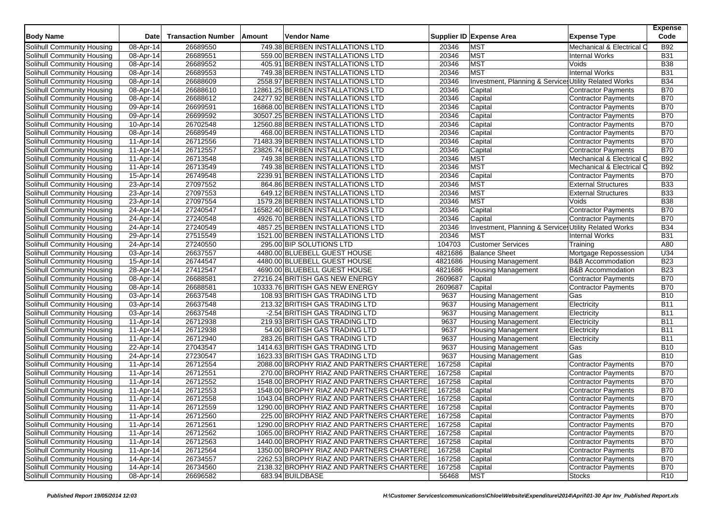| <b>Body Name</b>                  | <b>Date</b>  | <b>Transaction Number</b> | Amount | Vendor Name                               |         | Supplier ID Expense Area                              | <b>Expense Type</b>          | <b>Expense</b><br>Code |
|-----------------------------------|--------------|---------------------------|--------|-------------------------------------------|---------|-------------------------------------------------------|------------------------------|------------------------|
| Solihull Community Housing        | 08-Apr-14    | 26689550                  |        | 749.38 BERBEN INSTALLATIONS LTD           | 20346   | <b>MST</b>                                            | Mechanical & Electrical C    | <b>B92</b>             |
| Solihull Community Housing        | 08-Apr-14    | 26689551                  |        | 559.00 BERBEN INSTALLATIONS LTD           | 20346   | <b>MST</b>                                            | Internal Works               | <b>B31</b>             |
| Solihull Community Housing        | 08-Apr-14    | 26689552                  |        | 405.91 BERBEN INSTALLATIONS LTD           | 20346   | <b>MST</b>                                            | Voids                        | <b>B38</b>             |
| Solihull Community Housing        | 08-Apr-14    | 26689553                  |        | 749.38 BERBEN INSTALLATIONS LTD           | 20346   | <b>MST</b>                                            | <b>Internal Works</b>        | <b>B31</b>             |
| Solihull Community Housing        | 08-Apr-14    | 26688609                  |        | 2558.97 BERBEN INSTALLATIONS LTD          | 20346   | Investment, Planning & Services Utility Related Works |                              | <b>B34</b>             |
| Solihull Community Housing        | 08-Apr-14    | 26688610                  |        | 12861.25 BERBEN INSTALLATIONS LTD         | 20346   | Capital                                               | Contractor Payments          | <b>B70</b>             |
| Solihull Community Housing        | 08-Apr-14    | 26688612                  |        | 24277.92 BERBEN INSTALLATIONS LTD         | 20346   | Capital                                               | <b>Contractor Payments</b>   | <b>B70</b>             |
| Solihull Community Housing        | 09-Apr-14    | 26699591                  |        | 16868.00 BERBEN INSTALLATIONS LTD         | 20346   | Capital                                               | Contractor Payments          | <b>B70</b>             |
| Solihull Community Housing        | 09-Apr-14    | 26699592                  |        | 30507.25 BERBEN INSTALLATIONS LTD         | 20346   | Capital                                               | <b>Contractor Payments</b>   | <b>B70</b>             |
| Solihull Community Housing        | 10-Apr-14    | 26702548                  |        | 12560.88 BERBEN INSTALLATIONS LTD         | 20346   | Capital                                               | Contractor Payments          | <b>B70</b>             |
| Solihull Community Housing        | 08-Apr-14    | 26689549                  |        | 468.00 BERBEN INSTALLATIONS LTD           | 20346   | Capital                                               | Contractor Payments          | <b>B70</b>             |
| Solihull Community Housing        | 11-Apr-14    | 26712556                  |        | 71483.39 BERBEN INSTALLATIONS LTD         | 20346   | Capital                                               | <b>Contractor Payments</b>   | <b>B70</b>             |
| Solihull Community Housing        | 11-Apr-14    | 26712557                  |        | 23826.74 BERBEN INSTALLATIONS LTD         | 20346   | Capital                                               | Contractor Payments          | <b>B70</b>             |
| Solihull Community Housing        | 11-Apr-14    | 26713548                  |        | 749.38 BERBEN INSTALLATIONS LTD           | 20346   | <b>MST</b>                                            | Mechanical & Electrical C    | <b>B92</b>             |
| Solihull Community Housing        | 11-Apr-14    | 26713549                  |        | 749.38 BERBEN INSTALLATIONS LTD           | 20346   | <b>MST</b>                                            | Mechanical & Electrical O    | <b>B92</b>             |
| Solihull Community Housing        | 15-Apr-14    | 26749548                  |        | 2239.91 BERBEN INSTALLATIONS LTD          | 20346   | Capital                                               | Contractor Payments          | <b>B70</b>             |
| Solihull Community Housing        | 23-Apr-14    | 27097552                  |        | 864.86 BERBEN INSTALLATIONS LTD           | 20346   | <b>MST</b>                                            | <b>External Structures</b>   | <b>B33</b>             |
| Solihull Community Housing        | 23-Apr-14    | 27097553                  |        | 649.12 BERBEN INSTALLATIONS LTD           | 20346   | <b>MST</b>                                            | <b>External Structures</b>   | <b>B33</b>             |
| Solihull Community Housing        | 23-Apr-14    | 27097554                  |        | 1579.28 BERBEN INSTALLATIONS LTD          | 20346   | <b>MST</b>                                            | Voids                        | <b>B38</b>             |
| Solihull Community Housing        | 24-Apr-14    | 27240547                  |        | 16582.40 BERBEN INSTALLATIONS LTD         | 20346   | Capital                                               | <b>Contractor Payments</b>   | <b>B70</b>             |
| Solihull Community Housing        | 24-Apr-14    | 27240548                  |        | 4926.70 BERBEN INSTALLATIONS LTD          | 20346   | Capital                                               | Contractor Payments          | <b>B70</b>             |
| Solihull Community Housing        | 24-Apr-14    | 27240549                  |        | 4857.25 BERBEN INSTALLATIONS LTD          | 20346   | Investment, Planning & Services Utility Related Works |                              | <b>B34</b>             |
| Solihull Community Housing        | $29$ -Apr-14 | 27515549                  |        | 1521.00 BERBEN INSTALLATIONS LTD          | 20346   | <b>MST</b>                                            | <b>Internal Works</b>        | <b>B31</b>             |
| Solihull Community Housing        | 24-Apr-14    | 27240550                  |        | 295.00 BIP SOLUTIONS LTD                  | 104703  | <b>Customer Services</b>                              | Training                     | A80                    |
| Solihull Community Housing        | 03-Apr-14    | 26637557                  |        | 4480.00 BLUEBELL GUEST HOUSE              | 4821686 | <b>Balance Sheet</b>                                  | Mortgage Repossession        | U34                    |
| Solihull Community Housing        | 15-Apr-14    | 26744547                  |        | 4480.00 BLUEBELL GUEST HOUSE              | 4821686 | <b>Housing Management</b>                             | <b>B&amp;B Accommodation</b> | <b>B23</b>             |
| Solihull Community Housing        | 28-Apr-14    | 27412547                  |        | 4690.00 BLUEBELL GUEST HOUSE              | 4821686 | <b>Housing Management</b>                             | <b>B&amp;B</b> Accommodation | <b>B23</b>             |
| Solihull Community Housing        | 08-Apr-14    | 26688581                  |        | 27216.24 BRITISH GAS NEW ENERGY           | 2609687 | Capital                                               | Contractor Payments          | <b>B70</b>             |
| Solihull Community Housing        | 08-Apr-14    | 26688581                  |        | 10333.76 BRITISH GAS NEW ENERGY           | 2609687 | Capital                                               | Contractor Payments          | <b>B70</b>             |
| Solihull Community Housing        | 03-Apr-14    | 26637548                  |        | 108.93 BRITISH GAS TRADING LTD            | 9637    | <b>Housing Management</b>                             | Gas                          | <b>B10</b>             |
| Solihull Community Housing        | 03-Apr-14    | 26637548                  |        | 213.32 BRITISH GAS TRADING LTD            | 9637    | <b>Housing Management</b>                             | Electricity                  | <b>B11</b>             |
| Solihull Community Housing        | 03-Apr-14    | 26637548                  |        | -2.54 BRITISH GAS TRADING LTD             | 9637    | <b>Housing Management</b>                             | Electricity                  | B11                    |
| Solihull Community Housing        | 11-Apr-14    | 26712938                  |        | 219.93 BRITISH GAS TRADING LTD            | 9637    | <b>Housing Management</b>                             | Electricity                  | <b>B11</b>             |
| Solihull Community Housing        | 11-Apr-14    | 26712938                  |        | 54.00 BRITISH GAS TRADING LTD             | 9637    | Housing Management                                    | Electricity                  | B11                    |
| Solihull Community Housing        | 11-Apr-14    | 26712940                  |        | 283.26 BRITISH GAS TRADING LTD            | 9637    | <b>Housing Management</b>                             | Electricity                  | <b>B11</b>             |
| Solihull Community Housing        | 22-Apr-14    | 27043547                  |        | 1414.63 BRITISH GAS TRADING LTD           | 9637    | Housing Management                                    | Gas                          | <b>B10</b>             |
| Solihull Community Housing        | 24-Apr-14    | 27230547                  |        | 1623.33 BRITISH GAS TRADING LTD           | 9637    | <b>Housing Management</b>                             | Gas                          | <b>B10</b>             |
| Solihull Community Housing        | 11-Apr-14    | 26712554                  |        | 2088.00 BROPHY RIAZ AND PARTNERS CHARTERE | 167258  | Capital                                               | Contractor Payments          | <b>B70</b>             |
| Solihull Community Housing        | 11-Apr-14    | 26712551                  |        | 270.00 BROPHY RIAZ AND PARTNERS CHARTERE  | 167258  | Capital                                               | Contractor Payments          | <b>B70</b>             |
| Solihull Community Housing        | 11-Apr-14    | 26712552                  |        | 1548.00 BROPHY RIAZ AND PARTNERS CHARTERE | 167258  | Capital                                               | <b>Contractor Payments</b>   | <b>B70</b>             |
| Solihull Community Housing        | 11-Apr-14    | 26712553                  |        | 1548.00 BROPHY RIAZ AND PARTNERS CHARTERE | 167258  | Capital                                               | Contractor Payments          | <b>B70</b>             |
| Solihull Community Housing        | 11-Apr-14    | 26712558                  |        | 1043.04 BROPHY RIAZ AND PARTNERS CHARTERE | 167258  | Capital                                               | <b>Contractor Payments</b>   | <b>B70</b>             |
| Solihull Community Housing        | 11-Apr-14    | 26712559                  |        | 1290.00 BROPHY RIAZ AND PARTNERS CHARTERE | 167258  | Capital                                               | <b>Contractor Payments</b>   | <b>B70</b>             |
| Solihull Community Housing        | 11-Apr-14    | 26712560                  |        | 225.00 BROPHY RIAZ AND PARTNERS CHARTERE  | 167258  | Capital                                               | Contractor Payments          | <b>B70</b>             |
| Solihull Community Housing        | 11-Apr-14    | 26712561                  |        | 1290.00 BROPHY RIAZ AND PARTNERS CHARTERE | 167258  | Capital                                               | Contractor Payments          | <b>B70</b>             |
| Solihull Community Housing        | 11-Apr-14    | 26712562                  |        | 1065.00 BROPHY RIAZ AND PARTNERS CHARTERE | 167258  | Capital                                               | <b>Contractor Payments</b>   | <b>B70</b>             |
| Solihull Community Housing        | 11-Apr-14    | 26712563                  |        | 1440.00 BROPHY RIAZ AND PARTNERS CHARTERE | 167258  | Capital                                               | <b>Contractor Payments</b>   | <b>B70</b>             |
| Solihull Community Housing        | 11-Apr-14    | 26712564                  |        | 1350.00 BROPHY RIAZ AND PARTNERS CHARTERE | 167258  | Capital                                               | Contractor Payments          | <b>B70</b>             |
| Solihull Community Housing        | 14-Apr-14    | 26734557                  |        | 2262.53 BROPHY RIAZ AND PARTNERS CHARTERE | 167258  | Capital                                               | <b>Contractor Payments</b>   | <b>B70</b>             |
| <b>Solihull Community Housing</b> | 14-Apr-14    | 26734560                  |        | 2138.32 BROPHY RIAZ AND PARTNERS CHARTERE | 167258  | Capital                                               | Contractor Payments          | <b>B70</b>             |
| Solihull Community Housing        | 08-Apr-14    | 26696582                  |        | 683.94 BUILDBASE                          | 56468   | <b>MST</b>                                            | <b>Stocks</b>                | R <sub>10</sub>        |
|                                   |              |                           |        |                                           |         |                                                       |                              |                        |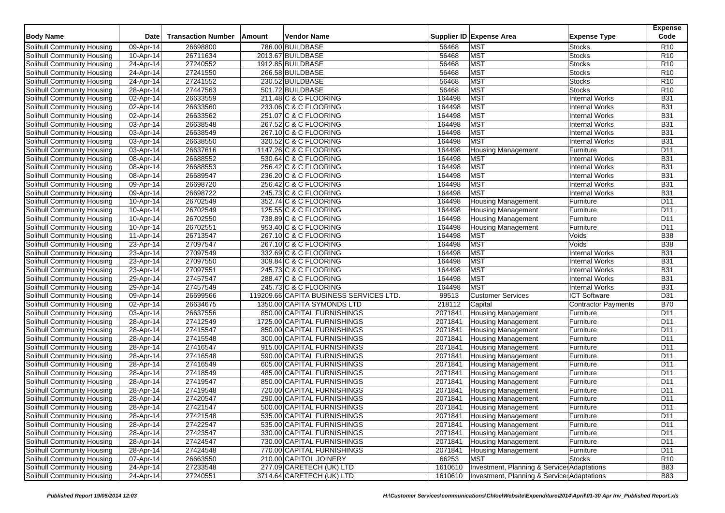| <b>Body Name</b>                  | Date         | <b>Transaction Number</b> | Amount | Vendor Name                             |         | Supplier ID Expense Area                    | <b>Expense Type</b>            | <b>Expense</b><br>Code |
|-----------------------------------|--------------|---------------------------|--------|-----------------------------------------|---------|---------------------------------------------|--------------------------------|------------------------|
| Solihull Community Housing        |              |                           |        | 786.00 BUILDBASE                        | 56468   | <b>MST</b>                                  |                                | R <sub>10</sub>        |
|                                   | 09-Apr-14    | 26698800                  |        | 2013.67 BUILDBASE                       | 56468   | <b>MST</b>                                  | <b>Stocks</b>                  | R <sub>10</sub>        |
| Solihull Community Housing        | 10-Apr-14    | 26711634                  |        |                                         | 56468   | <b>MST</b>                                  | <b>Stocks</b><br><b>Stocks</b> | R <sub>10</sub>        |
| Solihull Community Housing        | 24-Apr-14    | 27240552                  |        | 1912.85 BUILDBASE                       |         |                                             |                                |                        |
| Solihull Community Housing        | 24-Apr-14    | 27241550                  |        | 266.58 BUILDBASE                        | 56468   | <b>MST</b>                                  | <b>Stocks</b>                  | R <sub>10</sub>        |
| Solihull Community Housing        | 24-Apr-14    | 27241552                  |        | 230.52 BUILDBASE                        | 56468   | <b>MST</b>                                  | <b>Stocks</b>                  | R <sub>10</sub>        |
| Solihull Community Housing        | 28-Apr-14    | 27447563                  |        | 501.72 BUILDBASE                        | 56468   | MST                                         | <b>Stocks</b>                  | R <sub>10</sub>        |
| Solihull Community Housing        | 02-Apr-14    | 26633559                  |        | 211.48 C & C FLOORING                   | 164498  | <b>MST</b>                                  | <b>Internal Works</b>          | <b>B31</b>             |
| Solihull Community Housing        | 02-Apr-14    | 26633560                  |        | 233.06 C & C FLOORING                   | 164498  | <b>MST</b>                                  | <b>Internal Works</b>          | <b>B31</b>             |
| Solihull Community Housing        | 02-Apr-14    | 26633562                  |        | 251.07 C & C FLOORING                   | 164498  | <b>MST</b>                                  | <b>Internal Works</b>          | <b>B31</b>             |
| Solihull Community Housing        | 03-Apr-14    | 26638548                  |        | 267.52 C & C FLOORING                   | 164498  | <b>MST</b>                                  | <b>Internal Works</b>          | <b>B31</b>             |
| Solihull Community Housing        | 03-Apr-14    | 26638549                  |        | 267.10 C & C FLOORING                   | 164498  | <b>MST</b>                                  | <b>Internal Works</b>          | <b>B31</b>             |
| Solihull Community Housing        | 03-Apr-14    | 26638550                  |        | 320.52 C & C FLOORING                   | 164498  | <b>MST</b>                                  | <b>Internal Works</b>          | <b>B31</b>             |
| Solihull Community Housing        | 03-Apr-14    | 26637616                  |        | 1147.26 C & C FLOORING                  | 164498  | <b>Housing Management</b>                   | Furniture                      | D11                    |
| Solihull Community Housing        | 08-Apr-14    | 26688552                  |        | 530.64 C & C FLOORING                   | 164498  | <b>MST</b>                                  | <b>Internal Works</b>          | <b>B31</b>             |
| Solihull Community Housing        | 08-Apr-14    | 26688553                  |        | 256.42 C & C FLOORING                   | 164498  | <b>MST</b>                                  | <b>Internal Works</b>          | <b>B31</b>             |
| Solihull Community Housing        | 08-Apr-14    | 26689547                  |        | 236.20 C & C FLOORING                   | 164498  | <b>MST</b>                                  | <b>Internal Works</b>          | <b>B31</b>             |
| Solihull Community Housing        | 09-Apr-14    | 26698720                  |        | 256.42 C & C FLOORING                   | 164498  | <b>MST</b>                                  | <b>Internal Works</b>          | <b>B31</b>             |
| Solihull Community Housing        | 09-Apr-14    | 26698722                  |        | 245.73 C & C FLOORING                   | 164498  | <b>MST</b>                                  | <b>Internal Works</b>          | <b>B31</b>             |
| Solihull Community Housing        | 10-Apr-14    | 26702549                  |        | 352.74 C & C FLOORING                   | 164498  | <b>Housing Management</b>                   | Furniture                      | D <sub>11</sub>        |
| Solihull Community Housing        | 10-Apr-14    | 26702549                  |        | 125.55 C & C FLOORING                   | 164498  | <b>Housing Management</b>                   | Furniture                      | D11                    |
| Solihull Community Housing        | 10-Apr-14    | 26702550                  |        | 738.89 C & C FLOORING                   | 164498  | Housing Management                          | Furniture                      | D <sub>11</sub>        |
| Solihull Community Housing        | 10-Apr-14    | 26702551                  |        | 953.40 C & C FLOORING                   | 164498  | <b>Housing Management</b>                   | Furniture                      | D <sub>11</sub>        |
| Solihull Community Housing        | 11-Apr-14    | 26713547                  |        | 267.10 C & C FLOORING                   | 164498  | <b>MST</b>                                  | Voids                          | <b>B38</b>             |
| Solihull Community Housing        | 23-Apr-14    | 27097547                  |        | 267.10 C & C FLOORING                   | 164498  | <b>MST</b>                                  | Voids                          | <b>B38</b>             |
| Solihull Community Housing        | 23-Apr-14    | 27097549                  |        | 332.69 C & C FLOORING                   | 164498  | <b>MST</b>                                  | <b>Internal Works</b>          | <b>B31</b>             |
| Solihull Community Housing        | 23-Apr-14    | 27097550                  |        | 309.84 C & C FLOORING                   | 164498  | <b>MST</b>                                  | <b>Internal Works</b>          | <b>B31</b>             |
| Solihull Community Housing        | $23$ -Apr-14 | 27097551                  |        | 245.73 C & C FLOORING                   | 164498  | <b>MST</b>                                  | <b>Internal Works</b>          | <b>B31</b>             |
| Solihull Community Housing        | 29-Apr-14    | 27457547                  |        | 288.47 C & C FLOORING                   | 164498  | <b>MST</b>                                  | <b>Internal Works</b>          | <b>B31</b>             |
| Solihull Community Housing        | 29-Apr-14    | 27457549                  |        | 245.73 C & C FLOORING                   | 164498  | <b>MST</b>                                  | <b>Internal Works</b>          | <b>B31</b>             |
| Solihull Community Housing        | 09-Apr-14    | 26699566                  |        | 119209.66 CAPITA BUSINESS SERVICES LTD. | 99513   | <b>Customer Services</b>                    | <b>ICT Software</b>            | D31                    |
| Solihull Community Housing        | 02-Apr-14    | 26634675                  |        | 1350.00 CAPITA SYMONDS LTD              | 218112  | Capital                                     | <b>Contractor Payments</b>     | <b>B70</b>             |
| Solihull Community Housing        | 03-Apr-14    | 26637556                  |        | 850.00 CAPITAL FURNISHINGS              | 2071841 | <b>Housing Management</b>                   | Furniture                      | D11                    |
| Solihull Community Housing        | 28-Apr-14    | 27412549                  |        | 1725.00 CAPITAL FURNISHINGS             | 2071841 | <b>Housing Management</b>                   | Furniture                      | D <sub>11</sub>        |
| Solihull Community Housing        | 28-Apr-14    | 27415547                  |        | 850.00 CAPITAL FURNISHINGS              | 2071841 | <b>Housing Management</b>                   | Furniture                      | D <sub>11</sub>        |
| Solihull Community Housing        | 28-Apr-14    | 27415548                  |        | 300.00 CAPITAL FURNISHINGS              | 2071841 | <b>Housing Management</b>                   | Furniture                      | D <sub>11</sub>        |
| Solihull Community Housing        | 28-Apr-14    | 27416547                  |        | 915.00 CAPITAL FURNISHINGS              | 2071841 | <b>Housing Management</b>                   | Furniture                      | D <sub>11</sub>        |
| Solihull Community Housing        | 28-Apr-14    | 27416548                  |        | 590.00 CAPITAL FURNISHINGS              | 2071841 | <b>Housing Management</b>                   | Furniture                      | D <sub>11</sub>        |
| Solihull Community Housing        | 28-Apr-14    | 27416549                  |        | 605.00 CAPITAL FURNISHINGS              | 2071841 | <b>Housing Management</b>                   | Furniture                      | D11                    |
| Solihull Community Housing        | 28-Apr-14    | 27418549                  |        | 485.00 CAPITAL FURNISHINGS              | 2071841 | <b>Housing Management</b>                   | Furniture                      | D <sub>11</sub>        |
| Solihull Community Housing        | 28-Apr-14    | 27419547                  |        | 850.00 CAPITAL FURNISHINGS              | 2071841 | <b>Housing Management</b>                   | Furniture                      | D <sub>11</sub>        |
| Solihull Community Housing        | 28-Apr-14    | 27419548                  |        | 720.00 CAPITAL FURNISHINGS              | 2071841 | <b>Housing Management</b>                   | Furniture                      | D <sub>11</sub>        |
| Solihull Community Housing        | 28-Apr-14    | 27420547                  |        | 290.00 CAPITAL FURNISHINGS              | 2071841 | <b>Housing Management</b>                   | Furniture                      | D11                    |
| <b>Solihull Community Housing</b> | 28-Apr-14    | 27421547                  |        | 500.00 CAPITAL FURNISHINGS              | 2071841 | <b>Housing Management</b>                   | Furniture                      | D <sub>11</sub>        |
| Solihull Community Housing        | 28-Apr-14    | 27421548                  |        | 535.00 CAPITAL FURNISHINGS              | 2071841 | <b>Housing Management</b>                   | Furniture                      | D11                    |
| Solihull Community Housing        | 28-Apr-14    | 27422547                  |        | 535.00 CAPITAL FURNISHINGS              | 2071841 | <b>Housing Management</b>                   | Furniture                      | D11                    |
| Solihull Community Housing        | 28-Apr-14    | 27423547                  |        | 330.00 CAPITAL FURNISHINGS              | 2071841 | <b>Housing Management</b>                   | Furniture                      | D11                    |
| Solihull Community Housing        | 28-Apr-14    | 27424547                  |        | 730.00 CAPITAL FURNISHINGS              | 2071841 | <b>Housing Management</b>                   | Furniture                      | D11                    |
| Solihull Community Housing        | 28-Apr-14    | 27424548                  |        | 770.00 CAPITAL FURNISHINGS              | 2071841 | <b>Housing Management</b>                   | Furniture                      | D11                    |
| Solihull Community Housing        | 07-Apr-14    | 26663550                  |        | 210.00 CAPITOL JOINERY                  | 66253   | <b>MST</b>                                  | <b>Stocks</b>                  | R <sub>10</sub>        |
| Solihull Community Housing        | 24-Apr-14    | 27233548                  |        | 277.09 CARETECH (UK) LTD                | 1610610 | Investment, Planning & Service: Adaptations |                                | <b>B83</b>             |
| Solihull Community Housing        | 24-Apr-14    | 27240551                  |        | 3714.64 CARETECH (UK) LTD               | 1610610 | Investment, Planning & Service: Adaptations |                                | <b>B83</b>             |
|                                   |              |                           |        |                                         |         |                                             |                                |                        |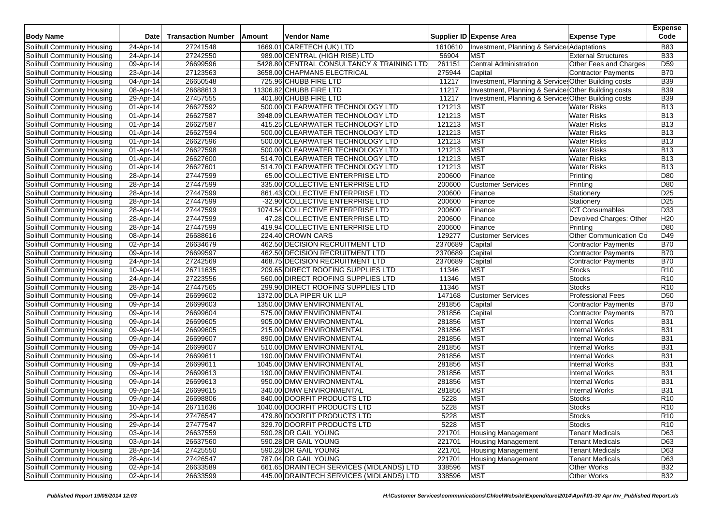| <b>Body Name</b>                                         | <b>Date</b>            | <b>Transaction Number</b> | Amount | Vendor Name                                                |         | Supplier ID Expense Area                             | <b>Expense Type</b>                    | <b>Expense</b><br>Code |
|----------------------------------------------------------|------------------------|---------------------------|--------|------------------------------------------------------------|---------|------------------------------------------------------|----------------------------------------|------------------------|
| Solihull Community Housing                               | 24-Apr-14              | 27241548                  |        | 1669.01 CARETECH (UK) LTD                                  | 1610610 | Investment, Planning & Service: Adaptations          |                                        | <b>B83</b>             |
| Solihull Community Housing                               | 24-Apr-14              | 27242550                  |        | 989.00 CENTRAL (HIGH RISE) LTD                             | 56904   | <b>MST</b>                                           | <b>External Structures</b>             | <b>B33</b>             |
| Solihull Community Housing                               | 09-Apr-14              | 26699596                  |        | 5428.80 CENTRAL CONSULTANCY & TRAINING LTD                 | 261151  | Central Administration                               | Other Fees and Charges                 | D <sub>59</sub>        |
| Solihull Community Housing                               | 23-Apr-14              | 27123563                  |        | 3658.00 CHAPMANS ELECTRICAL                                | 275944  | Capital                                              | Contractor Payments                    | <b>B70</b>             |
| Solihull Community Housing                               | 04-Apr-14              | 26650548                  |        | 725.96 CHUBB FIRE LTD                                      | 11217   | Investment, Planning & Service: Other Building costs |                                        | <b>B39</b>             |
| Solihull Community Housing                               | 08-Apr-14              | 26688613                  |        | 11306.82 CHUBB FIRE LTD                                    | 11217   | Investment, Planning & Service: Other Building costs |                                        | <b>B39</b>             |
| Solihull Community Housing                               | 29-Apr-14              | 27457555                  |        | 401.80 CHUBB FIRE LTD                                      | 11217   | Investment, Planning & Service: Other Building costs |                                        | <b>B39</b>             |
| Solihull Community Housing                               | 01-Apr-14              | 26627592                  |        | 500.00 CLEARWATER TECHNOLOGY LTD                           | 121213  | <b>MST</b>                                           | <b>Water Risks</b>                     | <b>B13</b>             |
| Solihull Community Housing                               | 01-Apr-14              | 26627587                  |        | 3948.09 CLEARWATER TECHNOLOGY LTD                          | 121213  | <b>MST</b>                                           | <b>Water Risks</b>                     | <b>B13</b>             |
| Solihull Community Housing                               | 01-Apr-14              | 26627587                  |        | 415.25 CLEARWATER TECHNOLOGY LTD                           | 121213  | <b>MST</b>                                           | <b>Water Risks</b>                     | <b>B13</b>             |
| Solihull Community Housing                               | 01-Apr-14              | 26627594                  |        | 500.00 CLEARWATER TECHNOLOGY LTD                           | 121213  | <b>MST</b>                                           | <b>Water Risks</b>                     | <b>B13</b>             |
| Solihull Community Housing                               | 01-Apr-14              | 26627596                  |        | 500.00 CLEARWATER TECHNOLOGY LTD                           | 121213  | <b>MST</b>                                           | <b>Water Risks</b>                     | <b>B13</b>             |
| Solihull Community Housing                               | 01-Apr-14              | 26627598                  |        | 500.00 CLEARWATER TECHNOLOGY LTD                           | 121213  | <b>MST</b>                                           | <b>Water Risks</b>                     | <b>B13</b>             |
| Solihull Community Housing                               | 01-Apr-14              | 26627600                  |        | 514.70 CLEARWATER TECHNOLOGY LTD                           | 121213  | <b>MST</b>                                           | <b>Water Risks</b>                     | <b>B13</b>             |
| Solihull Community Housing                               | 01-Apr-14              | 26627601                  |        | 514.70 CLEARWATER TECHNOLOGY LTD                           | 121213  | <b>MST</b>                                           | <b>Water Risks</b>                     | <b>B13</b>             |
| Solihull Community Housing                               | 28-Apr-14              | 27447599                  |        | 65.00 COLLECTIVE ENTERPRISE LTD                            | 200600  | Finance                                              | Printing                               | D80                    |
| Solihull Community Housing                               | 28-Apr-14              | 27447599                  |        | 335.00 COLLECTIVE ENTERPRISE LTD                           | 200600  | <b>Customer Services</b>                             | Printing                               | D80                    |
| Solihull Community Housing                               | 28-Apr-14              | 27447599                  |        | 861.43 COLLECTIVE ENTERPRISE LTD                           | 200600  | Finance                                              | Stationery                             | D <sub>25</sub>        |
| Solihull Community Housing                               | 28-Apr-14              | 27447599                  |        | -32.90 COLLECTIVE ENTERPRISE LTD                           | 200600  | Finance                                              | Stationery                             | D <sub>25</sub>        |
| Solihull Community Housing                               | 28-Apr-14              | 27447599                  |        | 1074.54 COLLECTIVE ENTERPRISE LTD                          | 200600  | Finance                                              | <b>ICT Consumables</b>                 | D33                    |
| Solihull Community Housing                               | 28-Apr-14              | 27447599                  |        | 47.28 COLLECTIVE ENTERPRISE LTD                            | 200600  | Finance                                              | Devolved Charges: Other                | H <sub>20</sub>        |
| Solihull Community Housing                               | 28-Apr-14              | 27447599                  |        | 419.94 COLLECTIVE ENTERPRISE LTD                           | 200600  | Finance                                              | Printing                               | D80                    |
| Solihull Community Housing                               | 08-Apr-14              | 26688616                  |        | 224.40 CROWN CARS                                          | 129277  | <b>Customer Services</b>                             | <b>Other Communication Co</b>          | D49                    |
| Solihull Community Housing                               | 02-Apr-14              | 26634679                  |        | 462.50 DECISION RECRUITMENT LTD                            | 2370689 | Capital                                              | <b>Contractor Payments</b>             | <b>B70</b>             |
| Solihull Community Housing                               | 09-Apr-14              | 26699597                  |        | 462.50 DECISION RECRUITMENT LTD                            | 2370689 | Capital                                              | Contractor Payments                    | <b>B70</b>             |
| Solihull Community Housing                               | 24-Apr-14              | 27242569                  |        | 468.75 DECISION RECRUITMENT LTD                            | 2370689 | Capital                                              | <b>Contractor Payments</b>             | <b>B70</b>             |
| Solihull Community Housing                               | 10-Apr-14              | 26711635                  |        | 209.65 DIRECT ROOFING SUPPLIES LTD                         | 11346   | <b>MST</b>                                           | <b>Stocks</b>                          | R <sub>10</sub>        |
| Solihull Community Housing                               | 24-Apr-14              | 27223556                  |        | 560.00 DIRECT ROOFING SUPPLIES LTD                         | 11346   | <b>MST</b>                                           | Stocks                                 | R <sub>10</sub>        |
| Solihull Community Housing                               | 28-Apr-14              | 27447565                  |        | 299.90 DIRECT ROOFING SUPPLIES LTD                         | 11346   | <b>MST</b>                                           | <b>Stocks</b>                          | R <sub>10</sub>        |
| Solihull Community Housing                               | 09-Apr-14              | 26699602                  |        | 1372.00 DLA PIPER UK LLP                                   | 147168  | <b>Customer Services</b>                             | <b>Professional Fees</b>               | D <sub>50</sub>        |
| Solihull Community Housing                               | 09-Apr-14              | 26699603                  |        | 1350.00 DMW ENVIRONMENTAL                                  | 281856  | Capital                                              | Contractor Payments                    | <b>B70</b>             |
| Solihull Community Housing                               | 09-Apr-14              | 26699604                  |        | 575.00 DMW ENVIRONMENTAL                                   | 281856  | Capital                                              | Contractor Payments                    | <b>B70</b>             |
| Solihull Community Housing                               | 09-Apr-14              | 26699605                  |        | 905.00 DMW ENVIRONMENTAL                                   | 281856  | <b>MST</b>                                           | Internal Works                         | <b>B31</b>             |
| Solihull Community Housing                               | 09-Apr-14              | 26699605                  |        | 215.00 DMW ENVIRONMENTAL                                   | 281856  | <b>MST</b>                                           | <b>Internal Works</b>                  | <b>B31</b>             |
| Solihull Community Housing                               | 09-Apr-14              | 26699607                  |        | 890.00 DMW ENVIRONMENTAL                                   | 281856  | <b>MST</b>                                           | <b>Internal Works</b>                  | <b>B31</b>             |
| Solihull Community Housing                               | 09-Apr-14              | 26699607                  |        | 510.00 DMW ENVIRONMENTAL                                   | 281856  | <b>MST</b>                                           | <b>Internal Works</b>                  | <b>B31</b>             |
| Solihull Community Housing                               | 09-Apr-14              | 26699611                  |        | 190.00 DMW ENVIRONMENTAL                                   | 281856  | <b>MST</b>                                           | <b>Internal Works</b>                  | <b>B31</b>             |
| Solihull Community Housing                               | 09-Apr-14              | 26699611                  |        | 1045.00 DMW ENVIRONMENTAL                                  | 281856  | <b>MST</b>                                           | <b>Internal Works</b>                  | <b>B31</b>             |
| Solihull Community Housing                               | 09-Apr-14              | 26699613                  |        | 190.00 DMW ENVIRONMENTAL                                   | 281856  | <b>MST</b>                                           | <b>Internal Works</b>                  | <b>B31</b>             |
| Solihull Community Housing                               | 09-Apr-14              | 26699613                  |        | 950.00 DMW ENVIRONMENTAL                                   | 281856  | <b>MST</b>                                           | <b>Internal Works</b>                  | <b>B31</b>             |
|                                                          |                        | 26699615                  |        | 340.00 DMW ENVIRONMENTAL                                   | 281856  | <b>MST</b>                                           |                                        | <b>B31</b>             |
| Solihull Community Housing<br>Solihull Community Housing | 09-Apr-14<br>09-Apr-14 | 26698806                  |        | 840.00 DOORFIT PRODUCTS LTD                                | 5228    | <b>MST</b>                                           | <b>Internal Works</b><br><b>Stocks</b> | R <sub>10</sub>        |
|                                                          |                        |                           |        |                                                            | 5228    | <b>MST</b>                                           |                                        | R <sub>10</sub>        |
| Solihull Community Housing                               | 10-Apr-14              | 26711636                  |        | 1040.00 DOORFIT PRODUCTS LTD                               |         |                                                      | Stocks                                 |                        |
| Solihull Community Housing                               | 29-Apr-14              | 27476547                  |        | 479.80 DOORFIT PRODUCTS LTD<br>329.70 DOORFIT PRODUCTS LTD | 5228    | <b>MST</b>                                           | <b>Stocks</b>                          | R <sub>10</sub>        |
| Solihull Community Housing                               | 29-Apr-14              | 27477547                  |        |                                                            | 5228    | <b>MST</b>                                           | <b>Stocks</b>                          | R <sub>10</sub>        |
| Solihull Community Housing                               | 03-Apr-14              | 26637559                  |        | 590.28 DR GAIL YOUNG                                       | 221701  | <b>Housing Management</b>                            | <b>Tenant Medicals</b>                 | D <sub>63</sub>        |
| Solihull Community Housing                               | 03-Apr-14              | 26637560                  |        | 590.28 DR GAIL YOUNG                                       | 221701  | <b>Housing Management</b>                            | <b>Tenant Medicals</b>                 | D63                    |
| Solihull Community Housing                               | 28-Apr-14              | 27425550                  |        | 590.28 DR GAIL YOUNG                                       | 221701  | <b>Housing Management</b>                            | <b>Tenant Medicals</b>                 | D63                    |
| Solihull Community Housing                               | 28-Apr-14              | 27426547                  |        | 787.04 DR GAIL YOUNG                                       | 221701  | <b>Housing Management</b>                            | <b>Tenant Medicals</b>                 | D63                    |
| Solihull Community Housing                               | 02-Apr-14              | 26633589                  |        | 661.65 DRAINTECH SERVICES (MIDLANDS) LTD                   | 338596  | <b>MST</b>                                           | Other Works                            | <b>B32</b>             |
| Solihull Community Housing                               | 02-Apr-14              | 26633599                  |        | 445.00 DRAINTECH SERVICES (MIDLANDS) LTD                   | 338596  | <b>MST</b>                                           | Other Works                            | <b>B32</b>             |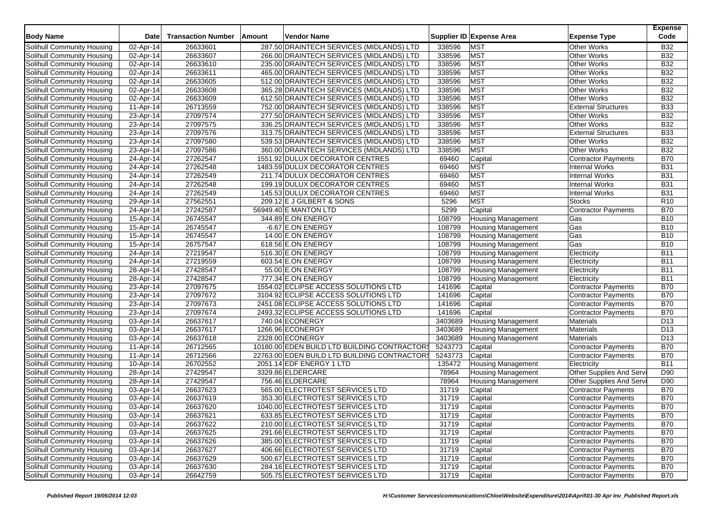| <b>Body Name</b>           | Date         | <b>Transaction Number</b> | Amount | <b>Vendor Name</b>                           |         | Supplier ID Expense Area  | <b>Expense Type</b>        | <b>Expense</b><br>Code |
|----------------------------|--------------|---------------------------|--------|----------------------------------------------|---------|---------------------------|----------------------------|------------------------|
|                            |              |                           |        |                                              |         |                           |                            |                        |
| Solihull Community Housing | 02-Apr-14    | 26633601<br>26633607      |        | 287.50 DRAINTECH SERVICES (MIDLANDS) LTD     | 338596  | <b>MST</b>                | <b>Other Works</b>         | <b>B32</b>             |
| Solihull Community Housing | 02-Apr-14    |                           |        | 266.00 DRAINTECH SERVICES (MIDLANDS) LTD     | 338596  | <b>MST</b>                | <b>Other Works</b>         | <b>B32</b>             |
| Solihull Community Housing | 02-Apr-14    | 26633610                  |        | 235.00 DRAINTECH SERVICES (MIDLANDS) LTD     | 338596  | <b>MST</b>                | <b>Other Works</b>         | <b>B32</b>             |
| Solihull Community Housing | 02-Apr-14    | 26633611                  |        | 465.00 DRAINTECH SERVICES (MIDLANDS) LTD     | 338596  | <b>MST</b>                | <b>Other Works</b>         | <b>B32</b>             |
| Solihull Community Housing | 02-Apr-14    | 26633605                  |        | 512.00 DRAINTECH SERVICES (MIDLANDS) LTD     | 338596  | <b>MST</b>                | <b>Other Works</b>         | <b>B32</b>             |
| Solihull Community Housing | 02-Apr-14    | 26633608                  |        | 365.28 DRAINTECH SERVICES (MIDLANDS) LTD     | 338596  | <b>MST</b>                | <b>Other Works</b>         | <b>B32</b>             |
| Solihull Community Housing | 02-Apr-14    | 26633609                  |        | 612.50 DRAINTECH SERVICES (MIDLANDS) LTD     | 338596  | <b>MST</b>                | <b>Other Works</b>         | <b>B32</b>             |
| Solihull Community Housing | 11-Apr-14    | 26713559                  |        | 752.00 DRAINTECH SERVICES (MIDLANDS) LTD     | 338596  | <b>MST</b>                | <b>External Structures</b> | <b>B33</b>             |
| Solihull Community Housing | 23-Apr-14    | 27097574                  |        | 277.50 DRAINTECH SERVICES (MIDLANDS) LTD     | 338596  | <b>MST</b>                | <b>Other Works</b>         | <b>B32</b>             |
| Solihull Community Housing | $23$ -Apr-14 | 27097575                  |        | 336.25 DRAINTECH SERVICES (MIDLANDS) LTD     | 338596  | <b>MST</b>                | <b>Other Works</b>         | <b>B32</b>             |
| Solihull Community Housing | 23-Apr-14    | 27097576                  |        | 313.75 DRAINTECH SERVICES (MIDLANDS) LTD     | 338596  | <b>MST</b>                | <b>External Structures</b> | <b>B33</b>             |
| Solihull Community Housing | 23-Apr-14    | 27097580                  |        | 539.53 DRAINTECH SERVICES (MIDLANDS) LTD     | 338596  | <b>MST</b>                | <b>Other Works</b>         | <b>B32</b>             |
| Solihull Community Housing | 23-Apr-14    | 27097586                  |        | 360.00 DRAINTECH SERVICES (MIDLANDS) LTD     | 338596  | <b>MST</b>                | <b>Other Works</b>         | <b>B32</b>             |
| Solihull Community Housing | 24-Apr-14    | 27262547                  |        | 1551.92 DULUX DECORATOR CENTRES              | 69460   | Capital                   | <b>Contractor Payments</b> | <b>B70</b>             |
| Solihull Community Housing | 24-Apr-14    | 27262548                  |        | 1483.59 DULUX DECORATOR CENTRES              | 69460   | <b>MST</b>                | <b>Internal Works</b>      | <b>B31</b>             |
| Solihull Community Housing | 24-Apr-14    | 27262549                  |        | 211.74 DULUX DECORATOR CENTRES               | 69460   | <b>MST</b>                | <b>Internal Works</b>      | <b>B31</b>             |
| Solihull Community Housing | 24-Apr-14    | 27262548                  |        | 199.19 DULUX DECORATOR CENTRES               | 69460   | <b>MST</b>                | <b>Internal Works</b>      | <b>B31</b>             |
| Solihull Community Housing | 24-Apr-14    | 27262549                  |        | 145.53 DULUX DECORATOR CENTRES               | 69460   | <b>MST</b>                | <b>Internal Works</b>      | <b>B31</b>             |
| Solihull Community Housing | 29-Apr-14    | 27562551                  |        | 209.12 E J GILBERT & SONS                    | 5296    | <b>MST</b>                | <b>Stocks</b>              | R <sub>10</sub>        |
| Solihull Community Housing | 24-Apr-14    | 27242587                  |        | 56949.40 E MANTON LTD                        | 5299    | Capital                   | <b>Contractor Payments</b> | <b>B70</b>             |
| Solihull Community Housing | 15-Apr-14    | 26745547                  |        | 344.89 E.ON ENERGY                           | 108799  | <b>Housing Management</b> | Gas                        | <b>B10</b>             |
| Solihull Community Housing | 15-Apr-14    | 26745547                  |        | $-6.67$ E.ON ENERGY                          | 108799  | <b>Housing Management</b> | Gas                        | <b>B10</b>             |
| Solihull Community Housing | 15-Apr-14    | 26745547                  |        | 14.00 E.ON ENERGY                            | 108799  | <b>Housing Management</b> | Gas                        | <b>B10</b>             |
| Solihull Community Housing | 15-Apr-14    | 26757547                  |        | 618.56 E.ON ENERGY                           | 108799  | Housing Management        | Gas                        | <b>B10</b>             |
| Solihull Community Housing | 24-Apr-14    | 27219547                  |        | 516.30 E.ON ENERGY                           | 108799  | <b>Housing Management</b> | Electricity                | B11                    |
| Solihull Community Housing | 24-Apr-14    | 27219559                  |        | 603.54 E.ON ENERGY                           | 108799  | <b>Housing Management</b> | Electricity                | <b>B11</b>             |
| Solihull Community Housing | 28-Apr-14    | 27428547                  |        | 55.00 E.ON ENERGY                            | 108799  | <b>Housing Management</b> | Electricity                | <b>B11</b>             |
| Solihull Community Housing | 28-Apr-14    | 27428547                  |        | 777.34 E.ON ENERGY                           | 108799  | Housing Management        | Electricity                | <b>B11</b>             |
| Solihull Community Housing | 23-Apr-14    | 27097675                  |        | 1554.02 ECLIPSE ACCESS SOLUTIONS LTD         | 141696  | Capital                   | Contractor Payments        | <b>B70</b>             |
| Solihull Community Housing | 23-Apr-14    | 27097672                  |        | 3104.92 ECLIPSE ACCESS SOLUTIONS LTD         | 141696  | Capital                   | Contractor Payments        | <b>B70</b>             |
| Solihull Community Housing | 23-Apr-14    | 27097673                  |        | 2451.08 ECLIPSE ACCESS SOLUTIONS LTD         | 141696  | Capital                   | <b>Contractor Payments</b> | <b>B70</b>             |
| Solihull Community Housing | 23-Apr-14    | 27097674                  |        | 2493.32 ECLIPSE ACCESS SOLUTIONS LTD         | 141696  | Capital                   | <b>Contractor Payments</b> | <b>B70</b>             |
|                            |              | 26637617                  |        | 740.04 ECONERGY                              | 3403689 |                           |                            | D <sub>13</sub>        |
| Solihull Community Housing | 03-Apr-14    |                           |        |                                              |         | <b>Housing Management</b> | Materials                  |                        |
| Solihull Community Housing | 03-Apr-14    | 26637617                  |        | 1266.96 ECONERGY                             | 3403689 | <b>Housing Management</b> | Materials                  | D <sub>13</sub>        |
| Solihull Community Housing | 03-Apr-14    | 26637618                  |        | 2328.00 ECONERGY                             | 3403689 | <b>Housing Management</b> | <b>Materials</b>           | D <sub>13</sub>        |
| Solihull Community Housing | 11-Apr-14    | 26712565                  |        | 10180.00 EDEN BUILD LTD BUILDING CONTRACTORS | 5243773 | Capital                   | <b>Contractor Payments</b> | <b>B70</b>             |
| Solihull Community Housing | 11-Apr-14    | 26712566                  |        | 22763.00 EDEN BUILD LTD BUILDING CONTRACTORS | 5243773 | Capital                   | <b>Contractor Payments</b> | <b>B70</b>             |
| Solihull Community Housing | 10-Apr-14    | 26702552                  |        | 2051.14 EDF ENERGY 1 LTD                     | 135472  | Housing Management        | Electricity                | <b>B11</b>             |
| Solihull Community Housing | 28-Apr-14    | 27429547                  |        | 3329.86 ELDERCARE                            | 78964   | <b>Housing Management</b> | Other Supplies And Servi   | D90                    |
| Solihull Community Housing | 28-Apr-14    | 27429547                  |        | 756.46 ELDERCARE                             | 78964   | <b>Housing Management</b> | Other Supplies And Servi   | D90                    |
| Solihull Community Housing | 03-Apr-14    | 26637623                  |        | 565.00 ELECTROTEST SERVICES LTD              | 31719   | Capital                   | Contractor Payments        | <b>B70</b>             |
| Solihull Community Housing | 03-Apr-14    | 26637619                  |        | 353.30 ELECTROTEST SERVICES LTD              | 31719   | Capital                   | <b>Contractor Payments</b> | <b>B70</b>             |
| Solihull Community Housing | 03-Apr-14    | 26637620                  |        | 1040.00 ELECTROTEST SERVICES LTD             | 31719   | Capital                   | <b>Contractor Payments</b> | <b>B70</b>             |
| Solihull Community Housing | 03-Apr-14    | 26637621                  |        | 633.85 ELECTROTEST SERVICES LTD              | 31719   | Capital                   | Contractor Payments        | <b>B70</b>             |
| Solihull Community Housing | 03-Apr-14    | 26637622                  |        | 210.00 ELECTROTEST SERVICES LTD              | 31719   | Capital                   | <b>Contractor Payments</b> | <b>B70</b>             |
| Solihull Community Housing | 03-Apr-14    | 26637625                  |        | 291.66 ELECTROTEST SERVICES LTD              | 31719   | Capital                   | <b>Contractor Payments</b> | <b>B70</b>             |
| Solihull Community Housing | 03-Apr-14    | 26637626                  |        | 385.00 ELECTROTEST SERVICES LTD              | 31719   | Capital                   | <b>Contractor Payments</b> | <b>B70</b>             |
| Solihull Community Housing | 03-Apr-14    | 26637627                  |        | 406.66 ELECTROTEST SERVICES LTD              | 31719   | Capital                   | Contractor Payments        | <b>B70</b>             |
| Solihull Community Housing | 03-Apr-14    | 26637629                  |        | 500.67 ELECTROTEST SERVICES LTD              | 31719   | Capital                   | <b>Contractor Payments</b> | <b>B70</b>             |
| Solihull Community Housing | 03-Apr-14    | 26637630                  |        | 284.16 ELECTROTEST SERVICES LTD              | 31719   | Capital                   | Contractor Payments        | <b>B70</b>             |
| Solihull Community Housing | 03-Apr-14    | 26642759                  |        | 505.75 ELECTROTEST SERVICES LTD              | 31719   | Capital                   | Contractor Payments        | <b>B70</b>             |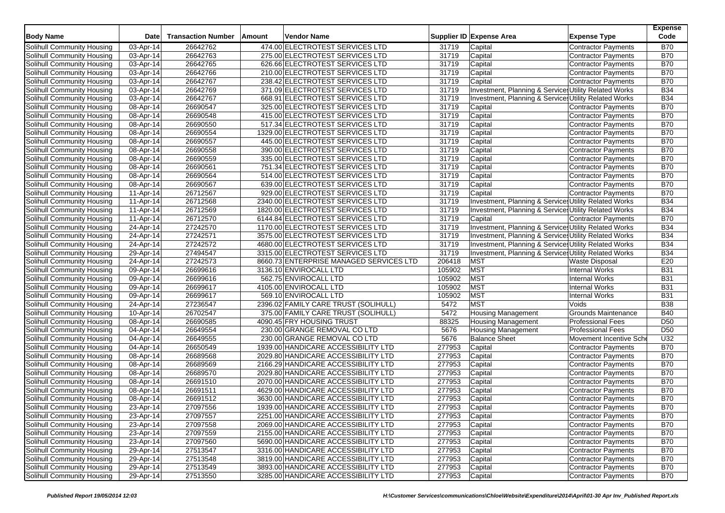| 474.00 ELECTROTEST SERVICES LTD<br>Solihull Community Housing<br>03-Apr-14<br>26642762<br><b>B70</b><br>31719<br>Capital<br><b>Contractor Payments</b><br>26642763<br>275.00 ELECTROTEST SERVICES LTD<br>31719<br>Capital<br><b>B70</b><br>Solihull Community Housing<br>03-Apr-14<br><b>Contractor Payments</b><br>26642765<br>626.66 ELECTROTEST SERVICES LTD<br>31719<br>Capital<br><b>B70</b><br>03-Apr-14<br><b>Contractor Payments</b><br>210.00 ELECTROTEST SERVICES LTD<br>31719<br>Capital<br><b>B70</b><br>03-Apr-14<br>26642766<br><b>Contractor Payments</b><br><b>B70</b><br>Solihull Community Housing<br>26642767<br>238.42 ELECTROTEST SERVICES LTD<br>31719<br>Capital<br>03-Apr-14<br><b>Contractor Payments</b><br><b>B34</b><br>26642769<br>371.09 ELECTROTEST SERVICES LTD<br>31719<br>Investment, Planning & Service: Utility Related Works<br>03-Apr-14<br>Solihull Community Housing<br>03-Apr-14<br>26642767<br>668.91 ELECTROTEST SERVICES LTD<br>31719<br>Investment, Planning & Service: Utility Related Works<br><b>B34</b><br><b>B70</b><br>26690547<br>325.00 ELECTROTEST SERVICES LTD<br>31719<br>Solihull Community Housing<br>08-Apr-14<br>Capital<br><b>Contractor Payments</b><br>26690548<br>415.00 ELECTROTEST SERVICES LTD<br>31719<br>Capital<br><b>B70</b><br>Solihull Community Housing<br>08-Apr-14<br><b>Contractor Payments</b><br>26690550<br>517.34 ELECTROTEST SERVICES LTD<br>31719<br>Capital<br><b>B70</b><br>08-Apr-14<br><b>Contractor Payments</b><br>26690554<br>1329.00 ELECTROTEST SERVICES LTD<br><b>B70</b><br>Solihull Community Housing<br>08-Apr-14<br>31719<br>Capital<br><b>Contractor Payments</b><br>26690557<br><b>B70</b><br>445.00 ELECTROTEST SERVICES LTD<br>31719<br>Capital<br>Solihull Community Housing<br>08-Apr-14<br><b>Contractor Payments</b><br><b>B70</b><br>26690558<br>390.00 ELECTROTEST SERVICES LTD<br>31719<br>Solihull Community Housing<br>08-Apr-14<br>Capital<br><b>Contractor Payments</b><br>26690559<br>335.00 ELECTROTEST SERVICES LTD<br>31719<br><b>B70</b><br>Solihull Community Housing<br>08-Apr-14<br>Capital<br><b>Contractor Payments</b><br><b>B70</b><br>26690561<br>751.34 ELECTROTEST SERVICES LTD<br>31719<br>Capital<br>Solihull Community Housing<br>08-Apr-14<br>Contractor Payments<br>26690564<br>514.00 ELECTROTEST SERVICES LTD<br>31719<br><b>B70</b><br>Solihull Community Housing<br>08-Apr-14<br>Capital<br><b>Contractor Payments</b><br>Solihull Community Housing<br>26690567<br>639.00 ELECTROTEST SERVICES LTD<br>31719<br>Contractor Payments<br><b>B70</b><br>08-Apr-14<br>Capital<br>26712567<br>929.00 ELECTROTEST SERVICES LTD<br><b>B70</b><br>Solihull Community Housing<br>11-Apr-14<br>31719<br>Capital<br><b>Contractor Payments</b><br><b>B34</b><br>26712568<br>2340.00 ELECTROTEST SERVICES LTD<br>31719<br>Investment, Planning & Service: Utility Related Works<br>Solihull Community Housing<br>11-Apr-14<br><b>B34</b><br>26712569<br>31719<br>Investment, Planning & Service: Utility Related Works<br>Solihull Community Housing<br>11-Apr-14<br>1820.00 ELECTROTEST SERVICES LTD<br><b>B70</b><br>26712570<br>6144.84 ELECTROTEST SERVICES LTD<br>31719<br>Solihull Community Housing<br>11-Apr-14<br>Capital<br><b>Contractor Payments</b><br>27242570<br>1170.00 ELECTROTEST SERVICES LTD<br>31719<br>Investment, Planning & Service: Utility Related Works<br><b>B34</b><br>Solihull Community Housing<br>24-Apr-14<br><b>B34</b><br>27242571<br>3575.00 ELECTROTEST SERVICES LTD<br>31719<br>Investment, Planning & Service: Utility Related Works<br>Solihull Community Housing<br>24-Apr-14<br>Solihull Community Housing<br>27242572<br>4680.00 ELECTROTEST SERVICES LTD<br>31719<br>Investment, Planning & Service: Utility Related Works<br><b>B34</b><br>24-Apr-14<br>27494547<br>3315.00 ELECTROTEST SERVICES LTD<br>31719<br>Investment, Planning & Service Utility Related Works<br><b>B34</b><br>Solihull Community Housing<br>29-Apr-14<br>27242573<br>8660.73 ENTERPRISE MANAGED SERVICES LTD<br>206418<br><b>MST</b><br>E20<br>Solihull Community Housing<br>24-Apr-14<br><b>Waste Disposal</b><br>105902<br><b>MST</b><br>26699616<br>3136.10 ENVIROCALL LTD<br><b>B31</b><br>Solihull Community Housing<br>09-Apr-14<br><b>Internal Works</b><br>26699616<br>562.75 ENVIROCALL LTD<br>105902<br><b>MST</b><br><b>B31</b><br>Solihull Community Housing<br>09-Apr-14<br><b>Internal Works</b><br><b>MST</b><br>26699617<br>4105.00 ENVIROCALL LTD<br>105902<br><b>Internal Works</b><br><b>B31</b><br>Solihull Community Housing<br>09-Apr-14<br>105902<br><b>MST</b><br>26699617<br>569.10 ENVIROCALL LTD<br><b>B31</b><br>Solihull Community Housing<br>09-Apr-14<br><b>Internal Works</b><br><b>MST</b><br>Solihull Community Housing<br>27236547<br>2396.02 FAMILY CARE TRUST (SOLIHULL)<br>5472<br><b>B38</b><br>24-Apr-14<br>Voids<br>26702547<br>Grounds Maintenance<br><b>B40</b><br>Solihull Community Housing<br>10-Apr-14<br>375.00 FAMILY CARE TRUST (SOLIHULL)<br>5472<br><b>Housing Management</b><br>D <sub>50</sub><br>26690585<br>4090.45 FRY HOUSING TRUST<br>88325<br>Solihull Community Housing<br>08-Apr-14<br><b>Housing Management</b><br><b>Professional Fees</b><br>26649554<br>5676<br>D <sub>50</sub><br>Solihull Community Housing<br>04-Apr-14<br>230.00 GRANGE REMOVAL CO LTD<br><b>Housing Management</b><br><b>Professional Fees</b><br>26649555<br>230.00 GRANGE REMOVAL CO LTD<br>5676<br><b>Balance Sheet</b><br>U32<br>Solihull Community Housing<br>04-Apr-14<br>Movement Incentive Sche<br>277953<br>26650549<br>1939.00 HANDICARE ACCESSIBILITY LTD<br>Capital<br><b>B70</b><br>Solihull Community Housing<br>04-Apr-14<br><b>Contractor Payments</b><br>26689568<br>2029.80 HANDICARE ACCESSIBILITY LTD<br>277953<br><b>B70</b><br>Solihull Community Housing<br>08-Apr-14<br>Capital<br>Contractor Payments<br>2166.29 HANDICARE ACCESSIBILITY LTD<br>Capital<br><b>B70</b><br>Solihull Community Housing<br>08-Apr-14<br>26689569<br>277953<br><b>Contractor Payments</b><br>26689570<br>2029.80 HANDICARE ACCESSIBILITY LTD<br>277953<br><b>B70</b><br>Solihull Community Housing<br>08-Apr-14<br>Capital<br><b>Contractor Payments</b><br>26691510<br>2070.00 HANDICARE ACCESSIBILITY LTD<br>277953<br><b>B70</b><br>Solihull Community Housing<br>08-Apr-14<br>Capital<br><b>Contractor Payments</b><br>26691511<br>4629.00 HANDICARE ACCESSIBILITY LTD<br>277953<br><b>B70</b><br>Solihull Community Housing<br>08-Apr-14<br>Capital<br><b>Contractor Payments</b><br>277953<br><b>B70</b><br>26691512<br>3630.00 HANDICARE ACCESSIBILITY LTD<br>Capital<br><b>Contractor Payments</b><br>Solihull Community Housing<br>08-Apr-14<br><b>B70</b><br>1939.00 HANDICARE ACCESSIBILITY LTD<br>277953<br>Solihull Community Housing<br>23-Apr-14<br>27097556<br>Capital<br><b>Contractor Payments</b><br>Solihull Community Housing<br>27097557<br>2251.00 HANDICARE ACCESSIBILITY LTD<br>Capital<br><b>Contractor Payments</b><br><b>B70</b><br>23-Apr-14<br>277953<br>Solihull Community Housing<br>23-Apr-14<br>27097558<br>2069.00 HANDICARE ACCESSIBILITY LTD<br>277953<br><b>Contractor Payments</b><br><b>B70</b><br>Capital<br>Solihull Community Housing<br>23-Apr-14<br>27097559<br>2155.00 HANDICARE ACCESSIBILITY LTD<br>277953<br>Capital<br><b>Contractor Payments</b><br><b>B70</b><br>Solihull Community Housing<br>23-Apr-14<br>27097560<br>5690.00 HANDICARE ACCESSIBILITY LTD<br>277953<br>Capital<br><b>B70</b><br><b>Contractor Payments</b><br>Solihull Community Housing<br>29-Apr-14<br>27513547<br>3316.00 HANDICARE ACCESSIBILITY LTD<br>277953<br><b>Contractor Payments</b><br><b>B70</b><br>Capital<br>Solihull Community Housing<br>29-Apr-14<br>3819.00 HANDICARE ACCESSIBILITY LTD<br><b>B70</b><br>27513548<br>277953<br>Capital<br><b>Contractor Payments</b><br>Solihull Community Housing<br>29-Apr-14<br>27513549<br>3893.00 HANDICARE ACCESSIBILITY LTD<br><b>B70</b><br>277953<br>Capital<br><b>Contractor Payments</b> | <b>Body Name</b>           | Date      | <b>Transaction Number</b> | Amount | <b>Vendor Name</b>                  |        | Supplier ID Expense Area<br><b>Expense Type</b> | <b>Expense</b><br>Code |
|----------------------------------------------------------------------------------------------------------------------------------------------------------------------------------------------------------------------------------------------------------------------------------------------------------------------------------------------------------------------------------------------------------------------------------------------------------------------------------------------------------------------------------------------------------------------------------------------------------------------------------------------------------------------------------------------------------------------------------------------------------------------------------------------------------------------------------------------------------------------------------------------------------------------------------------------------------------------------------------------------------------------------------------------------------------------------------------------------------------------------------------------------------------------------------------------------------------------------------------------------------------------------------------------------------------------------------------------------------------------------------------------------------------------------------------------------------------------------------------------------------------------------------------------------------------------------------------------------------------------------------------------------------------------------------------------------------------------------------------------------------------------------------------------------------------------------------------------------------------------------------------------------------------------------------------------------------------------------------------------------------------------------------------------------------------------------------------------------------------------------------------------------------------------------------------------------------------------------------------------------------------------------------------------------------------------------------------------------------------------------------------------------------------------------------------------------------------------------------------------------------------------------------------------------------------------------------------------------------------------------------------------------------------------------------------------------------------------------------------------------------------------------------------------------------------------------------------------------------------------------------------------------------------------------------------------------------------------------------------------------------------------------------------------------------------------------------------------------------------------------------------------------------------------------------------------------------------------------------------------------------------------------------------------------------------------------------------------------------------------------------------------------------------------------------------------------------------------------------------------------------------------------------------------------------------------------------------------------------------------------------------------------------------------------------------------------------------------------------------------------------------------------------------------------------------------------------------------------------------------------------------------------------------------------------------------------------------------------------------------------------------------------------------------------------------------------------------------------------------------------------------------------------------------------------------------------------------------------------------------------------------------------------------------------------------------------------------------------------------------------------------------------------------------------------------------------------------------------------------------------------------------------------------------------------------------------------------------------------------------------------------------------------------------------------------------------------------------------------------------------------------------------------------------------------------------------------------------------------------------------------------------------------------------------------------------------------------------------------------------------------------------------------------------------------------------------------------------------------------------------------------------------------------------------------------------------------------------------------------------------------------------------------------------------------------------------------------------------------------------------------------------------------------------------------------------------------------------------------------------------------------------------------------------------------------------------------------------------------------------------------------------------------------------------------------------------------------------------------------------------------------------------------------------------------------------------------------------------------------------------------------------------------------------------------------------------------------------------------------------------------------------------------------------------------------------------------------------------------------------------------------------------------------------------------------------------------------------------------------------------------------------------------------------------------------------------------------------------------------------------------------------------------------------------------------------------------------------------------------------------------------------------------------------------------------------------------------------------------------------------------------------------------------------------------------------------------------------------------------------------------------------------------------------------------------------------------------------------------------------------------------------------------------------------------------------------------------------------------------------------------------------------------------------------------------------------------------------------------------------------------------------------------------------------------------------------------------------------------------------------------------------------------------------------------------------------------------------------------------------------------------------------------------------------------------------------------------------------------------------------------------------------------------------------------------------------------------------------------------------------------------------------------------------------------------------------------------------------------------------------------------------------------------------------------------------------------------------------------------------------------------------------------------------------------------------------------------------------------------------------------------------------------------------------------------------------|----------------------------|-----------|---------------------------|--------|-------------------------------------|--------|-------------------------------------------------|------------------------|
|                                                                                                                                                                                                                                                                                                                                                                                                                                                                                                                                                                                                                                                                                                                                                                                                                                                                                                                                                                                                                                                                                                                                                                                                                                                                                                                                                                                                                                                                                                                                                                                                                                                                                                                                                                                                                                                                                                                                                                                                                                                                                                                                                                                                                                                                                                                                                                                                                                                                                                                                                                                                                                                                                                                                                                                                                                                                                                                                                                                                                                                                                                                                                                                                                                                                                                                                                                                                                                                                                                                                                                                                                                                                                                                                                                                                                                                                                                                                                                                                                                                                                                                                                                                                                                                                                                                                                                                                                                                                                                                                                                                                                                                                                                                                                                                                                                                                                                                                                                                                                                                                                                                                                                                                                                                                                                                                                                                                                                                                                                                                                                                                                                                                                                                                                                                                                                                                                                                                                                                                                                                                                                                                                                                                                                                                                                                                                                                                                                                                                                                                                                                                                                                                                                                                                                                                                                                                                                                                                                                                                                                                                                                                                                                                                                                                                                                                                                                                                                                                                                                                                                                                                                                                                                                                                                                                                                                                                                                                                                                                                                                                            |                            |           |                           |        |                                     |        |                                                 |                        |
|                                                                                                                                                                                                                                                                                                                                                                                                                                                                                                                                                                                                                                                                                                                                                                                                                                                                                                                                                                                                                                                                                                                                                                                                                                                                                                                                                                                                                                                                                                                                                                                                                                                                                                                                                                                                                                                                                                                                                                                                                                                                                                                                                                                                                                                                                                                                                                                                                                                                                                                                                                                                                                                                                                                                                                                                                                                                                                                                                                                                                                                                                                                                                                                                                                                                                                                                                                                                                                                                                                                                                                                                                                                                                                                                                                                                                                                                                                                                                                                                                                                                                                                                                                                                                                                                                                                                                                                                                                                                                                                                                                                                                                                                                                                                                                                                                                                                                                                                                                                                                                                                                                                                                                                                                                                                                                                                                                                                                                                                                                                                                                                                                                                                                                                                                                                                                                                                                                                                                                                                                                                                                                                                                                                                                                                                                                                                                                                                                                                                                                                                                                                                                                                                                                                                                                                                                                                                                                                                                                                                                                                                                                                                                                                                                                                                                                                                                                                                                                                                                                                                                                                                                                                                                                                                                                                                                                                                                                                                                                                                                                                                            |                            |           |                           |        |                                     |        |                                                 |                        |
|                                                                                                                                                                                                                                                                                                                                                                                                                                                                                                                                                                                                                                                                                                                                                                                                                                                                                                                                                                                                                                                                                                                                                                                                                                                                                                                                                                                                                                                                                                                                                                                                                                                                                                                                                                                                                                                                                                                                                                                                                                                                                                                                                                                                                                                                                                                                                                                                                                                                                                                                                                                                                                                                                                                                                                                                                                                                                                                                                                                                                                                                                                                                                                                                                                                                                                                                                                                                                                                                                                                                                                                                                                                                                                                                                                                                                                                                                                                                                                                                                                                                                                                                                                                                                                                                                                                                                                                                                                                                                                                                                                                                                                                                                                                                                                                                                                                                                                                                                                                                                                                                                                                                                                                                                                                                                                                                                                                                                                                                                                                                                                                                                                                                                                                                                                                                                                                                                                                                                                                                                                                                                                                                                                                                                                                                                                                                                                                                                                                                                                                                                                                                                                                                                                                                                                                                                                                                                                                                                                                                                                                                                                                                                                                                                                                                                                                                                                                                                                                                                                                                                                                                                                                                                                                                                                                                                                                                                                                                                                                                                                                                            | Solihull Community Housing |           |                           |        |                                     |        |                                                 |                        |
|                                                                                                                                                                                                                                                                                                                                                                                                                                                                                                                                                                                                                                                                                                                                                                                                                                                                                                                                                                                                                                                                                                                                                                                                                                                                                                                                                                                                                                                                                                                                                                                                                                                                                                                                                                                                                                                                                                                                                                                                                                                                                                                                                                                                                                                                                                                                                                                                                                                                                                                                                                                                                                                                                                                                                                                                                                                                                                                                                                                                                                                                                                                                                                                                                                                                                                                                                                                                                                                                                                                                                                                                                                                                                                                                                                                                                                                                                                                                                                                                                                                                                                                                                                                                                                                                                                                                                                                                                                                                                                                                                                                                                                                                                                                                                                                                                                                                                                                                                                                                                                                                                                                                                                                                                                                                                                                                                                                                                                                                                                                                                                                                                                                                                                                                                                                                                                                                                                                                                                                                                                                                                                                                                                                                                                                                                                                                                                                                                                                                                                                                                                                                                                                                                                                                                                                                                                                                                                                                                                                                                                                                                                                                                                                                                                                                                                                                                                                                                                                                                                                                                                                                                                                                                                                                                                                                                                                                                                                                                                                                                                                                            | Solihull Community Housing |           |                           |        |                                     |        |                                                 |                        |
|                                                                                                                                                                                                                                                                                                                                                                                                                                                                                                                                                                                                                                                                                                                                                                                                                                                                                                                                                                                                                                                                                                                                                                                                                                                                                                                                                                                                                                                                                                                                                                                                                                                                                                                                                                                                                                                                                                                                                                                                                                                                                                                                                                                                                                                                                                                                                                                                                                                                                                                                                                                                                                                                                                                                                                                                                                                                                                                                                                                                                                                                                                                                                                                                                                                                                                                                                                                                                                                                                                                                                                                                                                                                                                                                                                                                                                                                                                                                                                                                                                                                                                                                                                                                                                                                                                                                                                                                                                                                                                                                                                                                                                                                                                                                                                                                                                                                                                                                                                                                                                                                                                                                                                                                                                                                                                                                                                                                                                                                                                                                                                                                                                                                                                                                                                                                                                                                                                                                                                                                                                                                                                                                                                                                                                                                                                                                                                                                                                                                                                                                                                                                                                                                                                                                                                                                                                                                                                                                                                                                                                                                                                                                                                                                                                                                                                                                                                                                                                                                                                                                                                                                                                                                                                                                                                                                                                                                                                                                                                                                                                                                            |                            |           |                           |        |                                     |        |                                                 |                        |
|                                                                                                                                                                                                                                                                                                                                                                                                                                                                                                                                                                                                                                                                                                                                                                                                                                                                                                                                                                                                                                                                                                                                                                                                                                                                                                                                                                                                                                                                                                                                                                                                                                                                                                                                                                                                                                                                                                                                                                                                                                                                                                                                                                                                                                                                                                                                                                                                                                                                                                                                                                                                                                                                                                                                                                                                                                                                                                                                                                                                                                                                                                                                                                                                                                                                                                                                                                                                                                                                                                                                                                                                                                                                                                                                                                                                                                                                                                                                                                                                                                                                                                                                                                                                                                                                                                                                                                                                                                                                                                                                                                                                                                                                                                                                                                                                                                                                                                                                                                                                                                                                                                                                                                                                                                                                                                                                                                                                                                                                                                                                                                                                                                                                                                                                                                                                                                                                                                                                                                                                                                                                                                                                                                                                                                                                                                                                                                                                                                                                                                                                                                                                                                                                                                                                                                                                                                                                                                                                                                                                                                                                                                                                                                                                                                                                                                                                                                                                                                                                                                                                                                                                                                                                                                                                                                                                                                                                                                                                                                                                                                                                            | Solihull Community Housing |           |                           |        |                                     |        |                                                 |                        |
|                                                                                                                                                                                                                                                                                                                                                                                                                                                                                                                                                                                                                                                                                                                                                                                                                                                                                                                                                                                                                                                                                                                                                                                                                                                                                                                                                                                                                                                                                                                                                                                                                                                                                                                                                                                                                                                                                                                                                                                                                                                                                                                                                                                                                                                                                                                                                                                                                                                                                                                                                                                                                                                                                                                                                                                                                                                                                                                                                                                                                                                                                                                                                                                                                                                                                                                                                                                                                                                                                                                                                                                                                                                                                                                                                                                                                                                                                                                                                                                                                                                                                                                                                                                                                                                                                                                                                                                                                                                                                                                                                                                                                                                                                                                                                                                                                                                                                                                                                                                                                                                                                                                                                                                                                                                                                                                                                                                                                                                                                                                                                                                                                                                                                                                                                                                                                                                                                                                                                                                                                                                                                                                                                                                                                                                                                                                                                                                                                                                                                                                                                                                                                                                                                                                                                                                                                                                                                                                                                                                                                                                                                                                                                                                                                                                                                                                                                                                                                                                                                                                                                                                                                                                                                                                                                                                                                                                                                                                                                                                                                                                                            |                            |           |                           |        |                                     |        |                                                 |                        |
|                                                                                                                                                                                                                                                                                                                                                                                                                                                                                                                                                                                                                                                                                                                                                                                                                                                                                                                                                                                                                                                                                                                                                                                                                                                                                                                                                                                                                                                                                                                                                                                                                                                                                                                                                                                                                                                                                                                                                                                                                                                                                                                                                                                                                                                                                                                                                                                                                                                                                                                                                                                                                                                                                                                                                                                                                                                                                                                                                                                                                                                                                                                                                                                                                                                                                                                                                                                                                                                                                                                                                                                                                                                                                                                                                                                                                                                                                                                                                                                                                                                                                                                                                                                                                                                                                                                                                                                                                                                                                                                                                                                                                                                                                                                                                                                                                                                                                                                                                                                                                                                                                                                                                                                                                                                                                                                                                                                                                                                                                                                                                                                                                                                                                                                                                                                                                                                                                                                                                                                                                                                                                                                                                                                                                                                                                                                                                                                                                                                                                                                                                                                                                                                                                                                                                                                                                                                                                                                                                                                                                                                                                                                                                                                                                                                                                                                                                                                                                                                                                                                                                                                                                                                                                                                                                                                                                                                                                                                                                                                                                                                                            |                            |           |                           |        |                                     |        |                                                 |                        |
|                                                                                                                                                                                                                                                                                                                                                                                                                                                                                                                                                                                                                                                                                                                                                                                                                                                                                                                                                                                                                                                                                                                                                                                                                                                                                                                                                                                                                                                                                                                                                                                                                                                                                                                                                                                                                                                                                                                                                                                                                                                                                                                                                                                                                                                                                                                                                                                                                                                                                                                                                                                                                                                                                                                                                                                                                                                                                                                                                                                                                                                                                                                                                                                                                                                                                                                                                                                                                                                                                                                                                                                                                                                                                                                                                                                                                                                                                                                                                                                                                                                                                                                                                                                                                                                                                                                                                                                                                                                                                                                                                                                                                                                                                                                                                                                                                                                                                                                                                                                                                                                                                                                                                                                                                                                                                                                                                                                                                                                                                                                                                                                                                                                                                                                                                                                                                                                                                                                                                                                                                                                                                                                                                                                                                                                                                                                                                                                                                                                                                                                                                                                                                                                                                                                                                                                                                                                                                                                                                                                                                                                                                                                                                                                                                                                                                                                                                                                                                                                                                                                                                                                                                                                                                                                                                                                                                                                                                                                                                                                                                                                                            |                            |           |                           |        |                                     |        |                                                 |                        |
|                                                                                                                                                                                                                                                                                                                                                                                                                                                                                                                                                                                                                                                                                                                                                                                                                                                                                                                                                                                                                                                                                                                                                                                                                                                                                                                                                                                                                                                                                                                                                                                                                                                                                                                                                                                                                                                                                                                                                                                                                                                                                                                                                                                                                                                                                                                                                                                                                                                                                                                                                                                                                                                                                                                                                                                                                                                                                                                                                                                                                                                                                                                                                                                                                                                                                                                                                                                                                                                                                                                                                                                                                                                                                                                                                                                                                                                                                                                                                                                                                                                                                                                                                                                                                                                                                                                                                                                                                                                                                                                                                                                                                                                                                                                                                                                                                                                                                                                                                                                                                                                                                                                                                                                                                                                                                                                                                                                                                                                                                                                                                                                                                                                                                                                                                                                                                                                                                                                                                                                                                                                                                                                                                                                                                                                                                                                                                                                                                                                                                                                                                                                                                                                                                                                                                                                                                                                                                                                                                                                                                                                                                                                                                                                                                                                                                                                                                                                                                                                                                                                                                                                                                                                                                                                                                                                                                                                                                                                                                                                                                                                                            | Solihull Community Housing |           |                           |        |                                     |        |                                                 |                        |
|                                                                                                                                                                                                                                                                                                                                                                                                                                                                                                                                                                                                                                                                                                                                                                                                                                                                                                                                                                                                                                                                                                                                                                                                                                                                                                                                                                                                                                                                                                                                                                                                                                                                                                                                                                                                                                                                                                                                                                                                                                                                                                                                                                                                                                                                                                                                                                                                                                                                                                                                                                                                                                                                                                                                                                                                                                                                                                                                                                                                                                                                                                                                                                                                                                                                                                                                                                                                                                                                                                                                                                                                                                                                                                                                                                                                                                                                                                                                                                                                                                                                                                                                                                                                                                                                                                                                                                                                                                                                                                                                                                                                                                                                                                                                                                                                                                                                                                                                                                                                                                                                                                                                                                                                                                                                                                                                                                                                                                                                                                                                                                                                                                                                                                                                                                                                                                                                                                                                                                                                                                                                                                                                                                                                                                                                                                                                                                                                                                                                                                                                                                                                                                                                                                                                                                                                                                                                                                                                                                                                                                                                                                                                                                                                                                                                                                                                                                                                                                                                                                                                                                                                                                                                                                                                                                                                                                                                                                                                                                                                                                                                            |                            |           |                           |        |                                     |        |                                                 |                        |
|                                                                                                                                                                                                                                                                                                                                                                                                                                                                                                                                                                                                                                                                                                                                                                                                                                                                                                                                                                                                                                                                                                                                                                                                                                                                                                                                                                                                                                                                                                                                                                                                                                                                                                                                                                                                                                                                                                                                                                                                                                                                                                                                                                                                                                                                                                                                                                                                                                                                                                                                                                                                                                                                                                                                                                                                                                                                                                                                                                                                                                                                                                                                                                                                                                                                                                                                                                                                                                                                                                                                                                                                                                                                                                                                                                                                                                                                                                                                                                                                                                                                                                                                                                                                                                                                                                                                                                                                                                                                                                                                                                                                                                                                                                                                                                                                                                                                                                                                                                                                                                                                                                                                                                                                                                                                                                                                                                                                                                                                                                                                                                                                                                                                                                                                                                                                                                                                                                                                                                                                                                                                                                                                                                                                                                                                                                                                                                                                                                                                                                                                                                                                                                                                                                                                                                                                                                                                                                                                                                                                                                                                                                                                                                                                                                                                                                                                                                                                                                                                                                                                                                                                                                                                                                                                                                                                                                                                                                                                                                                                                                                                            |                            |           |                           |        |                                     |        |                                                 |                        |
|                                                                                                                                                                                                                                                                                                                                                                                                                                                                                                                                                                                                                                                                                                                                                                                                                                                                                                                                                                                                                                                                                                                                                                                                                                                                                                                                                                                                                                                                                                                                                                                                                                                                                                                                                                                                                                                                                                                                                                                                                                                                                                                                                                                                                                                                                                                                                                                                                                                                                                                                                                                                                                                                                                                                                                                                                                                                                                                                                                                                                                                                                                                                                                                                                                                                                                                                                                                                                                                                                                                                                                                                                                                                                                                                                                                                                                                                                                                                                                                                                                                                                                                                                                                                                                                                                                                                                                                                                                                                                                                                                                                                                                                                                                                                                                                                                                                                                                                                                                                                                                                                                                                                                                                                                                                                                                                                                                                                                                                                                                                                                                                                                                                                                                                                                                                                                                                                                                                                                                                                                                                                                                                                                                                                                                                                                                                                                                                                                                                                                                                                                                                                                                                                                                                                                                                                                                                                                                                                                                                                                                                                                                                                                                                                                                                                                                                                                                                                                                                                                                                                                                                                                                                                                                                                                                                                                                                                                                                                                                                                                                                                            |                            |           |                           |        |                                     |        |                                                 |                        |
|                                                                                                                                                                                                                                                                                                                                                                                                                                                                                                                                                                                                                                                                                                                                                                                                                                                                                                                                                                                                                                                                                                                                                                                                                                                                                                                                                                                                                                                                                                                                                                                                                                                                                                                                                                                                                                                                                                                                                                                                                                                                                                                                                                                                                                                                                                                                                                                                                                                                                                                                                                                                                                                                                                                                                                                                                                                                                                                                                                                                                                                                                                                                                                                                                                                                                                                                                                                                                                                                                                                                                                                                                                                                                                                                                                                                                                                                                                                                                                                                                                                                                                                                                                                                                                                                                                                                                                                                                                                                                                                                                                                                                                                                                                                                                                                                                                                                                                                                                                                                                                                                                                                                                                                                                                                                                                                                                                                                                                                                                                                                                                                                                                                                                                                                                                                                                                                                                                                                                                                                                                                                                                                                                                                                                                                                                                                                                                                                                                                                                                                                                                                                                                                                                                                                                                                                                                                                                                                                                                                                                                                                                                                                                                                                                                                                                                                                                                                                                                                                                                                                                                                                                                                                                                                                                                                                                                                                                                                                                                                                                                                                            |                            |           |                           |        |                                     |        |                                                 |                        |
|                                                                                                                                                                                                                                                                                                                                                                                                                                                                                                                                                                                                                                                                                                                                                                                                                                                                                                                                                                                                                                                                                                                                                                                                                                                                                                                                                                                                                                                                                                                                                                                                                                                                                                                                                                                                                                                                                                                                                                                                                                                                                                                                                                                                                                                                                                                                                                                                                                                                                                                                                                                                                                                                                                                                                                                                                                                                                                                                                                                                                                                                                                                                                                                                                                                                                                                                                                                                                                                                                                                                                                                                                                                                                                                                                                                                                                                                                                                                                                                                                                                                                                                                                                                                                                                                                                                                                                                                                                                                                                                                                                                                                                                                                                                                                                                                                                                                                                                                                                                                                                                                                                                                                                                                                                                                                                                                                                                                                                                                                                                                                                                                                                                                                                                                                                                                                                                                                                                                                                                                                                                                                                                                                                                                                                                                                                                                                                                                                                                                                                                                                                                                                                                                                                                                                                                                                                                                                                                                                                                                                                                                                                                                                                                                                                                                                                                                                                                                                                                                                                                                                                                                                                                                                                                                                                                                                                                                                                                                                                                                                                                                            |                            |           |                           |        |                                     |        |                                                 |                        |
|                                                                                                                                                                                                                                                                                                                                                                                                                                                                                                                                                                                                                                                                                                                                                                                                                                                                                                                                                                                                                                                                                                                                                                                                                                                                                                                                                                                                                                                                                                                                                                                                                                                                                                                                                                                                                                                                                                                                                                                                                                                                                                                                                                                                                                                                                                                                                                                                                                                                                                                                                                                                                                                                                                                                                                                                                                                                                                                                                                                                                                                                                                                                                                                                                                                                                                                                                                                                                                                                                                                                                                                                                                                                                                                                                                                                                                                                                                                                                                                                                                                                                                                                                                                                                                                                                                                                                                                                                                                                                                                                                                                                                                                                                                                                                                                                                                                                                                                                                                                                                                                                                                                                                                                                                                                                                                                                                                                                                                                                                                                                                                                                                                                                                                                                                                                                                                                                                                                                                                                                                                                                                                                                                                                                                                                                                                                                                                                                                                                                                                                                                                                                                                                                                                                                                                                                                                                                                                                                                                                                                                                                                                                                                                                                                                                                                                                                                                                                                                                                                                                                                                                                                                                                                                                                                                                                                                                                                                                                                                                                                                                                            |                            |           |                           |        |                                     |        |                                                 |                        |
|                                                                                                                                                                                                                                                                                                                                                                                                                                                                                                                                                                                                                                                                                                                                                                                                                                                                                                                                                                                                                                                                                                                                                                                                                                                                                                                                                                                                                                                                                                                                                                                                                                                                                                                                                                                                                                                                                                                                                                                                                                                                                                                                                                                                                                                                                                                                                                                                                                                                                                                                                                                                                                                                                                                                                                                                                                                                                                                                                                                                                                                                                                                                                                                                                                                                                                                                                                                                                                                                                                                                                                                                                                                                                                                                                                                                                                                                                                                                                                                                                                                                                                                                                                                                                                                                                                                                                                                                                                                                                                                                                                                                                                                                                                                                                                                                                                                                                                                                                                                                                                                                                                                                                                                                                                                                                                                                                                                                                                                                                                                                                                                                                                                                                                                                                                                                                                                                                                                                                                                                                                                                                                                                                                                                                                                                                                                                                                                                                                                                                                                                                                                                                                                                                                                                                                                                                                                                                                                                                                                                                                                                                                                                                                                                                                                                                                                                                                                                                                                                                                                                                                                                                                                                                                                                                                                                                                                                                                                                                                                                                                                                            |                            |           |                           |        |                                     |        |                                                 |                        |
|                                                                                                                                                                                                                                                                                                                                                                                                                                                                                                                                                                                                                                                                                                                                                                                                                                                                                                                                                                                                                                                                                                                                                                                                                                                                                                                                                                                                                                                                                                                                                                                                                                                                                                                                                                                                                                                                                                                                                                                                                                                                                                                                                                                                                                                                                                                                                                                                                                                                                                                                                                                                                                                                                                                                                                                                                                                                                                                                                                                                                                                                                                                                                                                                                                                                                                                                                                                                                                                                                                                                                                                                                                                                                                                                                                                                                                                                                                                                                                                                                                                                                                                                                                                                                                                                                                                                                                                                                                                                                                                                                                                                                                                                                                                                                                                                                                                                                                                                                                                                                                                                                                                                                                                                                                                                                                                                                                                                                                                                                                                                                                                                                                                                                                                                                                                                                                                                                                                                                                                                                                                                                                                                                                                                                                                                                                                                                                                                                                                                                                                                                                                                                                                                                                                                                                                                                                                                                                                                                                                                                                                                                                                                                                                                                                                                                                                                                                                                                                                                                                                                                                                                                                                                                                                                                                                                                                                                                                                                                                                                                                                                            |                            |           |                           |        |                                     |        |                                                 |                        |
|                                                                                                                                                                                                                                                                                                                                                                                                                                                                                                                                                                                                                                                                                                                                                                                                                                                                                                                                                                                                                                                                                                                                                                                                                                                                                                                                                                                                                                                                                                                                                                                                                                                                                                                                                                                                                                                                                                                                                                                                                                                                                                                                                                                                                                                                                                                                                                                                                                                                                                                                                                                                                                                                                                                                                                                                                                                                                                                                                                                                                                                                                                                                                                                                                                                                                                                                                                                                                                                                                                                                                                                                                                                                                                                                                                                                                                                                                                                                                                                                                                                                                                                                                                                                                                                                                                                                                                                                                                                                                                                                                                                                                                                                                                                                                                                                                                                                                                                                                                                                                                                                                                                                                                                                                                                                                                                                                                                                                                                                                                                                                                                                                                                                                                                                                                                                                                                                                                                                                                                                                                                                                                                                                                                                                                                                                                                                                                                                                                                                                                                                                                                                                                                                                                                                                                                                                                                                                                                                                                                                                                                                                                                                                                                                                                                                                                                                                                                                                                                                                                                                                                                                                                                                                                                                                                                                                                                                                                                                                                                                                                                                            |                            |           |                           |        |                                     |        |                                                 |                        |
|                                                                                                                                                                                                                                                                                                                                                                                                                                                                                                                                                                                                                                                                                                                                                                                                                                                                                                                                                                                                                                                                                                                                                                                                                                                                                                                                                                                                                                                                                                                                                                                                                                                                                                                                                                                                                                                                                                                                                                                                                                                                                                                                                                                                                                                                                                                                                                                                                                                                                                                                                                                                                                                                                                                                                                                                                                                                                                                                                                                                                                                                                                                                                                                                                                                                                                                                                                                                                                                                                                                                                                                                                                                                                                                                                                                                                                                                                                                                                                                                                                                                                                                                                                                                                                                                                                                                                                                                                                                                                                                                                                                                                                                                                                                                                                                                                                                                                                                                                                                                                                                                                                                                                                                                                                                                                                                                                                                                                                                                                                                                                                                                                                                                                                                                                                                                                                                                                                                                                                                                                                                                                                                                                                                                                                                                                                                                                                                                                                                                                                                                                                                                                                                                                                                                                                                                                                                                                                                                                                                                                                                                                                                                                                                                                                                                                                                                                                                                                                                                                                                                                                                                                                                                                                                                                                                                                                                                                                                                                                                                                                                                            |                            |           |                           |        |                                     |        |                                                 |                        |
|                                                                                                                                                                                                                                                                                                                                                                                                                                                                                                                                                                                                                                                                                                                                                                                                                                                                                                                                                                                                                                                                                                                                                                                                                                                                                                                                                                                                                                                                                                                                                                                                                                                                                                                                                                                                                                                                                                                                                                                                                                                                                                                                                                                                                                                                                                                                                                                                                                                                                                                                                                                                                                                                                                                                                                                                                                                                                                                                                                                                                                                                                                                                                                                                                                                                                                                                                                                                                                                                                                                                                                                                                                                                                                                                                                                                                                                                                                                                                                                                                                                                                                                                                                                                                                                                                                                                                                                                                                                                                                                                                                                                                                                                                                                                                                                                                                                                                                                                                                                                                                                                                                                                                                                                                                                                                                                                                                                                                                                                                                                                                                                                                                                                                                                                                                                                                                                                                                                                                                                                                                                                                                                                                                                                                                                                                                                                                                                                                                                                                                                                                                                                                                                                                                                                                                                                                                                                                                                                                                                                                                                                                                                                                                                                                                                                                                                                                                                                                                                                                                                                                                                                                                                                                                                                                                                                                                                                                                                                                                                                                                                                            |                            |           |                           |        |                                     |        |                                                 |                        |
|                                                                                                                                                                                                                                                                                                                                                                                                                                                                                                                                                                                                                                                                                                                                                                                                                                                                                                                                                                                                                                                                                                                                                                                                                                                                                                                                                                                                                                                                                                                                                                                                                                                                                                                                                                                                                                                                                                                                                                                                                                                                                                                                                                                                                                                                                                                                                                                                                                                                                                                                                                                                                                                                                                                                                                                                                                                                                                                                                                                                                                                                                                                                                                                                                                                                                                                                                                                                                                                                                                                                                                                                                                                                                                                                                                                                                                                                                                                                                                                                                                                                                                                                                                                                                                                                                                                                                                                                                                                                                                                                                                                                                                                                                                                                                                                                                                                                                                                                                                                                                                                                                                                                                                                                                                                                                                                                                                                                                                                                                                                                                                                                                                                                                                                                                                                                                                                                                                                                                                                                                                                                                                                                                                                                                                                                                                                                                                                                                                                                                                                                                                                                                                                                                                                                                                                                                                                                                                                                                                                                                                                                                                                                                                                                                                                                                                                                                                                                                                                                                                                                                                                                                                                                                                                                                                                                                                                                                                                                                                                                                                                                            |                            |           |                           |        |                                     |        |                                                 |                        |
|                                                                                                                                                                                                                                                                                                                                                                                                                                                                                                                                                                                                                                                                                                                                                                                                                                                                                                                                                                                                                                                                                                                                                                                                                                                                                                                                                                                                                                                                                                                                                                                                                                                                                                                                                                                                                                                                                                                                                                                                                                                                                                                                                                                                                                                                                                                                                                                                                                                                                                                                                                                                                                                                                                                                                                                                                                                                                                                                                                                                                                                                                                                                                                                                                                                                                                                                                                                                                                                                                                                                                                                                                                                                                                                                                                                                                                                                                                                                                                                                                                                                                                                                                                                                                                                                                                                                                                                                                                                                                                                                                                                                                                                                                                                                                                                                                                                                                                                                                                                                                                                                                                                                                                                                                                                                                                                                                                                                                                                                                                                                                                                                                                                                                                                                                                                                                                                                                                                                                                                                                                                                                                                                                                                                                                                                                                                                                                                                                                                                                                                                                                                                                                                                                                                                                                                                                                                                                                                                                                                                                                                                                                                                                                                                                                                                                                                                                                                                                                                                                                                                                                                                                                                                                                                                                                                                                                                                                                                                                                                                                                                                            |                            |           |                           |        |                                     |        |                                                 |                        |
|                                                                                                                                                                                                                                                                                                                                                                                                                                                                                                                                                                                                                                                                                                                                                                                                                                                                                                                                                                                                                                                                                                                                                                                                                                                                                                                                                                                                                                                                                                                                                                                                                                                                                                                                                                                                                                                                                                                                                                                                                                                                                                                                                                                                                                                                                                                                                                                                                                                                                                                                                                                                                                                                                                                                                                                                                                                                                                                                                                                                                                                                                                                                                                                                                                                                                                                                                                                                                                                                                                                                                                                                                                                                                                                                                                                                                                                                                                                                                                                                                                                                                                                                                                                                                                                                                                                                                                                                                                                                                                                                                                                                                                                                                                                                                                                                                                                                                                                                                                                                                                                                                                                                                                                                                                                                                                                                                                                                                                                                                                                                                                                                                                                                                                                                                                                                                                                                                                                                                                                                                                                                                                                                                                                                                                                                                                                                                                                                                                                                                                                                                                                                                                                                                                                                                                                                                                                                                                                                                                                                                                                                                                                                                                                                                                                                                                                                                                                                                                                                                                                                                                                                                                                                                                                                                                                                                                                                                                                                                                                                                                                                            |                            |           |                           |        |                                     |        |                                                 |                        |
|                                                                                                                                                                                                                                                                                                                                                                                                                                                                                                                                                                                                                                                                                                                                                                                                                                                                                                                                                                                                                                                                                                                                                                                                                                                                                                                                                                                                                                                                                                                                                                                                                                                                                                                                                                                                                                                                                                                                                                                                                                                                                                                                                                                                                                                                                                                                                                                                                                                                                                                                                                                                                                                                                                                                                                                                                                                                                                                                                                                                                                                                                                                                                                                                                                                                                                                                                                                                                                                                                                                                                                                                                                                                                                                                                                                                                                                                                                                                                                                                                                                                                                                                                                                                                                                                                                                                                                                                                                                                                                                                                                                                                                                                                                                                                                                                                                                                                                                                                                                                                                                                                                                                                                                                                                                                                                                                                                                                                                                                                                                                                                                                                                                                                                                                                                                                                                                                                                                                                                                                                                                                                                                                                                                                                                                                                                                                                                                                                                                                                                                                                                                                                                                                                                                                                                                                                                                                                                                                                                                                                                                                                                                                                                                                                                                                                                                                                                                                                                                                                                                                                                                                                                                                                                                                                                                                                                                                                                                                                                                                                                                                            |                            |           |                           |        |                                     |        |                                                 |                        |
|                                                                                                                                                                                                                                                                                                                                                                                                                                                                                                                                                                                                                                                                                                                                                                                                                                                                                                                                                                                                                                                                                                                                                                                                                                                                                                                                                                                                                                                                                                                                                                                                                                                                                                                                                                                                                                                                                                                                                                                                                                                                                                                                                                                                                                                                                                                                                                                                                                                                                                                                                                                                                                                                                                                                                                                                                                                                                                                                                                                                                                                                                                                                                                                                                                                                                                                                                                                                                                                                                                                                                                                                                                                                                                                                                                                                                                                                                                                                                                                                                                                                                                                                                                                                                                                                                                                                                                                                                                                                                                                                                                                                                                                                                                                                                                                                                                                                                                                                                                                                                                                                                                                                                                                                                                                                                                                                                                                                                                                                                                                                                                                                                                                                                                                                                                                                                                                                                                                                                                                                                                                                                                                                                                                                                                                                                                                                                                                                                                                                                                                                                                                                                                                                                                                                                                                                                                                                                                                                                                                                                                                                                                                                                                                                                                                                                                                                                                                                                                                                                                                                                                                                                                                                                                                                                                                                                                                                                                                                                                                                                                                                            |                            |           |                           |        |                                     |        |                                                 |                        |
|                                                                                                                                                                                                                                                                                                                                                                                                                                                                                                                                                                                                                                                                                                                                                                                                                                                                                                                                                                                                                                                                                                                                                                                                                                                                                                                                                                                                                                                                                                                                                                                                                                                                                                                                                                                                                                                                                                                                                                                                                                                                                                                                                                                                                                                                                                                                                                                                                                                                                                                                                                                                                                                                                                                                                                                                                                                                                                                                                                                                                                                                                                                                                                                                                                                                                                                                                                                                                                                                                                                                                                                                                                                                                                                                                                                                                                                                                                                                                                                                                                                                                                                                                                                                                                                                                                                                                                                                                                                                                                                                                                                                                                                                                                                                                                                                                                                                                                                                                                                                                                                                                                                                                                                                                                                                                                                                                                                                                                                                                                                                                                                                                                                                                                                                                                                                                                                                                                                                                                                                                                                                                                                                                                                                                                                                                                                                                                                                                                                                                                                                                                                                                                                                                                                                                                                                                                                                                                                                                                                                                                                                                                                                                                                                                                                                                                                                                                                                                                                                                                                                                                                                                                                                                                                                                                                                                                                                                                                                                                                                                                                                            |                            |           |                           |        |                                     |        |                                                 |                        |
|                                                                                                                                                                                                                                                                                                                                                                                                                                                                                                                                                                                                                                                                                                                                                                                                                                                                                                                                                                                                                                                                                                                                                                                                                                                                                                                                                                                                                                                                                                                                                                                                                                                                                                                                                                                                                                                                                                                                                                                                                                                                                                                                                                                                                                                                                                                                                                                                                                                                                                                                                                                                                                                                                                                                                                                                                                                                                                                                                                                                                                                                                                                                                                                                                                                                                                                                                                                                                                                                                                                                                                                                                                                                                                                                                                                                                                                                                                                                                                                                                                                                                                                                                                                                                                                                                                                                                                                                                                                                                                                                                                                                                                                                                                                                                                                                                                                                                                                                                                                                                                                                                                                                                                                                                                                                                                                                                                                                                                                                                                                                                                                                                                                                                                                                                                                                                                                                                                                                                                                                                                                                                                                                                                                                                                                                                                                                                                                                                                                                                                                                                                                                                                                                                                                                                                                                                                                                                                                                                                                                                                                                                                                                                                                                                                                                                                                                                                                                                                                                                                                                                                                                                                                                                                                                                                                                                                                                                                                                                                                                                                                                            |                            |           |                           |        |                                     |        |                                                 |                        |
|                                                                                                                                                                                                                                                                                                                                                                                                                                                                                                                                                                                                                                                                                                                                                                                                                                                                                                                                                                                                                                                                                                                                                                                                                                                                                                                                                                                                                                                                                                                                                                                                                                                                                                                                                                                                                                                                                                                                                                                                                                                                                                                                                                                                                                                                                                                                                                                                                                                                                                                                                                                                                                                                                                                                                                                                                                                                                                                                                                                                                                                                                                                                                                                                                                                                                                                                                                                                                                                                                                                                                                                                                                                                                                                                                                                                                                                                                                                                                                                                                                                                                                                                                                                                                                                                                                                                                                                                                                                                                                                                                                                                                                                                                                                                                                                                                                                                                                                                                                                                                                                                                                                                                                                                                                                                                                                                                                                                                                                                                                                                                                                                                                                                                                                                                                                                                                                                                                                                                                                                                                                                                                                                                                                                                                                                                                                                                                                                                                                                                                                                                                                                                                                                                                                                                                                                                                                                                                                                                                                                                                                                                                                                                                                                                                                                                                                                                                                                                                                                                                                                                                                                                                                                                                                                                                                                                                                                                                                                                                                                                                                                            |                            |           |                           |        |                                     |        |                                                 |                        |
|                                                                                                                                                                                                                                                                                                                                                                                                                                                                                                                                                                                                                                                                                                                                                                                                                                                                                                                                                                                                                                                                                                                                                                                                                                                                                                                                                                                                                                                                                                                                                                                                                                                                                                                                                                                                                                                                                                                                                                                                                                                                                                                                                                                                                                                                                                                                                                                                                                                                                                                                                                                                                                                                                                                                                                                                                                                                                                                                                                                                                                                                                                                                                                                                                                                                                                                                                                                                                                                                                                                                                                                                                                                                                                                                                                                                                                                                                                                                                                                                                                                                                                                                                                                                                                                                                                                                                                                                                                                                                                                                                                                                                                                                                                                                                                                                                                                                                                                                                                                                                                                                                                                                                                                                                                                                                                                                                                                                                                                                                                                                                                                                                                                                                                                                                                                                                                                                                                                                                                                                                                                                                                                                                                                                                                                                                                                                                                                                                                                                                                                                                                                                                                                                                                                                                                                                                                                                                                                                                                                                                                                                                                                                                                                                                                                                                                                                                                                                                                                                                                                                                                                                                                                                                                                                                                                                                                                                                                                                                                                                                                                                            |                            |           |                           |        |                                     |        |                                                 |                        |
|                                                                                                                                                                                                                                                                                                                                                                                                                                                                                                                                                                                                                                                                                                                                                                                                                                                                                                                                                                                                                                                                                                                                                                                                                                                                                                                                                                                                                                                                                                                                                                                                                                                                                                                                                                                                                                                                                                                                                                                                                                                                                                                                                                                                                                                                                                                                                                                                                                                                                                                                                                                                                                                                                                                                                                                                                                                                                                                                                                                                                                                                                                                                                                                                                                                                                                                                                                                                                                                                                                                                                                                                                                                                                                                                                                                                                                                                                                                                                                                                                                                                                                                                                                                                                                                                                                                                                                                                                                                                                                                                                                                                                                                                                                                                                                                                                                                                                                                                                                                                                                                                                                                                                                                                                                                                                                                                                                                                                                                                                                                                                                                                                                                                                                                                                                                                                                                                                                                                                                                                                                                                                                                                                                                                                                                                                                                                                                                                                                                                                                                                                                                                                                                                                                                                                                                                                                                                                                                                                                                                                                                                                                                                                                                                                                                                                                                                                                                                                                                                                                                                                                                                                                                                                                                                                                                                                                                                                                                                                                                                                                                                            |                            |           |                           |        |                                     |        |                                                 |                        |
|                                                                                                                                                                                                                                                                                                                                                                                                                                                                                                                                                                                                                                                                                                                                                                                                                                                                                                                                                                                                                                                                                                                                                                                                                                                                                                                                                                                                                                                                                                                                                                                                                                                                                                                                                                                                                                                                                                                                                                                                                                                                                                                                                                                                                                                                                                                                                                                                                                                                                                                                                                                                                                                                                                                                                                                                                                                                                                                                                                                                                                                                                                                                                                                                                                                                                                                                                                                                                                                                                                                                                                                                                                                                                                                                                                                                                                                                                                                                                                                                                                                                                                                                                                                                                                                                                                                                                                                                                                                                                                                                                                                                                                                                                                                                                                                                                                                                                                                                                                                                                                                                                                                                                                                                                                                                                                                                                                                                                                                                                                                                                                                                                                                                                                                                                                                                                                                                                                                                                                                                                                                                                                                                                                                                                                                                                                                                                                                                                                                                                                                                                                                                                                                                                                                                                                                                                                                                                                                                                                                                                                                                                                                                                                                                                                                                                                                                                                                                                                                                                                                                                                                                                                                                                                                                                                                                                                                                                                                                                                                                                                                                            |                            |           |                           |        |                                     |        |                                                 |                        |
|                                                                                                                                                                                                                                                                                                                                                                                                                                                                                                                                                                                                                                                                                                                                                                                                                                                                                                                                                                                                                                                                                                                                                                                                                                                                                                                                                                                                                                                                                                                                                                                                                                                                                                                                                                                                                                                                                                                                                                                                                                                                                                                                                                                                                                                                                                                                                                                                                                                                                                                                                                                                                                                                                                                                                                                                                                                                                                                                                                                                                                                                                                                                                                                                                                                                                                                                                                                                                                                                                                                                                                                                                                                                                                                                                                                                                                                                                                                                                                                                                                                                                                                                                                                                                                                                                                                                                                                                                                                                                                                                                                                                                                                                                                                                                                                                                                                                                                                                                                                                                                                                                                                                                                                                                                                                                                                                                                                                                                                                                                                                                                                                                                                                                                                                                                                                                                                                                                                                                                                                                                                                                                                                                                                                                                                                                                                                                                                                                                                                                                                                                                                                                                                                                                                                                                                                                                                                                                                                                                                                                                                                                                                                                                                                                                                                                                                                                                                                                                                                                                                                                                                                                                                                                                                                                                                                                                                                                                                                                                                                                                                                            |                            |           |                           |        |                                     |        |                                                 |                        |
|                                                                                                                                                                                                                                                                                                                                                                                                                                                                                                                                                                                                                                                                                                                                                                                                                                                                                                                                                                                                                                                                                                                                                                                                                                                                                                                                                                                                                                                                                                                                                                                                                                                                                                                                                                                                                                                                                                                                                                                                                                                                                                                                                                                                                                                                                                                                                                                                                                                                                                                                                                                                                                                                                                                                                                                                                                                                                                                                                                                                                                                                                                                                                                                                                                                                                                                                                                                                                                                                                                                                                                                                                                                                                                                                                                                                                                                                                                                                                                                                                                                                                                                                                                                                                                                                                                                                                                                                                                                                                                                                                                                                                                                                                                                                                                                                                                                                                                                                                                                                                                                                                                                                                                                                                                                                                                                                                                                                                                                                                                                                                                                                                                                                                                                                                                                                                                                                                                                                                                                                                                                                                                                                                                                                                                                                                                                                                                                                                                                                                                                                                                                                                                                                                                                                                                                                                                                                                                                                                                                                                                                                                                                                                                                                                                                                                                                                                                                                                                                                                                                                                                                                                                                                                                                                                                                                                                                                                                                                                                                                                                                                            |                            |           |                           |        |                                     |        |                                                 |                        |
|                                                                                                                                                                                                                                                                                                                                                                                                                                                                                                                                                                                                                                                                                                                                                                                                                                                                                                                                                                                                                                                                                                                                                                                                                                                                                                                                                                                                                                                                                                                                                                                                                                                                                                                                                                                                                                                                                                                                                                                                                                                                                                                                                                                                                                                                                                                                                                                                                                                                                                                                                                                                                                                                                                                                                                                                                                                                                                                                                                                                                                                                                                                                                                                                                                                                                                                                                                                                                                                                                                                                                                                                                                                                                                                                                                                                                                                                                                                                                                                                                                                                                                                                                                                                                                                                                                                                                                                                                                                                                                                                                                                                                                                                                                                                                                                                                                                                                                                                                                                                                                                                                                                                                                                                                                                                                                                                                                                                                                                                                                                                                                                                                                                                                                                                                                                                                                                                                                                                                                                                                                                                                                                                                                                                                                                                                                                                                                                                                                                                                                                                                                                                                                                                                                                                                                                                                                                                                                                                                                                                                                                                                                                                                                                                                                                                                                                                                                                                                                                                                                                                                                                                                                                                                                                                                                                                                                                                                                                                                                                                                                                                            |                            |           |                           |        |                                     |        |                                                 |                        |
|                                                                                                                                                                                                                                                                                                                                                                                                                                                                                                                                                                                                                                                                                                                                                                                                                                                                                                                                                                                                                                                                                                                                                                                                                                                                                                                                                                                                                                                                                                                                                                                                                                                                                                                                                                                                                                                                                                                                                                                                                                                                                                                                                                                                                                                                                                                                                                                                                                                                                                                                                                                                                                                                                                                                                                                                                                                                                                                                                                                                                                                                                                                                                                                                                                                                                                                                                                                                                                                                                                                                                                                                                                                                                                                                                                                                                                                                                                                                                                                                                                                                                                                                                                                                                                                                                                                                                                                                                                                                                                                                                                                                                                                                                                                                                                                                                                                                                                                                                                                                                                                                                                                                                                                                                                                                                                                                                                                                                                                                                                                                                                                                                                                                                                                                                                                                                                                                                                                                                                                                                                                                                                                                                                                                                                                                                                                                                                                                                                                                                                                                                                                                                                                                                                                                                                                                                                                                                                                                                                                                                                                                                                                                                                                                                                                                                                                                                                                                                                                                                                                                                                                                                                                                                                                                                                                                                                                                                                                                                                                                                                                                            |                            |           |                           |        |                                     |        |                                                 |                        |
|                                                                                                                                                                                                                                                                                                                                                                                                                                                                                                                                                                                                                                                                                                                                                                                                                                                                                                                                                                                                                                                                                                                                                                                                                                                                                                                                                                                                                                                                                                                                                                                                                                                                                                                                                                                                                                                                                                                                                                                                                                                                                                                                                                                                                                                                                                                                                                                                                                                                                                                                                                                                                                                                                                                                                                                                                                                                                                                                                                                                                                                                                                                                                                                                                                                                                                                                                                                                                                                                                                                                                                                                                                                                                                                                                                                                                                                                                                                                                                                                                                                                                                                                                                                                                                                                                                                                                                                                                                                                                                                                                                                                                                                                                                                                                                                                                                                                                                                                                                                                                                                                                                                                                                                                                                                                                                                                                                                                                                                                                                                                                                                                                                                                                                                                                                                                                                                                                                                                                                                                                                                                                                                                                                                                                                                                                                                                                                                                                                                                                                                                                                                                                                                                                                                                                                                                                                                                                                                                                                                                                                                                                                                                                                                                                                                                                                                                                                                                                                                                                                                                                                                                                                                                                                                                                                                                                                                                                                                                                                                                                                                                            |                            |           |                           |        |                                     |        |                                                 |                        |
|                                                                                                                                                                                                                                                                                                                                                                                                                                                                                                                                                                                                                                                                                                                                                                                                                                                                                                                                                                                                                                                                                                                                                                                                                                                                                                                                                                                                                                                                                                                                                                                                                                                                                                                                                                                                                                                                                                                                                                                                                                                                                                                                                                                                                                                                                                                                                                                                                                                                                                                                                                                                                                                                                                                                                                                                                                                                                                                                                                                                                                                                                                                                                                                                                                                                                                                                                                                                                                                                                                                                                                                                                                                                                                                                                                                                                                                                                                                                                                                                                                                                                                                                                                                                                                                                                                                                                                                                                                                                                                                                                                                                                                                                                                                                                                                                                                                                                                                                                                                                                                                                                                                                                                                                                                                                                                                                                                                                                                                                                                                                                                                                                                                                                                                                                                                                                                                                                                                                                                                                                                                                                                                                                                                                                                                                                                                                                                                                                                                                                                                                                                                                                                                                                                                                                                                                                                                                                                                                                                                                                                                                                                                                                                                                                                                                                                                                                                                                                                                                                                                                                                                                                                                                                                                                                                                                                                                                                                                                                                                                                                                                            |                            |           |                           |        |                                     |        |                                                 |                        |
|                                                                                                                                                                                                                                                                                                                                                                                                                                                                                                                                                                                                                                                                                                                                                                                                                                                                                                                                                                                                                                                                                                                                                                                                                                                                                                                                                                                                                                                                                                                                                                                                                                                                                                                                                                                                                                                                                                                                                                                                                                                                                                                                                                                                                                                                                                                                                                                                                                                                                                                                                                                                                                                                                                                                                                                                                                                                                                                                                                                                                                                                                                                                                                                                                                                                                                                                                                                                                                                                                                                                                                                                                                                                                                                                                                                                                                                                                                                                                                                                                                                                                                                                                                                                                                                                                                                                                                                                                                                                                                                                                                                                                                                                                                                                                                                                                                                                                                                                                                                                                                                                                                                                                                                                                                                                                                                                                                                                                                                                                                                                                                                                                                                                                                                                                                                                                                                                                                                                                                                                                                                                                                                                                                                                                                                                                                                                                                                                                                                                                                                                                                                                                                                                                                                                                                                                                                                                                                                                                                                                                                                                                                                                                                                                                                                                                                                                                                                                                                                                                                                                                                                                                                                                                                                                                                                                                                                                                                                                                                                                                                                                            |                            |           |                           |        |                                     |        |                                                 |                        |
|                                                                                                                                                                                                                                                                                                                                                                                                                                                                                                                                                                                                                                                                                                                                                                                                                                                                                                                                                                                                                                                                                                                                                                                                                                                                                                                                                                                                                                                                                                                                                                                                                                                                                                                                                                                                                                                                                                                                                                                                                                                                                                                                                                                                                                                                                                                                                                                                                                                                                                                                                                                                                                                                                                                                                                                                                                                                                                                                                                                                                                                                                                                                                                                                                                                                                                                                                                                                                                                                                                                                                                                                                                                                                                                                                                                                                                                                                                                                                                                                                                                                                                                                                                                                                                                                                                                                                                                                                                                                                                                                                                                                                                                                                                                                                                                                                                                                                                                                                                                                                                                                                                                                                                                                                                                                                                                                                                                                                                                                                                                                                                                                                                                                                                                                                                                                                                                                                                                                                                                                                                                                                                                                                                                                                                                                                                                                                                                                                                                                                                                                                                                                                                                                                                                                                                                                                                                                                                                                                                                                                                                                                                                                                                                                                                                                                                                                                                                                                                                                                                                                                                                                                                                                                                                                                                                                                                                                                                                                                                                                                                                                            |                            |           |                           |        |                                     |        |                                                 |                        |
|                                                                                                                                                                                                                                                                                                                                                                                                                                                                                                                                                                                                                                                                                                                                                                                                                                                                                                                                                                                                                                                                                                                                                                                                                                                                                                                                                                                                                                                                                                                                                                                                                                                                                                                                                                                                                                                                                                                                                                                                                                                                                                                                                                                                                                                                                                                                                                                                                                                                                                                                                                                                                                                                                                                                                                                                                                                                                                                                                                                                                                                                                                                                                                                                                                                                                                                                                                                                                                                                                                                                                                                                                                                                                                                                                                                                                                                                                                                                                                                                                                                                                                                                                                                                                                                                                                                                                                                                                                                                                                                                                                                                                                                                                                                                                                                                                                                                                                                                                                                                                                                                                                                                                                                                                                                                                                                                                                                                                                                                                                                                                                                                                                                                                                                                                                                                                                                                                                                                                                                                                                                                                                                                                                                                                                                                                                                                                                                                                                                                                                                                                                                                                                                                                                                                                                                                                                                                                                                                                                                                                                                                                                                                                                                                                                                                                                                                                                                                                                                                                                                                                                                                                                                                                                                                                                                                                                                                                                                                                                                                                                                                            |                            |           |                           |        |                                     |        |                                                 |                        |
|                                                                                                                                                                                                                                                                                                                                                                                                                                                                                                                                                                                                                                                                                                                                                                                                                                                                                                                                                                                                                                                                                                                                                                                                                                                                                                                                                                                                                                                                                                                                                                                                                                                                                                                                                                                                                                                                                                                                                                                                                                                                                                                                                                                                                                                                                                                                                                                                                                                                                                                                                                                                                                                                                                                                                                                                                                                                                                                                                                                                                                                                                                                                                                                                                                                                                                                                                                                                                                                                                                                                                                                                                                                                                                                                                                                                                                                                                                                                                                                                                                                                                                                                                                                                                                                                                                                                                                                                                                                                                                                                                                                                                                                                                                                                                                                                                                                                                                                                                                                                                                                                                                                                                                                                                                                                                                                                                                                                                                                                                                                                                                                                                                                                                                                                                                                                                                                                                                                                                                                                                                                                                                                                                                                                                                                                                                                                                                                                                                                                                                                                                                                                                                                                                                                                                                                                                                                                                                                                                                                                                                                                                                                                                                                                                                                                                                                                                                                                                                                                                                                                                                                                                                                                                                                                                                                                                                                                                                                                                                                                                                                                            |                            |           |                           |        |                                     |        |                                                 |                        |
|                                                                                                                                                                                                                                                                                                                                                                                                                                                                                                                                                                                                                                                                                                                                                                                                                                                                                                                                                                                                                                                                                                                                                                                                                                                                                                                                                                                                                                                                                                                                                                                                                                                                                                                                                                                                                                                                                                                                                                                                                                                                                                                                                                                                                                                                                                                                                                                                                                                                                                                                                                                                                                                                                                                                                                                                                                                                                                                                                                                                                                                                                                                                                                                                                                                                                                                                                                                                                                                                                                                                                                                                                                                                                                                                                                                                                                                                                                                                                                                                                                                                                                                                                                                                                                                                                                                                                                                                                                                                                                                                                                                                                                                                                                                                                                                                                                                                                                                                                                                                                                                                                                                                                                                                                                                                                                                                                                                                                                                                                                                                                                                                                                                                                                                                                                                                                                                                                                                                                                                                                                                                                                                                                                                                                                                                                                                                                                                                                                                                                                                                                                                                                                                                                                                                                                                                                                                                                                                                                                                                                                                                                                                                                                                                                                                                                                                                                                                                                                                                                                                                                                                                                                                                                                                                                                                                                                                                                                                                                                                                                                                                            |                            |           |                           |        |                                     |        |                                                 |                        |
|                                                                                                                                                                                                                                                                                                                                                                                                                                                                                                                                                                                                                                                                                                                                                                                                                                                                                                                                                                                                                                                                                                                                                                                                                                                                                                                                                                                                                                                                                                                                                                                                                                                                                                                                                                                                                                                                                                                                                                                                                                                                                                                                                                                                                                                                                                                                                                                                                                                                                                                                                                                                                                                                                                                                                                                                                                                                                                                                                                                                                                                                                                                                                                                                                                                                                                                                                                                                                                                                                                                                                                                                                                                                                                                                                                                                                                                                                                                                                                                                                                                                                                                                                                                                                                                                                                                                                                                                                                                                                                                                                                                                                                                                                                                                                                                                                                                                                                                                                                                                                                                                                                                                                                                                                                                                                                                                                                                                                                                                                                                                                                                                                                                                                                                                                                                                                                                                                                                                                                                                                                                                                                                                                                                                                                                                                                                                                                                                                                                                                                                                                                                                                                                                                                                                                                                                                                                                                                                                                                                                                                                                                                                                                                                                                                                                                                                                                                                                                                                                                                                                                                                                                                                                                                                                                                                                                                                                                                                                                                                                                                                                            |                            |           |                           |        |                                     |        |                                                 |                        |
|                                                                                                                                                                                                                                                                                                                                                                                                                                                                                                                                                                                                                                                                                                                                                                                                                                                                                                                                                                                                                                                                                                                                                                                                                                                                                                                                                                                                                                                                                                                                                                                                                                                                                                                                                                                                                                                                                                                                                                                                                                                                                                                                                                                                                                                                                                                                                                                                                                                                                                                                                                                                                                                                                                                                                                                                                                                                                                                                                                                                                                                                                                                                                                                                                                                                                                                                                                                                                                                                                                                                                                                                                                                                                                                                                                                                                                                                                                                                                                                                                                                                                                                                                                                                                                                                                                                                                                                                                                                                                                                                                                                                                                                                                                                                                                                                                                                                                                                                                                                                                                                                                                                                                                                                                                                                                                                                                                                                                                                                                                                                                                                                                                                                                                                                                                                                                                                                                                                                                                                                                                                                                                                                                                                                                                                                                                                                                                                                                                                                                                                                                                                                                                                                                                                                                                                                                                                                                                                                                                                                                                                                                                                                                                                                                                                                                                                                                                                                                                                                                                                                                                                                                                                                                                                                                                                                                                                                                                                                                                                                                                                                            |                            |           |                           |        |                                     |        |                                                 |                        |
|                                                                                                                                                                                                                                                                                                                                                                                                                                                                                                                                                                                                                                                                                                                                                                                                                                                                                                                                                                                                                                                                                                                                                                                                                                                                                                                                                                                                                                                                                                                                                                                                                                                                                                                                                                                                                                                                                                                                                                                                                                                                                                                                                                                                                                                                                                                                                                                                                                                                                                                                                                                                                                                                                                                                                                                                                                                                                                                                                                                                                                                                                                                                                                                                                                                                                                                                                                                                                                                                                                                                                                                                                                                                                                                                                                                                                                                                                                                                                                                                                                                                                                                                                                                                                                                                                                                                                                                                                                                                                                                                                                                                                                                                                                                                                                                                                                                                                                                                                                                                                                                                                                                                                                                                                                                                                                                                                                                                                                                                                                                                                                                                                                                                                                                                                                                                                                                                                                                                                                                                                                                                                                                                                                                                                                                                                                                                                                                                                                                                                                                                                                                                                                                                                                                                                                                                                                                                                                                                                                                                                                                                                                                                                                                                                                                                                                                                                                                                                                                                                                                                                                                                                                                                                                                                                                                                                                                                                                                                                                                                                                                                            |                            |           |                           |        |                                     |        |                                                 |                        |
|                                                                                                                                                                                                                                                                                                                                                                                                                                                                                                                                                                                                                                                                                                                                                                                                                                                                                                                                                                                                                                                                                                                                                                                                                                                                                                                                                                                                                                                                                                                                                                                                                                                                                                                                                                                                                                                                                                                                                                                                                                                                                                                                                                                                                                                                                                                                                                                                                                                                                                                                                                                                                                                                                                                                                                                                                                                                                                                                                                                                                                                                                                                                                                                                                                                                                                                                                                                                                                                                                                                                                                                                                                                                                                                                                                                                                                                                                                                                                                                                                                                                                                                                                                                                                                                                                                                                                                                                                                                                                                                                                                                                                                                                                                                                                                                                                                                                                                                                                                                                                                                                                                                                                                                                                                                                                                                                                                                                                                                                                                                                                                                                                                                                                                                                                                                                                                                                                                                                                                                                                                                                                                                                                                                                                                                                                                                                                                                                                                                                                                                                                                                                                                                                                                                                                                                                                                                                                                                                                                                                                                                                                                                                                                                                                                                                                                                                                                                                                                                                                                                                                                                                                                                                                                                                                                                                                                                                                                                                                                                                                                                                            |                            |           |                           |        |                                     |        |                                                 |                        |
|                                                                                                                                                                                                                                                                                                                                                                                                                                                                                                                                                                                                                                                                                                                                                                                                                                                                                                                                                                                                                                                                                                                                                                                                                                                                                                                                                                                                                                                                                                                                                                                                                                                                                                                                                                                                                                                                                                                                                                                                                                                                                                                                                                                                                                                                                                                                                                                                                                                                                                                                                                                                                                                                                                                                                                                                                                                                                                                                                                                                                                                                                                                                                                                                                                                                                                                                                                                                                                                                                                                                                                                                                                                                                                                                                                                                                                                                                                                                                                                                                                                                                                                                                                                                                                                                                                                                                                                                                                                                                                                                                                                                                                                                                                                                                                                                                                                                                                                                                                                                                                                                                                                                                                                                                                                                                                                                                                                                                                                                                                                                                                                                                                                                                                                                                                                                                                                                                                                                                                                                                                                                                                                                                                                                                                                                                                                                                                                                                                                                                                                                                                                                                                                                                                                                                                                                                                                                                                                                                                                                                                                                                                                                                                                                                                                                                                                                                                                                                                                                                                                                                                                                                                                                                                                                                                                                                                                                                                                                                                                                                                                                            |                            |           |                           |        |                                     |        |                                                 |                        |
|                                                                                                                                                                                                                                                                                                                                                                                                                                                                                                                                                                                                                                                                                                                                                                                                                                                                                                                                                                                                                                                                                                                                                                                                                                                                                                                                                                                                                                                                                                                                                                                                                                                                                                                                                                                                                                                                                                                                                                                                                                                                                                                                                                                                                                                                                                                                                                                                                                                                                                                                                                                                                                                                                                                                                                                                                                                                                                                                                                                                                                                                                                                                                                                                                                                                                                                                                                                                                                                                                                                                                                                                                                                                                                                                                                                                                                                                                                                                                                                                                                                                                                                                                                                                                                                                                                                                                                                                                                                                                                                                                                                                                                                                                                                                                                                                                                                                                                                                                                                                                                                                                                                                                                                                                                                                                                                                                                                                                                                                                                                                                                                                                                                                                                                                                                                                                                                                                                                                                                                                                                                                                                                                                                                                                                                                                                                                                                                                                                                                                                                                                                                                                                                                                                                                                                                                                                                                                                                                                                                                                                                                                                                                                                                                                                                                                                                                                                                                                                                                                                                                                                                                                                                                                                                                                                                                                                                                                                                                                                                                                                                                            |                            |           |                           |        |                                     |        |                                                 |                        |
|                                                                                                                                                                                                                                                                                                                                                                                                                                                                                                                                                                                                                                                                                                                                                                                                                                                                                                                                                                                                                                                                                                                                                                                                                                                                                                                                                                                                                                                                                                                                                                                                                                                                                                                                                                                                                                                                                                                                                                                                                                                                                                                                                                                                                                                                                                                                                                                                                                                                                                                                                                                                                                                                                                                                                                                                                                                                                                                                                                                                                                                                                                                                                                                                                                                                                                                                                                                                                                                                                                                                                                                                                                                                                                                                                                                                                                                                                                                                                                                                                                                                                                                                                                                                                                                                                                                                                                                                                                                                                                                                                                                                                                                                                                                                                                                                                                                                                                                                                                                                                                                                                                                                                                                                                                                                                                                                                                                                                                                                                                                                                                                                                                                                                                                                                                                                                                                                                                                                                                                                                                                                                                                                                                                                                                                                                                                                                                                                                                                                                                                                                                                                                                                                                                                                                                                                                                                                                                                                                                                                                                                                                                                                                                                                                                                                                                                                                                                                                                                                                                                                                                                                                                                                                                                                                                                                                                                                                                                                                                                                                                                                            |                            |           |                           |        |                                     |        |                                                 |                        |
|                                                                                                                                                                                                                                                                                                                                                                                                                                                                                                                                                                                                                                                                                                                                                                                                                                                                                                                                                                                                                                                                                                                                                                                                                                                                                                                                                                                                                                                                                                                                                                                                                                                                                                                                                                                                                                                                                                                                                                                                                                                                                                                                                                                                                                                                                                                                                                                                                                                                                                                                                                                                                                                                                                                                                                                                                                                                                                                                                                                                                                                                                                                                                                                                                                                                                                                                                                                                                                                                                                                                                                                                                                                                                                                                                                                                                                                                                                                                                                                                                                                                                                                                                                                                                                                                                                                                                                                                                                                                                                                                                                                                                                                                                                                                                                                                                                                                                                                                                                                                                                                                                                                                                                                                                                                                                                                                                                                                                                                                                                                                                                                                                                                                                                                                                                                                                                                                                                                                                                                                                                                                                                                                                                                                                                                                                                                                                                                                                                                                                                                                                                                                                                                                                                                                                                                                                                                                                                                                                                                                                                                                                                                                                                                                                                                                                                                                                                                                                                                                                                                                                                                                                                                                                                                                                                                                                                                                                                                                                                                                                                                                            | Solihull Community Housing | 29-Apr-14 | 27513550                  |        | 3285.00 HANDICARE ACCESSIBILITY LTD | 277953 | <b>Contractor Payments</b><br>Capital           | <b>B70</b>             |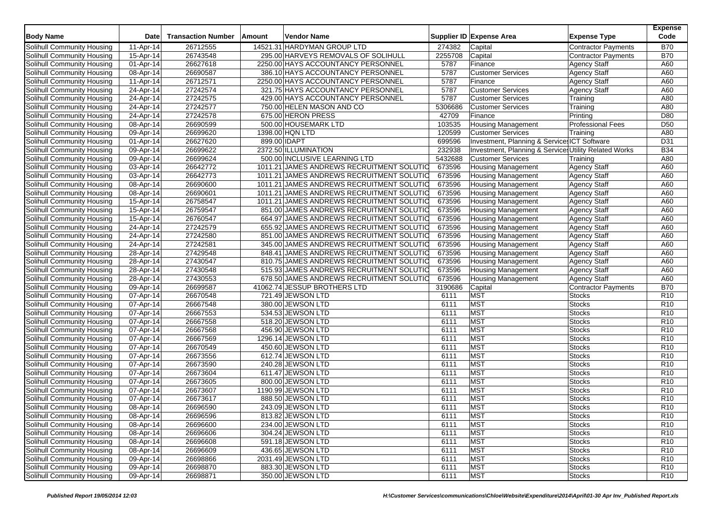| <b>Body Name</b>                                         | Date                   | <b>Transaction Number</b> | Amount       | Vendor Name                               |                  | Supplier ID Expense Area                              | <b>Expense Type</b>                        | <b>Expense</b><br>Code |
|----------------------------------------------------------|------------------------|---------------------------|--------------|-------------------------------------------|------------------|-------------------------------------------------------|--------------------------------------------|------------------------|
| Solihull Community Housing                               | 11-Apr-14              | 26712555                  |              | 14521.31 HARDYMAN GROUP LTD               | 274382           | Capital                                               | <b>Contractor Payments</b>                 | <b>B70</b>             |
| Solihull Community Housing                               | 15-Apr-14              | 26743548                  |              | 295.00 HARVEYS REMOVALS OF SOLIHULL       | 2255708          | Capital                                               | <b>Contractor Payments</b>                 | <b>B70</b>             |
| Solihull Community Housing                               | 01-Apr-14              | 26627618                  |              | 2250.00 HAYS ACCOUNTANCY PERSONNEL        | 5787             | Finance                                               | <b>Agency Staff</b>                        | A60                    |
| Solihull Community Housing                               | 08-Apr-14              | 26690587                  |              | 386.10 HAYS ACCOUNTANCY PERSONNEL         | 5787             | <b>Customer Services</b>                              | <b>Agency Staff</b>                        | A60                    |
| Solihull Community Housing                               | 11-Apr-14              | 26712571                  |              | 2250.00 HAYS ACCOUNTANCY PERSONNEL        | 5787             | Finance                                               | <b>Agency Staff</b>                        | A60                    |
| Solihull Community Housing                               | 24-Apr-14              | 27242574                  |              | 321.75 HAYS ACCOUNTANCY PERSONNEL         | 5787             | <b>Customer Services</b>                              | <b>Agency Staff</b>                        | A60                    |
| Solihull Community Housing                               | 24-Apr-14              | 27242575                  |              | 429.00 HAYS ACCOUNTANCY PERSONNEL         | 5787             | <b>Customer Services</b>                              | Training                                   | A80                    |
| Solihull Community Housing                               | 24-Apr-14              | 27242577                  |              | 750.00 HELEN MASON AND CO                 | 5306686          | <b>Customer Services</b>                              | Training                                   | A80                    |
| Solihull Community Housing                               | 24-Apr-14              | 27242578                  |              | 675.00 HERON PRESS                        | 42709            | Finance                                               | Printing                                   | D80                    |
| Solihull Community Housing                               | 08-Apr-14              | 26690599                  |              | 500.00 HOUSEMARK LTD                      | 103535           | <b>Housing Management</b>                             | <b>Professional Fees</b>                   | D <sub>50</sub>        |
| Solihull Community Housing                               | 09-Apr-14              | 26699620                  |              | 1398.00 HQN LTD                           | 120599           | <b>Customer Services</b>                              | Training                                   | A80                    |
| Solihull Community Housing                               | 01-Apr-14              | 26627620                  | 899.00 IDAPT |                                           | 699596           | Investment, Planning & Service: ICT Software          |                                            | D31                    |
| Solihull Community Housing                               | 09-Apr-14              | 26699622                  |              | 2372.50 ILLUMINATION                      | 232938           | Investment, Planning & Service: Utility Related Works |                                            | <b>B34</b>             |
| Solihull Community Housing                               | 09-Apr-14              | 26699624                  |              | 500.00 INCLUSIVE LEARNING LTD             | 5432688          | <b>Customer Services</b>                              | Training                                   | A80                    |
| Solihull Community Housing                               | 03-Apr-14              | 26642772                  |              | 1011.21 JAMES ANDREWS RECRUITMENT SOLUTIO | 673596           | <b>Housing Management</b>                             | <b>Agency Staff</b>                        | A60                    |
| Solihull Community Housing                               | 03-Apr-14              | 26642773                  |              | 1011.21 JAMES ANDREWS RECRUITMENT SOLUTIO | 673596           | <b>Housing Management</b>                             | <b>Agency Staff</b>                        | A60                    |
| Solihull Community Housing                               | 08-Apr-14              | 26690600                  |              | 1011.21 JAMES ANDREWS RECRUITMENT SOLUTIO | 673596           | <b>Housing Management</b>                             | <b>Agency Staff</b>                        | A60                    |
| Solihull Community Housing                               | 08-Apr-14              | 26690601                  |              | 1011.21 JAMES ANDREWS RECRUITMENT SOLUTIO | 673596           |                                                       |                                            | A60                    |
|                                                          |                        |                           |              | 1011.21 JAMES ANDREWS RECRUITMENT SOLUTIO |                  | <b>Housing Management</b>                             | <b>Agency Staff</b>                        |                        |
| Solihull Community Housing                               | 15-Apr-14<br>15-Apr-14 | 26758547<br>26759547      |              | 851.00 JAMES ANDREWS RECRUITMENT SOLUTIO  | 673596<br>673596 | <b>Housing Management</b>                             | <b>Agency Staff</b><br><b>Agency Staff</b> | A60<br>A60             |
| Solihull Community Housing<br>Solihull Community Housing |                        | 26760547                  |              | 664.97 JAMES ANDREWS RECRUITMENT SOLUTIO  |                  | <b>Housing Management</b>                             |                                            | A60                    |
|                                                          | 15-Apr-14              |                           |              |                                           | 673596           | <b>Housing Management</b>                             | <b>Agency Staff</b>                        |                        |
| Solihull Community Housing                               | 24-Apr-14              | 27242579                  |              | 655.92 JAMES ANDREWS RECRUITMENT SOLUTIO  | 673596           | <b>Housing Management</b>                             | <b>Agency Staff</b>                        | A60                    |
| Solihull Community Housing                               | 24-Apr-14              | 27242580                  |              | 851.00 JAMES ANDREWS RECRUITMENT SOLUTIO  | 673596           | <b>Housing Management</b>                             | <b>Agency Staff</b>                        | A60                    |
| Solihull Community Housing                               | 24-Apr-14              | 27242581                  |              | 345.00 JAMES ANDREWS RECRUITMENT SOLUTIO  | 673596           | <b>Housing Management</b>                             | Agency Staff                               | A60                    |
| Solihull Community Housing                               | 28-Apr-14              | 27429548                  |              | 848.41 JAMES ANDREWS RECRUITMENT SOLUTIO  | 673596           | <b>Housing Management</b>                             | <b>Agency Staff</b>                        | A60                    |
| Solihull Community Housing                               | 28-Apr-14              | 27430547                  |              | 810.75 JAMES ANDREWS RECRUITMENT SOLUTIO  | 673596           | <b>Housing Management</b>                             | <b>Agency Staff</b>                        | A60                    |
| Solihull Community Housing                               | 28-Apr-14              | 27430548                  |              | 515.93 JAMES ANDREWS RECRUITMENT SOLUTIO  | 673596           | <b>Housing Management</b>                             | <b>Agency Staff</b>                        | A60                    |
| Solihull Community Housing                               | 28-Apr-14              | 27430553                  |              | 678.50 JAMES ANDREWS RECRUITMENT SOLUTIO  | 673596           | <b>Housing Management</b>                             | <b>Agency Staff</b>                        | A60                    |
| Solihull Community Housing                               | 09-Apr-14              | 26699587                  |              | 41062.74 JESSUP BROTHERS LTD              | 3190686          | Capital                                               | <b>Contractor Payments</b>                 | <b>B70</b>             |
| Solihull Community Housing                               | 07-Apr-14              | 26670548                  |              | 721.49 JEWSON LTD                         | 6111             | <b>MST</b>                                            | <b>Stocks</b>                              | R <sub>10</sub>        |
| Solihull Community Housing                               | 07-Apr-14              | 26667548                  |              | 380.00 JEWSON LTD                         | 6111             | <b>MST</b>                                            | <b>Stocks</b>                              | R <sub>10</sub>        |
| Solihull Community Housing                               | 07-Apr-14              | 26667553                  |              | 534.53 JEWSON LTD                         | 6111             | <b>MST</b>                                            | <b>Stocks</b>                              | R <sub>10</sub>        |
| Solihull Community Housing                               | 07-Apr-14              | 26667558                  |              | 518.20 JEWSON LTD                         | 6111             | <b>MST</b>                                            | Stocks                                     | R <sub>10</sub>        |
| Solihull Community Housing                               | 07-Apr-14              | 26667568                  |              | 456.90 JEWSON LTD                         | 6111             | <b>MST</b>                                            | <b>Stocks</b>                              | R <sub>10</sub>        |
| Solihull Community Housing                               | 07-Apr-14              | 26667569                  |              | 1296.14 JEWSON LTD                        | 6111             | <b>MST</b>                                            | <b>Stocks</b>                              | R <sub>10</sub>        |
| Solihull Community Housing                               | 07-Apr-14              | 26670549                  |              | 450.60 JEWSON LTD                         | 6111             | <b>MST</b>                                            | <b>Stocks</b>                              | R <sub>10</sub>        |
| Solihull Community Housing                               | 07-Apr-14              | 26673556                  |              | 612.74 JEWSON LTD                         | 6111             | <b>MST</b>                                            | <b>Stocks</b>                              | R <sub>10</sub>        |
| Solihull Community Housing                               | 07-Apr-14              | 26673590                  |              | 240.28 JEWSON LTD                         | 6111             | <b>MST</b>                                            | <b>Stocks</b>                              | R <sub>10</sub>        |
| Solihull Community Housing                               | 07-Apr-14              | 26673604                  |              | 611.47 JEWSON LTD                         | 6111             | <b>MST</b>                                            | <b>Stocks</b>                              | R <sub>10</sub>        |
| Solihull Community Housing                               | 07-Apr-14              | 26673605                  |              | 800.00 JEWSON LTD                         | 6111             | <b>MST</b>                                            | <b>Stocks</b>                              | R <sub>10</sub>        |
| Solihull Community Housing                               | 07-Apr-14              | 26673607                  |              | 1190.99 JEWSON LTD                        | 6111             | <b>MST</b>                                            | <b>Stocks</b>                              | R <sub>10</sub>        |
| Solihull Community Housing                               | 07-Apr-14              | 26673617                  |              | 888.50 JEWSON LTD                         | 6111             | <b>MST</b>                                            | <b>Stocks</b>                              | R <sub>10</sub>        |
| Solihull Community Housing                               | 08-Apr-14              | 26696590                  |              | 243.09 JEWSON LTD                         | 6111             | MST                                                   | <b>Stocks</b>                              | R <sub>10</sub>        |
| Solihull Community Housing                               | 08-Apr-14              | 26696596                  |              | 813.82 JEWSON LTD                         | 6111             | <b>MST</b>                                            | <b>Stocks</b>                              | R <sub>10</sub>        |
| Solihull Community Housing                               | 08-Apr-14              | 26696600                  |              | 234.00 JEWSON LTD                         | 6111             | <b>MST</b>                                            | <b>Stocks</b>                              | R <sub>10</sub>        |
| Solihull Community Housing                               | 08-Apr-14              | 26696606                  |              | 304.24 JEWSON LTD                         | 6111             | <b>MST</b>                                            | <b>Stocks</b>                              | R <sub>10</sub>        |
| Solihull Community Housing                               | 08-Apr-14              | 26696608                  |              | 591.18 JEWSON LTD                         | 6111             | <b>MST</b>                                            | Stocks                                     | R <sub>10</sub>        |
| Solihull Community Housing                               | 08-Apr-14              | 26696609                  |              | 436.65 JEWSON LTD                         | 6111             | <b>MST</b>                                            | <b>Stocks</b>                              | R <sub>10</sub>        |
| Solihull Community Housing                               | 09-Apr-14              | 26698866                  |              | 2031.49 JEWSON LTD                        | 6111             | <b>MST</b>                                            | <b>Stocks</b>                              | R <sub>10</sub>        |
| Solihull Community Housing                               | 09-Apr-14              | 26698870                  |              | 883.30 JEWSON LTD                         | 6111             | <b>MST</b>                                            | <b>Stocks</b>                              | R <sub>10</sub>        |
| Solihull Community Housing                               | 09-Apr-14              | 26698871                  |              | 350.00 JEWSON LTD                         | 6111             | <b>MST</b>                                            | <b>Stocks</b>                              | R <sub>10</sub>        |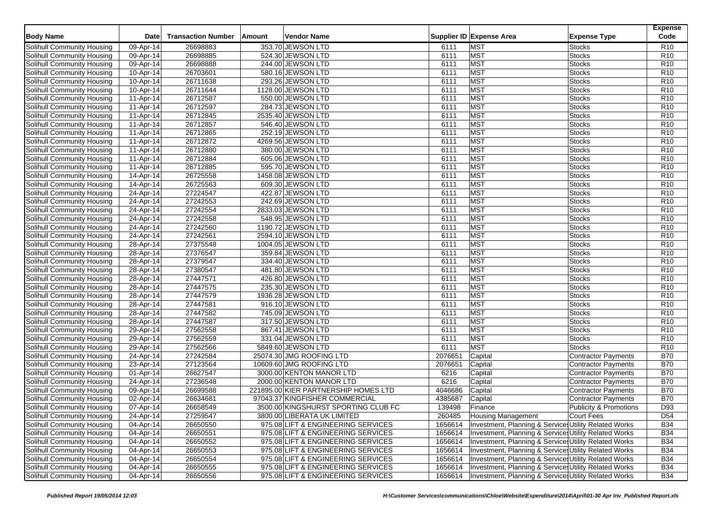| <b>Body Name</b>           | <b>Date</b>             | <b>Transaction Number</b> | Amount | Vendor Name                          |              | Supplier ID Expense Area | <b>Expense Type</b>                                   | <b>Expense</b><br>Code             |
|----------------------------|-------------------------|---------------------------|--------|--------------------------------------|--------------|--------------------------|-------------------------------------------------------|------------------------------------|
|                            |                         |                           |        |                                      |              |                          |                                                       |                                    |
| Solihull Community Housing | 09-Apr-14               | 26698883                  |        | 353.70 JEWSON LTD                    | 6111         | <b>MST</b>               | <b>Stocks</b>                                         | R <sub>10</sub>                    |
| Solihull Community Housing | 09-Apr-14               | 26698885                  |        | 524.30 JEWSON LTD                    | 6111<br>6111 | <b>MST</b><br><b>MST</b> | <b>Stocks</b><br><b>Stocks</b>                        | R <sub>10</sub><br>R <sub>10</sub> |
| Solihull Community Housing | 09-Apr-14               | 26698888                  |        | 244.00 JEWSON LTD                    |              |                          |                                                       |                                    |
| Solihull Community Housing | 10-Apr-14               | 26703601                  |        | 580.16 JEWSON LTD                    | 6111         | <b>MST</b>               | <b>Stocks</b>                                         | R <sub>10</sub>                    |
| Solihull Community Housing | 10-Apr-14               | 26711638                  |        | 293.26 JEWSON LTD                    | 6111         | <b>MST</b>               | <b>Stocks</b>                                         | R <sub>10</sub>                    |
| Solihull Community Housing | 10-Apr-14               | 26711644                  |        | 1128.00 JEWSON LTD                   | 6111         | <b>MST</b>               | <b>Stocks</b>                                         | R <sub>10</sub>                    |
| Solihull Community Housing | 11-Apr-14               | 26712587                  |        | 550.00 JEWSON LTD                    | 6111         | <b>MST</b>               | <b>Stocks</b>                                         | R <sub>10</sub>                    |
| Solihull Community Housing | 11-Apr-14               | 26712597                  |        | 284.73 JEWSON LTD                    | 6111         | <b>MST</b>               | <b>Stocks</b>                                         | R <sub>10</sub>                    |
| Solihull Community Housing | 11-Apr-14               | 26712845                  |        | 2535.40 JEWSON LTD                   | 6111         | <b>MST</b>               | <b>Stocks</b>                                         | R <sub>10</sub>                    |
| Solihull Community Housing | 11-Apr-14               | 26712857                  |        | 546.40 JEWSON LTD                    | 6111         | <b>MST</b>               | <b>Stocks</b>                                         | R <sub>10</sub>                    |
| Solihull Community Housing | 11-Apr-14               | 26712865                  |        | 252.19 JEWSON LTD                    | 6111         | <b>MST</b>               | <b>Stocks</b>                                         | R <sub>10</sub>                    |
| Solihull Community Housing | 11-Apr-14               | 26712872                  |        | 4269.56 JEWSON LTD                   | 6111         | <b>MST</b>               | <b>Stocks</b>                                         | R <sub>10</sub>                    |
| Solihull Community Housing | 11-Apr-14               | 26712880                  |        | 380.00 JEWSON LTD                    | 6111         | <b>MST</b>               | <b>Stocks</b>                                         | R <sub>10</sub>                    |
| Solihull Community Housing | 11-Apr-14               | 26712884                  |        | 605.06 JEWSON LTD                    | 6111         | <b>MST</b>               | <b>Stocks</b>                                         | R <sub>10</sub>                    |
| Solihull Community Housing | 11-Apr-14               | 26712885                  |        | 595.70 JEWSON LTD                    | 6111         | <b>MST</b>               | <b>Stocks</b>                                         | R <sub>10</sub>                    |
| Solihull Community Housing | $\overline{14}$ -Apr-14 | 26725558                  |        | 1458.08 JEWSON LTD                   | 6111         | <b>MST</b>               | <b>Stocks</b>                                         | R <sub>10</sub>                    |
| Solihull Community Housing | $\overline{14}$ -Apr-14 | 26725563                  |        | 609.30 JEWSON LTD                    | 6111         | <b>MST</b>               | <b>Stocks</b>                                         | R <sub>10</sub>                    |
| Solihull Community Housing | 24-Apr-14               | 27224547                  |        | 422.87 JEWSON LTD                    | 6111         | <b>MST</b>               | <b>Stocks</b>                                         | R <sub>10</sub>                    |
| Solihull Community Housing | 24-Apr-14               | 27242553                  |        | 242.69 JEWSON LTD                    | 6111         | <b>MST</b>               | <b>Stocks</b>                                         | R <sub>10</sub>                    |
| Solihull Community Housing | 24-Apr-14               | 27242554                  |        | 2833.03 JEWSON LTD                   | 6111         | <b>MST</b>               | <b>Stocks</b>                                         | R <sub>10</sub>                    |
| Solihull Community Housing | 24-Apr-14               | 27242558                  |        | 548.95 JEWSON LTD                    | 6111         | <b>MST</b>               | <b>Stocks</b>                                         | R <sub>10</sub>                    |
| Solihull Community Housing | 24-Apr-14               | 27242560                  |        | 1190.72 JEWSON LTD                   | 6111         | <b>MST</b>               | <b>Stocks</b>                                         | R <sub>10</sub>                    |
| Solihull Community Housing | 24-Apr-14               | 27242561                  |        | 2594.10 JEWSON LTD                   | 6111         | <b>MST</b>               | <b>Stocks</b>                                         | R <sub>10</sub>                    |
| Solihull Community Housing | 28-Apr-14               | 27375548                  |        | 1004.05 JEWSON LTD                   | 6111         | <b>MST</b>               | <b>Stocks</b>                                         | R <sub>10</sub>                    |
| Solihull Community Housing | 28-Apr-14               | 27376547                  |        | 359.84 JEWSON LTD                    | 6111         | <b>MST</b>               | <b>Stocks</b>                                         | R <sub>10</sub>                    |
| Solihull Community Housing | 28-Apr-14               | 27379547                  |        | 334.40 JEWSON LTD                    | 6111         | <b>MST</b>               | <b>Stocks</b>                                         | R <sub>10</sub>                    |
| Solihull Community Housing | 28-Apr-14               | 27380547                  |        | 481.80 JEWSON LTD                    | 6111         | <b>MST</b>               | <b>Stocks</b>                                         | R <sub>10</sub>                    |
| Solihull Community Housing | 28-Apr-14               | 27447571                  |        | 426.80 JEWSON LTD                    | 6111         | <b>MST</b>               | Stocks                                                | R <sub>10</sub>                    |
| Solihull Community Housing | 28-Apr-14               | 27447575                  |        | 235.30 JEWSON LTD                    | 6111         | <b>MST</b>               | Stocks                                                | R <sub>10</sub>                    |
| Solihull Community Housing | 28-Apr-14               | 27447579                  |        | 1936.28 JEWSON LTD                   | 6111         | <b>MST</b>               | <b>Stocks</b>                                         | R <sub>10</sub>                    |
| Solihull Community Housing | 28-Apr-14               | 27447581                  |        | 916.10 JEWSON LTD                    | 6111         | <b>MST</b>               | Stocks                                                | R <sub>10</sub>                    |
| Solihull Community Housing | 28-Apr-14               | 27447582                  |        | 745.09 JEWSON LTD                    | 6111         | <b>MST</b>               | Stocks                                                | R <sub>10</sub>                    |
| Solihull Community Housing | 28-Apr-14               | 27447587                  |        | 317.50 JEWSON LTD                    | 6111         | <b>MST</b>               | Stocks                                                | R <sub>10</sub>                    |
| Solihull Community Housing | 29-Apr-14               | 27562558                  |        | 867.41 JEWSON LTD                    | 6111         | <b>MST</b>               | <b>Stocks</b>                                         | R <sub>10</sub>                    |
| Solihull Community Housing | 29-Apr-14               | 27562559                  |        | 331.04 JEWSON LTD                    | 6111         | <b>MST</b>               | Stocks                                                | R <sub>10</sub>                    |
| Solihull Community Housing | 29-Apr-14               | 27562566                  |        | 5849.60 JEWSON LTD                   | 6111         | <b>MST</b>               | <b>Stocks</b>                                         | R <sub>10</sub>                    |
| Solihull Community Housing | 24-Apr-14               | 27242584                  |        | 25074.30 JMG ROOFING LTD             | 2076651      | Capital                  | <b>Contractor Payments</b>                            | <b>B70</b>                         |
| Solihull Community Housing | 23-Apr-14               | 27123564                  |        | 10609.60 JMG ROOFING LTD             | 2076651      | Capital                  | <b>Contractor Payments</b>                            | <b>B70</b>                         |
| Solihull Community Housing | $\overline{0}$ 1-Apr-14 | 26627547                  |        | 3000.00 KENTON MANOR LTD             | 6216         | Capital                  | Contractor Payments                                   | <b>B70</b>                         |
| Solihull Community Housing | 24-Apr-14               | 27236548                  |        | 2000.00 KENTON MANOR LTD             | 6216         | Capital                  | <b>Contractor Payments</b>                            | <b>B70</b>                         |
| Solihull Community Housing | 09-Apr-14               | 26699588                  |        | 221895.00 KIER PARTNERSHIP HOMES LTD | 4046686      | Capital                  | <b>Contractor Payments</b>                            | <b>B70</b>                         |
| Solihull Community Housing | 02-Apr-14               | 26634681                  |        | 97043.37 KINGFISHER COMMERCIAL       | 4385687      | Capital                  | Contractor Payments                                   | <b>B70</b>                         |
| Solihull Community Housing | 07-Apr-14               | 26658549                  |        | 3500.00 KINGSHURST SPORTING CLUB FC  | 139498       | Finance                  | Publicity & Promotions                                | D93                                |
| Solihull Community Housing | 24-Apr-14               | 27259547                  |        | 3800.00 LIBERATA UK LIMITED          | 260485       | Housing Management       | Court Fees                                            | D <sub>54</sub>                    |
| Solihull Community Housing | 04-Apr-14               | 26650550                  |        | 975.08 LIFT & ENGINEERING SERVICES   | 1656614      |                          | Investment, Planning & Services Utility Related Works | <b>B34</b>                         |
| Solihull Community Housing | 04-Apr-14               | 26650551                  |        | 975.08 LIFT & ENGINEERING SERVICES   | 1656614      |                          | Investment, Planning & Service: Utility Related Works | <b>B34</b>                         |
| Solihull Community Housing | 04-Apr-14               | 26650552                  |        | 975.08 LIFT & ENGINEERING SERVICES   | 1656614      |                          | Investment, Planning & Services Utility Related Works | <b>B34</b>                         |
| Solihull Community Housing | 04-Apr-14               | 26650553                  |        | 975.08 LIFT & ENGINEERING SERVICES   | 1656614      |                          | Investment, Planning & Service: Utility Related Works | <b>B34</b>                         |
| Solihull Community Housing | 04-Apr-14               | 26650554                  |        | 975.08 LIFT & ENGINEERING SERVICES   | 1656614      |                          | Investment, Planning & Services Utility Related Works | <b>B34</b>                         |
| Solihull Community Housing | 04-Apr-14               | 26650555                  |        | 975.08 LIFT & ENGINEERING SERVICES   | 1656614      |                          | Investment, Planning & Services Utility Related Works | <b>B34</b>                         |
| Solihull Community Housing | 04-Apr-14               | 26650556                  |        | 975.08 LIFT & ENGINEERING SERVICES   | 1656614      |                          | Investment, Planning & Services Utility Related Works | <b>B34</b>                         |
|                            |                         |                           |        |                                      |              |                          |                                                       |                                    |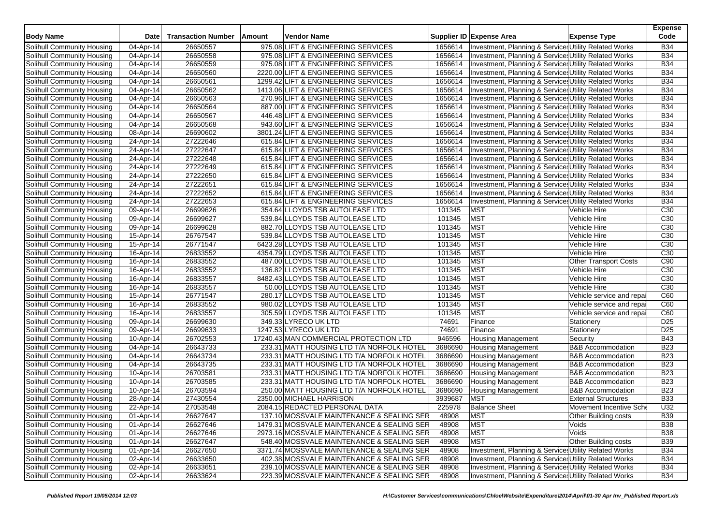| <b>Body Name</b>                  | Date                    | <b>Transaction Number</b> | Amount | <b>Vendor Name</b>                         |         | Supplier ID Expense Area                              | <b>Expense Type</b>          | <b>Expense</b><br>Code |
|-----------------------------------|-------------------------|---------------------------|--------|--------------------------------------------|---------|-------------------------------------------------------|------------------------------|------------------------|
| Solihull Community Housing        | 04-Apr-14               | 26650557                  |        | 975.08 LIFT & ENGINEERING SERVICES         | 1656614 | Investment, Planning & Service: Utility Related Works |                              | <b>B34</b>             |
| Solihull Community Housing        | 04-Apr-14               | 26650558                  |        | 975.08 LIFT & ENGINEERING SERVICES         | 1656614 | Investment, Planning & Service: Utility Related Works |                              | <b>B34</b>             |
| Solihull Community Housing        | 04-Apr-14               | 26650559                  |        | 975.08 LIFT & ENGINEERING SERVICES         | 1656614 | Investment, Planning & Service: Utility Related Works |                              | <b>B34</b>             |
| Solihull Community Housing        | 04-Apr-14               | 26650560                  |        | 2220.00 LIFT & ENGINEERING SERVICES        | 1656614 | Investment, Planning & Service: Utility Related Works |                              | <b>B34</b>             |
| Solihull Community Housing        | 04-Apr-14               | 26650561                  |        | 1299.42 LIFT & ENGINEERING SERVICES        | 1656614 | Investment, Planning & Service: Utility Related Works |                              | <b>B34</b>             |
| Solihull Community Housing        | 04-Apr-14               | 26650562                  |        | 1413.06 LIFT & ENGINEERING SERVICES        | 1656614 | Investment, Planning & Services Utility Related Works |                              | <b>B34</b>             |
| Solihull Community Housing        | 04-Apr-14               | 26650563                  |        | 270.96 LIFT & ENGINEERING SERVICES         | 1656614 | Investment, Planning & Service: Utility Related Works |                              | <b>B34</b>             |
| Solihull Community Housing        | 04-Apr-14               | 26650564                  |        | 887.00 LIFT & ENGINEERING SERVICES         | 1656614 | Investment, Planning & Services Utility Related Works |                              | <b>B34</b>             |
| Solihull Community Housing        | 04-Apr-14               | 26650567                  |        | 446.48 LIFT & ENGINEERING SERVICES         | 1656614 | Investment, Planning & Service: Utility Related Works |                              | <b>B34</b>             |
| Solihull Community Housing        | 04-Apr-14               | 26650568                  |        | 943.60 LIFT & ENGINEERING SERVICES         | 1656614 | Investment, Planning & Service: Utility Related Works |                              | <b>B34</b>             |
| Solihull Community Housing        | 08-Apr-14               | 26690602                  |        | 3801.24 LIFT & ENGINEERING SERVICES        | 1656614 | Investment, Planning & Services Utility Related Works |                              | <b>B34</b>             |
| Solihull Community Housing        | 24-Apr-14               | 27222646                  |        | 615.84 LIFT & ENGINEERING SERVICES         | 1656614 | Investment, Planning & Service: Utility Related Works |                              | <b>B34</b>             |
| Solihull Community Housing        | 24-Apr-14               | 27222647                  |        | 615.84 LIFT & ENGINEERING SERVICES         | 1656614 | Investment, Planning & Service: Utility Related Works |                              | <b>B34</b>             |
| Solihull Community Housing        | 24-Apr-14               | 27222648                  |        | 615.84 LIFT & ENGINEERING SERVICES         | 1656614 | Investment, Planning & Services Utility Related Works |                              | <b>B34</b>             |
| Solihull Community Housing        | 24-Apr-14               | 27222649                  |        | 615.84 LIFT & ENGINEERING SERVICES         | 1656614 | Investment, Planning & Services Utility Related Works |                              | <b>B34</b>             |
| Solihull Community Housing        | 24-Apr-14               | 27222650                  |        | 615.84 LIFT & ENGINEERING SERVICES         | 1656614 | Investment, Planning & Services Utility Related Works |                              | <b>B34</b>             |
| Solihull Community Housing        | 24-Apr-14               | 27222651                  |        | 615.84 LIFT & ENGINEERING SERVICES         | 1656614 | Investment, Planning & Service: Utility Related Works |                              | <b>B34</b>             |
| Solihull Community Housing        | 24-Apr-14               | 27222652                  |        | 615.84 LIFT & ENGINEERING SERVICES         | 1656614 | Investment, Planning & Services Utility Related Works |                              | <b>B34</b>             |
| Solihull Community Housing        | 24-Apr-14               | 27222653                  |        | 615.84 LIFT & ENGINEERING SERVICES         | 1656614 | Investment, Planning & Service: Utility Related Works |                              | <b>B34</b>             |
| Solihull Community Housing        | 09-Apr-14               | 26699626                  |        | 354.64 LLOYDS TSB AUTOLEASE LTD            | 101345  | <b>MST</b>                                            | Vehicle Hire                 | C <sub>30</sub>        |
| Solihull Community Housing        | 09-Apr-14               | 26699627                  |        | 539.84 LLOYDS TSB AUTOLEASE LTD            | 101345  | <b>MST</b>                                            | Vehicle Hire                 | C <sub>30</sub>        |
| Solihull Community Housing        | 09-Apr-14               | 26699628                  |        | 882.70 LLOYDS TSB AUTOLEASE LTD            | 101345  | <b>MST</b>                                            | Vehicle Hire                 | C <sub>30</sub>        |
| Solihull Community Housing        | 15-Apr-14               | 26767547                  |        | 539.84 LLOYDS TSB AUTOLEASE LTD            | 101345  | <b>MST</b>                                            | Vehicle Hire                 | C <sub>30</sub>        |
| Solihull Community Housing        | 15-Apr-14               | 26771547                  |        | 6423.28 LLOYDS TSB AUTOLEASE LTD           | 101345  | <b>MST</b>                                            | <b>Vehicle Hire</b>          | C <sub>30</sub>        |
| Solihull Community Housing        | 16-Apr-14               | 26833552                  |        | 4354.79 LLOYDS TSB AUTOLEASE LTD           | 101345  | <b>MST</b>                                            | Vehicle Hire                 | C30                    |
| Solihull Community Housing        | 16-Apr-14               | 26833552                  |        | 487.00 LLOYDS TSB AUTOLEASE LTD            | 101345  | <b>MST</b>                                            | <b>Other Transport Costs</b> | C90                    |
| Solihull Community Housing        | 16-Apr-14               | 26833552                  |        | 136.82 LLOYDS TSB AUTOLEASE LTD            | 101345  | <b>MST</b>                                            | Vehicle Hire                 | C30                    |
| Solihull Community Housing        | 16-Apr-14               | 26833557                  |        | 8482.43 LLOYDS TSB AUTOLEASE LTD           | 101345  | <b>MST</b>                                            | Vehicle Hire                 | C30                    |
| Solihull Community Housing        | 16-Apr-14               | 26833557                  |        | 50.00 LLOYDS TSB AUTOLEASE LTD             | 101345  | <b>MST</b>                                            | Vehicle Hire                 | C30                    |
| Solihull Community Housing        | 15-Apr-14               | 26771547                  |        | 280.17 LLOYDS TSB AUTOLEASE LTD            | 101345  | <b>MST</b>                                            | Vehicle service and repai    | C60                    |
| Solihull Community Housing        | 16-Apr-14               | 26833552                  |        | 980.02 LLOYDS TSB AUTOLEASE LTD            | 101345  | <b>MST</b>                                            | Vehicle service and repai    | C60                    |
| Solihull Community Housing        | 16-Apr-14               | 26833557                  |        | 305.59 LLOYDS TSB AUTOLEASE LTD            | 101345  | <b>MST</b>                                            | Vehicle service and repai    | C60                    |
| Solihull Community Housing        | 09-Apr-14               | 26699630                  |        | 349.33 LYRECO UK LTD                       | 74691   | Finance                                               | Stationery                   | D <sub>25</sub>        |
| Solihull Community Housing        | 09-Apr-14               | 26699633                  |        | 1247.53 LYRECO UK LTD                      | 74691   | Finance                                               | Stationery                   | D <sub>25</sub>        |
| Solihull Community Housing        | 10-Apr-14               | 26702553                  |        | 17240.43 MAN COMMERCIAL PROTECTION LTD     | 946596  | <b>Housing Management</b>                             | Security                     | <b>B43</b>             |
| Solihull Community Housing        | 04-Apr-14               | 26643733                  |        | 233.31 MATT HOUSING LTD T/A NORFOLK HOTEL  | 3686690 | <b>Housing Management</b>                             | <b>B&amp;B Accommodation</b> | <b>B23</b>             |
| Solihull Community Housing        | 04-Apr-14               | 26643734                  |        | 233.31 MATT HOUSING LTD T/A NORFOLK HOTEL  | 3686690 | Housing Management                                    | <b>B&amp;B Accommodation</b> | <b>B23</b>             |
| Solihull Community Housing        | 04-Apr-14               | 26643735                  |        | 233.31 MATT HOUSING LTD T/A NORFOLK HOTEL  | 3686690 | <b>Housing Management</b>                             | <b>B&amp;B Accommodation</b> | <b>B23</b>             |
| Solihull Community Housing        | 10-Apr-14               | 26703581                  |        | 233.31 MATT HOUSING LTD T/A NORFOLK HOTEL  | 3686690 | <b>Housing Management</b>                             | <b>B&amp;B Accommodation</b> | <b>B23</b>             |
| Solihull Community Housing        | 10-Apr-14               | 26703585                  |        | 233.31 MATT HOUSING LTD T/A NORFOLK HOTEL  | 3686690 | Housing Management                                    | <b>B&amp;B Accommodation</b> | <b>B23</b>             |
| Solihull Community Housing        | 10-Apr-14               | 26703594                  |        | 250.00 MATT HOUSING LTD T/A NORFOLK HOTEL  | 3686690 | <b>Housing Management</b>                             | <b>B&amp;B Accommodation</b> | <b>B23</b>             |
| Solihull Community Housing        | 28-Apr-14               | 27430554                  |        | 2350.00 MICHAEL HARRISON                   | 3939687 | <b>MST</b>                                            | <b>External Structures</b>   | <b>B33</b>             |
| Solihull Community Housing        | 22-Apr-14               | 27053548                  |        | 2084.15 REDACTED PERSONAL DATA             | 225978  | <b>Balance Sheet</b>                                  | Movement Incentive Sche      | U32                    |
| Solihull Community Housing        | 01-Apr-14               | 26627647                  |        | 137.10 MOSSVALE MAINTENANCE & SEALING SER  | 48908   | MST                                                   | Other Building costs         | <b>B39</b>             |
| Solihull Community Housing        | 01-Apr-14               | 26627646                  |        | 1479.31 MOSSVALE MAINTENANCE & SEALING SER | 48908   | <b>MST</b>                                            | Voids                        | <b>B38</b>             |
| Solihull Community Housing        | 01-Apr-14               | 26627646                  |        | 2973.16 MOSSVALE MAINTENANCE & SEALING SER | 48908   | <b>MST</b>                                            | Voids                        | <b>B38</b>             |
| Solihull Community Housing        | 01-Apr-14               | 26627647                  |        | 548.40 MOSSVALE MAINTENANCE & SEALING SER  | 48908   | <b>MST</b>                                            | Other Building costs         | <b>B39</b>             |
| Solihull Community Housing        | 01-Apr-14               | 26627650                  |        | 3371.74 MOSSVALE MAINTENANCE & SEALING SER | 48908   | Investment, Planning & Services Utility Related Works |                              | <b>B34</b>             |
| Solihull Community Housing        | $\overline{02}$ -Apr-14 | 26633650                  |        | 402.38 MOSSVALE MAINTENANCE & SEALING SER  | 48908   | Investment, Planning & Services Utility Related Works |                              | <b>B34</b>             |
| <b>Solihull Community Housing</b> | 02-Apr-14               | 26633651                  |        | 239.10 MOSSVALE MAINTENANCE & SEALING SER  | 48908   | Investment, Planning & Service: Utility Related Works |                              | <b>B34</b>             |
| Solihull Community Housing        | 02-Apr-14               | 26633624                  |        | 223.39 MOSSVALE MAINTENANCE & SEALING SER  | 48908   | Investment, Planning & Services Utility Related Works |                              | <b>B34</b>             |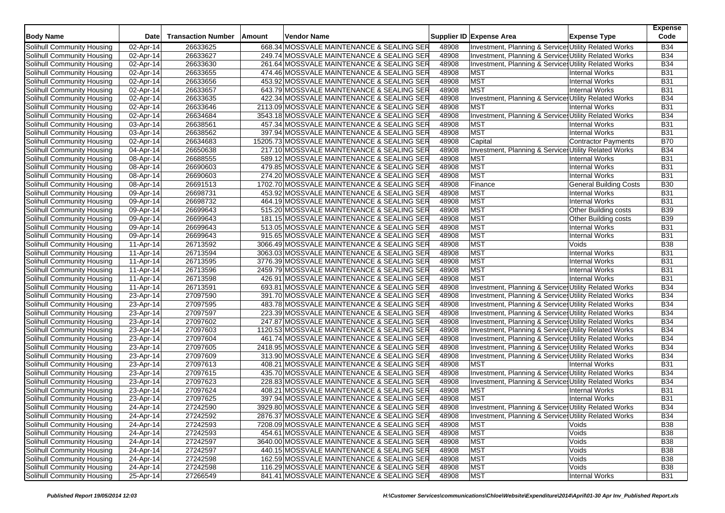| <b>Body Name</b>           | <b>Date</b>             | <b>Transaction Number</b> | Amount | Vendor Name                                 |       | Supplier ID Expense Area                                        | <b>Expense Type</b>           | <b>Expense</b><br>Code |
|----------------------------|-------------------------|---------------------------|--------|---------------------------------------------|-------|-----------------------------------------------------------------|-------------------------------|------------------------|
| Solihull Community Housing | 02-Apr-14               | 26633625                  |        | 668.34 MOSSVALE MAINTENANCE & SEALING SER   | 48908 | Investment, Planning & Service: Utility Related Works           |                               | <b>B34</b>             |
| Solihull Community Housing | 02-Apr-14               | 26633627                  |        | 249.74 MOSSVALE MAINTENANCE & SEALING SER   | 48908 | Investment, Planning & Service: Utility Related Works           |                               | <b>B34</b>             |
| Solihull Community Housing | 02-Apr-14               | 26633630                  |        | 261.64 MOSSVALE MAINTENANCE & SEALING SER   | 48908 | Investment, Planning & Service: Utility Related Works           |                               | <b>B34</b>             |
| Solihull Community Housing | 02-Apr-14               | 26633655                  |        | 474.46 MOSSVALE MAINTENANCE & SEALING SER   | 48908 | <b>MST</b>                                                      | <b>Internal Works</b>         | <b>B31</b>             |
| Solihull Community Housing | 02-Apr-14               | 26633656                  |        | 453.92 MOSSVALE MAINTENANCE & SEALING SER   | 48908 | <b>MST</b>                                                      | <b>Internal Works</b>         | <b>B31</b>             |
| Solihull Community Housing | 02-Apr-14               | 26633657                  |        | 643.79 MOSSVALE MAINTENANCE & SEALING SER   | 48908 | <b>MST</b>                                                      | <b>Internal Works</b>         | <b>B31</b>             |
| Solihull Community Housing | 02-Apr-14               | 26633635                  |        | 422.34 MOSSVALE MAINTENANCE & SEALING SER   | 48908 | Investment, Planning & Service: Utility Related Works           |                               | <b>B34</b>             |
| Solihull Community Housing | 02-Apr-14               | 26633646                  |        | 2113.09 MOSSVALE MAINTENANCE & SEALING SER  | 48908 | <b>MST</b>                                                      | <b>Internal Works</b>         | <b>B31</b>             |
| Solihull Community Housing | 02-Apr-14               | 26634684                  |        | 3543.18 MOSSVALE MAINTENANCE & SEALING SER  | 48908 | Investment, Planning & Services Utility Related Works           |                               | <b>B34</b>             |
| Solihull Community Housing | 03-Apr-14               | 26638561                  |        | 457.34 MOSSVALE MAINTENANCE & SEALING SER   | 48908 | <b>MST</b>                                                      | <b>Internal Works</b>         | <b>B31</b>             |
| Solihull Community Housing | 03-Apr-14               | 26638562                  |        | 397.94 MOSSVALE MAINTENANCE & SEALING SER   | 48908 | <b>MST</b>                                                      | <b>Internal Works</b>         | <b>B31</b>             |
| Solihull Community Housing | 02-Apr-14               | 26634683                  |        | 15205.73 MOSSVALE MAINTENANCE & SEALING SER | 48908 | Capital                                                         | <b>Contractor Payments</b>    | <b>B70</b>             |
| Solihull Community Housing | $\overline{0}$ 4-Apr-14 | 26650638                  |        | 217.10 MOSSVALE MAINTENANCE & SEALING SER   | 48908 | Investment, Planning & Services Utility Related Works           |                               | <b>B34</b>             |
| Solihull Community Housing | 08-Apr-14               | 26688555                  |        | 589.12 MOSSVALE MAINTENANCE & SEALING SER   | 48908 | <b>MST</b>                                                      | <b>Internal Works</b>         | <b>B31</b>             |
| Solihull Community Housing | 08-Apr-14               | 26690603                  |        | 479.85 MOSSVALE MAINTENANCE & SEALING SER   | 48908 | <b>MST</b>                                                      | <b>Internal Works</b>         | <b>B31</b>             |
| Solihull Community Housing | 08-Apr-14               | 26690603                  |        | 274.20 MOSSVALE MAINTENANCE & SEALING SER   | 48908 | <b>MST</b>                                                      | <b>Internal Works</b>         | <b>B31</b>             |
| Solihull Community Housing | 08-Apr-14               | 26691513                  |        | 1702.70 MOSSVALE MAINTENANCE & SEALING SER  | 48908 | Finance                                                         | <b>General Building Costs</b> | <b>B30</b>             |
| Solihull Community Housing | 09-Apr-14               | 26698731                  |        | 453.92 MOSSVALE MAINTENANCE & SEALING SER   | 48908 | <b>MST</b>                                                      | <b>Internal Works</b>         | <b>B31</b>             |
| Solihull Community Housing | 09-Apr-14               | 26698732                  |        | 464.19 MOSSVALE MAINTENANCE & SEALING SER   | 48908 | <b>MST</b>                                                      | <b>Internal Works</b>         | <b>B31</b>             |
| Solihull Community Housing | 09-Apr-14               | 26699643                  |        | 515.20 MOSSVALE MAINTENANCE & SEALING SER   | 48908 | <b>MST</b>                                                      | <b>Other Building costs</b>   | <b>B39</b>             |
| Solihull Community Housing | 09-Apr-14               | 26699643                  |        | 181.15 MOSSVALE MAINTENANCE & SEALING SER   | 48908 | <b>MST</b>                                                      | <b>Other Building costs</b>   | <b>B39</b>             |
| Solihull Community Housing | 09-Apr-14               | 26699643                  |        | 513.05 MOSSVALE MAINTENANCE & SEALING SER   | 48908 | <b>MST</b>                                                      | <b>Internal Works</b>         | <b>B31</b>             |
| Solihull Community Housing | 09-Apr-14               | 26699643                  |        | 915.65 MOSSVALE MAINTENANCE & SEALING SER   | 48908 | <b>MST</b>                                                      | <b>Internal Works</b>         | <b>B31</b>             |
| Solihull Community Housing | 11-Apr-14               | 26713592                  |        | 3066.49 MOSSVALE MAINTENANCE & SEALING SER  | 48908 | <b>MST</b>                                                      | Voids                         | <b>B38</b>             |
| Solihull Community Housing | 11-Apr-14               | 26713594                  |        | 3063.03 MOSSVALE MAINTENANCE & SEALING SER  | 48908 | <b>MST</b>                                                      | <b>Internal Works</b>         | <b>B31</b>             |
| Solihull Community Housing | 11-Apr-14               | 26713595                  |        | 3776.39 MOSSVALE MAINTENANCE & SEALING SER  | 48908 | <b>MST</b>                                                      | <b>Internal Works</b>         | <b>B31</b>             |
| Solihull Community Housing | 11-Apr-14               | 26713596                  |        | 2459.79 MOSSVALE MAINTENANCE & SEALING SER  | 48908 | <b>MST</b>                                                      | <b>Internal Works</b>         | <b>B31</b>             |
| Solihull Community Housing | 11-Apr-14               | 26713598                  |        | 426.91 MOSSVALE MAINTENANCE & SEALING SER   | 48908 | <b>MST</b>                                                      | <b>Internal Works</b>         | <b>B31</b>             |
| Solihull Community Housing | 11-Apr-14               | 26713591                  |        | 693.81 MOSSVALE MAINTENANCE & SEALING SER   | 48908 | Investment, Planning & Services Utility Related Works           |                               | <b>B34</b>             |
| Solihull Community Housing | 23-Apr-14               | 27097590                  |        | 391.70 MOSSVALE MAINTENANCE & SEALING SER   | 48908 | <b>Investment, Planning &amp; Service Utility Related Works</b> |                               | <b>B34</b>             |
|                            |                         |                           |        |                                             |       |                                                                 |                               | <b>B34</b>             |
| Solihull Community Housing | 23-Apr-14               | 27097595                  |        | 483.78 MOSSVALE MAINTENANCE & SEALING SER   | 48908 | Investment, Planning & Services Utility Related Works           |                               | <b>B34</b>             |
| Solihull Community Housing | 23-Apr-14               | 27097597                  |        | 223.39 MOSSVALE MAINTENANCE & SEALING SER   | 48908 | Investment, Planning & Services Utility Related Works           |                               |                        |
| Solihull Community Housing | 23-Apr-14               | 27097602                  |        | 247.87 MOSSVALE MAINTENANCE & SEALING SER   | 48908 | Investment, Planning & Service: Utility Related Works           |                               | <b>B34</b>             |
| Solihull Community Housing | 23-Apr-14               | 27097603                  |        | 1120.53 MOSSVALE MAINTENANCE & SEALING SER  | 48908 | Investment, Planning & Services Utility Related Works           |                               | <b>B34</b>             |
| Solihull Community Housing | 23-Apr-14               | 27097604                  |        | 461.74 MOSSVALE MAINTENANCE & SEALING SER   | 48908 | Investment, Planning & Services Utility Related Works           |                               | <b>B34</b>             |
| Solihull Community Housing | 23-Apr-14               | 27097605                  |        | 2418.95 MOSSVALE MAINTENANCE & SEALING SER  | 48908 | <b>Investment, Planning &amp; Service Utility Related Works</b> |                               | <b>B34</b>             |
| Solihull Community Housing | 23-Apr-14               | 27097609                  |        | 313.90 MOSSVALE MAINTENANCE & SEALING SER   | 48908 | Investment, Planning & Services Utility Related Works           |                               | <b>B34</b>             |
| Solihull Community Housing | 23-Apr-14               | 27097613                  |        | 408.21 MOSSVALE MAINTENANCE & SEALING SER   | 48908 | <b>MST</b>                                                      | <b>Internal Works</b>         | <b>B31</b>             |
| Solihull Community Housing | 23-Apr-14               | 27097615                  |        | 435.70 MOSSVALE MAINTENANCE & SEALING SER   | 48908 | Investment, Planning & Services Utility Related Works           |                               | <b>B34</b>             |
| Solihull Community Housing | 23-Apr-14               | 27097623                  |        | 228.83 MOSSVALE MAINTENANCE & SEALING SER   | 48908 | Investment, Planning & Service Utility Related Works            |                               | <b>B34</b>             |
| Solihull Community Housing | 23-Apr-14               | 27097624                  |        | 408.21 MOSSVALE MAINTENANCE & SEALING SER   | 48908 | <b>MST</b>                                                      | <b>Internal Works</b>         | <b>B31</b>             |
| Solihull Community Housing | 23-Apr-14               | 27097625                  |        | 397.94 MOSSVALE MAINTENANCE & SEALING SER   | 48908 | <b>MST</b>                                                      | <b>Internal Works</b>         | <b>B31</b>             |
| Solihull Community Housing | 24-Apr-14               | 27242590                  |        | 3929.80 MOSSVALE MAINTENANCE & SEALING SER  | 48908 | Investment, Planning & Services Utility Related Works           |                               | <b>B34</b>             |
| Solihull Community Housing | 24-Apr-14               | 27242592                  |        | 2876.37 MOSSVALE MAINTENANCE & SEALING SER  | 48908 | Investment, Planning & Service: Utility Related Works           |                               | <b>B34</b>             |
| Solihull Community Housing | 24-Apr-14               | 27242593                  |        | 7208.09 MOSSVALE MAINTENANCE & SEALING SER  | 48908 | <b>MST</b>                                                      | Voids                         | <b>B38</b>             |
| Solihull Community Housing | 24-Apr-14               | 27242593                  |        | 454.61 MOSSVALE MAINTENANCE & SEALING SER   | 48908 | <b>MST</b>                                                      | Voids                         | <b>B38</b>             |
| Solihull Community Housing | 24-Apr-14               | 27242597                  |        | 3640.00 MOSSVALE MAINTENANCE & SEALING SER  | 48908 | MST                                                             | Voids                         | <b>B38</b>             |
| Solihull Community Housing | $24-Apr-14$             | 27242597                  |        | 440.15 MOSSVALE MAINTENANCE & SEALING SER   | 48908 | <b>MST</b>                                                      | Voids                         | <b>B38</b>             |
| Solihull Community Housing | 24-Apr-14               | 27242598                  |        | 162.59 MOSSVALE MAINTENANCE & SEALING SER   | 48908 | <b>MST</b>                                                      | Voids                         | <b>B38</b>             |
| Solihull Community Housing | 24-Apr-14               | 27242598                  |        | 116.29 MOSSVALE MAINTENANCE & SEALING SER   | 48908 | <b>MST</b>                                                      | Voids                         | <b>B38</b>             |
| Solihull Community Housing | 25-Apr-14               | 27266549                  |        | 841.41 MOSSVALE MAINTENANCE & SEALING SER   | 48908 | <b>MST</b>                                                      | Internal Works                | <b>B31</b>             |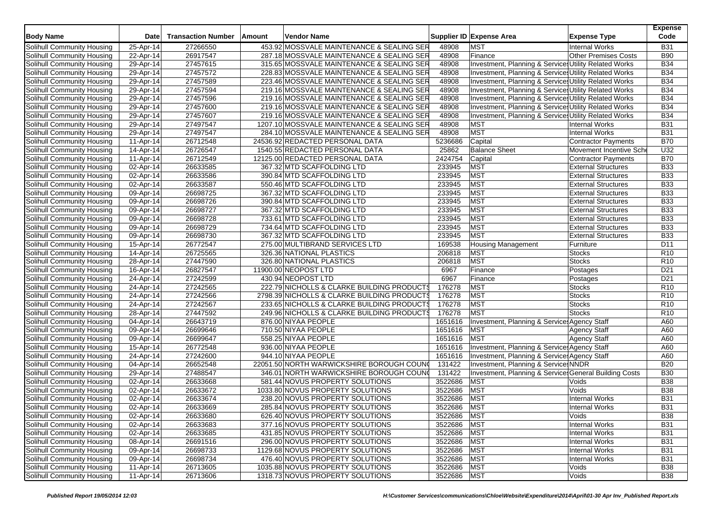| <b>Body Name</b>                                         | <b>Date</b>             | <b>Transaction Number</b> | <b>Amount</b> | Vendor Name                                                        |                            | Supplier ID Expense Area                               | <b>Expense Type</b>         | <b>Expense</b><br>Code |
|----------------------------------------------------------|-------------------------|---------------------------|---------------|--------------------------------------------------------------------|----------------------------|--------------------------------------------------------|-----------------------------|------------------------|
| Solihull Community Housing                               | 25-Apr-14               | 27266550                  |               | 453.92 MOSSVALE MAINTENANCE & SEALING SER                          | 48908                      | <b>MST</b>                                             | <b>Internal Works</b>       | <b>B31</b>             |
| Solihull Community Housing                               | 22-Apr-14               | 26917547                  |               | 287.18 MOSSVALE MAINTENANCE & SEALING SER                          | 48908                      | Finance                                                | <b>Other Premises Costs</b> | <b>B90</b>             |
| Solihull Community Housing                               | 29-Apr-14               | 27457615                  |               | 315.65 MOSSVALE MAINTENANCE & SEALING SER                          | 48908                      | Investment, Planning & Service Utility Related Works   |                             | <b>B34</b>             |
| Solihull Community Housing                               | 29-Apr-14               | 27457572                  |               | 228.83 MOSSVALE MAINTENANCE & SEALING SER                          | 48908                      | Investment, Planning & Services Utility Related Works  |                             | <b>B34</b>             |
| Solihull Community Housing                               | 29-Apr-14               | 27457589                  |               | 223.46 MOSSVALE MAINTENANCE & SEALING SER                          | 48908                      | Investment, Planning & Services Utility Related Works  |                             | <b>B34</b>             |
| Solihull Community Housing                               | 29-Apr-14               | 27457594                  |               | 219.16 MOSSVALE MAINTENANCE & SEALING SER                          | 48908                      | Investment, Planning & Services Utility Related Works  |                             | <b>B34</b>             |
| Solihull Community Housing                               | $29 - Apr - 14$         | 27457596                  |               | 219.16 MOSSVALE MAINTENANCE & SEALING SER                          | 48908                      | Investment, Planning & Service Utility Related Works   |                             | <b>B34</b>             |
| Solihull Community Housing                               | 29-Apr-14               | 27457600                  |               | 219.16 MOSSVALE MAINTENANCE & SEALING SER                          | 48908                      | Investment, Planning & Services Utility Related Works  |                             | <b>B34</b>             |
| Solihull Community Housing                               | 29-Apr-14               | 27457607                  |               | 219.16 MOSSVALE MAINTENANCE & SEALING SER                          | 48908                      | Investment, Planning & Services Utility Related Works  |                             | <b>B34</b>             |
| Solihull Community Housing                               | 29-Apr-14               | 27497547                  |               | 1207.10 MOSSVALE MAINTENANCE & SEALING SER                         | 48908                      | <b>MST</b>                                             | <b>Internal Works</b>       | <b>B31</b>             |
| Solihull Community Housing                               | 29-Apr-14               | 27497547                  |               | 284.10 MOSSVALE MAINTENANCE & SEALING SER                          | 48908                      | <b>MST</b>                                             | <b>Internal Works</b>       | <b>B31</b>             |
| Solihull Community Housing                               | 11-Apr-14               | 26712548                  |               | 24536.92 REDACTED PERSONAL DATA                                    | 5236686                    | Capital                                                | <b>Contractor Payments</b>  | <b>B70</b>             |
| Solihull Community Housing                               | 14-Apr-14               | 26726547                  |               | 1540.55 REDACTED PERSONAL DATA                                     | 25862                      | <b>Balance Sheet</b>                                   | Movement Incentive Sch      | U32                    |
| Solihull Community Housing                               | 11-Apr-14               | 26712549                  |               | 12125.00 REDACTED PERSONAL DATA                                    | 2424754                    | Capital                                                | <b>Contractor Payments</b>  | <b>B70</b>             |
| Solihull Community Housing                               | 02-Apr-14               | 26633585                  |               | 367.32 MTD SCAFFOLDING LTD                                         | 233945                     | <b>MST</b>                                             | <b>External Structures</b>  | <b>B33</b>             |
| Solihull Community Housing                               | 02-Apr-14               | 26633586                  |               | 390.84 MTD SCAFFOLDING LTD                                         | 233945                     | <b>MST</b>                                             | <b>External Structures</b>  | <b>B33</b>             |
| Solihull Community Housing                               | 02-Apr-14               | 26633587                  |               | 550.46 MTD SCAFFOLDING LTD                                         | 233945                     | <b>MST</b>                                             | <b>External Structures</b>  | <b>B33</b>             |
| Solihull Community Housing                               | 09-Apr-14               | 26698725                  |               | 367.32 MTD SCAFFOLDING LTD                                         | 233945                     | <b>MST</b>                                             | <b>External Structures</b>  | <b>B33</b>             |
| Solihull Community Housing                               | $\overline{09}$ -Apr-14 | 26698726                  |               | 390.84 MTD SCAFFOLDING LTD                                         | 233945                     | <b>MST</b>                                             | <b>External Structures</b>  | <b>B33</b>             |
| Solihull Community Housing                               | 09-Apr-14               | 26698727                  |               | 367.32 MTD SCAFFOLDING LTD                                         | 233945                     | <b>MST</b>                                             | <b>External Structures</b>  | <b>B33</b>             |
| Solihull Community Housing                               | 09-Apr-14               | 26698728                  |               | 733.61 MTD SCAFFOLDING LTD                                         | 233945                     | MST                                                    | <b>External Structures</b>  | <b>B33</b>             |
| Solihull Community Housing                               | 09-Apr-14               | 26698729                  |               | 734.64 MTD SCAFFOLDING LTD                                         | 233945                     | <b>MST</b>                                             | <b>External Structures</b>  | <b>B33</b>             |
| Solihull Community Housing                               | 09-Apr-14               | 26698730                  |               | 367.32 MTD SCAFFOLDING LTD                                         | 233945                     | <b>MST</b>                                             | <b>External Structures</b>  | <b>B33</b>             |
| Solihull Community Housing                               | 15-Apr-14               | 26772547                  |               | 275.00 MULTIBRAND SERVICES LTD                                     | 169538                     | <b>Housing Management</b>                              | Furniture                   | D <sub>11</sub>        |
| Solihull Community Housing                               | 14-Apr-14               | 26725565                  |               | 326.36 NATIONAL PLASTICS                                           | 206818                     | <b>MST</b>                                             | <b>Stocks</b>               | R <sub>10</sub>        |
| Solihull Community Housing                               | 28-Apr-14               | 27447590                  |               | 326.80 NATIONAL PLASTICS                                           | 206818                     | <b>MST</b>                                             | Stocks                      | R <sub>10</sub>        |
| Solihull Community Housing                               | 16-Apr-14               | 26827547                  |               | 11900.00 NEOPOST LTD                                               | 6967                       | Finance                                                | Postages                    | D <sub>21</sub>        |
| Solihull Community Housing                               | 24-Apr-14               | 27242599                  |               | 430.94 NEOPOST LTD                                                 | 6967                       | Finance                                                | Postages                    | D <sub>21</sub>        |
| Solihull Community Housing                               | 24-Apr-14               | 27242565                  |               | 222.79 NICHOLLS & CLARKE BUILDING PRODUCTS                         | 176278                     | <b>MST</b>                                             | <b>Stocks</b>               | R <sub>10</sub>        |
| Solihull Community Housing                               | 24-Apr-14               | 27242566                  |               | 2798.39 NICHOLLS & CLARKE BUILDING PRODUCTS                        | 176278                     | <b>MST</b>                                             | <b>Stocks</b>               | R <sub>10</sub>        |
| Solihull Community Housing                               | 24-Apr-14               | 27242567                  |               | 233.65 NICHOLLS & CLARKE BUILDING PRODUCTS                         | 176278                     | <b>MST</b>                                             | Stocks                      | R <sub>10</sub>        |
| Solihull Community Housing                               | 28-Apr-14               | 27447592                  |               | 249.96 NICHOLLS & CLARKE BUILDING PRODUCTS                         | 176278                     | <b>MST</b>                                             | <b>Stocks</b>               | R <sub>10</sub>        |
| Solihull Community Housing                               | 04-Apr-14               | 26643719                  |               | 876.00 NIYAA PEOPLE                                                | 1651616                    | Investment, Planning & Service: Agency Staff           |                             | A60                    |
| Solihull Community Housing                               | 09-Apr-14               | 26699646                  |               | 710.50 NIYAA PEOPLE                                                | 1651616                    | <b>MST</b>                                             | <b>Agency Staff</b>         | A60                    |
| Solihull Community Housing                               | 09-Apr-14               | 26699647                  |               | 558.25 NIYAA PEOPLE                                                | 1651616                    | <b>MST</b>                                             | <b>Agency Staff</b>         | A60                    |
| Solihull Community Housing                               | 15-Apr-14               | 26772548                  |               | 936.00 NIYAA PEOPLE                                                | 1651616                    | Investment, Planning & Service: Agency Staff           |                             | A60                    |
| Solihull Community Housing                               | 24-Apr-14               | 27242600                  |               | 944.10 NIYAA PEOPLE                                                | 1651616                    | Investment, Planning & Service: Agency Staff           |                             | A60                    |
| Solihull Community Housing                               | 04-Apr-14               | 26652548                  |               | 22051.50 NORTH WARWICKSHIRE BOROUGH COUNG                          | 131422                     | Investment, Planning & Service: NNDR                   |                             | <b>B20</b>             |
| Solihull Community Housing                               | 29-Apr-14               | 27488547                  |               | 346.01 NORTH WARWICKSHIRE BOROUGH COUNG                            | 131422                     | Investment, Planning & Service: General Building Costs |                             | <b>B30</b>             |
| Solihull Community Housing                               | 02-Apr-14               | 26633668                  |               | 581.44 NOVUS PROPERTY SOLUTIONS                                    | 3522686                    | <b>MST</b>                                             | Voids                       | <b>B38</b>             |
| Solihull Community Housing                               | 02-Apr-14               | 26633672                  |               | 1033.80 NOVUS PROPERTY SOLUTIONS                                   | 3522686                    | <b>MST</b>                                             | Voids                       | <b>B38</b>             |
| Solihull Community Housing                               | 02-Apr-14               | 26633674                  |               | 238.20 NOVUS PROPERTY SOLUTIONS                                    | 3522686                    | <b>MST</b>                                             | <b>Internal Works</b>       | <b>B31</b>             |
| Solihull Community Housing                               | 02-Apr-14               | 26633669                  |               | 285.84 NOVUS PROPERTY SOLUTIONS                                    | 3522686                    | <b>MST</b>                                             | <b>Internal Works</b>       | <b>B31</b>             |
|                                                          |                         |                           |               |                                                                    |                            |                                                        | Voids                       | <b>B38</b>             |
| Solihull Community Housing                               | 02-Apr-14               | 26633680                  |               | 626.40 NOVUS PROPERTY SOLUTIONS<br>377.16 NOVUS PROPERTY SOLUTIONS | 3522686 MST<br>3522686 MST |                                                        |                             | <b>B31</b>             |
| Solihull Community Housing<br>Solihull Community Housing | 02-Apr-14               | 26633683                  |               |                                                                    |                            |                                                        | <b>Internal Works</b>       |                        |
|                                                          | 02-Apr-14               | 26633685                  |               | 431.85 NOVUS PROPERTY SOLUTIONS                                    | 3522686                    | <b>MST</b>                                             | <b>Internal Works</b>       | <b>B31</b>             |
| Solihull Community Housing<br>Solihull Community Housing | 08-Apr-14<br>09-Apr-14  | 26691516<br>26698733      |               | 296.00 NOVUS PROPERTY SOLUTIONS                                    | 3522686                    | <b>MST</b>                                             | <b>Internal Works</b>       | <b>B31</b>             |
|                                                          |                         |                           |               | 1129.68 NOVUS PROPERTY SOLUTIONS                                   | 3522686                    | <b>MST</b>                                             | <b>Internal Works</b>       | <b>B31</b>             |
| Solihull Community Housing                               | 09-Apr-14               | 26698734                  |               | 476.40 NOVUS PROPERTY SOLUTIONS                                    | 3522686                    | <b>MST</b>                                             | <b>Internal Works</b>       | <b>B31</b>             |
| Solihull Community Housing                               | 11-Apr-14               | 26713605                  |               | 1035.88 NOVUS PROPERTY SOLUTIONS                                   | 3522686                    | <b>MST</b>                                             | Voids                       | <b>B38</b>             |
| Solihull Community Housing                               | 11-Apr-14               | 26713606                  |               | 1318.73 NOVUS PROPERTY SOLUTIONS                                   | 3522686                    | <b>MST</b>                                             | Voids                       | <b>B38</b>             |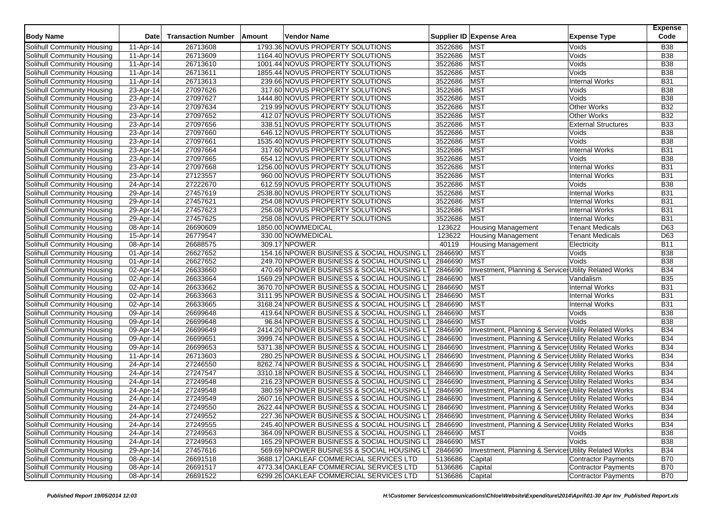| <b>Body Name</b>                  | Date      | <b>Transaction Number</b> | Amount | Vendor Name                                 |                    | Supplier ID Expense Area<br><b>Expense Type</b>       |                            | <b>Expense</b><br>Code |
|-----------------------------------|-----------|---------------------------|--------|---------------------------------------------|--------------------|-------------------------------------------------------|----------------------------|------------------------|
| Solihull Community Housing        | 11-Apr-14 | 26713608                  |        | 1793.36 NOVUS PROPERTY SOLUTIONS            | 3522686            | <b>MST</b><br>Voids                                   |                            | <b>B38</b>             |
| Solihull Community Housing        | 11-Apr-14 | 26713609                  |        | 1164.40 NOVUS PROPERTY SOLUTIONS            | 3522686            | <b>MST</b><br>Voids                                   |                            | <b>B38</b>             |
| Solihull Community Housing        | 11-Apr-14 | 26713610                  |        | 1001.44 NOVUS PROPERTY SOLUTIONS            | 3522686            | <b>MST</b><br>Voids                                   |                            | <b>B38</b>             |
| Solihull Community Housing        | 11-Apr-14 | 26713611                  |        | 1855.44 NOVUS PROPERTY SOLUTIONS            | 3522686            | <b>MST</b><br>Voids                                   |                            | <b>B38</b>             |
| Solihull Community Housing        | 11-Apr-14 | 26713613                  |        | 239.66 NOVUS PROPERTY SOLUTIONS             | 3522686            | <b>MST</b><br><b>Internal Works</b>                   |                            | <b>B31</b>             |
| Solihull Community Housing        | 23-Apr-14 | 27097626                  |        | 317.60 NOVUS PROPERTY SOLUTIONS             | 3522686            | <b>MST</b><br>Voids                                   |                            | <b>B38</b>             |
| Solihull Community Housing        | 23-Apr-14 | 27097627                  |        | 1444.80 NOVUS PROPERTY SOLUTIONS            | 3522686            | <b>MST</b><br>Voids                                   |                            | <b>B38</b>             |
| Solihull Community Housing        | 23-Apr-14 | 27097634                  |        | 219.99 NOVUS PROPERTY SOLUTIONS             | 3522686            | <b>MST</b><br><b>Other Works</b>                      |                            | <b>B32</b>             |
| Solihull Community Housing        | 23-Apr-14 | 27097652                  |        | 412.07 NOVUS PROPERTY SOLUTIONS             | 3522686            | <b>MST</b><br><b>Other Works</b>                      |                            | <b>B32</b>             |
| Solihull Community Housing        | 23-Apr-14 | 27097656                  |        | 338.51 NOVUS PROPERTY SOLUTIONS             | 3522686            | <b>MST</b><br><b>External Structures</b>              |                            | <b>B33</b>             |
| Solihull Community Housing        | 23-Apr-14 | 27097660                  |        | 646.12 NOVUS PROPERTY SOLUTIONS             | 3522686            | <b>MST</b><br>Voids                                   |                            | <b>B38</b>             |
| Solihull Community Housing        | 23-Apr-14 | 27097661                  |        | 1535.40 NOVUS PROPERTY SOLUTIONS            | 3522686            | <b>MST</b><br>Voids                                   |                            | <b>B38</b>             |
|                                   |           | 27097664                  |        | 317.60 NOVUS PROPERTY SOLUTIONS             | 3522686            | <b>MST</b><br><b>Internal Works</b>                   |                            | <b>B31</b>             |
| Solihull Community Housing        | 23-Apr-14 | 27097665                  |        |                                             |                    | <b>MST</b>                                            |                            | <b>B38</b>             |
| Solihull Community Housing        | 23-Apr-14 | 27097668                  |        | 654.12 NOVUS PROPERTY SOLUTIONS             | 3522686<br>3522686 | Voids<br><b>MST</b>                                   |                            |                        |
| Solihull Community Housing        | 23-Apr-14 |                           |        | 1256.00 NOVUS PROPERTY SOLUTIONS            |                    | <b>Internal Works</b>                                 |                            | <b>B31</b>             |
| Solihull Community Housing        | 23-Apr-14 | 27123557                  |        | 960.00 NOVUS PROPERTY SOLUTIONS             | 3522686            | <b>MST</b><br><b>Internal Works</b>                   |                            | <b>B31</b>             |
| Solihull Community Housing        | 24-Apr-14 | 27222670                  |        | 612.59 NOVUS PROPERTY SOLUTIONS             | 3522686            | <b>MST</b><br>Voids                                   |                            | <b>B38</b>             |
| Solihull Community Housing        | 29-Apr-14 | 27457619                  |        | 2538.80 NOVUS PROPERTY SOLUTIONS            | 3522686            | <b>MST</b><br><b>Internal Works</b>                   |                            | <b>B31</b>             |
| Solihull Community Housing        | 29-Apr-14 | 27457621                  |        | 254.08 NOVUS PROPERTY SOLUTIONS             | 3522686            | <b>MST</b><br><b>Internal Works</b>                   |                            | <b>B31</b>             |
| Solihull Community Housing        | 29-Apr-14 | 27457623                  |        | 256.08 NOVUS PROPERTY SOLUTIONS             | 3522686            | <b>MST</b><br><b>Internal Works</b>                   |                            | B31                    |
| Solihull Community Housing        | 29-Apr-14 | 27457625                  |        | 258.08 NOVUS PROPERTY SOLUTIONS             | 3522686            | <b>MST</b><br><b>Internal Works</b>                   |                            | <b>B31</b>             |
| Solihull Community Housing        | 08-Apr-14 | 26690609                  |        | 1850.00 NOWMEDICAL                          | 123622             | <b>Housing Management</b><br><b>Tenant Medicals</b>   |                            | D63                    |
| Solihull Community Housing        | 15-Apr-14 | 26779547                  |        | 330.00 NOWMEDICAL                           | 123622             | <b>Tenant Medicals</b><br><b>Housing Management</b>   |                            | D63                    |
| Solihull Community Housing        | 08-Apr-14 | 26688575                  |        | 309.17 NPOWER                               | 40119              | <b>Housing Management</b><br>Electricity              |                            | <b>B11</b>             |
| Solihull Community Housing        | 01-Apr-14 | 26627652                  |        | 154.16 NPOWER BUSINESS & SOCIAL HOUSING LT  | 2846690            | <b>MST</b><br>Voids                                   |                            | <b>B38</b>             |
| Solihull Community Housing        | 01-Apr-14 | 26627652                  |        | 249.70 NPOWER BUSINESS & SOCIAL HOUSING LT  | 2846690            | <b>MST</b><br>Voids                                   |                            | <b>B38</b>             |
| Solihull Community Housing        | 02-Apr-14 | 26633660                  |        | 470.49 NPOWER BUSINESS & SOCIAL HOUSING LT  | 2846690            | Investment, Planning & Services Utility Related Works |                            | <b>B34</b>             |
| Solihull Community Housing        | 02-Apr-14 | 26633664                  |        | 1569.29 NPOWER BUSINESS & SOCIAL HOUSING L' | 2846690            | <b>MST</b><br>Vandalism                               |                            | <b>B35</b>             |
| Solihull Community Housing        | 02-Apr-14 | 26633662                  |        | 3670.70 NPOWER BUSINESS & SOCIAL HOUSING LT | 2846690            | <b>MST</b><br><b>Internal Works</b>                   |                            | <b>B31</b>             |
| Solihull Community Housing        | 02-Apr-14 | 26633663                  |        | 3111.95 NPOWER BUSINESS & SOCIAL HOUSING LT | 2846690            | <b>MST</b><br><b>Internal Works</b>                   |                            | <b>B31</b>             |
| Solihull Community Housing        | 02-Apr-14 | 26633665                  |        | 3168.24 NPOWER BUSINESS & SOCIAL HOUSING LT | 2846690            | <b>MST</b><br>Internal Works                          |                            | <b>B31</b>             |
| Solihull Community Housing        | 09-Apr-14 | 26699648                  |        | 419.64 NPOWER BUSINESS & SOCIAL HOUSING LT  | 2846690            | <b>MST</b><br>Voids                                   |                            | <b>B38</b>             |
| Solihull Community Housing        | 09-Apr-14 | 26699648                  |        | 96.84 NPOWER BUSINESS & SOCIAL HOUSING LT   | 2846690            | <b>MST</b><br>Voids                                   |                            | <b>B38</b>             |
| Solihull Community Housing        | 09-Apr-14 | 26699649                  |        | 2414.20 NPOWER BUSINESS & SOCIAL HOUSING LT | 2846690            | Investment, Planning & Service: Utility Related Works |                            | <b>B34</b>             |
| Solihull Community Housing        | 09-Apr-14 | 26699651                  |        | 3999.74 NPOWER BUSINESS & SOCIAL HOUSING L' | 2846690            | Investment, Planning & Services Utility Related Works |                            | <b>B34</b>             |
| Solihull Community Housing        | 09-Apr-14 | 26699653                  |        | 5371.38 NPOWER BUSINESS & SOCIAL HOUSING LT | 2846690            | Investment, Planning & Services Utility Related Works |                            | <b>B34</b>             |
| Solihull Community Housing        | 11-Apr-14 | 26713603                  |        | 280.25 NPOWER BUSINESS & SOCIAL HOUSING LT  | 2846690            | Investment, Planning & Services Utility Related Works |                            | <b>B34</b>             |
| Solihull Community Housing        | 24-Apr-14 | 27246550                  |        | 8262.74 NPOWER BUSINESS & SOCIAL HOUSING LT | 2846690            | Investment, Planning & Service: Utility Related Works |                            | <b>B34</b>             |
| Solihull Community Housing        | 24-Apr-14 | 27247547                  |        | 3310.18 NPOWER BUSINESS & SOCIAL HOUSING LT | 2846690            | Investment, Planning & Services Utility Related Works |                            | <b>B34</b>             |
| Solihull Community Housing        | 24-Apr-14 | 27249548                  |        | 216.23 NPOWER BUSINESS & SOCIAL HOUSING LT  | 2846690            | Investment, Planning & Services Utility Related Works |                            | <b>B34</b>             |
| Solihull Community Housing        | 24-Apr-14 | 27249548                  |        | 380.59 NPOWER BUSINESS & SOCIAL HOUSING L'  | 2846690            | Investment, Planning & Services Utility Related Works |                            | <b>B34</b>             |
| Solihull Community Housing        | 24-Apr-14 | 27249549                  |        | 2607.16 NPOWER BUSINESS & SOCIAL HOUSING LT | 2846690            | Investment, Planning & Services Utility Related Works |                            | <b>B34</b>             |
| Solihull Community Housing        | 24-Apr-14 | 27249550                  |        | 2622.44 NPOWER BUSINESS & SOCIAL HOUSING LT | 2846690            | Investment, Planning & Services Utility Related Works |                            | <b>B34</b>             |
| Solihull Community Housing        | 24-Apr-14 | 27249552                  |        | 227.36 NPOWER BUSINESS & SOCIAL HOUSING LT  | 2846690            | Investment, Planning & Service Utility Related Works  |                            | <b>B34</b>             |
| Solihull Community Housing        | 24-Apr-14 | 27249555                  |        | 245.40 NPOWER BUSINESS & SOCIAL HOUSING LT  | 2846690            | Investment, Planning & Services Utility Related Works |                            | <b>B34</b>             |
| Solihull Community Housing        | 24-Apr-14 | 27249563                  |        | 364.09 NPOWER BUSINESS & SOCIAL HOUSING LT  | 2846690            | <b>MST</b><br>Voids                                   |                            | <b>B38</b>             |
| Solihull Community Housing        | 24-Apr-14 | 27249563                  |        | 165.29 NPOWER BUSINESS & SOCIAL HOUSING LT  | 2846690            | <b>MST</b><br>Voids                                   |                            | <b>B38</b>             |
| Solihull Community Housing        | 29-Apr-14 | 27457616                  |        | 569.69 NPOWER BUSINESS & SOCIAL HOUSING LT  | 2846690            | Investment, Planning & Services Utility Related Works |                            | <b>B34</b>             |
| Solihull Community Housing        | 08-Apr-14 |                           |        | 3688.17 OAKLEAF COMMERCIAL SERVICES LTD     |                    |                                                       | <b>Contractor Payments</b> | <b>B70</b>             |
| <b>Solihull Community Housing</b> | 08-Apr-14 | 26691518<br>26691517      |        | 4773.34 OAKLEAF COMMERCIAL SERVICES LTD     | 5136686<br>5136686 | Capital<br>Capital                                    | Contractor Payments        | <b>B70</b>             |
| Solihull Community Housing        | 08-Apr-14 | 26691522                  |        | 6299.26 OAKLEAF COMMERCIAL SERVICES LTD     | 5136686            |                                                       | Contractor Payments        | <b>B70</b>             |
|                                   |           |                           |        |                                             |                    | Capital                                               |                            |                        |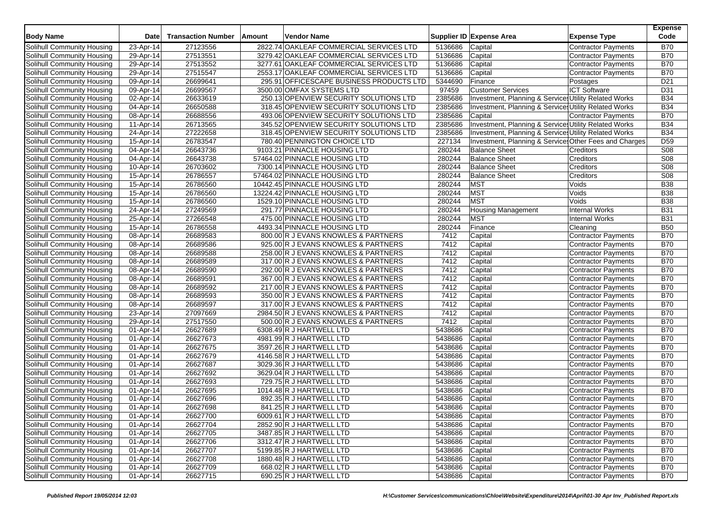| 2822.74 OAKLEAF COMMERCIAL SERVICES LTD<br>Solihull Community Housing<br>27123556<br><b>Contractor Payments</b><br><b>B70</b><br>23-Apr-14<br>5136686<br>Capital<br>27513551<br>3279.42 OAKLEAF COMMERCIAL SERVICES LTD<br>5136686<br>Capital<br><b>B70</b><br>Solihull Community Housing<br>29-Apr-14<br><b>Contractor Payments</b><br>27513552<br>3277.61 OAKLEAF COMMERCIAL SERVICES LTD<br>5136686<br><b>B70</b><br>Solihull Community Housing<br>29-Apr-14<br>Capital<br>Contractor Payments<br>27515547<br>2553.17 OAKLEAF COMMERCIAL SERVICES LTD<br>5136686<br>Capital<br><b>B70</b><br>29-Apr-14<br><b>Contractor Payments</b><br>26699641<br>Solihull Community Housing<br>295.91 OFFICESCAPE BUSINESS PRODUCTS LTD<br>5344690<br>Finance<br>D <sub>21</sub><br>09-Apr-14<br>Postages<br>26699567<br><b>ICT Software</b><br>3500.00 OMFAX SYSTEMS LTD<br>97459<br><b>Customer Services</b><br>D31<br>Solihull Community Housing<br>09-Apr-14<br>Solihull Community Housing<br>26633619<br>250.13 OPENVIEW SECURITY SOLUTIONS LTD<br>2385686<br>Investment, Planning & Services Utility Related Works<br><b>B34</b><br>02-Apr-14<br>26650588<br>318.45 OPENVIEW SECURITY SOLUTIONS LTD<br>2385686<br>Investment, Planning & Services Utility Related Works<br><b>B34</b><br>Solihull Community Housing<br>04-Apr-14<br>26688556<br>493.06 OPENVIEW SECURITY SOLUTIONS LTD<br>2385686<br><b>B70</b><br>Solihull Community Housing<br>08-Apr-14<br>Capital<br>Contractor Payments<br>Solihull Community Housing<br>26713565<br>345.52 OPENVIEW SECURITY SOLUTIONS LTD<br>2385686<br>Investment, Planning & Services Utility Related Works<br><b>B34</b><br>11-Apr-14<br>27222658<br>318.45 OPENVIEW SECURITY SOLUTIONS LTD<br>2385686<br><b>B34</b><br>Solihull Community Housing<br>24-Apr-14<br>Investment, Planning & Services Utility Related Works<br>26783547<br>780.40 PENNINGTON CHOICE LTD<br>227134<br>D <sub>59</sub><br>15-Apr-14<br>Investment, Planning & Service Other Fees and Charges<br>26643736<br>9103.21 PINNACLE HOUSING LTD<br>280244<br><b>Balance Sheet</b><br><b>S08</b><br>Solihull Community Housing<br>04-Apr-14<br>Creditors<br><b>S08</b><br>26643738<br>57464.02 PINNACLE HOUSING LTD<br>280244<br><b>Balance Sheet</b><br>04-Apr-14<br>Creditors<br>26703602<br>280244<br><b>Balance Sheet</b><br>Creditors<br>S08<br>10-Apr-14<br>7300.14 PINNACLE HOUSING LTD<br>26786557<br>57464.02 PINNACLE HOUSING LTD<br>280244<br><b>Balance Sheet</b><br>S08<br>Solihull Community Housing<br>$15$ -Apr-14<br>Creditors<br>Solihull Community Housing<br>26786560<br>10442.45 PINNACLE HOUSING LTD<br>280244<br><b>MST</b><br>Voids<br><b>B38</b><br>15-Apr-14<br><b>MST</b><br>26786560<br>13224.42 PINNACLE HOUSING LTD<br>280244<br>Voids<br><b>B38</b><br>Solihull Community Housing<br>15-Apr-14<br>26786560<br><b>MST</b><br>1529.10 PINNACLE HOUSING LTD<br>280244<br>Voids<br><b>B38</b><br>Solihull Community Housing<br>15-Apr-14<br>27249569<br>291.77 PINNACLE HOUSING LTD<br>280244<br><b>Internal Works</b><br>Solihull Community Housing<br>24-Apr-14<br><b>Housing Management</b><br><b>B31</b><br><b>MST</b><br>27266548<br>475.00 PINNACLE HOUSING LTD<br>280244<br><b>Internal Works</b><br><b>B31</b><br>Solihull Community Housing<br>25-Apr-14<br>26786558<br>280244<br><b>B50</b><br>Solihull Community Housing<br>15-Apr-14<br>4493.34 PINNACLE HOUSING LTD<br>Finance<br>Cleaning<br>26689583<br>800.00 R J EVANS KNOWLES & PARTNERS<br>7412<br>Capital<br><b>Contractor Payments</b><br><b>B70</b><br>Solihull Community Housing<br>08-Apr-14<br>Solihull Community Housing<br>08-Apr-14<br>26689586<br>925.00 R J EVANS KNOWLES & PARTNERS<br>7412<br>Capital<br><b>B70</b><br><b>Contractor Payments</b><br>26689588<br>258.00 R J EVANS KNOWLES & PARTNERS<br>7412<br><b>B70</b><br>Solihull Community Housing<br>08-Apr-14<br>Capital<br>Contractor Payments<br>7412<br>26689589<br><b>B70</b><br>Solihull Community Housing<br>08-Apr-14<br>317.00 R J EVANS KNOWLES & PARTNERS<br>Capital<br><b>Contractor Payments</b><br>26689590<br>7412<br>Capital<br><b>B70</b><br>Solihull Community Housing<br>08-Apr-14<br>292.00 R J EVANS KNOWLES & PARTNERS<br><b>Contractor Payments</b><br>26689591<br>367.00 R J EVANS KNOWLES & PARTNERS<br>7412<br><b>B70</b><br>Solihull Community Housing<br>08-Apr-14<br>Capital<br>Contractor Payments<br>26689592<br>7412<br>Capital<br><b>B70</b><br>Solihull Community Housing<br>08-Apr-14<br>217.00 R J EVANS KNOWLES & PARTNERS<br>Contractor Payments<br>7412<br>Solihull Community Housing<br>08-Apr-14<br>26689593<br>350.00 R J EVANS KNOWLES & PARTNERS<br>Capital<br><b>B70</b><br><b>Contractor Payments</b><br>Solihull Community Housing<br>26689597<br>317.00 R J EVANS KNOWLES & PARTNERS<br>7412<br><b>B70</b><br>08-Apr-14<br>Capital<br>Contractor Payments<br>27097669<br>7412<br>Capital<br><b>B70</b><br>Solihull Community Housing<br>23-Apr-14<br>2984.50 R J EVANS KNOWLES & PARTNERS<br>Contractor Payments<br>7412<br>29-Apr-14<br>27517550<br>500.00 R J EVANS KNOWLES & PARTNERS<br>Capital<br><b>B70</b><br>Solihull Community Housing<br><b>Contractor Payments</b><br>26627689<br>5438686<br><b>B70</b><br>Solihull Community Housing<br>01-Apr-14<br>6308.49 R J HARTWELL LTD<br>Capital<br>Contractor Payments<br>26627673<br>4981.99 R J HARTWELL LTD<br>5438686<br>Capital<br><b>B70</b><br>Solihull Community Housing<br>01-Apr-14<br>Contractor Payments<br>26627675<br>3597.26 R J HARTWELL LTD<br>5438686<br><b>B70</b><br>Solihull Community Housing<br>01-Apr-14<br>Capital<br><b>Contractor Payments</b><br>26627679<br>5438686<br><b>B70</b><br>Solihull Community Housing<br>01-Apr-14<br>4146.58 R J HARTWELL LTD<br>Capital<br><b>Contractor Payments</b><br>26627687<br>3029.36 R J HARTWELL LTD<br>Capital<br><b>B70</b><br>01-Apr-14<br>5438686<br><b>Contractor Payments</b><br>26627692<br>3629.04 R J HARTWELL LTD<br>5438686<br><b>B70</b><br>Solihull Community Housing<br>01-Apr-14<br>Capital<br><b>Contractor Payments</b><br>26627693<br>5438686<br><b>B70</b><br>Solihull Community Housing<br>01-Apr-14<br>729.75 R J HARTWELL LTD<br>Capital<br><b>Contractor Payments</b><br>26627695<br>1014.48 R J HARTWELL LTD<br>5438686<br><b>B70</b><br>Solihull Community Housing<br>01-Apr-14<br>Capital<br>Contractor Payments<br>26627696<br>5438686<br><b>B70</b><br>892.35 R J HARTWELL LTD<br>Capital<br>Solihull Community Housing<br>01-Apr-14<br><b>Contractor Payments</b><br>26627698<br>5438686<br><b>B70</b><br>Solihull Community Housing<br>01-Apr-14<br>841.25 R J HARTWELL LTD<br>Capital<br>Contractor Payments<br>Solihull Community Housing<br>6009.61 R J HARTWELL LTD<br>5438686 Capital<br>Contractor Payments<br><b>B70</b><br>01-Apr-14<br>26627700<br>Solihull Community Housing<br>01-Apr-14<br>26627704<br>2852.90 R J HARTWELL LTD<br>5438686<br>Contractor Payments<br><b>B70</b><br>Capital<br>Solihull Community Housing<br>01-Apr-14<br>26627705<br>3487.85 R J HARTWELL LTD<br>5438686<br>Capital<br><b>Contractor Payments</b><br><b>B70</b><br>26627706<br>Solihull Community Housing<br>01-Apr-14<br>3312.47 R J HARTWELL LTD<br>5438686<br>Capital<br><b>B70</b><br><b>Contractor Payments</b><br>Solihull Community Housing<br>01-Apr-14<br>26627707<br>5199.85 R J HARTWELL LTD<br><b>Contractor Payments</b><br><b>B70</b><br>5438686<br>Capital<br>Solihull Community Housing<br>01-Apr-14<br>Capital<br>Contractor Payments<br><b>B70</b><br>26627708<br>1880.48 R J HARTWELL LTD<br>5438686<br>Solihull Community Housing<br>26627709<br>668.02 R J HARTWELL LTD<br>5438686<br><b>B70</b><br>01-Apr-14<br>Capital<br>Contractor Payments<br>690.25 R J HARTWELL LTD<br>Capital | <b>Body Name</b>           | <b>Date</b> | <b>Transaction Number</b> | Amount | Vendor Name |         | Supplier ID Expense Area | <b>Expense Type</b> | <b>Expense</b><br>Code |
|----------------------------------------------------------------------------------------------------------------------------------------------------------------------------------------------------------------------------------------------------------------------------------------------------------------------------------------------------------------------------------------------------------------------------------------------------------------------------------------------------------------------------------------------------------------------------------------------------------------------------------------------------------------------------------------------------------------------------------------------------------------------------------------------------------------------------------------------------------------------------------------------------------------------------------------------------------------------------------------------------------------------------------------------------------------------------------------------------------------------------------------------------------------------------------------------------------------------------------------------------------------------------------------------------------------------------------------------------------------------------------------------------------------------------------------------------------------------------------------------------------------------------------------------------------------------------------------------------------------------------------------------------------------------------------------------------------------------------------------------------------------------------------------------------------------------------------------------------------------------------------------------------------------------------------------------------------------------------------------------------------------------------------------------------------------------------------------------------------------------------------------------------------------------------------------------------------------------------------------------------------------------------------------------------------------------------------------------------------------------------------------------------------------------------------------------------------------------------------------------------------------------------------------------------------------------------------------------------------------------------------------------------------------------------------------------------------------------------------------------------------------------------------------------------------------------------------------------------------------------------------------------------------------------------------------------------------------------------------------------------------------------------------------------------------------------------------------------------------------------------------------------------------------------------------------------------------------------------------------------------------------------------------------------------------------------------------------------------------------------------------------------------------------------------------------------------------------------------------------------------------------------------------------------------------------------------------------------------------------------------------------------------------------------------------------------------------------------------------------------------------------------------------------------------------------------------------------------------------------------------------------------------------------------------------------------------------------------------------------------------------------------------------------------------------------------------------------------------------------------------------------------------------------------------------------------------------------------------------------------------------------------------------------------------------------------------------------------------------------------------------------------------------------------------------------------------------------------------------------------------------------------------------------------------------------------------------------------------------------------------------------------------------------------------------------------------------------------------------------------------------------------------------------------------------------------------------------------------------------------------------------------------------------------------------------------------------------------------------------------------------------------------------------------------------------------------------------------------------------------------------------------------------------------------------------------------------------------------------------------------------------------------------------------------------------------------------------------------------------------------------------------------------------------------------------------------------------------------------------------------------------------------------------------------------------------------------------------------------------------------------------------------------------------------------------------------------------------------------------------------------------------------------------------------------------------------------------------------------------------------------------------------------------------------------------------------------------------------------------------------------------------------------------------------------------------------------------------------------------------------------------------------------------------------------------------------------------------------------------------------------------------------------------------------------------------------------------------------------------------------------------------------------------------------------------------------------------------------------------------------------------------------------------------------------------------------------------------------------------------------------------------------------------------------------------------------------------------------------------------------------------------------------------------------------------------------------------------------------------------------------------------------------------------------------------------------------------------------------------------------------------------------------------------------------------------------------------------------------------------------------------------------------------------------------------------------------------------------------------------------------------------------------------------------------------------------------------------------------------------------------------------------------------------------------------------------------------------------------------------------------------------------------------------------------------------------------------------------------------------------------------------------------------------------------------------------------------------------------------------------------------------------------------|----------------------------|-------------|---------------------------|--------|-------------|---------|--------------------------|---------------------|------------------------|
|                                                                                                                                                                                                                                                                                                                                                                                                                                                                                                                                                                                                                                                                                                                                                                                                                                                                                                                                                                                                                                                                                                                                                                                                                                                                                                                                                                                                                                                                                                                                                                                                                                                                                                                                                                                                                                                                                                                                                                                                                                                                                                                                                                                                                                                                                                                                                                                                                                                                                                                                                                                                                                                                                                                                                                                                                                                                                                                                                                                                                                                                                                                                                                                                                                                                                                                                                                                                                                                                                                                                                                                                                                                                                                                                                                                                                                                                                                                                                                                                                                                                                                                                                                                                                                                                                                                                                                                                                                                                                                                                                                                                                                                                                                                                                                                                                                                                                                                                                                                                                                                                                                                                                                                                                                                                                                                                                                                                                                                                                                                                                                                                                                                                                                                                                                                                                                                                                                                                                                                                                                                                                                                                                                                                                                                                                                                                                                                                                                                                                                                                                                                                                                                                                                                                                                                                                                                                                                                                                                                                                                                                                                                                                                                                                                                                                                                                                                                                                                                                                                                                                                                                                                                                                                                                                                                        |                            |             |                           |        |             |         |                          |                     |                        |
|                                                                                                                                                                                                                                                                                                                                                                                                                                                                                                                                                                                                                                                                                                                                                                                                                                                                                                                                                                                                                                                                                                                                                                                                                                                                                                                                                                                                                                                                                                                                                                                                                                                                                                                                                                                                                                                                                                                                                                                                                                                                                                                                                                                                                                                                                                                                                                                                                                                                                                                                                                                                                                                                                                                                                                                                                                                                                                                                                                                                                                                                                                                                                                                                                                                                                                                                                                                                                                                                                                                                                                                                                                                                                                                                                                                                                                                                                                                                                                                                                                                                                                                                                                                                                                                                                                                                                                                                                                                                                                                                                                                                                                                                                                                                                                                                                                                                                                                                                                                                                                                                                                                                                                                                                                                                                                                                                                                                                                                                                                                                                                                                                                                                                                                                                                                                                                                                                                                                                                                                                                                                                                                                                                                                                                                                                                                                                                                                                                                                                                                                                                                                                                                                                                                                                                                                                                                                                                                                                                                                                                                                                                                                                                                                                                                                                                                                                                                                                                                                                                                                                                                                                                                                                                                                                                                        |                            |             |                           |        |             |         |                          |                     |                        |
|                                                                                                                                                                                                                                                                                                                                                                                                                                                                                                                                                                                                                                                                                                                                                                                                                                                                                                                                                                                                                                                                                                                                                                                                                                                                                                                                                                                                                                                                                                                                                                                                                                                                                                                                                                                                                                                                                                                                                                                                                                                                                                                                                                                                                                                                                                                                                                                                                                                                                                                                                                                                                                                                                                                                                                                                                                                                                                                                                                                                                                                                                                                                                                                                                                                                                                                                                                                                                                                                                                                                                                                                                                                                                                                                                                                                                                                                                                                                                                                                                                                                                                                                                                                                                                                                                                                                                                                                                                                                                                                                                                                                                                                                                                                                                                                                                                                                                                                                                                                                                                                                                                                                                                                                                                                                                                                                                                                                                                                                                                                                                                                                                                                                                                                                                                                                                                                                                                                                                                                                                                                                                                                                                                                                                                                                                                                                                                                                                                                                                                                                                                                                                                                                                                                                                                                                                                                                                                                                                                                                                                                                                                                                                                                                                                                                                                                                                                                                                                                                                                                                                                                                                                                                                                                                                                                        |                            |             |                           |        |             |         |                          |                     |                        |
|                                                                                                                                                                                                                                                                                                                                                                                                                                                                                                                                                                                                                                                                                                                                                                                                                                                                                                                                                                                                                                                                                                                                                                                                                                                                                                                                                                                                                                                                                                                                                                                                                                                                                                                                                                                                                                                                                                                                                                                                                                                                                                                                                                                                                                                                                                                                                                                                                                                                                                                                                                                                                                                                                                                                                                                                                                                                                                                                                                                                                                                                                                                                                                                                                                                                                                                                                                                                                                                                                                                                                                                                                                                                                                                                                                                                                                                                                                                                                                                                                                                                                                                                                                                                                                                                                                                                                                                                                                                                                                                                                                                                                                                                                                                                                                                                                                                                                                                                                                                                                                                                                                                                                                                                                                                                                                                                                                                                                                                                                                                                                                                                                                                                                                                                                                                                                                                                                                                                                                                                                                                                                                                                                                                                                                                                                                                                                                                                                                                                                                                                                                                                                                                                                                                                                                                                                                                                                                                                                                                                                                                                                                                                                                                                                                                                                                                                                                                                                                                                                                                                                                                                                                                                                                                                                                                        | Solihull Community Housing |             |                           |        |             |         |                          |                     |                        |
|                                                                                                                                                                                                                                                                                                                                                                                                                                                                                                                                                                                                                                                                                                                                                                                                                                                                                                                                                                                                                                                                                                                                                                                                                                                                                                                                                                                                                                                                                                                                                                                                                                                                                                                                                                                                                                                                                                                                                                                                                                                                                                                                                                                                                                                                                                                                                                                                                                                                                                                                                                                                                                                                                                                                                                                                                                                                                                                                                                                                                                                                                                                                                                                                                                                                                                                                                                                                                                                                                                                                                                                                                                                                                                                                                                                                                                                                                                                                                                                                                                                                                                                                                                                                                                                                                                                                                                                                                                                                                                                                                                                                                                                                                                                                                                                                                                                                                                                                                                                                                                                                                                                                                                                                                                                                                                                                                                                                                                                                                                                                                                                                                                                                                                                                                                                                                                                                                                                                                                                                                                                                                                                                                                                                                                                                                                                                                                                                                                                                                                                                                                                                                                                                                                                                                                                                                                                                                                                                                                                                                                                                                                                                                                                                                                                                                                                                                                                                                                                                                                                                                                                                                                                                                                                                                                                        |                            |             |                           |        |             |         |                          |                     |                        |
|                                                                                                                                                                                                                                                                                                                                                                                                                                                                                                                                                                                                                                                                                                                                                                                                                                                                                                                                                                                                                                                                                                                                                                                                                                                                                                                                                                                                                                                                                                                                                                                                                                                                                                                                                                                                                                                                                                                                                                                                                                                                                                                                                                                                                                                                                                                                                                                                                                                                                                                                                                                                                                                                                                                                                                                                                                                                                                                                                                                                                                                                                                                                                                                                                                                                                                                                                                                                                                                                                                                                                                                                                                                                                                                                                                                                                                                                                                                                                                                                                                                                                                                                                                                                                                                                                                                                                                                                                                                                                                                                                                                                                                                                                                                                                                                                                                                                                                                                                                                                                                                                                                                                                                                                                                                                                                                                                                                                                                                                                                                                                                                                                                                                                                                                                                                                                                                                                                                                                                                                                                                                                                                                                                                                                                                                                                                                                                                                                                                                                                                                                                                                                                                                                                                                                                                                                                                                                                                                                                                                                                                                                                                                                                                                                                                                                                                                                                                                                                                                                                                                                                                                                                                                                                                                                                                        |                            |             |                           |        |             |         |                          |                     |                        |
|                                                                                                                                                                                                                                                                                                                                                                                                                                                                                                                                                                                                                                                                                                                                                                                                                                                                                                                                                                                                                                                                                                                                                                                                                                                                                                                                                                                                                                                                                                                                                                                                                                                                                                                                                                                                                                                                                                                                                                                                                                                                                                                                                                                                                                                                                                                                                                                                                                                                                                                                                                                                                                                                                                                                                                                                                                                                                                                                                                                                                                                                                                                                                                                                                                                                                                                                                                                                                                                                                                                                                                                                                                                                                                                                                                                                                                                                                                                                                                                                                                                                                                                                                                                                                                                                                                                                                                                                                                                                                                                                                                                                                                                                                                                                                                                                                                                                                                                                                                                                                                                                                                                                                                                                                                                                                                                                                                                                                                                                                                                                                                                                                                                                                                                                                                                                                                                                                                                                                                                                                                                                                                                                                                                                                                                                                                                                                                                                                                                                                                                                                                                                                                                                                                                                                                                                                                                                                                                                                                                                                                                                                                                                                                                                                                                                                                                                                                                                                                                                                                                                                                                                                                                                                                                                                                                        |                            |             |                           |        |             |         |                          |                     |                        |
|                                                                                                                                                                                                                                                                                                                                                                                                                                                                                                                                                                                                                                                                                                                                                                                                                                                                                                                                                                                                                                                                                                                                                                                                                                                                                                                                                                                                                                                                                                                                                                                                                                                                                                                                                                                                                                                                                                                                                                                                                                                                                                                                                                                                                                                                                                                                                                                                                                                                                                                                                                                                                                                                                                                                                                                                                                                                                                                                                                                                                                                                                                                                                                                                                                                                                                                                                                                                                                                                                                                                                                                                                                                                                                                                                                                                                                                                                                                                                                                                                                                                                                                                                                                                                                                                                                                                                                                                                                                                                                                                                                                                                                                                                                                                                                                                                                                                                                                                                                                                                                                                                                                                                                                                                                                                                                                                                                                                                                                                                                                                                                                                                                                                                                                                                                                                                                                                                                                                                                                                                                                                                                                                                                                                                                                                                                                                                                                                                                                                                                                                                                                                                                                                                                                                                                                                                                                                                                                                                                                                                                                                                                                                                                                                                                                                                                                                                                                                                                                                                                                                                                                                                                                                                                                                                                                        |                            |             |                           |        |             |         |                          |                     |                        |
|                                                                                                                                                                                                                                                                                                                                                                                                                                                                                                                                                                                                                                                                                                                                                                                                                                                                                                                                                                                                                                                                                                                                                                                                                                                                                                                                                                                                                                                                                                                                                                                                                                                                                                                                                                                                                                                                                                                                                                                                                                                                                                                                                                                                                                                                                                                                                                                                                                                                                                                                                                                                                                                                                                                                                                                                                                                                                                                                                                                                                                                                                                                                                                                                                                                                                                                                                                                                                                                                                                                                                                                                                                                                                                                                                                                                                                                                                                                                                                                                                                                                                                                                                                                                                                                                                                                                                                                                                                                                                                                                                                                                                                                                                                                                                                                                                                                                                                                                                                                                                                                                                                                                                                                                                                                                                                                                                                                                                                                                                                                                                                                                                                                                                                                                                                                                                                                                                                                                                                                                                                                                                                                                                                                                                                                                                                                                                                                                                                                                                                                                                                                                                                                                                                                                                                                                                                                                                                                                                                                                                                                                                                                                                                                                                                                                                                                                                                                                                                                                                                                                                                                                                                                                                                                                                                                        |                            |             |                           |        |             |         |                          |                     |                        |
|                                                                                                                                                                                                                                                                                                                                                                                                                                                                                                                                                                                                                                                                                                                                                                                                                                                                                                                                                                                                                                                                                                                                                                                                                                                                                                                                                                                                                                                                                                                                                                                                                                                                                                                                                                                                                                                                                                                                                                                                                                                                                                                                                                                                                                                                                                                                                                                                                                                                                                                                                                                                                                                                                                                                                                                                                                                                                                                                                                                                                                                                                                                                                                                                                                                                                                                                                                                                                                                                                                                                                                                                                                                                                                                                                                                                                                                                                                                                                                                                                                                                                                                                                                                                                                                                                                                                                                                                                                                                                                                                                                                                                                                                                                                                                                                                                                                                                                                                                                                                                                                                                                                                                                                                                                                                                                                                                                                                                                                                                                                                                                                                                                                                                                                                                                                                                                                                                                                                                                                                                                                                                                                                                                                                                                                                                                                                                                                                                                                                                                                                                                                                                                                                                                                                                                                                                                                                                                                                                                                                                                                                                                                                                                                                                                                                                                                                                                                                                                                                                                                                                                                                                                                                                                                                                                                        |                            |             |                           |        |             |         |                          |                     |                        |
|                                                                                                                                                                                                                                                                                                                                                                                                                                                                                                                                                                                                                                                                                                                                                                                                                                                                                                                                                                                                                                                                                                                                                                                                                                                                                                                                                                                                                                                                                                                                                                                                                                                                                                                                                                                                                                                                                                                                                                                                                                                                                                                                                                                                                                                                                                                                                                                                                                                                                                                                                                                                                                                                                                                                                                                                                                                                                                                                                                                                                                                                                                                                                                                                                                                                                                                                                                                                                                                                                                                                                                                                                                                                                                                                                                                                                                                                                                                                                                                                                                                                                                                                                                                                                                                                                                                                                                                                                                                                                                                                                                                                                                                                                                                                                                                                                                                                                                                                                                                                                                                                                                                                                                                                                                                                                                                                                                                                                                                                                                                                                                                                                                                                                                                                                                                                                                                                                                                                                                                                                                                                                                                                                                                                                                                                                                                                                                                                                                                                                                                                                                                                                                                                                                                                                                                                                                                                                                                                                                                                                                                                                                                                                                                                                                                                                                                                                                                                                                                                                                                                                                                                                                                                                                                                                                                        |                            |             |                           |        |             |         |                          |                     |                        |
|                                                                                                                                                                                                                                                                                                                                                                                                                                                                                                                                                                                                                                                                                                                                                                                                                                                                                                                                                                                                                                                                                                                                                                                                                                                                                                                                                                                                                                                                                                                                                                                                                                                                                                                                                                                                                                                                                                                                                                                                                                                                                                                                                                                                                                                                                                                                                                                                                                                                                                                                                                                                                                                                                                                                                                                                                                                                                                                                                                                                                                                                                                                                                                                                                                                                                                                                                                                                                                                                                                                                                                                                                                                                                                                                                                                                                                                                                                                                                                                                                                                                                                                                                                                                                                                                                                                                                                                                                                                                                                                                                                                                                                                                                                                                                                                                                                                                                                                                                                                                                                                                                                                                                                                                                                                                                                                                                                                                                                                                                                                                                                                                                                                                                                                                                                                                                                                                                                                                                                                                                                                                                                                                                                                                                                                                                                                                                                                                                                                                                                                                                                                                                                                                                                                                                                                                                                                                                                                                                                                                                                                                                                                                                                                                                                                                                                                                                                                                                                                                                                                                                                                                                                                                                                                                                                                        | Solihull Community Housing |             |                           |        |             |         |                          |                     |                        |
|                                                                                                                                                                                                                                                                                                                                                                                                                                                                                                                                                                                                                                                                                                                                                                                                                                                                                                                                                                                                                                                                                                                                                                                                                                                                                                                                                                                                                                                                                                                                                                                                                                                                                                                                                                                                                                                                                                                                                                                                                                                                                                                                                                                                                                                                                                                                                                                                                                                                                                                                                                                                                                                                                                                                                                                                                                                                                                                                                                                                                                                                                                                                                                                                                                                                                                                                                                                                                                                                                                                                                                                                                                                                                                                                                                                                                                                                                                                                                                                                                                                                                                                                                                                                                                                                                                                                                                                                                                                                                                                                                                                                                                                                                                                                                                                                                                                                                                                                                                                                                                                                                                                                                                                                                                                                                                                                                                                                                                                                                                                                                                                                                                                                                                                                                                                                                                                                                                                                                                                                                                                                                                                                                                                                                                                                                                                                                                                                                                                                                                                                                                                                                                                                                                                                                                                                                                                                                                                                                                                                                                                                                                                                                                                                                                                                                                                                                                                                                                                                                                                                                                                                                                                                                                                                                                                        |                            |             |                           |        |             |         |                          |                     |                        |
|                                                                                                                                                                                                                                                                                                                                                                                                                                                                                                                                                                                                                                                                                                                                                                                                                                                                                                                                                                                                                                                                                                                                                                                                                                                                                                                                                                                                                                                                                                                                                                                                                                                                                                                                                                                                                                                                                                                                                                                                                                                                                                                                                                                                                                                                                                                                                                                                                                                                                                                                                                                                                                                                                                                                                                                                                                                                                                                                                                                                                                                                                                                                                                                                                                                                                                                                                                                                                                                                                                                                                                                                                                                                                                                                                                                                                                                                                                                                                                                                                                                                                                                                                                                                                                                                                                                                                                                                                                                                                                                                                                                                                                                                                                                                                                                                                                                                                                                                                                                                                                                                                                                                                                                                                                                                                                                                                                                                                                                                                                                                                                                                                                                                                                                                                                                                                                                                                                                                                                                                                                                                                                                                                                                                                                                                                                                                                                                                                                                                                                                                                                                                                                                                                                                                                                                                                                                                                                                                                                                                                                                                                                                                                                                                                                                                                                                                                                                                                                                                                                                                                                                                                                                                                                                                                                                        | Solihull Community Housing |             |                           |        |             |         |                          |                     |                        |
|                                                                                                                                                                                                                                                                                                                                                                                                                                                                                                                                                                                                                                                                                                                                                                                                                                                                                                                                                                                                                                                                                                                                                                                                                                                                                                                                                                                                                                                                                                                                                                                                                                                                                                                                                                                                                                                                                                                                                                                                                                                                                                                                                                                                                                                                                                                                                                                                                                                                                                                                                                                                                                                                                                                                                                                                                                                                                                                                                                                                                                                                                                                                                                                                                                                                                                                                                                                                                                                                                                                                                                                                                                                                                                                                                                                                                                                                                                                                                                                                                                                                                                                                                                                                                                                                                                                                                                                                                                                                                                                                                                                                                                                                                                                                                                                                                                                                                                                                                                                                                                                                                                                                                                                                                                                                                                                                                                                                                                                                                                                                                                                                                                                                                                                                                                                                                                                                                                                                                                                                                                                                                                                                                                                                                                                                                                                                                                                                                                                                                                                                                                                                                                                                                                                                                                                                                                                                                                                                                                                                                                                                                                                                                                                                                                                                                                                                                                                                                                                                                                                                                                                                                                                                                                                                                                                        | Solihull Community Housing |             |                           |        |             |         |                          |                     |                        |
|                                                                                                                                                                                                                                                                                                                                                                                                                                                                                                                                                                                                                                                                                                                                                                                                                                                                                                                                                                                                                                                                                                                                                                                                                                                                                                                                                                                                                                                                                                                                                                                                                                                                                                                                                                                                                                                                                                                                                                                                                                                                                                                                                                                                                                                                                                                                                                                                                                                                                                                                                                                                                                                                                                                                                                                                                                                                                                                                                                                                                                                                                                                                                                                                                                                                                                                                                                                                                                                                                                                                                                                                                                                                                                                                                                                                                                                                                                                                                                                                                                                                                                                                                                                                                                                                                                                                                                                                                                                                                                                                                                                                                                                                                                                                                                                                                                                                                                                                                                                                                                                                                                                                                                                                                                                                                                                                                                                                                                                                                                                                                                                                                                                                                                                                                                                                                                                                                                                                                                                                                                                                                                                                                                                                                                                                                                                                                                                                                                                                                                                                                                                                                                                                                                                                                                                                                                                                                                                                                                                                                                                                                                                                                                                                                                                                                                                                                                                                                                                                                                                                                                                                                                                                                                                                                                                        |                            |             |                           |        |             |         |                          |                     |                        |
|                                                                                                                                                                                                                                                                                                                                                                                                                                                                                                                                                                                                                                                                                                                                                                                                                                                                                                                                                                                                                                                                                                                                                                                                                                                                                                                                                                                                                                                                                                                                                                                                                                                                                                                                                                                                                                                                                                                                                                                                                                                                                                                                                                                                                                                                                                                                                                                                                                                                                                                                                                                                                                                                                                                                                                                                                                                                                                                                                                                                                                                                                                                                                                                                                                                                                                                                                                                                                                                                                                                                                                                                                                                                                                                                                                                                                                                                                                                                                                                                                                                                                                                                                                                                                                                                                                                                                                                                                                                                                                                                                                                                                                                                                                                                                                                                                                                                                                                                                                                                                                                                                                                                                                                                                                                                                                                                                                                                                                                                                                                                                                                                                                                                                                                                                                                                                                                                                                                                                                                                                                                                                                                                                                                                                                                                                                                                                                                                                                                                                                                                                                                                                                                                                                                                                                                                                                                                                                                                                                                                                                                                                                                                                                                                                                                                                                                                                                                                                                                                                                                                                                                                                                                                                                                                                                                        |                            |             |                           |        |             |         |                          |                     |                        |
|                                                                                                                                                                                                                                                                                                                                                                                                                                                                                                                                                                                                                                                                                                                                                                                                                                                                                                                                                                                                                                                                                                                                                                                                                                                                                                                                                                                                                                                                                                                                                                                                                                                                                                                                                                                                                                                                                                                                                                                                                                                                                                                                                                                                                                                                                                                                                                                                                                                                                                                                                                                                                                                                                                                                                                                                                                                                                                                                                                                                                                                                                                                                                                                                                                                                                                                                                                                                                                                                                                                                                                                                                                                                                                                                                                                                                                                                                                                                                                                                                                                                                                                                                                                                                                                                                                                                                                                                                                                                                                                                                                                                                                                                                                                                                                                                                                                                                                                                                                                                                                                                                                                                                                                                                                                                                                                                                                                                                                                                                                                                                                                                                                                                                                                                                                                                                                                                                                                                                                                                                                                                                                                                                                                                                                                                                                                                                                                                                                                                                                                                                                                                                                                                                                                                                                                                                                                                                                                                                                                                                                                                                                                                                                                                                                                                                                                                                                                                                                                                                                                                                                                                                                                                                                                                                                                        |                            |             |                           |        |             |         |                          |                     |                        |
|                                                                                                                                                                                                                                                                                                                                                                                                                                                                                                                                                                                                                                                                                                                                                                                                                                                                                                                                                                                                                                                                                                                                                                                                                                                                                                                                                                                                                                                                                                                                                                                                                                                                                                                                                                                                                                                                                                                                                                                                                                                                                                                                                                                                                                                                                                                                                                                                                                                                                                                                                                                                                                                                                                                                                                                                                                                                                                                                                                                                                                                                                                                                                                                                                                                                                                                                                                                                                                                                                                                                                                                                                                                                                                                                                                                                                                                                                                                                                                                                                                                                                                                                                                                                                                                                                                                                                                                                                                                                                                                                                                                                                                                                                                                                                                                                                                                                                                                                                                                                                                                                                                                                                                                                                                                                                                                                                                                                                                                                                                                                                                                                                                                                                                                                                                                                                                                                                                                                                                                                                                                                                                                                                                                                                                                                                                                                                                                                                                                                                                                                                                                                                                                                                                                                                                                                                                                                                                                                                                                                                                                                                                                                                                                                                                                                                                                                                                                                                                                                                                                                                                                                                                                                                                                                                                                        |                            |             |                           |        |             |         |                          |                     |                        |
|                                                                                                                                                                                                                                                                                                                                                                                                                                                                                                                                                                                                                                                                                                                                                                                                                                                                                                                                                                                                                                                                                                                                                                                                                                                                                                                                                                                                                                                                                                                                                                                                                                                                                                                                                                                                                                                                                                                                                                                                                                                                                                                                                                                                                                                                                                                                                                                                                                                                                                                                                                                                                                                                                                                                                                                                                                                                                                                                                                                                                                                                                                                                                                                                                                                                                                                                                                                                                                                                                                                                                                                                                                                                                                                                                                                                                                                                                                                                                                                                                                                                                                                                                                                                                                                                                                                                                                                                                                                                                                                                                                                                                                                                                                                                                                                                                                                                                                                                                                                                                                                                                                                                                                                                                                                                                                                                                                                                                                                                                                                                                                                                                                                                                                                                                                                                                                                                                                                                                                                                                                                                                                                                                                                                                                                                                                                                                                                                                                                                                                                                                                                                                                                                                                                                                                                                                                                                                                                                                                                                                                                                                                                                                                                                                                                                                                                                                                                                                                                                                                                                                                                                                                                                                                                                                                                        |                            |             |                           |        |             |         |                          |                     |                        |
|                                                                                                                                                                                                                                                                                                                                                                                                                                                                                                                                                                                                                                                                                                                                                                                                                                                                                                                                                                                                                                                                                                                                                                                                                                                                                                                                                                                                                                                                                                                                                                                                                                                                                                                                                                                                                                                                                                                                                                                                                                                                                                                                                                                                                                                                                                                                                                                                                                                                                                                                                                                                                                                                                                                                                                                                                                                                                                                                                                                                                                                                                                                                                                                                                                                                                                                                                                                                                                                                                                                                                                                                                                                                                                                                                                                                                                                                                                                                                                                                                                                                                                                                                                                                                                                                                                                                                                                                                                                                                                                                                                                                                                                                                                                                                                                                                                                                                                                                                                                                                                                                                                                                                                                                                                                                                                                                                                                                                                                                                                                                                                                                                                                                                                                                                                                                                                                                                                                                                                                                                                                                                                                                                                                                                                                                                                                                                                                                                                                                                                                                                                                                                                                                                                                                                                                                                                                                                                                                                                                                                                                                                                                                                                                                                                                                                                                                                                                                                                                                                                                                                                                                                                                                                                                                                                                        |                            |             |                           |        |             |         |                          |                     |                        |
|                                                                                                                                                                                                                                                                                                                                                                                                                                                                                                                                                                                                                                                                                                                                                                                                                                                                                                                                                                                                                                                                                                                                                                                                                                                                                                                                                                                                                                                                                                                                                                                                                                                                                                                                                                                                                                                                                                                                                                                                                                                                                                                                                                                                                                                                                                                                                                                                                                                                                                                                                                                                                                                                                                                                                                                                                                                                                                                                                                                                                                                                                                                                                                                                                                                                                                                                                                                                                                                                                                                                                                                                                                                                                                                                                                                                                                                                                                                                                                                                                                                                                                                                                                                                                                                                                                                                                                                                                                                                                                                                                                                                                                                                                                                                                                                                                                                                                                                                                                                                                                                                                                                                                                                                                                                                                                                                                                                                                                                                                                                                                                                                                                                                                                                                                                                                                                                                                                                                                                                                                                                                                                                                                                                                                                                                                                                                                                                                                                                                                                                                                                                                                                                                                                                                                                                                                                                                                                                                                                                                                                                                                                                                                                                                                                                                                                                                                                                                                                                                                                                                                                                                                                                                                                                                                                                        |                            |             |                           |        |             |         |                          |                     |                        |
|                                                                                                                                                                                                                                                                                                                                                                                                                                                                                                                                                                                                                                                                                                                                                                                                                                                                                                                                                                                                                                                                                                                                                                                                                                                                                                                                                                                                                                                                                                                                                                                                                                                                                                                                                                                                                                                                                                                                                                                                                                                                                                                                                                                                                                                                                                                                                                                                                                                                                                                                                                                                                                                                                                                                                                                                                                                                                                                                                                                                                                                                                                                                                                                                                                                                                                                                                                                                                                                                                                                                                                                                                                                                                                                                                                                                                                                                                                                                                                                                                                                                                                                                                                                                                                                                                                                                                                                                                                                                                                                                                                                                                                                                                                                                                                                                                                                                                                                                                                                                                                                                                                                                                                                                                                                                                                                                                                                                                                                                                                                                                                                                                                                                                                                                                                                                                                                                                                                                                                                                                                                                                                                                                                                                                                                                                                                                                                                                                                                                                                                                                                                                                                                                                                                                                                                                                                                                                                                                                                                                                                                                                                                                                                                                                                                                                                                                                                                                                                                                                                                                                                                                                                                                                                                                                                                        |                            |             |                           |        |             |         |                          |                     |                        |
|                                                                                                                                                                                                                                                                                                                                                                                                                                                                                                                                                                                                                                                                                                                                                                                                                                                                                                                                                                                                                                                                                                                                                                                                                                                                                                                                                                                                                                                                                                                                                                                                                                                                                                                                                                                                                                                                                                                                                                                                                                                                                                                                                                                                                                                                                                                                                                                                                                                                                                                                                                                                                                                                                                                                                                                                                                                                                                                                                                                                                                                                                                                                                                                                                                                                                                                                                                                                                                                                                                                                                                                                                                                                                                                                                                                                                                                                                                                                                                                                                                                                                                                                                                                                                                                                                                                                                                                                                                                                                                                                                                                                                                                                                                                                                                                                                                                                                                                                                                                                                                                                                                                                                                                                                                                                                                                                                                                                                                                                                                                                                                                                                                                                                                                                                                                                                                                                                                                                                                                                                                                                                                                                                                                                                                                                                                                                                                                                                                                                                                                                                                                                                                                                                                                                                                                                                                                                                                                                                                                                                                                                                                                                                                                                                                                                                                                                                                                                                                                                                                                                                                                                                                                                                                                                                                                        |                            |             |                           |        |             |         |                          |                     |                        |
|                                                                                                                                                                                                                                                                                                                                                                                                                                                                                                                                                                                                                                                                                                                                                                                                                                                                                                                                                                                                                                                                                                                                                                                                                                                                                                                                                                                                                                                                                                                                                                                                                                                                                                                                                                                                                                                                                                                                                                                                                                                                                                                                                                                                                                                                                                                                                                                                                                                                                                                                                                                                                                                                                                                                                                                                                                                                                                                                                                                                                                                                                                                                                                                                                                                                                                                                                                                                                                                                                                                                                                                                                                                                                                                                                                                                                                                                                                                                                                                                                                                                                                                                                                                                                                                                                                                                                                                                                                                                                                                                                                                                                                                                                                                                                                                                                                                                                                                                                                                                                                                                                                                                                                                                                                                                                                                                                                                                                                                                                                                                                                                                                                                                                                                                                                                                                                                                                                                                                                                                                                                                                                                                                                                                                                                                                                                                                                                                                                                                                                                                                                                                                                                                                                                                                                                                                                                                                                                                                                                                                                                                                                                                                                                                                                                                                                                                                                                                                                                                                                                                                                                                                                                                                                                                                                                        |                            |             |                           |        |             |         |                          |                     |                        |
|                                                                                                                                                                                                                                                                                                                                                                                                                                                                                                                                                                                                                                                                                                                                                                                                                                                                                                                                                                                                                                                                                                                                                                                                                                                                                                                                                                                                                                                                                                                                                                                                                                                                                                                                                                                                                                                                                                                                                                                                                                                                                                                                                                                                                                                                                                                                                                                                                                                                                                                                                                                                                                                                                                                                                                                                                                                                                                                                                                                                                                                                                                                                                                                                                                                                                                                                                                                                                                                                                                                                                                                                                                                                                                                                                                                                                                                                                                                                                                                                                                                                                                                                                                                                                                                                                                                                                                                                                                                                                                                                                                                                                                                                                                                                                                                                                                                                                                                                                                                                                                                                                                                                                                                                                                                                                                                                                                                                                                                                                                                                                                                                                                                                                                                                                                                                                                                                                                                                                                                                                                                                                                                                                                                                                                                                                                                                                                                                                                                                                                                                                                                                                                                                                                                                                                                                                                                                                                                                                                                                                                                                                                                                                                                                                                                                                                                                                                                                                                                                                                                                                                                                                                                                                                                                                                                        |                            |             |                           |        |             |         |                          |                     |                        |
|                                                                                                                                                                                                                                                                                                                                                                                                                                                                                                                                                                                                                                                                                                                                                                                                                                                                                                                                                                                                                                                                                                                                                                                                                                                                                                                                                                                                                                                                                                                                                                                                                                                                                                                                                                                                                                                                                                                                                                                                                                                                                                                                                                                                                                                                                                                                                                                                                                                                                                                                                                                                                                                                                                                                                                                                                                                                                                                                                                                                                                                                                                                                                                                                                                                                                                                                                                                                                                                                                                                                                                                                                                                                                                                                                                                                                                                                                                                                                                                                                                                                                                                                                                                                                                                                                                                                                                                                                                                                                                                                                                                                                                                                                                                                                                                                                                                                                                                                                                                                                                                                                                                                                                                                                                                                                                                                                                                                                                                                                                                                                                                                                                                                                                                                                                                                                                                                                                                                                                                                                                                                                                                                                                                                                                                                                                                                                                                                                                                                                                                                                                                                                                                                                                                                                                                                                                                                                                                                                                                                                                                                                                                                                                                                                                                                                                                                                                                                                                                                                                                                                                                                                                                                                                                                                                                        |                            |             |                           |        |             |         |                          |                     |                        |
|                                                                                                                                                                                                                                                                                                                                                                                                                                                                                                                                                                                                                                                                                                                                                                                                                                                                                                                                                                                                                                                                                                                                                                                                                                                                                                                                                                                                                                                                                                                                                                                                                                                                                                                                                                                                                                                                                                                                                                                                                                                                                                                                                                                                                                                                                                                                                                                                                                                                                                                                                                                                                                                                                                                                                                                                                                                                                                                                                                                                                                                                                                                                                                                                                                                                                                                                                                                                                                                                                                                                                                                                                                                                                                                                                                                                                                                                                                                                                                                                                                                                                                                                                                                                                                                                                                                                                                                                                                                                                                                                                                                                                                                                                                                                                                                                                                                                                                                                                                                                                                                                                                                                                                                                                                                                                                                                                                                                                                                                                                                                                                                                                                                                                                                                                                                                                                                                                                                                                                                                                                                                                                                                                                                                                                                                                                                                                                                                                                                                                                                                                                                                                                                                                                                                                                                                                                                                                                                                                                                                                                                                                                                                                                                                                                                                                                                                                                                                                                                                                                                                                                                                                                                                                                                                                                                        |                            |             |                           |        |             |         |                          |                     |                        |
|                                                                                                                                                                                                                                                                                                                                                                                                                                                                                                                                                                                                                                                                                                                                                                                                                                                                                                                                                                                                                                                                                                                                                                                                                                                                                                                                                                                                                                                                                                                                                                                                                                                                                                                                                                                                                                                                                                                                                                                                                                                                                                                                                                                                                                                                                                                                                                                                                                                                                                                                                                                                                                                                                                                                                                                                                                                                                                                                                                                                                                                                                                                                                                                                                                                                                                                                                                                                                                                                                                                                                                                                                                                                                                                                                                                                                                                                                                                                                                                                                                                                                                                                                                                                                                                                                                                                                                                                                                                                                                                                                                                                                                                                                                                                                                                                                                                                                                                                                                                                                                                                                                                                                                                                                                                                                                                                                                                                                                                                                                                                                                                                                                                                                                                                                                                                                                                                                                                                                                                                                                                                                                                                                                                                                                                                                                                                                                                                                                                                                                                                                                                                                                                                                                                                                                                                                                                                                                                                                                                                                                                                                                                                                                                                                                                                                                                                                                                                                                                                                                                                                                                                                                                                                                                                                                                        |                            |             |                           |        |             |         |                          |                     |                        |
|                                                                                                                                                                                                                                                                                                                                                                                                                                                                                                                                                                                                                                                                                                                                                                                                                                                                                                                                                                                                                                                                                                                                                                                                                                                                                                                                                                                                                                                                                                                                                                                                                                                                                                                                                                                                                                                                                                                                                                                                                                                                                                                                                                                                                                                                                                                                                                                                                                                                                                                                                                                                                                                                                                                                                                                                                                                                                                                                                                                                                                                                                                                                                                                                                                                                                                                                                                                                                                                                                                                                                                                                                                                                                                                                                                                                                                                                                                                                                                                                                                                                                                                                                                                                                                                                                                                                                                                                                                                                                                                                                                                                                                                                                                                                                                                                                                                                                                                                                                                                                                                                                                                                                                                                                                                                                                                                                                                                                                                                                                                                                                                                                                                                                                                                                                                                                                                                                                                                                                                                                                                                                                                                                                                                                                                                                                                                                                                                                                                                                                                                                                                                                                                                                                                                                                                                                                                                                                                                                                                                                                                                                                                                                                                                                                                                                                                                                                                                                                                                                                                                                                                                                                                                                                                                                                                        |                            |             |                           |        |             |         |                          |                     |                        |
|                                                                                                                                                                                                                                                                                                                                                                                                                                                                                                                                                                                                                                                                                                                                                                                                                                                                                                                                                                                                                                                                                                                                                                                                                                                                                                                                                                                                                                                                                                                                                                                                                                                                                                                                                                                                                                                                                                                                                                                                                                                                                                                                                                                                                                                                                                                                                                                                                                                                                                                                                                                                                                                                                                                                                                                                                                                                                                                                                                                                                                                                                                                                                                                                                                                                                                                                                                                                                                                                                                                                                                                                                                                                                                                                                                                                                                                                                                                                                                                                                                                                                                                                                                                                                                                                                                                                                                                                                                                                                                                                                                                                                                                                                                                                                                                                                                                                                                                                                                                                                                                                                                                                                                                                                                                                                                                                                                                                                                                                                                                                                                                                                                                                                                                                                                                                                                                                                                                                                                                                                                                                                                                                                                                                                                                                                                                                                                                                                                                                                                                                                                                                                                                                                                                                                                                                                                                                                                                                                                                                                                                                                                                                                                                                                                                                                                                                                                                                                                                                                                                                                                                                                                                                                                                                                                                        |                            |             |                           |        |             |         |                          |                     |                        |
|                                                                                                                                                                                                                                                                                                                                                                                                                                                                                                                                                                                                                                                                                                                                                                                                                                                                                                                                                                                                                                                                                                                                                                                                                                                                                                                                                                                                                                                                                                                                                                                                                                                                                                                                                                                                                                                                                                                                                                                                                                                                                                                                                                                                                                                                                                                                                                                                                                                                                                                                                                                                                                                                                                                                                                                                                                                                                                                                                                                                                                                                                                                                                                                                                                                                                                                                                                                                                                                                                                                                                                                                                                                                                                                                                                                                                                                                                                                                                                                                                                                                                                                                                                                                                                                                                                                                                                                                                                                                                                                                                                                                                                                                                                                                                                                                                                                                                                                                                                                                                                                                                                                                                                                                                                                                                                                                                                                                                                                                                                                                                                                                                                                                                                                                                                                                                                                                                                                                                                                                                                                                                                                                                                                                                                                                                                                                                                                                                                                                                                                                                                                                                                                                                                                                                                                                                                                                                                                                                                                                                                                                                                                                                                                                                                                                                                                                                                                                                                                                                                                                                                                                                                                                                                                                                                                        |                            |             |                           |        |             |         |                          |                     |                        |
|                                                                                                                                                                                                                                                                                                                                                                                                                                                                                                                                                                                                                                                                                                                                                                                                                                                                                                                                                                                                                                                                                                                                                                                                                                                                                                                                                                                                                                                                                                                                                                                                                                                                                                                                                                                                                                                                                                                                                                                                                                                                                                                                                                                                                                                                                                                                                                                                                                                                                                                                                                                                                                                                                                                                                                                                                                                                                                                                                                                                                                                                                                                                                                                                                                                                                                                                                                                                                                                                                                                                                                                                                                                                                                                                                                                                                                                                                                                                                                                                                                                                                                                                                                                                                                                                                                                                                                                                                                                                                                                                                                                                                                                                                                                                                                                                                                                                                                                                                                                                                                                                                                                                                                                                                                                                                                                                                                                                                                                                                                                                                                                                                                                                                                                                                                                                                                                                                                                                                                                                                                                                                                                                                                                                                                                                                                                                                                                                                                                                                                                                                                                                                                                                                                                                                                                                                                                                                                                                                                                                                                                                                                                                                                                                                                                                                                                                                                                                                                                                                                                                                                                                                                                                                                                                                                                        |                            |             |                           |        |             |         |                          |                     |                        |
|                                                                                                                                                                                                                                                                                                                                                                                                                                                                                                                                                                                                                                                                                                                                                                                                                                                                                                                                                                                                                                                                                                                                                                                                                                                                                                                                                                                                                                                                                                                                                                                                                                                                                                                                                                                                                                                                                                                                                                                                                                                                                                                                                                                                                                                                                                                                                                                                                                                                                                                                                                                                                                                                                                                                                                                                                                                                                                                                                                                                                                                                                                                                                                                                                                                                                                                                                                                                                                                                                                                                                                                                                                                                                                                                                                                                                                                                                                                                                                                                                                                                                                                                                                                                                                                                                                                                                                                                                                                                                                                                                                                                                                                                                                                                                                                                                                                                                                                                                                                                                                                                                                                                                                                                                                                                                                                                                                                                                                                                                                                                                                                                                                                                                                                                                                                                                                                                                                                                                                                                                                                                                                                                                                                                                                                                                                                                                                                                                                                                                                                                                                                                                                                                                                                                                                                                                                                                                                                                                                                                                                                                                                                                                                                                                                                                                                                                                                                                                                                                                                                                                                                                                                                                                                                                                                                        |                            |             |                           |        |             |         |                          |                     |                        |
|                                                                                                                                                                                                                                                                                                                                                                                                                                                                                                                                                                                                                                                                                                                                                                                                                                                                                                                                                                                                                                                                                                                                                                                                                                                                                                                                                                                                                                                                                                                                                                                                                                                                                                                                                                                                                                                                                                                                                                                                                                                                                                                                                                                                                                                                                                                                                                                                                                                                                                                                                                                                                                                                                                                                                                                                                                                                                                                                                                                                                                                                                                                                                                                                                                                                                                                                                                                                                                                                                                                                                                                                                                                                                                                                                                                                                                                                                                                                                                                                                                                                                                                                                                                                                                                                                                                                                                                                                                                                                                                                                                                                                                                                                                                                                                                                                                                                                                                                                                                                                                                                                                                                                                                                                                                                                                                                                                                                                                                                                                                                                                                                                                                                                                                                                                                                                                                                                                                                                                                                                                                                                                                                                                                                                                                                                                                                                                                                                                                                                                                                                                                                                                                                                                                                                                                                                                                                                                                                                                                                                                                                                                                                                                                                                                                                                                                                                                                                                                                                                                                                                                                                                                                                                                                                                                                        |                            |             |                           |        |             |         |                          |                     |                        |
|                                                                                                                                                                                                                                                                                                                                                                                                                                                                                                                                                                                                                                                                                                                                                                                                                                                                                                                                                                                                                                                                                                                                                                                                                                                                                                                                                                                                                                                                                                                                                                                                                                                                                                                                                                                                                                                                                                                                                                                                                                                                                                                                                                                                                                                                                                                                                                                                                                                                                                                                                                                                                                                                                                                                                                                                                                                                                                                                                                                                                                                                                                                                                                                                                                                                                                                                                                                                                                                                                                                                                                                                                                                                                                                                                                                                                                                                                                                                                                                                                                                                                                                                                                                                                                                                                                                                                                                                                                                                                                                                                                                                                                                                                                                                                                                                                                                                                                                                                                                                                                                                                                                                                                                                                                                                                                                                                                                                                                                                                                                                                                                                                                                                                                                                                                                                                                                                                                                                                                                                                                                                                                                                                                                                                                                                                                                                                                                                                                                                                                                                                                                                                                                                                                                                                                                                                                                                                                                                                                                                                                                                                                                                                                                                                                                                                                                                                                                                                                                                                                                                                                                                                                                                                                                                                                                        |                            |             |                           |        |             |         |                          |                     |                        |
|                                                                                                                                                                                                                                                                                                                                                                                                                                                                                                                                                                                                                                                                                                                                                                                                                                                                                                                                                                                                                                                                                                                                                                                                                                                                                                                                                                                                                                                                                                                                                                                                                                                                                                                                                                                                                                                                                                                                                                                                                                                                                                                                                                                                                                                                                                                                                                                                                                                                                                                                                                                                                                                                                                                                                                                                                                                                                                                                                                                                                                                                                                                                                                                                                                                                                                                                                                                                                                                                                                                                                                                                                                                                                                                                                                                                                                                                                                                                                                                                                                                                                                                                                                                                                                                                                                                                                                                                                                                                                                                                                                                                                                                                                                                                                                                                                                                                                                                                                                                                                                                                                                                                                                                                                                                                                                                                                                                                                                                                                                                                                                                                                                                                                                                                                                                                                                                                                                                                                                                                                                                                                                                                                                                                                                                                                                                                                                                                                                                                                                                                                                                                                                                                                                                                                                                                                                                                                                                                                                                                                                                                                                                                                                                                                                                                                                                                                                                                                                                                                                                                                                                                                                                                                                                                                                                        |                            |             |                           |        |             |         |                          |                     |                        |
|                                                                                                                                                                                                                                                                                                                                                                                                                                                                                                                                                                                                                                                                                                                                                                                                                                                                                                                                                                                                                                                                                                                                                                                                                                                                                                                                                                                                                                                                                                                                                                                                                                                                                                                                                                                                                                                                                                                                                                                                                                                                                                                                                                                                                                                                                                                                                                                                                                                                                                                                                                                                                                                                                                                                                                                                                                                                                                                                                                                                                                                                                                                                                                                                                                                                                                                                                                                                                                                                                                                                                                                                                                                                                                                                                                                                                                                                                                                                                                                                                                                                                                                                                                                                                                                                                                                                                                                                                                                                                                                                                                                                                                                                                                                                                                                                                                                                                                                                                                                                                                                                                                                                                                                                                                                                                                                                                                                                                                                                                                                                                                                                                                                                                                                                                                                                                                                                                                                                                                                                                                                                                                                                                                                                                                                                                                                                                                                                                                                                                                                                                                                                                                                                                                                                                                                                                                                                                                                                                                                                                                                                                                                                                                                                                                                                                                                                                                                                                                                                                                                                                                                                                                                                                                                                                                                        | Solihull Community Housing |             |                           |        |             |         |                          |                     |                        |
|                                                                                                                                                                                                                                                                                                                                                                                                                                                                                                                                                                                                                                                                                                                                                                                                                                                                                                                                                                                                                                                                                                                                                                                                                                                                                                                                                                                                                                                                                                                                                                                                                                                                                                                                                                                                                                                                                                                                                                                                                                                                                                                                                                                                                                                                                                                                                                                                                                                                                                                                                                                                                                                                                                                                                                                                                                                                                                                                                                                                                                                                                                                                                                                                                                                                                                                                                                                                                                                                                                                                                                                                                                                                                                                                                                                                                                                                                                                                                                                                                                                                                                                                                                                                                                                                                                                                                                                                                                                                                                                                                                                                                                                                                                                                                                                                                                                                                                                                                                                                                                                                                                                                                                                                                                                                                                                                                                                                                                                                                                                                                                                                                                                                                                                                                                                                                                                                                                                                                                                                                                                                                                                                                                                                                                                                                                                                                                                                                                                                                                                                                                                                                                                                                                                                                                                                                                                                                                                                                                                                                                                                                                                                                                                                                                                                                                                                                                                                                                                                                                                                                                                                                                                                                                                                                                                        |                            |             |                           |        |             |         |                          |                     |                        |
|                                                                                                                                                                                                                                                                                                                                                                                                                                                                                                                                                                                                                                                                                                                                                                                                                                                                                                                                                                                                                                                                                                                                                                                                                                                                                                                                                                                                                                                                                                                                                                                                                                                                                                                                                                                                                                                                                                                                                                                                                                                                                                                                                                                                                                                                                                                                                                                                                                                                                                                                                                                                                                                                                                                                                                                                                                                                                                                                                                                                                                                                                                                                                                                                                                                                                                                                                                                                                                                                                                                                                                                                                                                                                                                                                                                                                                                                                                                                                                                                                                                                                                                                                                                                                                                                                                                                                                                                                                                                                                                                                                                                                                                                                                                                                                                                                                                                                                                                                                                                                                                                                                                                                                                                                                                                                                                                                                                                                                                                                                                                                                                                                                                                                                                                                                                                                                                                                                                                                                                                                                                                                                                                                                                                                                                                                                                                                                                                                                                                                                                                                                                                                                                                                                                                                                                                                                                                                                                                                                                                                                                                                                                                                                                                                                                                                                                                                                                                                                                                                                                                                                                                                                                                                                                                                                                        |                            |             |                           |        |             |         |                          |                     |                        |
|                                                                                                                                                                                                                                                                                                                                                                                                                                                                                                                                                                                                                                                                                                                                                                                                                                                                                                                                                                                                                                                                                                                                                                                                                                                                                                                                                                                                                                                                                                                                                                                                                                                                                                                                                                                                                                                                                                                                                                                                                                                                                                                                                                                                                                                                                                                                                                                                                                                                                                                                                                                                                                                                                                                                                                                                                                                                                                                                                                                                                                                                                                                                                                                                                                                                                                                                                                                                                                                                                                                                                                                                                                                                                                                                                                                                                                                                                                                                                                                                                                                                                                                                                                                                                                                                                                                                                                                                                                                                                                                                                                                                                                                                                                                                                                                                                                                                                                                                                                                                                                                                                                                                                                                                                                                                                                                                                                                                                                                                                                                                                                                                                                                                                                                                                                                                                                                                                                                                                                                                                                                                                                                                                                                                                                                                                                                                                                                                                                                                                                                                                                                                                                                                                                                                                                                                                                                                                                                                                                                                                                                                                                                                                                                                                                                                                                                                                                                                                                                                                                                                                                                                                                                                                                                                                                                        |                            |             |                           |        |             |         |                          |                     |                        |
|                                                                                                                                                                                                                                                                                                                                                                                                                                                                                                                                                                                                                                                                                                                                                                                                                                                                                                                                                                                                                                                                                                                                                                                                                                                                                                                                                                                                                                                                                                                                                                                                                                                                                                                                                                                                                                                                                                                                                                                                                                                                                                                                                                                                                                                                                                                                                                                                                                                                                                                                                                                                                                                                                                                                                                                                                                                                                                                                                                                                                                                                                                                                                                                                                                                                                                                                                                                                                                                                                                                                                                                                                                                                                                                                                                                                                                                                                                                                                                                                                                                                                                                                                                                                                                                                                                                                                                                                                                                                                                                                                                                                                                                                                                                                                                                                                                                                                                                                                                                                                                                                                                                                                                                                                                                                                                                                                                                                                                                                                                                                                                                                                                                                                                                                                                                                                                                                                                                                                                                                                                                                                                                                                                                                                                                                                                                                                                                                                                                                                                                                                                                                                                                                                                                                                                                                                                                                                                                                                                                                                                                                                                                                                                                                                                                                                                                                                                                                                                                                                                                                                                                                                                                                                                                                                                                        |                            |             |                           |        |             |         |                          |                     |                        |
|                                                                                                                                                                                                                                                                                                                                                                                                                                                                                                                                                                                                                                                                                                                                                                                                                                                                                                                                                                                                                                                                                                                                                                                                                                                                                                                                                                                                                                                                                                                                                                                                                                                                                                                                                                                                                                                                                                                                                                                                                                                                                                                                                                                                                                                                                                                                                                                                                                                                                                                                                                                                                                                                                                                                                                                                                                                                                                                                                                                                                                                                                                                                                                                                                                                                                                                                                                                                                                                                                                                                                                                                                                                                                                                                                                                                                                                                                                                                                                                                                                                                                                                                                                                                                                                                                                                                                                                                                                                                                                                                                                                                                                                                                                                                                                                                                                                                                                                                                                                                                                                                                                                                                                                                                                                                                                                                                                                                                                                                                                                                                                                                                                                                                                                                                                                                                                                                                                                                                                                                                                                                                                                                                                                                                                                                                                                                                                                                                                                                                                                                                                                                                                                                                                                                                                                                                                                                                                                                                                                                                                                                                                                                                                                                                                                                                                                                                                                                                                                                                                                                                                                                                                                                                                                                                                                        |                            |             |                           |        |             |         |                          |                     |                        |
|                                                                                                                                                                                                                                                                                                                                                                                                                                                                                                                                                                                                                                                                                                                                                                                                                                                                                                                                                                                                                                                                                                                                                                                                                                                                                                                                                                                                                                                                                                                                                                                                                                                                                                                                                                                                                                                                                                                                                                                                                                                                                                                                                                                                                                                                                                                                                                                                                                                                                                                                                                                                                                                                                                                                                                                                                                                                                                                                                                                                                                                                                                                                                                                                                                                                                                                                                                                                                                                                                                                                                                                                                                                                                                                                                                                                                                                                                                                                                                                                                                                                                                                                                                                                                                                                                                                                                                                                                                                                                                                                                                                                                                                                                                                                                                                                                                                                                                                                                                                                                                                                                                                                                                                                                                                                                                                                                                                                                                                                                                                                                                                                                                                                                                                                                                                                                                                                                                                                                                                                                                                                                                                                                                                                                                                                                                                                                                                                                                                                                                                                                                                                                                                                                                                                                                                                                                                                                                                                                                                                                                                                                                                                                                                                                                                                                                                                                                                                                                                                                                                                                                                                                                                                                                                                                                                        |                            |             |                           |        |             |         |                          |                     |                        |
|                                                                                                                                                                                                                                                                                                                                                                                                                                                                                                                                                                                                                                                                                                                                                                                                                                                                                                                                                                                                                                                                                                                                                                                                                                                                                                                                                                                                                                                                                                                                                                                                                                                                                                                                                                                                                                                                                                                                                                                                                                                                                                                                                                                                                                                                                                                                                                                                                                                                                                                                                                                                                                                                                                                                                                                                                                                                                                                                                                                                                                                                                                                                                                                                                                                                                                                                                                                                                                                                                                                                                                                                                                                                                                                                                                                                                                                                                                                                                                                                                                                                                                                                                                                                                                                                                                                                                                                                                                                                                                                                                                                                                                                                                                                                                                                                                                                                                                                                                                                                                                                                                                                                                                                                                                                                                                                                                                                                                                                                                                                                                                                                                                                                                                                                                                                                                                                                                                                                                                                                                                                                                                                                                                                                                                                                                                                                                                                                                                                                                                                                                                                                                                                                                                                                                                                                                                                                                                                                                                                                                                                                                                                                                                                                                                                                                                                                                                                                                                                                                                                                                                                                                                                                                                                                                                                        |                            |             |                           |        |             |         |                          |                     |                        |
|                                                                                                                                                                                                                                                                                                                                                                                                                                                                                                                                                                                                                                                                                                                                                                                                                                                                                                                                                                                                                                                                                                                                                                                                                                                                                                                                                                                                                                                                                                                                                                                                                                                                                                                                                                                                                                                                                                                                                                                                                                                                                                                                                                                                                                                                                                                                                                                                                                                                                                                                                                                                                                                                                                                                                                                                                                                                                                                                                                                                                                                                                                                                                                                                                                                                                                                                                                                                                                                                                                                                                                                                                                                                                                                                                                                                                                                                                                                                                                                                                                                                                                                                                                                                                                                                                                                                                                                                                                                                                                                                                                                                                                                                                                                                                                                                                                                                                                                                                                                                                                                                                                                                                                                                                                                                                                                                                                                                                                                                                                                                                                                                                                                                                                                                                                                                                                                                                                                                                                                                                                                                                                                                                                                                                                                                                                                                                                                                                                                                                                                                                                                                                                                                                                                                                                                                                                                                                                                                                                                                                                                                                                                                                                                                                                                                                                                                                                                                                                                                                                                                                                                                                                                                                                                                                                                        |                            |             |                           |        |             |         |                          |                     |                        |
|                                                                                                                                                                                                                                                                                                                                                                                                                                                                                                                                                                                                                                                                                                                                                                                                                                                                                                                                                                                                                                                                                                                                                                                                                                                                                                                                                                                                                                                                                                                                                                                                                                                                                                                                                                                                                                                                                                                                                                                                                                                                                                                                                                                                                                                                                                                                                                                                                                                                                                                                                                                                                                                                                                                                                                                                                                                                                                                                                                                                                                                                                                                                                                                                                                                                                                                                                                                                                                                                                                                                                                                                                                                                                                                                                                                                                                                                                                                                                                                                                                                                                                                                                                                                                                                                                                                                                                                                                                                                                                                                                                                                                                                                                                                                                                                                                                                                                                                                                                                                                                                                                                                                                                                                                                                                                                                                                                                                                                                                                                                                                                                                                                                                                                                                                                                                                                                                                                                                                                                                                                                                                                                                                                                                                                                                                                                                                                                                                                                                                                                                                                                                                                                                                                                                                                                                                                                                                                                                                                                                                                                                                                                                                                                                                                                                                                                                                                                                                                                                                                                                                                                                                                                                                                                                                                                        |                            |             |                           |        |             |         |                          |                     |                        |
|                                                                                                                                                                                                                                                                                                                                                                                                                                                                                                                                                                                                                                                                                                                                                                                                                                                                                                                                                                                                                                                                                                                                                                                                                                                                                                                                                                                                                                                                                                                                                                                                                                                                                                                                                                                                                                                                                                                                                                                                                                                                                                                                                                                                                                                                                                                                                                                                                                                                                                                                                                                                                                                                                                                                                                                                                                                                                                                                                                                                                                                                                                                                                                                                                                                                                                                                                                                                                                                                                                                                                                                                                                                                                                                                                                                                                                                                                                                                                                                                                                                                                                                                                                                                                                                                                                                                                                                                                                                                                                                                                                                                                                                                                                                                                                                                                                                                                                                                                                                                                                                                                                                                                                                                                                                                                                                                                                                                                                                                                                                                                                                                                                                                                                                                                                                                                                                                                                                                                                                                                                                                                                                                                                                                                                                                                                                                                                                                                                                                                                                                                                                                                                                                                                                                                                                                                                                                                                                                                                                                                                                                                                                                                                                                                                                                                                                                                                                                                                                                                                                                                                                                                                                                                                                                                                                        |                            |             |                           |        |             |         |                          |                     |                        |
|                                                                                                                                                                                                                                                                                                                                                                                                                                                                                                                                                                                                                                                                                                                                                                                                                                                                                                                                                                                                                                                                                                                                                                                                                                                                                                                                                                                                                                                                                                                                                                                                                                                                                                                                                                                                                                                                                                                                                                                                                                                                                                                                                                                                                                                                                                                                                                                                                                                                                                                                                                                                                                                                                                                                                                                                                                                                                                                                                                                                                                                                                                                                                                                                                                                                                                                                                                                                                                                                                                                                                                                                                                                                                                                                                                                                                                                                                                                                                                                                                                                                                                                                                                                                                                                                                                                                                                                                                                                                                                                                                                                                                                                                                                                                                                                                                                                                                                                                                                                                                                                                                                                                                                                                                                                                                                                                                                                                                                                                                                                                                                                                                                                                                                                                                                                                                                                                                                                                                                                                                                                                                                                                                                                                                                                                                                                                                                                                                                                                                                                                                                                                                                                                                                                                                                                                                                                                                                                                                                                                                                                                                                                                                                                                                                                                                                                                                                                                                                                                                                                                                                                                                                                                                                                                                                                        |                            |             |                           |        |             |         |                          |                     |                        |
|                                                                                                                                                                                                                                                                                                                                                                                                                                                                                                                                                                                                                                                                                                                                                                                                                                                                                                                                                                                                                                                                                                                                                                                                                                                                                                                                                                                                                                                                                                                                                                                                                                                                                                                                                                                                                                                                                                                                                                                                                                                                                                                                                                                                                                                                                                                                                                                                                                                                                                                                                                                                                                                                                                                                                                                                                                                                                                                                                                                                                                                                                                                                                                                                                                                                                                                                                                                                                                                                                                                                                                                                                                                                                                                                                                                                                                                                                                                                                                                                                                                                                                                                                                                                                                                                                                                                                                                                                                                                                                                                                                                                                                                                                                                                                                                                                                                                                                                                                                                                                                                                                                                                                                                                                                                                                                                                                                                                                                                                                                                                                                                                                                                                                                                                                                                                                                                                                                                                                                                                                                                                                                                                                                                                                                                                                                                                                                                                                                                                                                                                                                                                                                                                                                                                                                                                                                                                                                                                                                                                                                                                                                                                                                                                                                                                                                                                                                                                                                                                                                                                                                                                                                                                                                                                                                                        |                            |             |                           |        |             |         |                          |                     |                        |
|                                                                                                                                                                                                                                                                                                                                                                                                                                                                                                                                                                                                                                                                                                                                                                                                                                                                                                                                                                                                                                                                                                                                                                                                                                                                                                                                                                                                                                                                                                                                                                                                                                                                                                                                                                                                                                                                                                                                                                                                                                                                                                                                                                                                                                                                                                                                                                                                                                                                                                                                                                                                                                                                                                                                                                                                                                                                                                                                                                                                                                                                                                                                                                                                                                                                                                                                                                                                                                                                                                                                                                                                                                                                                                                                                                                                                                                                                                                                                                                                                                                                                                                                                                                                                                                                                                                                                                                                                                                                                                                                                                                                                                                                                                                                                                                                                                                                                                                                                                                                                                                                                                                                                                                                                                                                                                                                                                                                                                                                                                                                                                                                                                                                                                                                                                                                                                                                                                                                                                                                                                                                                                                                                                                                                                                                                                                                                                                                                                                                                                                                                                                                                                                                                                                                                                                                                                                                                                                                                                                                                                                                                                                                                                                                                                                                                                                                                                                                                                                                                                                                                                                                                                                                                                                                                                                        | Solihull Community Housing | 01-Apr-14   | 26627715                  |        |             | 5438686 |                          | Contractor Payments | <b>B70</b>             |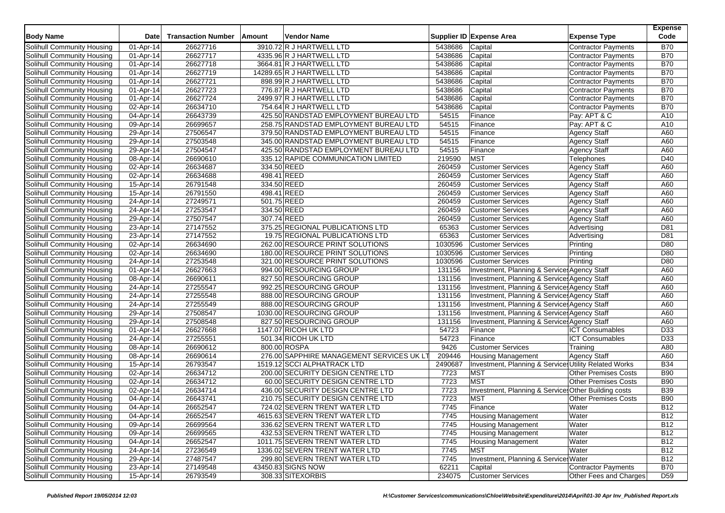| <b>Body Name</b>                  | Date         | <b>Transaction Number</b> | Amount      | <b>Vendor Name</b>                        |                | Supplier ID Expense Area                                                           | <b>Expense Type</b>         | <b>Expense</b><br>Code |
|-----------------------------------|--------------|---------------------------|-------------|-------------------------------------------|----------------|------------------------------------------------------------------------------------|-----------------------------|------------------------|
| Solihull Community Housing        | 01-Apr-14    | 26627716                  |             | 3910.72 R J HARTWELL LTD                  | 5438686        | Capital                                                                            | <b>Contractor Payments</b>  | <b>B70</b>             |
| Solihull Community Housing        | 01-Apr-14    | 26627717                  |             | 4335.96 R J HARTWELL LTD                  | 5438686        | Capital                                                                            | <b>Contractor Payments</b>  | <b>B70</b>             |
| Solihull Community Housing        | 01-Apr-14    | 26627718                  |             | 3664.81 R J HARTWELL LTD                  | 5438686        | Capital                                                                            | Contractor Payments         | <b>B70</b>             |
| Solihull Community Housing        | 01-Apr-14    | 26627719                  |             | 14289.65 R J HARTWELL LTD                 | 5438686        | Capital                                                                            | <b>Contractor Payments</b>  | <b>B70</b>             |
| Solihull Community Housing        | 01-Apr-14    | 26627721                  |             | 898.99 R J HARTWELL LTD                   | 5438686        | Capital                                                                            | <b>Contractor Payments</b>  | <b>B70</b>             |
| Solihull Community Housing        | 01-Apr-14    | 26627723                  |             | 776.87 R J HARTWELL LTD                   | 5438686        | Capital                                                                            | <b>Contractor Payments</b>  | <b>B70</b>             |
| Solihull Community Housing        | 01-Apr-14    | 26627724                  |             | 2499.97 R J HARTWELL LTD                  | 5438686        | Capital                                                                            | <b>Contractor Payments</b>  | <b>B70</b>             |
| Solihull Community Housing        | 02-Apr-14    | 26634710                  |             | 754.64 R J HARTWELL LTD                   | 5438686        | Capital                                                                            | <b>Contractor Payments</b>  | <b>B70</b>             |
| Solihull Community Housing        | 04-Apr-14    | 26643739                  |             | 425.50 RANDSTAD EMPLOYMENT BUREAU LTD     | 54515          | Finance                                                                            | Pay: APT & C                | A10                    |
| Solihull Community Housing        | 09-Apr-14    | 26699657                  |             | 258.75 RANDSTAD EMPLOYMENT BUREAU LTD     | 54515          | Finance                                                                            | Pay: APT & C                | A10                    |
| Solihull Community Housing        | 29-Apr-14    | 27506547                  |             | 379.50 RANDSTAD EMPLOYMENT BUREAU LTD     | 54515          | Finance                                                                            | <b>Agency Staff</b>         | A60                    |
| Solihull Community Housing        | 29-Apr-14    | 27503548                  |             | 345.00 RANDSTAD EMPLOYMENT BUREAU LTD     | 54515          | Finance                                                                            | <b>Agency Staff</b>         | A60                    |
| Solihull Community Housing        | 29-Apr-14    | 27504547                  |             | 425.50 RANDSTAD EMPLOYMENT BUREAU LTD     | 54515          | Finance                                                                            | <b>Agency Staff</b>         | A60                    |
| Solihull Community Housing        | 08-Apr-14    | 26690610                  |             | 335.12 RAPIDE COMMUNICATION LIMITED       | 219590         | <b>MST</b>                                                                         | Telephones                  | D40                    |
| Solihull Community Housing        | 02-Apr-14    | 26634687                  | 334.50 REED |                                           | 260459         | <b>Customer Services</b>                                                           | <b>Agency Staff</b>         | A60                    |
| Solihull Community Housing        | 02-Apr-14    | 26634688                  | 498.41 REED |                                           | 260459         | <b>Customer Services</b>                                                           | <b>Agency Staff</b>         | A60                    |
| Solihull Community Housing        | 15-Apr-14    | 26791548                  | 334.50 REED |                                           | 260459         | <b>Customer Services</b>                                                           | Agency Staff                | A60                    |
| Solihull Community Housing        | 15-Apr-14    | 26791550                  | 498.41 REED |                                           | 260459         | <b>Customer Services</b>                                                           | <b>Agency Staff</b>         | A60                    |
| Solihull Community Housing        | 24-Apr-14    | 27249571                  | 501.75 REED |                                           | 260459         | <b>Customer Services</b>                                                           | <b>Agency Staff</b>         | A60                    |
| Solihull Community Housing        | 24-Apr-14    | 27253547                  | 334.50 REED |                                           | 260459         | <b>Customer Services</b>                                                           | <b>Agency Staff</b>         | A60                    |
| Solihull Community Housing        | 29-Apr-14    | 27507547                  | 307.74 REED |                                           | 260459         | <b>Customer Services</b>                                                           | <b>Agency Staff</b>         | A60                    |
| Solihull Community Housing        | 23-Apr-14    | 27147552                  |             | 375.25 REGIONAL PUBLICATIONS LTD          | 65363          | <b>Customer Services</b>                                                           | Advertising                 | D81                    |
| Solihull Community Housing        | 23-Apr-14    | 27147552                  |             | 19.75 REGIONAL PUBLICATIONS LTD           | 65363          | <b>Customer Services</b>                                                           | Advertising                 | D81                    |
| Solihull Community Housing        | 02-Apr-14    | 26634690                  |             | 262.00 RESOURCE PRINT SOLUTIONS           | 1030596        | <b>Customer Services</b>                                                           | Printing                    | D80                    |
| Solihull Community Housing        | 02-Apr-14    | 26634690                  |             | 180.00 RESOURCE PRINT SOLUTIONS           | 1030596        | <b>Customer Services</b>                                                           | Printing                    | D80                    |
| Solihull Community Housing        | 24-Apr-14    | 27253548                  |             | 321.00 RESOURCE PRINT SOLUTIONS           | 1030596        | <b>Customer Services</b>                                                           | Printing                    | D80                    |
| Solihull Community Housing        | 01-Apr-14    | 26627663                  |             | 994.00 RESOURCING GROUP                   | 131156         | Investment, Planning & Service: Agency Staff                                       |                             | A60                    |
| Solihull Community Housing        | 08-Apr-14    | 26690611                  |             | 827.50 RESOURCING GROUP                   | 131156         | Investment, Planning & Service Agency Staff                                        |                             | A60                    |
| Solihull Community Housing        | 24-Apr-14    | 27255547                  |             | 992.25 RESOURCING GROUP                   | 131156         | Investment, Planning & Service: Agency Staff                                       |                             | A60                    |
| Solihull Community Housing        | 24-Apr-14    | 27255548                  |             | 888.00 RESOURCING GROUP                   | 131156         | Investment, Planning & Service: Agency Staff                                       |                             | A60                    |
| Solihull Community Housing        |              | 27255549                  |             | 888.00 RESOURCING GROUP                   | 131156         | Investment, Planning & Service Agency Staff                                        |                             | A60                    |
| Solihull Community Housing        | 24-Apr-14    | 27508547                  |             | 1030.00 RESOURCING GROUP                  | 131156         | Investment, Planning & Service: Agency Staff                                       |                             | A60                    |
|                                   | 29-Apr-14    |                           |             |                                           | 131156         | Investment, Planning & Service Agency Staff                                        |                             | A60                    |
| Solihull Community Housing        | 29-Apr-14    | 27508548                  |             | 827.50 RESOURCING GROUP                   |                |                                                                                    |                             |                        |
| Solihull Community Housing        | 01-Apr-14    | 26627668                  |             | 1147.07 RICOH UK LTD                      | 54723<br>54723 | Finance<br>Finance                                                                 | <b>ICT Consumables</b>      | D33                    |
| Solihull Community Housing        | 24-Apr-14    | 27255551                  |             | 501.34 RICOH UK LTD<br>800.00 ROSPA       | 9426           |                                                                                    | <b>ICT Consumables</b>      | D33                    |
| Solihull Community Housing        | 08-Apr-14    | 26690612                  |             |                                           |                | <b>Customer Services</b>                                                           | Training                    | A80                    |
| Solihull Community Housing        | 08-Apr-14    | 26690614                  |             | 276.00 SAPPHIRE MANAGEMENT SERVICES UK LT | 209446         | <b>Housing Management</b><br>Investment, Planning & Services Utility Related Works | <b>Agency Staff</b>         | A60                    |
| Solihull Community Housing        | 15-Apr-14    | 26793547                  |             | 1519.12 SCCI ALPHATRACK LTD               | 2490687        |                                                                                    |                             | <b>B34</b>             |
| Solihull Community Housing        | 02-Apr-14    | 26634712                  |             | 200.00 SECURITY DESIGN CENTRE LTD         | 7723           | <b>MST</b>                                                                         | <b>Other Premises Costs</b> | <b>B90</b>             |
| Solihull Community Housing        | 02-Apr-14    | 26634712                  |             | 60.00 SECURITY DESIGN CENTRE LTD          | 7723           | <b>MST</b>                                                                         | <b>Other Premises Costs</b> | <b>B90</b>             |
| Solihull Community Housing        | 02-Apr-14    | 26634714                  |             | 436.00 SECURITY DESIGN CENTRE LTD         | 7723           | Investment, Planning & Service: Other Building costs                               |                             | <b>B39</b>             |
| Solihull Community Housing        | 04-Apr-14    | 26643741                  |             | 210.75 SECURITY DESIGN CENTRE LTD         | 7723           | <b>MST</b>                                                                         | <b>Other Premises Costs</b> | <b>B90</b>             |
| Solihull Community Housing        | 04-Apr-14    | 26652547                  |             | 724.02 SEVERN TRENT WATER LTD             | 7745           | Finance                                                                            | Water                       | <b>B12</b>             |
| Solihull Community Housing        | 04-Apr-14    | 26652547                  |             | 4615.63 SEVERN TRENT WATER LTD            | 7745           | <b>Housing Management</b>                                                          | Water                       | <b>B12</b>             |
| Solihull Community Housing        | 09-Apr-14    | 26699564                  |             | 336.62 SEVERN TRENT WATER LTD             | 7745           | <b>Housing Management</b>                                                          | Water                       | <b>B12</b>             |
| Solihull Community Housing        | 09-Apr-14    | 26699565                  |             | 432.53 SEVERN TRENT WATER LTD             | 7745           | <b>Housing Management</b>                                                          | Water                       | <b>B12</b>             |
| Solihull Community Housing        | 04-Apr-14    | 26652547                  |             | 1011.75 SEVERN TRENT WATER LTD            | 7745           | <b>Housing Management</b>                                                          | Water                       | <b>B12</b>             |
| Solihull Community Housing        | $24$ -Apr-14 | 27236549                  |             | 1336.02 SEVERN TRENT WATER LTD            | 7745           | <b>MST</b>                                                                         | Water                       | <b>B12</b>             |
| Solihull Community Housing        | 29-Apr-14    | 27487547                  |             | 299.80 SEVERN TRENT WATER LTD             | 7745           | Investment, Planning & Service: Water                                              |                             | <b>B12</b>             |
| <b>Solihull Community Housing</b> | 23-Apr-14    | 27149548                  |             | 43450.83 SIGNS NOW                        | 62211          | Capital                                                                            | <b>Contractor Payments</b>  | <b>B70</b>             |
| Solihull Community Housing        | 15-Apr-14    | 26793549                  |             | 308.33 SITEXORBIS                         | 234075         | <b>Customer Services</b>                                                           | Other Fees and Charges      | D <sub>59</sub>        |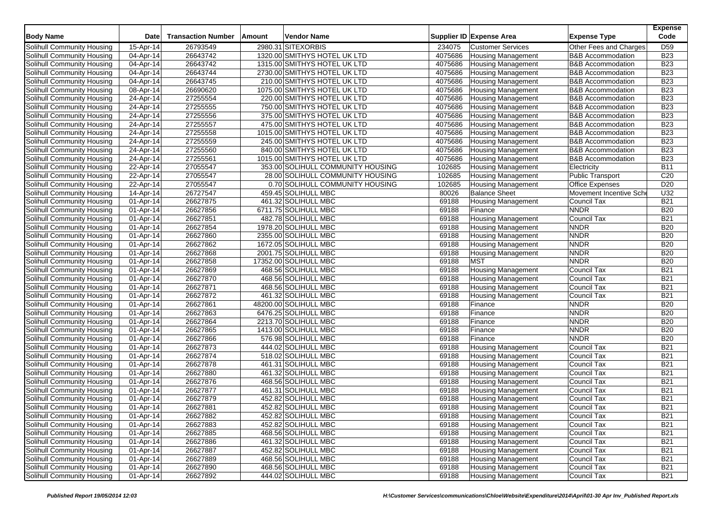| <b>Body Name</b>                                         | Date                   | <b>Transaction Number</b> | Amount | <b>Vendor Name</b>                         |                | Supplier ID Expense Area                | <b>Expense Type</b>               | <b>Expense</b><br>Code   |
|----------------------------------------------------------|------------------------|---------------------------|--------|--------------------------------------------|----------------|-----------------------------------------|-----------------------------------|--------------------------|
| Solihull Community Housing                               | 15-Apr-14              | 26793549                  |        | 2980.31 SITEXORBIS                         | 234075         | <b>Customer Services</b>                | Other Fees and Charges            | D <sub>59</sub>          |
| Solihull Community Housing                               | 04-Apr-14              | 26643742                  |        | 1320.00 SMITHYS HOTEL UK LTD               | 4075686        | <b>Housing Management</b>               | <b>B&amp;B Accommodation</b>      | <b>B23</b>               |
| Solihull Community Housing                               | 04-Apr-14              | 26643742                  |        | 1315.00 SMITHYS HOTEL UK LTD               | 4075686        | <b>Housing Management</b>               | <b>B&amp;B Accommodation</b>      | <b>B23</b>               |
| Solihull Community Housing                               | 04-Apr-14              | 26643744                  |        | 2730.00 SMITHYS HOTEL UK LTD               | 4075686        | Housing Management                      | <b>B&amp;B</b> Accommodation      | <b>B23</b>               |
| Solihull Community Housing                               | 04-Apr-14              | 26643745                  |        | 210.00 SMITHYS HOTEL UK LTD                | 4075686        | <b>Housing Management</b>               | <b>B&amp;B</b> Accommodation      | <b>B23</b>               |
| Solihull Community Housing                               | 08-Apr-14              | 26690620                  |        | 1075.00 SMITHYS HOTEL UK LTD               | 4075686        | <b>Housing Management</b>               | <b>B&amp;B Accommodation</b>      | <b>B23</b>               |
| Solihull Community Housing                               | 24-Apr-14              | 27255554                  |        | 220.00 SMITHYS HOTEL UK LTD                | 4075686        | Housing Management                      | <b>B&amp;B</b> Accommodation      | <b>B23</b>               |
| Solihull Community Housing                               | 24-Apr-14              | 27255555                  |        | 750.00 SMITHYS HOTEL UK LTD                | 4075686        | <b>Housing Management</b>               | <b>B&amp;B Accommodation</b>      | <b>B23</b>               |
| Solihull Community Housing                               | 24-Apr-14              | 27255556                  |        | 375.00 SMITHYS HOTEL UK LTD                | 4075686        | <b>Housing Management</b>               | <b>B&amp;B</b> Accommodation      | <b>B23</b>               |
| Solihull Community Housing                               | 24-Apr-14              | 27255557                  |        | 475.00 SMITHYS HOTEL UK LTD                | 4075686        | <b>Housing Management</b>               | <b>B&amp;B</b> Accommodation      | <b>B23</b>               |
| Solihull Community Housing                               | 24-Apr-14              | 27255558                  |        | 1015.00 SMITHYS HOTEL UK LTD               | 4075686        | <b>Housing Management</b>               | <b>B&amp;B Accommodation</b>      | <b>B23</b>               |
| Solihull Community Housing                               | 24-Apr-14              | 27255559                  |        | 245.00 SMITHYS HOTEL UK LTD                | 4075686        | <b>Housing Management</b>               | <b>B&amp;B</b> Accommodation      | <b>B23</b>               |
| Solihull Community Housing                               | 24-Apr-14              | 27255560                  |        | 840.00 SMITHYS HOTEL UK LTD                | 4075686        | <b>Housing Management</b>               | <b>B&amp;B</b> Accommodation      | <b>B23</b>               |
| Solihull Community Housing                               | 24-Apr-14              | 27255561                  |        | 1015.00 SMITHYS HOTEL UK LTD               | 4075686        | <b>Housing Management</b>               | <b>B&amp;B Accommodation</b>      | <b>B23</b>               |
| Solihull Community Housing                               | 22-Apr-14              | 27055547                  |        | 353.00 SOLIHULL COMMUNITY HOUSING          | 102685         | Housing Management                      | Electricity                       | <b>B11</b>               |
| Solihull Community Housing                               | 22-Apr-14              | 27055547                  |        | 28.00 SOLIHULL COMMUNITY HOUSING           | 102685         | Housing Management                      | <b>Public Transport</b>           | C20                      |
| Solihull Community Housing                               | 22-Apr-14              | 27055547                  |        | 0.70 SOLIHULL COMMUNITY HOUSING            | 102685         | Housing Management                      | <b>Office Expenses</b>            | D <sub>20</sub>          |
| Solihull Community Housing                               | 14-Apr-14              | 26727547                  |        | 459.45 SOLIHULL MBC                        | 80026          | <b>Balance Sheet</b>                    | Movement Incentive Sche           | U32                      |
| Solihull Community Housing                               | 01-Apr-14              | 26627875                  |        | 461.32 SOLIHULL MBC                        | 69188          | Housing Management                      | Council Tax                       | <b>B21</b>               |
| Solihull Community Housing                               | 01-Apr-14              | 26627856                  |        | 6711.75 SOLIHULL MBC                       | 69188          | Finance                                 | <b>NNDR</b>                       | <b>B20</b>               |
| Solihull Community Housing                               | 01-Apr-14              | 26627851                  |        | 482.78 SOLIHULL MBC                        | 69188          | <b>Housing Management</b>               | <b>Council Tax</b>                | <b>B21</b>               |
| Solihull Community Housing                               | 01-Apr-14              | 26627854                  |        | 1978.20 SOLIHULL MBC                       | 69188          | <b>Housing Management</b>               | <b>NNDR</b>                       | <b>B20</b>               |
| Solihull Community Housing                               | 01-Apr-14              | 26627860                  |        | 2355.00 SOLIHULL MBC                       | 69188          | <b>Housing Management</b>               | <b>NNDR</b>                       | <b>B20</b>               |
| Solihull Community Housing                               | 01-Apr-14              | 26627862                  |        | 1672.05 SOLIHULL MBC                       | 69188          | <b>Housing Management</b>               | <b>NNDR</b>                       | <b>B20</b>               |
| Solihull Community Housing                               |                        | 26627868                  |        | 2001.75 SOLIHULL MBC                       | 69188          |                                         | <b>NNDR</b>                       | <b>B20</b>               |
| Solihull Community Housing                               | 01-Apr-14<br>01-Apr-14 | 26627858                  |        | 17352.00 SOLIHULL MBC                      | 69188          | <b>Housing Management</b><br><b>MST</b> | <b>NNDR</b>                       | <b>B20</b>               |
| Solihull Community Housing                               | 01-Apr-14              | 26627869                  |        | 468.56 SOLIHULL MBC                        | 69188          | <b>Housing Management</b>               | <b>Council Tax</b>                | <b>B21</b>               |
| Solihull Community Housing                               | 01-Apr-14              | 26627870                  |        | 468.56 SOLIHULL MBC                        | 69188          | <b>Housing Management</b>               | Council Tax                       | <b>B21</b>               |
| Solihull Community Housing                               | 01-Apr-14              | 26627871                  |        | 468.56 SOLIHULL MBC                        | 69188          | <b>Housing Management</b>               | Council Tax                       | <b>B21</b>               |
| Solihull Community Housing                               | 01-Apr-14              | 26627872                  |        | 461.32 SOLIHULL MBC                        | 69188          |                                         | <b>Council Tax</b>                | <b>B21</b>               |
|                                                          |                        | 26627861                  |        |                                            |                | <b>Housing Management</b>               | <b>NNDR</b>                       | <b>B20</b>               |
| Solihull Community Housing                               | 01-Apr-14              |                           |        | 48200.00 SOLIHULL MBC                      | 69188          | Finance                                 |                                   | <b>B20</b>               |
| Solihull Community Housing                               | 01-Apr-14              | 26627863                  |        | 6476.25 SOLIHULL MBC                       | 69188          | Finance                                 | <b>NNDR</b>                       |                          |
| Solihull Community Housing                               | 01-Apr-14              | 26627864                  |        | 2213.70 SOLIHULL MBC                       | 69188          | Finance                                 | <b>NNDR</b>                       | <b>B20</b>               |
| Solihull Community Housing                               | 01-Apr-14              | 26627865                  |        | 1413.00 SOLIHULL MBC                       | 69188          | Finance                                 | <b>NNDR</b>                       | <b>B20</b>               |
| Solihull Community Housing                               | 01-Apr-14              | 26627866                  |        | 576.98 SOLIHULL MBC                        | 69188          | Finance                                 | <b>NNDR</b>                       | <b>B20</b>               |
| Solihull Community Housing                               | 01-Apr-14              | 26627873                  |        | 444.02 SOLIHULL MBC                        | 69188          | <b>Housing Management</b>               | Council Tax                       | <b>B21</b>               |
| Solihull Community Housing                               | 01-Apr-14              | 26627874                  |        | 518.02 SOLIHULL MBC                        | 69188          | Housing Management                      | <b>Council Tax</b>                | <b>B21</b>               |
| Solihull Community Housing                               | 01-Apr-14              | 26627878<br>26627880      |        | 461.31 SOLIHULL MBC<br>461.32 SOLIHULL MBC | 69188<br>69188 | <b>Housing Management</b>               | Council Tax<br><b>Council Tax</b> | <b>B21</b><br><b>B21</b> |
| Solihull Community Housing<br>Solihull Community Housing | 01-Apr-14<br>01-Apr-14 | 26627876                  |        | 468.56 SOLIHULL MBC                        | 69188          | <b>Housing Management</b>               | Council Tax                       | <b>B21</b>               |
|                                                          |                        | 26627877                  |        |                                            |                | <b>Housing Management</b>               |                                   |                          |
| Solihull Community Housing                               | 01-Apr-14              | 26627879                  |        | 461.31 SOLIHULL MBC                        | 69188          | <b>Housing Management</b>               | Council Tax                       | <b>B21</b>               |
| Solihull Community Housing                               | 01-Apr-14              |                           |        | 452.82 SOLIHULL MBC                        | 69188          | <b>Housing Management</b>               | Council Tax                       | <b>B21</b>               |
| Solihull Community Housing                               | 01-Apr-14              | 26627881                  |        | 452.82 SOLIHULL MBC                        | 69188          | <b>Housing Management</b>               | Council Tax                       | <b>B21</b>               |
| Solihull Community Housing                               | 01-Apr-14              | 26627882                  |        | 452.82 SOLIHULL MBC                        | 69188          | <b>Housing Management</b>               | Council Tax                       | <b>B21</b>               |
| Solihull Community Housing                               | 01-Apr-14              | 26627883                  |        | 452.82 SOLIHULL MBC                        | 69188          | Housing Management                      | Council Tax                       | <b>B21</b>               |
| Solihull Community Housing                               | 01-Apr-14              | 26627885                  |        | 468.56 SOLIHULL MBC                        | 69188          | Housing Management                      | Council Tax                       | <b>B21</b>               |
| Solihull Community Housing                               | 01-Apr-14              | 26627886                  |        | 461.32 SOLIHULL MBC                        | 69188          | <b>Housing Management</b>               | Council Tax                       | <b>B21</b>               |
| Solihull Community Housing                               | 01-Apr-14              | 26627887                  |        | 452.82 SOLIHULL MBC                        | 69188          | <b>Housing Management</b>               | Council Tax                       | <b>B21</b>               |
| Solihull Community Housing                               | 01-Apr-14              | 26627889                  |        | 468.56 SOLIHULL MBC                        | 69188          | <b>Housing Management</b>               | Council Tax                       | <b>B21</b>               |
| <b>Solihull Community Housing</b>                        | 01-Apr-14              | 26627890                  |        | 468.56 SOLIHULL MBC                        | 69188          | <b>Housing Management</b>               | <b>Council Tax</b>                | <b>B21</b>               |
| Solihull Community Housing                               | 01-Apr-14              | 26627892                  |        | 444.02 SOLIHULL MBC                        | 69188          | <b>Housing Management</b>               | Council Tax                       | <b>B21</b>               |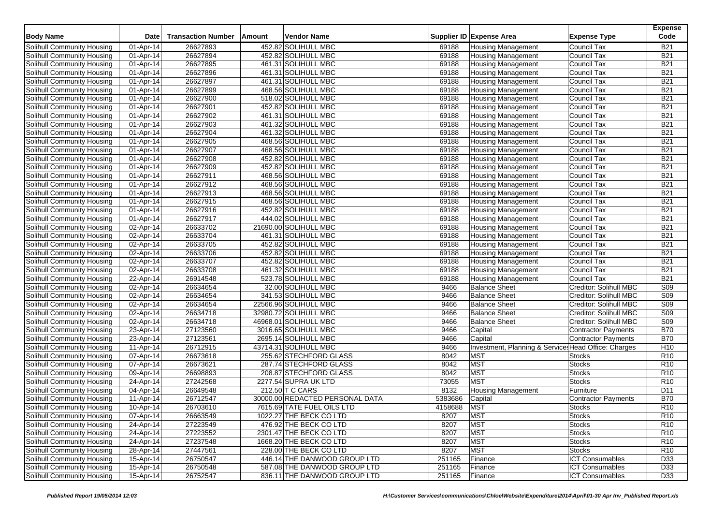| <b>Body Name</b>                  | Date      | <b>Transaction Number</b> | Amount | <b>Vendor Name</b>              |         | Supplier ID Expense Area                             | <b>Expense Type</b>        | <b>Expense</b><br>Code |
|-----------------------------------|-----------|---------------------------|--------|---------------------------------|---------|------------------------------------------------------|----------------------------|------------------------|
| Solihull Community Housing        | 01-Apr-14 | 26627893                  |        | 452.82 SOLIHULL MBC             | 69188   | <b>Housing Management</b>                            | <b>Council Tax</b>         | <b>B21</b>             |
| Solihull Community Housing        | 01-Apr-14 | 26627894                  |        | 452.82 SOLIHULL MBC             | 69188   | <b>Housing Management</b>                            | Council Tax                | <b>B21</b>             |
| Solihull Community Housing        | 01-Apr-14 | 26627895                  |        | 461.31 SOLIHULL MBC             | 69188   |                                                      | <b>Council Tax</b>         | <b>B21</b>             |
|                                   |           |                           |        |                                 | 69188   | <b>Housing Management</b>                            |                            | <b>B21</b>             |
| Solihull Community Housing        | 01-Apr-14 | 26627896                  |        | 461.31 SOLIHULL MBC             |         | <b>Housing Management</b>                            | Council Tax                |                        |
| <b>Solihull Community Housing</b> | 01-Apr-14 | 26627897                  |        | 461.31 SOLIHULL MBC             | 69188   | <b>Housing Management</b>                            | Council Tax                | <b>B21</b>             |
| Solihull Community Housing        | 01-Apr-14 | 26627899                  |        | 468.56 SOLIHULL MBC             | 69188   | <b>Housing Management</b>                            | Council Tax                | <b>B21</b>             |
| Solihull Community Housing        | 01-Apr-14 | 26627900                  |        | 518.02 SOLIHULL MBC             | 69188   | <b>Housing Management</b>                            | Council Tax                | <b>B21</b>             |
| Solihull Community Housing        | 01-Apr-14 | 26627901                  |        | 452.82 SOLIHULL MBC             | 69188   | <b>Housing Management</b>                            | Council Tax                | <b>B21</b>             |
| Solihull Community Housing        | 01-Apr-14 | 26627902                  |        | 461.31 SOLIHULL MBC             | 69188   | <b>Housing Management</b>                            | <b>Council Tax</b>         | <b>B21</b>             |
| Solihull Community Housing        | 01-Apr-14 | 26627903                  |        | 461.32 SOLIHULL MBC             | 69188   | <b>Housing Management</b>                            | Council Tax                | <b>B21</b>             |
| Solihull Community Housing        | 01-Apr-14 | 26627904                  |        | 461.32 SOLIHULL MBC             | 69188   | <b>Housing Management</b>                            | Council Tax                | <b>B21</b>             |
| Solihull Community Housing        | 01-Apr-14 | 26627905                  |        | 468.56 SOLIHULL MBC             | 69188   | <b>Housing Management</b>                            | <b>Council Tax</b>         | <b>B21</b>             |
| Solihull Community Housing        | 01-Apr-14 | 26627907                  |        | 468.56 SOLIHULL MBC             | 69188   | <b>Housing Management</b>                            | Council Tax                | <b>B21</b>             |
| Solihull Community Housing        | 01-Apr-14 | 26627908                  |        | 452.82 SOLIHULL MBC             | 69188   | <b>Housing Management</b>                            | Council Tax                | <b>B21</b>             |
| Solihull Community Housing        | 01-Apr-14 | 26627909                  |        | 452.82 SOLIHULL MBC             | 69188   | <b>Housing Management</b>                            | <b>Council Tax</b>         | <b>B21</b>             |
| Solihull Community Housing        | 01-Apr-14 | 26627911                  |        | 468.56 SOLIHULL MBC             | 69188   | <b>Housing Management</b>                            | Council Tax                | <b>B21</b>             |
| Solihull Community Housing        | 01-Apr-14 | 26627912                  |        | 468.56 SOLIHULL MBC             | 69188   | <b>Housing Management</b>                            | Council Tax                | <b>B21</b>             |
| Solihull Community Housing        | 01-Apr-14 | 26627913                  |        | 468.56 SOLIHULL MBC             | 69188   | <b>Housing Management</b>                            | <b>Council Tax</b>         | <b>B21</b>             |
| Solihull Community Housing        | 01-Apr-14 | 26627915                  |        | 468.56 SOLIHULL MBC             | 69188   | <b>Housing Management</b>                            | Council Tax                | <b>B21</b>             |
| Solihull Community Housing        | 01-Apr-14 | 26627916                  |        | 452.82 SOLIHULL MBC             | 69188   | <b>Housing Management</b>                            | Council Tax                | <b>B21</b>             |
| Solihull Community Housing        | 01-Apr-14 | 26627917                  |        | 444.02 SOLIHULL MBC             | 69188   | <b>Housing Management</b>                            | <b>Council Tax</b>         | <b>B21</b>             |
| Solihull Community Housing        | 02-Apr-14 | 26633702                  |        | 21690.00 SOLIHULL MBC           | 69188   | <b>Housing Management</b>                            | Council Tax                | <b>B21</b>             |
| Solihull Community Housing        | 02-Apr-14 | 26633704                  |        | 461.31 SOLIHULL MBC             | 69188   | <b>Housing Management</b>                            | Council Tax                | <b>B21</b>             |
| Solihull Community Housing        | 02-Apr-14 | 26633705                  |        | 452.82 SOLIHULL MBC             | 69188   | <b>Housing Management</b>                            | <b>Council Tax</b>         | <b>B21</b>             |
| Solihull Community Housing        | 02-Apr-14 | 26633706                  |        | 452.82 SOLIHULL MBC             | 69188   | <b>Housing Management</b>                            | Council Tax                | <b>B21</b>             |
| Solihull Community Housing        | 02-Apr-14 | 26633707                  |        | 452.82 SOLIHULL MBC             | 69188   | <b>Housing Management</b>                            | Council Tax                | <b>B21</b>             |
| Solihull Community Housing        | 02-Apr-14 | 26633708                  |        | 461.32 SOLIHULL MBC             | 69188   | <b>Housing Management</b>                            | Council Tax                | <b>B21</b>             |
| Solihull Community Housing        | 22-Apr-14 | 26914548                  |        | 523.78 SOLIHULL MBC             | 69188   | <b>Housing Management</b>                            | Council Tax                | <b>B21</b>             |
| Solihull Community Housing        | 02-Apr-14 | 26634654                  |        | 32.00 SOLIHULL MBC              | 9466    | <b>Balance Sheet</b>                                 | Creditor: Solihull MBC     | <b>S09</b>             |
| Solihull Community Housing        | 02-Apr-14 | 26634654                  |        | 341.53 SOLIHULL MBC             | 9466    | <b>Balance Sheet</b>                                 | Creditor: Solihull MBC     | <b>S09</b>             |
| Solihull Community Housing        | 02-Apr-14 | 26634654                  |        | 22566.96 SOLIHULL MBC           | 9466    | <b>Balance Sheet</b>                                 | Creditor: Solihull MBC     | S <sub>09</sub>        |
| Solihull Community Housing        | 02-Apr-14 | 26634718                  |        | 32980.72 SOLIHULL MBC           | 9466    | <b>Balance Sheet</b>                                 | Creditor: Solihull MBC     | S <sub>09</sub>        |
| Solihull Community Housing        | 02-Apr-14 | 26634718                  |        | 46968.01 SOLIHULL MBC           | 9466    | <b>Balance Sheet</b>                                 | Creditor: Solihull MBC     | S <sub>09</sub>        |
| Solihull Community Housing        | 23-Apr-14 | 27123560                  |        | 3016.65 SOLIHULL MBC            | 9466    | Capital                                              | <b>Contractor Payments</b> | <b>B70</b>             |
|                                   | 23-Apr-14 | 27123561                  |        | 2695.14 SOLIHULL MBC            | 9466    | Capital                                              | <b>Contractor Payments</b> | <b>B70</b>             |
| Solihull Community Housing        |           | 26712915                  |        | 43714.31 SOLIHULL MBC           | 9466    | Investment, Planning & Service: Head Office: Charges |                            | H <sub>10</sub>        |
| Solihull Community Housing        | 11-Apr-14 |                           |        | 255.62 STECHFORD GLASS          | 8042    | <b>MST</b>                                           |                            | R <sub>10</sub>        |
| Solihull Community Housing        | 07-Apr-14 | 26673618                  |        | 287.74 STECHFORD GLASS          |         |                                                      | <b>Stocks</b>              |                        |
| Solihull Community Housing        | 07-Apr-14 | 26673621                  |        |                                 | 8042    | <b>MST</b>                                           | <b>Stocks</b>              | R <sub>10</sub>        |
| Solihull Community Housing        | 09-Apr-14 | 26698893                  |        | 208.87 STECHFORD GLASS          | 8042    | <b>MST</b>                                           | <b>Stocks</b>              | R <sub>10</sub>        |
| Solihull Community Housing        | 24-Apr-14 | 27242568                  |        | 2277.54 SUPRA UK LTD            | 73055   | <b>MST</b>                                           | <b>Stocks</b>              | R <sub>10</sub>        |
| Solihull Community Housing        | 04-Apr-14 | 26649548                  |        | 212.50 T C CARS                 | 8132    | <b>Housing Management</b>                            | Furniture                  | D11                    |
| Solihull Community Housing        | 11-Apr-14 | 26712547                  |        | 30000.00 REDACTED PERSONAL DATA | 5383686 | Capital                                              | <b>Contractor Payments</b> | <b>B70</b>             |
| Solihull Community Housing        | 10-Apr-14 | 26703610                  |        | 7615.69 TATE FUEL OILS LTD      | 4158688 | <b>MST</b>                                           | <b>Stocks</b>              | R <sub>10</sub>        |
| Solihull Community Housing        | 07-Apr-14 | 26663549                  |        | 1022.27 THE BECK CO LTD         | 8207    | <b>MST</b>                                           | <b>Stocks</b>              | R <sub>10</sub>        |
| Solihull Community Housing        | 24-Apr-14 | 27223549                  |        | 476.92 THE BECK CO LTD          | 8207    | <b>MST</b>                                           | <b>Stocks</b>              | R <sub>10</sub>        |
| Solihull Community Housing        | 24-Apr-14 | 27223552                  |        | 2301.47 THE BECK CO LTD         | 8207    | <b>MST</b>                                           | <b>Stocks</b>              | R <sub>10</sub>        |
| Solihull Community Housing        | 24-Apr-14 | 27237548                  |        | 1668.20 THE BECK CO LTD         | 8207    | <b>MST</b>                                           | <b>Stocks</b>              | R <sub>10</sub>        |
| Solihull Community Housing        | 28-Apr-14 | 27447561                  |        | 228.00 THE BECK CO LTD          | 8207    | <b>MST</b>                                           | <b>Stocks</b>              | R <sub>10</sub>        |
| Solihull Community Housing        | 15-Apr-14 | 26750547                  |        | 446.14 THE DANWOOD GROUP LTD    | 251165  | Finance                                              | <b>ICT Consumables</b>     | D33                    |
| Solihull Community Housing        | 15-Apr-14 | 26750548                  |        | 587.08 THE DANWOOD GROUP LTD    | 251165  | Finance                                              | <b>ICT Consumables</b>     | D <sub>33</sub>        |
| Solihull Community Housing        | 15-Apr-14 | 26752547                  |        | 836.11 THE DANWOOD GROUP LTD    | 251165  | Finance                                              | <b>ICT Consumables</b>     | D33                    |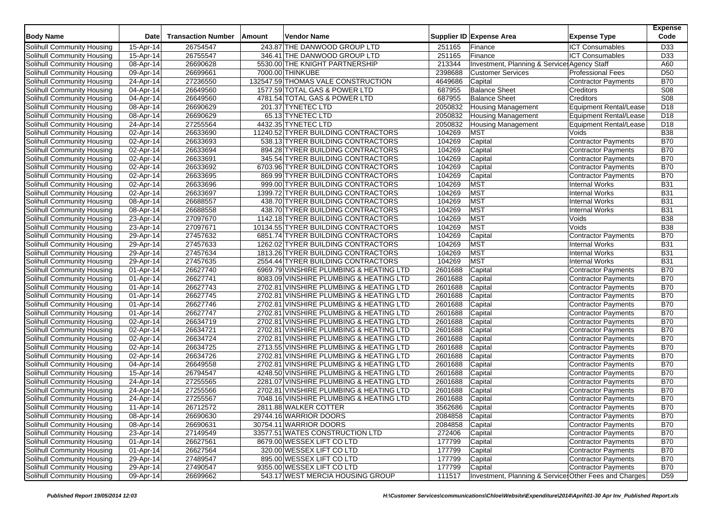| <b>Body Name</b>                                         | <b>Date</b>             | <b>Transaction Number</b> | Amount | Vendor Name                             |                    | Supplier ID Expense Area                               | <b>Expense Type</b>                                      | <b>Expense</b><br>Code |
|----------------------------------------------------------|-------------------------|---------------------------|--------|-----------------------------------------|--------------------|--------------------------------------------------------|----------------------------------------------------------|------------------------|
| Solihull Community Housing                               | 15-Apr-14               | 26754547                  |        | 243.87 THE DANWOOD GROUP LTD            | 251165             | Finance                                                | <b>ICT Consumables</b>                                   | D33                    |
| Solihull Community Housing                               | 15-Apr-14               | 26755547                  |        | 346.41 THE DANWOOD GROUP LTD            | 251165             | Finance                                                | <b>ICT Consumables</b>                                   | D33                    |
| Solihull Community Housing                               | 08-Apr-14               | 26690628                  |        | 5530.00 THE KNIGHT PARTNERSHIP          | 213344             | Investment, Planning & Service: Agency Staff           |                                                          | A60                    |
| Solihull Community Housing                               | 09-Apr-14               | 26699661                  |        | 7000.00 THINKUBE                        | 2398688            | <b>Customer Services</b>                               | <b>Professional Fees</b>                                 | D <sub>50</sub>        |
| Solihull Community Housing                               | 24-Apr-14               | 27236550                  |        | 132547.59 THOMAS VALE CONSTRUCTION      | 4649686            | Capital                                                | <b>Contractor Payments</b>                               | <b>B70</b>             |
| Solihull Community Housing                               | 04-Apr-14               | 26649560                  |        | 1577.59 TOTAL GAS & POWER LTD           | 687955             | <b>Balance Sheet</b>                                   | Creditors                                                | S08                    |
| Solihull Community Housing                               | 04-Apr-14               | 26649560                  |        | 4781.54 TOTAL GAS & POWER LTD           | 687955             | <b>Balance Sheet</b>                                   | Creditors                                                | S08                    |
| Solihull Community Housing                               | 08-Apr-14               | 26690629                  |        | 201.37 TYNETEC LTD                      | 2050832            | <b>Housing Management</b>                              | <b>Equipment Rental/Lease</b>                            | D <sub>18</sub>        |
| Solihull Community Housing                               | 08-Apr-14               | 26690629                  |        | 65.13 TYNETEC LTD                       | 2050832            | <b>Housing Management</b>                              | Equipment Rental/Lease                                   | D <sub>18</sub>        |
| Solihull Community Housing                               | 24-Apr-14               | 27255564                  |        | 4432.35 TYNETEC LTD                     | 2050832            | <b>Housing Management</b>                              | <b>Equipment Rental/Lease</b>                            | D <sub>18</sub>        |
| Solihull Community Housing                               | 02-Apr-14               | 26633690                  |        | 11240.52 TYRER BUILDING CONTRACTORS     | 104269             | <b>MST</b>                                             | Voids                                                    | <b>B38</b>             |
| Solihull Community Housing                               | 02-Apr-14               | 26633693                  |        | 538.13 TYRER BUILDING CONTRACTORS       | 104269             | Capital                                                | <b>Contractor Payments</b>                               | <b>B70</b>             |
| Solihull Community Housing                               | 02-Apr-14               | 26633694                  |        | 894.28 TYRER BUILDING CONTRACTORS       | 104269             | Capital                                                | Contractor Payments                                      | <b>B70</b>             |
| Solihull Community Housing                               | 02-Apr-14               | 26633691                  |        | 345.54 TYRER BUILDING CONTRACTORS       | 104269             | Capital                                                | Contractor Payments                                      | <b>B70</b>             |
| Solihull Community Housing                               | 02-Apr-14               | 26633692                  |        | 6703.96 TYRER BUILDING CONTRACTORS      | 104269             | Capital                                                | Contractor Payments                                      | <b>B70</b>             |
| Solihull Community Housing                               | $\overline{02}$ -Apr-14 | 26633695                  |        | 869.99 TYRER BUILDING CONTRACTORS       | 104269             | Capital                                                | Contractor Payments                                      | <b>B70</b>             |
| Solihull Community Housing                               | 02-Apr-14               | 26633696                  |        | 999.00 TYRER BUILDING CONTRACTORS       | 104269             | <b>MST</b>                                             | <b>Internal Works</b>                                    | <b>B31</b>             |
| Solihull Community Housing                               | 02-Apr-14               | 26633697                  |        | 1399.72 TYRER BUILDING CONTRACTORS      | 104269             | <b>MST</b>                                             | <b>Internal Works</b>                                    | <b>B31</b>             |
| Solihull Community Housing                               | 08-Apr-14               | 26688557                  |        | 438.70 TYRER BUILDING CONTRACTORS       | 104269             | <b>MST</b>                                             | <b>Internal Works</b>                                    | <b>B31</b>             |
| Solihull Community Housing                               | 08-Apr-14               | 26688558                  |        | 438.70 TYRER BUILDING CONTRACTORS       | 104269             | <b>MST</b>                                             | <b>Internal Works</b>                                    | <b>B31</b>             |
| Solihull Community Housing                               | 23-Apr-14               | 27097670                  |        | 1142.18 TYRER BUILDING CONTRACTORS      | 104269             | <b>MST</b>                                             | Voids                                                    | <b>B38</b>             |
| Solihull Community Housing                               | 23-Apr-14               | 27097671                  |        | 10134.55 TYRER BUILDING CONTRACTORS     | 104269             | <b>MST</b>                                             | Voids                                                    | <b>B38</b>             |
| Solihull Community Housing                               | $29$ -Apr-14            | 27457632                  |        | 6851.74 TYRER BUILDING CONTRACTORS      | 104269             | Capital                                                | <b>Contractor Payments</b>                               | B70                    |
| Solihull Community Housing                               | 29-Apr-14               | 27457633                  |        | 1262.02 TYRER BUILDING CONTRACTORS      | 104269             | <b>MST</b>                                             | <b>Internal Works</b>                                    | <b>B31</b>             |
| Solihull Community Housing                               | 29-Apr-14               | 27457634                  |        | 1813.26 TYRER BUILDING CONTRACTORS      | 104269             | <b>MST</b>                                             | <b>Internal Works</b>                                    | <b>B31</b>             |
| Solihull Community Housing                               | 29-Apr-14               | 27457635                  |        | 2554.44 TYRER BUILDING CONTRACTORS      | 104269             | <b>MST</b>                                             | <b>Internal Works</b>                                    | <b>B31</b>             |
| Solihull Community Housing                               | 01-Apr-14               | 26627740                  |        | 6969.79 VINSHIRE PLUMBING & HEATING LTD | 2601688            | Capital                                                | <b>Contractor Payments</b>                               | <b>B70</b>             |
| Solihull Community Housing                               | 01-Apr-14               | 26627741                  |        | 8083.09 VINSHIRE PLUMBING & HEATING LTD | 2601688            | Capital                                                | Contractor Payments                                      | <b>B70</b>             |
| Solihull Community Housing                               | 01-Apr-14               | 26627743                  |        | 2702.81 VINSHIRE PLUMBING & HEATING LTD | 2601688            | Capital                                                | Contractor Payments                                      | <b>B70</b>             |
| Solihull Community Housing                               | 01-Apr-14               | 26627745                  |        | 2702.81 VINSHIRE PLUMBING & HEATING LTD | 2601688            | Capital                                                | <b>Contractor Payments</b>                               | <b>B70</b>             |
| Solihull Community Housing                               | 01-Apr-14               | 26627746                  |        | 2702.81 VINSHIRE PLUMBING & HEATING LTD | 2601688            | Capital                                                | Contractor Payments                                      | <b>B70</b>             |
| Solihull Community Housing                               | 01-Apr-14               | 26627747                  |        | 2702.81 VINSHIRE PLUMBING & HEATING LTD | 2601688            | Capital                                                | Contractor Payments                                      | <b>B70</b>             |
| Solihull Community Housing                               | 02-Apr-14               | 26634719                  |        | 2702.81 VINSHIRE PLUMBING & HEATING LTD | 2601688            | Capital                                                | <b>Contractor Payments</b>                               | <b>B70</b>             |
| Solihull Community Housing                               | 02-Apr-14               | 26634721                  |        | 2702.81 VINSHIRE PLUMBING & HEATING LTD | 2601688            | Capital                                                | Contractor Payments                                      | <b>B70</b>             |
|                                                          | 02-Apr-14               | 26634724                  |        | 2702.81 VINSHIRE PLUMBING & HEATING LTD | 2601688            | Capital                                                |                                                          | <b>B70</b>             |
| Solihull Community Housing                               |                         | 26634725                  |        | 2713.55 VINSHIRE PLUMBING & HEATING LTD | 2601688            |                                                        | Contractor Payments                                      | <b>B70</b>             |
| Solihull Community Housing<br>Solihull Community Housing | 02-Apr-14<br>02-Apr-14  | 26634726                  |        | 2702.81 VINSHIRE PLUMBING & HEATING LTD | 2601688            | Capital                                                | <b>Contractor Payments</b><br><b>Contractor Payments</b> | <b>B70</b>             |
|                                                          |                         |                           |        | 2702.81 VINSHIRE PLUMBING & HEATING LTD |                    | Capital                                                |                                                          | <b>B70</b>             |
| Solihull Community Housing                               | 04-Apr-14               | 26649558                  |        |                                         | 2601688            | Capital                                                | Contractor Payments                                      | <b>B70</b>             |
| Solihull Community Housing                               | 15-Apr-14               | 26794547                  |        | 4248.50 VINSHIRE PLUMBING & HEATING LTD | 2601688            | Capital                                                | <b>Contractor Payments</b><br><b>Contractor Payments</b> | <b>B70</b>             |
| Solihull Community Housing                               | 24-Apr-14               | 27255565                  |        | 2281.07 VINSHIRE PLUMBING & HEATING LTD | 2601688<br>2601688 | Capital                                                |                                                          |                        |
| Solihull Community Housing                               | 24-Apr-14               | 27255566                  |        | 2702.81 VINSHIRE PLUMBING & HEATING LTD |                    | Capital                                                | Contractor Payments                                      | <b>B70</b>             |
| Solihull Community Housing                               | 24-Apr-14               | 27255567                  |        | 7048.16 VINSHIRE PLUMBING & HEATING LTD | 2601688            | Capital                                                | <b>Contractor Payments</b>                               | <b>B70</b>             |
| Solihull Community Housing                               | 11-Apr-14               | 26712572                  |        | 2811.88 WALKER COTTER                   | 3562686            | Capital                                                | Contractor Payments                                      | <b>B70</b>             |
| Solihull Community Housing                               | 08-Apr-14               | 26690630                  |        | 29744.16 WARRIOR DOORS                  | 2084858            | Capital                                                | Contractor Payments                                      | <b>B70</b>             |
| Solihull Community Housing                               | 08-Apr-14               | 26690631                  |        | 30754.11 WARRIOR DOORS                  | 2084858            | Capital                                                | Contractor Payments                                      | <b>B70</b>             |
| Solihull Community Housing                               | 23-Apr-14               | 27149549                  |        | 33577.51 WATES CONSTRUCTION LTD         | 272406             | Capital                                                | <b>Contractor Payments</b>                               | <b>B70</b>             |
| Solihull Community Housing                               | 01-Apr-14               | 26627561                  |        | 8679.00 WESSEX LIFT CO LTD              | 177799             | Capital                                                | <b>Contractor Payments</b>                               | <b>B70</b>             |
| Solihull Community Housing                               | 01-Apr-14               | 26627564                  |        | 320.00 WESSEX LIFT CO LTD               | 177799             | Capital                                                | Contractor Payments                                      | <b>B70</b>             |
| Solihull Community Housing                               | 29-Apr-14               | 27489547                  |        | 895.00 WESSEX LIFT CO LTD               | 177799             | Capital                                                | <b>Contractor Payments</b>                               | <b>B70</b>             |
| Solihull Community Housing                               | 29-Apr-14               | 27490547                  |        | 9355.00 WESSEX LIFT CO LTD              | 177799             | Capital                                                | Contractor Payments                                      | <b>B70</b>             |
| Solihull Community Housing                               | 09-Apr-14               | 26699662                  |        | 543.17 WEST MERCIA HOUSING GROUP        | 111517             | Investment, Planning & Services Other Fees and Charges |                                                          | D <sub>59</sub>        |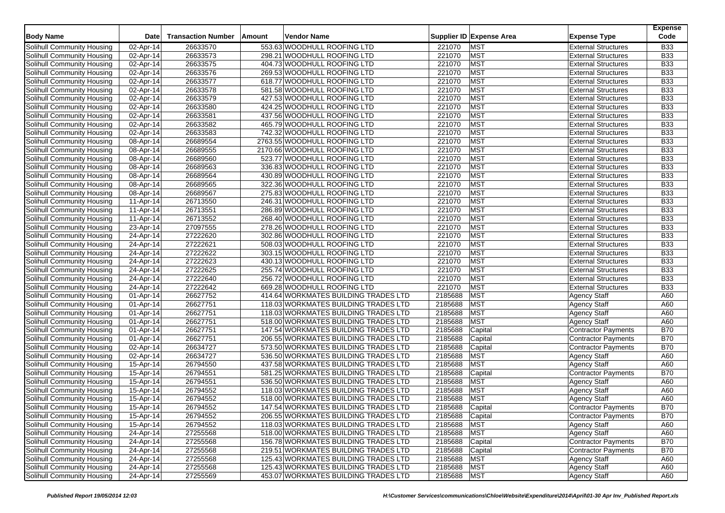| <b>Body Name</b>                  | <b>Date</b>  | <b>Transaction Number</b> | <b>Amount</b> | Vendor Name                          |                 | Supplier ID Expense Area | <b>Expense Type</b>        | <b>Expense</b><br>Code |
|-----------------------------------|--------------|---------------------------|---------------|--------------------------------------|-----------------|--------------------------|----------------------------|------------------------|
| Solihull Community Housing        | 02-Apr-14    | 26633570                  |               | 553.63 WOODHULL ROOFING LTD          | 221070          | <b>MST</b>               | <b>External Structures</b> | <b>B33</b>             |
| Solihull Community Housing        | 02-Apr-14    | 26633573                  |               | 298.21 WOODHULL ROOFING LTD          | 221070          | <b>MST</b>               | <b>External Structures</b> | <b>B33</b>             |
| Solihull Community Housing        | 02-Apr-14    | 26633575                  |               | 404.73 WOODHULL ROOFING LTD          | 221070          | <b>MST</b>               | <b>External Structures</b> | <b>B33</b>             |
| Solihull Community Housing        | 02-Apr-14    | 26633576                  |               | 269.53 WOODHULL ROOFING LTD          | 221070          | <b>MST</b>               | <b>External Structures</b> | <b>B33</b>             |
| Solihull Community Housing        | 02-Apr-14    | 26633577                  |               | 618.77 WOODHULL ROOFING LTD          | 221070          | <b>MST</b>               | <b>External Structures</b> | <b>B33</b>             |
| Solihull Community Housing        | 02-Apr-14    | 26633578                  |               | 581.58 WOODHULL ROOFING LTD          | 221070          | <b>MST</b>               | <b>External Structures</b> | <b>B33</b>             |
| Solihull Community Housing        | 02-Apr-14    | 26633579                  |               | 427.53 WOODHULL ROOFING LTD          | 221070          | <b>MST</b>               | <b>External Structures</b> | <b>B33</b>             |
| Solihull Community Housing        | 02-Apr-14    | 26633580                  |               | 424.25 WOODHULL ROOFING LTD          | 221070          | <b>MST</b>               | <b>External Structures</b> | <b>B33</b>             |
| Solihull Community Housing        | 02-Apr-14    | 26633581                  |               | 437.56 WOODHULL ROOFING LTD          | 221070          | <b>MST</b>               | <b>External Structures</b> | <b>B33</b>             |
| Solihull Community Housing        | 02-Apr-14    | 26633582                  |               | 465.79 WOODHULL ROOFING LTD          | 221070          | <b>MST</b>               | <b>External Structures</b> | <b>B33</b>             |
| Solihull Community Housing        | 02-Apr-14    | 26633583                  |               | 742.32 WOODHULL ROOFING LTD          | 221070          | <b>MST</b>               | <b>External Structures</b> | <b>B33</b>             |
| Solihull Community Housing        | 08-Apr-14    | 26689554                  |               | 2763.55 WOODHULL ROOFING LTD         | 221070          | <b>MST</b>               | <b>External Structures</b> | <b>B33</b>             |
| Solihull Community Housing        | 08-Apr-14    | 26689555                  |               | 2170.66 WOODHULL ROOFING LTD         | 221070          | <b>MST</b>               | <b>External Structures</b> | <b>B33</b>             |
| Solihull Community Housing        | 08-Apr-14    | 26689560                  |               | 523.77 WOODHULL ROOFING LTD          | 221070          | <b>MST</b>               | <b>External Structures</b> | <b>B33</b>             |
| Solihull Community Housing        | 08-Apr-14    | 26689563                  |               | 336.83 WOODHULL ROOFING LTD          | 221070          | <b>MST</b>               | <b>External Structures</b> | <b>B33</b>             |
| Solihull Community Housing        | 08-Apr-14    | 26689564                  |               | 430.89 WOODHULL ROOFING LTD          | 221070          | <b>MST</b>               | <b>External Structures</b> | <b>B33</b>             |
| Solihull Community Housing        | 08-Apr-14    | 26689565                  |               | 322.36 WOODHULL ROOFING LTD          | 221070          | <b>MST</b>               | <b>External Structures</b> | <b>B33</b>             |
| Solihull Community Housing        | 08-Apr-14    | 26689567                  |               | 275.83 WOODHULL ROOFING LTD          | 221070          | <b>MST</b>               | <b>External Structures</b> | <b>B33</b>             |
| Solihull Community Housing        | 11-Apr-14    | 26713550                  |               | 246.31 WOODHULL ROOFING LTD          | 221070          | <b>MST</b>               | <b>External Structures</b> | <b>B33</b>             |
| Solihull Community Housing        | 11-Apr-14    | 26713551                  |               | 286.89 WOODHULL ROOFING LTD          | 221070          | <b>MST</b>               | <b>External Structures</b> | <b>B33</b>             |
| Solihull Community Housing        | 11-Apr-14    | 26713552                  |               | 268.40 WOODHULL ROOFING LTD          | 221070          | <b>MST</b>               | <b>External Structures</b> | <b>B33</b>             |
| Solihull Community Housing        | $23$ -Apr-14 | 27097555                  |               | 278.26 WOODHULL ROOFING LTD          | 221070          | <b>MST</b>               | <b>External Structures</b> | <b>B33</b>             |
| Solihull Community Housing        | 24-Apr-14    | 27222620                  |               | 302.86 WOODHULL ROOFING LTD          | 221070          | <b>MST</b>               | <b>External Structures</b> | <b>B33</b>             |
| Solihull Community Housing        | 24-Apr-14    | 27222621                  |               | 508.03 WOODHULL ROOFING LTD          | 221070          | <b>MST</b>               | <b>External Structures</b> | <b>B33</b>             |
| Solihull Community Housing        | 24-Apr-14    | 27222622                  |               | 303.15 WOODHULL ROOFING LTD          | 221070          | <b>MST</b>               | <b>External Structures</b> | <b>B33</b>             |
| Solihull Community Housing        | 24-Apr-14    | 27222623                  |               | 430.13 WOODHULL ROOFING LTD          | 221070          | <b>MST</b>               | <b>External Structures</b> | <b>B33</b>             |
| Solihull Community Housing        | 24-Apr-14    | 27222625                  |               | 255.74 WOODHULL ROOFING LTD          | 221070          | <b>MST</b>               | <b>External Structures</b> | <b>B33</b>             |
| Solihull Community Housing        | 24-Apr-14    | 27222640                  |               | 256.72 WOODHULL ROOFING LTD          | 221070          | <b>MST</b>               | <b>External Structures</b> | <b>B33</b>             |
| Solihull Community Housing        | 24-Apr-14    | 27222642                  |               | 669.28 WOODHULL ROOFING LTD          | 221070          | <b>MST</b>               | <b>External Structures</b> | <b>B33</b>             |
| Solihull Community Housing        | 01-Apr-14    | 26627752                  |               | 414.64 WORKMATES BUILDING TRADES LTD | 2185688         | <b>MST</b>               | <b>Agency Staff</b>        | A60                    |
| Solihull Community Housing        | 01-Apr-14    | 26627751                  |               | 118.03 WORKMATES BUILDING TRADES LTD | 2185688         | <b>MST</b>               | <b>Agency Staff</b>        | A60                    |
| Solihull Community Housing        | 01-Apr-14    | 26627751                  |               | 118.03 WORKMATES BUILDING TRADES LTD | 2185688         | <b>MST</b>               | <b>Agency Staff</b>        | A60                    |
| Solihull Community Housing        | 01-Apr-14    | 26627751                  |               | 518.00 WORKMATES BUILDING TRADES LTD | 2185688         | <b>MST</b>               | <b>Agency Staff</b>        | A60                    |
| Solihull Community Housing        | 01-Apr-14    | 26627751                  |               | 147.54 WORKMATES BUILDING TRADES LTD | 2185688         | Capital                  | <b>Contractor Payments</b> | <b>B70</b>             |
| Solihull Community Housing        | 01-Apr-14    | 26627751                  |               | 206.55 WORKMATES BUILDING TRADES LTD | 2185688         | Capital                  | Contractor Payments        | <b>B70</b>             |
| Solihull Community Housing        | 02-Apr-14    | 26634727                  |               | 573.50 WORKMATES BUILDING TRADES LTD | 2185688         | Capital                  | <b>Contractor Payments</b> | <b>B70</b>             |
| Solihull Community Housing        | 02-Apr-14    | 26634727                  |               | 536.50 WORKMATES BUILDING TRADES LTD | 2185688         | <b>MST</b>               | <b>Agency Staff</b>        | A60                    |
| Solihull Community Housing        | 15-Apr-14    | 26794550                  |               | 437.58 WORKMATES BUILDING TRADES LTD | 2185688         | <b>MST</b>               | <b>Agency Staff</b>        | A60                    |
| Solihull Community Housing        | 15-Apr-14    | 26794551                  |               | 581.25 WORKMATES BUILDING TRADES LTD | 2185688         | Capital                  | <b>Contractor Payments</b> | <b>B70</b>             |
| Solihull Community Housing        | 15-Apr-14    | 26794551                  |               | 536.50 WORKMATES BUILDING TRADES LTD | 2185688         | <b>MST</b>               | <b>Agency Staff</b>        | A60                    |
| Solihull Community Housing        | 15-Apr-14    | 26794552                  |               | 118.03 WORKMATES BUILDING TRADES LTD | 2185688         | <b>MST</b>               | <b>Agency Staff</b>        | A60                    |
| Solihull Community Housing        | 15-Apr-14    | 26794552                  |               | 518.00 WORKMATES BUILDING TRADES LTD | 2185688         | <b>MST</b>               | <b>Agency Staff</b>        | A60                    |
| <b>Solihull Community Housing</b> | 15-Apr-14    | 26794552                  |               | 147.54 WORKMATES BUILDING TRADES LTD | 2185688         | Capital                  | <b>Contractor Payments</b> | <b>B70</b>             |
| Solihull Community Housing        | 15-Apr-14    | 26794552                  |               | 206.55 WORKMATES BUILDING TRADES LTD | 2185688 Capital |                          | <b>Contractor Payments</b> | <b>B70</b>             |
| Solihull Community Housing        | 15-Apr-14    | 26794552                  |               | 118.03 WORKMATES BUILDING TRADES LTD | 2185688         | <b>MST</b>               | <b>Agency Staff</b>        | A60                    |
| Solihull Community Housing        | 24-Apr-14    | 27255568                  |               | 518.00 WORKMATES BUILDING TRADES LTD | 2185688         | <b>MST</b>               | <b>Agency Staff</b>        | A60                    |
| Solihull Community Housing        | 24-Apr-14    | 27255568                  |               | 156.78 WORKMATES BUILDING TRADES LTD | 2185688         | Capital                  | <b>Contractor Payments</b> | <b>B70</b>             |
| Solihull Community Housing        | 24-Apr-14    | 27255568                  |               | 219.51 WORKMATES BUILDING TRADES LTD | 2185688         | Capital                  | <b>Contractor Payments</b> | <b>B70</b>             |
| Solihull Community Housing        | 24-Apr-14    | 27255568                  |               | 125.43 WORKMATES BUILDING TRADES LTD | 2185688         | <b>MST</b>               | <b>Agency Staff</b>        | A60                    |
| Solihull Community Housing        | 24-Apr-14    | 27255568                  |               | 125.43 WORKMATES BUILDING TRADES LTD | 2185688         | <b>MST</b>               | Agency Staff               | A60                    |
| Solihull Community Housing        | 24-Apr-14    | 27255569                  |               | 453.07 WORKMATES BUILDING TRADES LTD | 2185688         | <b>MST</b>               | <b>Agency Staff</b>        | A60                    |
|                                   |              |                           |               |                                      |                 |                          |                            |                        |